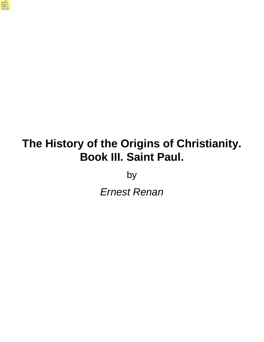# **The History of the Origins of Christianity. Book III. Saint Paul.**

by

*Ernest Renan*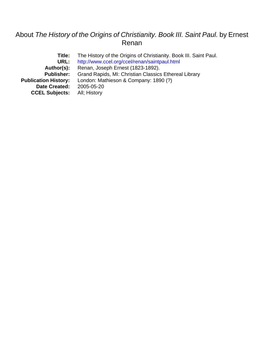## <span id="page-1-0"></span>About *The History of the Origins of Christianity. Book III. Saint Paul.* by Ernest Renan

| Title:                      | The History of the Origins of Christianity. Book III. Saint Paul. |
|-----------------------------|-------------------------------------------------------------------|
| URL:                        | http://www.ccel.org/ccel/renan/saintpaul.html                     |
| Author(s):                  | Renan, Joseph Ernest (1823-1892).                                 |
| <b>Publisher:</b>           | Grand Rapids, MI: Christian Classics Ethereal Library             |
| <b>Publication History:</b> | London: Mathieson & Company: 1890 (?)                             |
| <b>Date Created:</b>        | 2005-05-20                                                        |
| <b>CCEL Subjects:</b>       | All; History                                                      |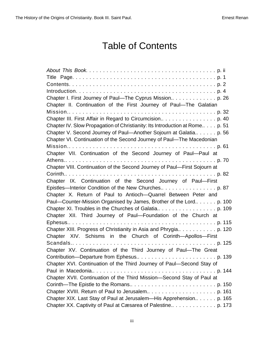# Table of Contents

| Chapter II. Continuation of the First Journey of Paul-The Galatian          |
|-----------------------------------------------------------------------------|
|                                                                             |
|                                                                             |
| Chapter IV. Slow Propagation of Christianity: Its Introduction at Romep. 51 |
| Chapter V. Second Journey of Paul-Another Sojourn at Galatia p. 56          |
| Chapter VI. Continuation of the Second Journey of Paul-The Macedonian       |
|                                                                             |
| Chapter VII. Continuation of the Second Journey of Paul—Paul at             |
|                                                                             |
| Chapter VIII. Continuation of the Second Journey of Paul-First Sojourn at   |
|                                                                             |
| Chapter IX. Continuation of the Second Journey of Paul-First                |
|                                                                             |
| Chapter X. Return of Paul to Antioch-Quarrel Between Peter and              |
| Paul—Counter-Mission Organised by James, Brother of the Lord p. 100         |
|                                                                             |
| Chapter XII. Third Journey of Paul-Foundation of the Church at              |
|                                                                             |
|                                                                             |
| Chapter XIV. Schisms in the Church of Corinth-Apollos-First                 |
|                                                                             |
| Chapter XV. Continuation of the Third Journey of Paul-The Great             |
|                                                                             |
| Chapter XVI. Continuation of the Third Journey of Paul-Second Stay of       |
|                                                                             |
| Chapter XVII. Continuation of the Third Mission-Second Stay of Paul at      |
|                                                                             |
|                                                                             |
| Chapter XIX. Last Stay of Paul at Jerusalem-His Apprehension p. 165         |
|                                                                             |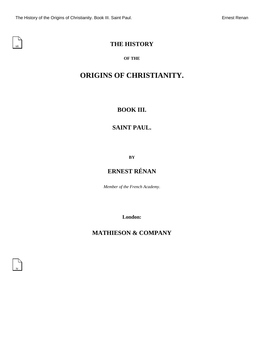<span id="page-4-0"></span>

iv

## **THE HISTORY**

### **OF THE**

## **ORIGINS OF CHRISTIANITY.**

## **BOOK III.**

## **SAINT PAUL.**

**BY**

## **ERNEST RÉNAN**

*Member of the French Academy*.

**London:**

## **MATHIESON & COMPANY**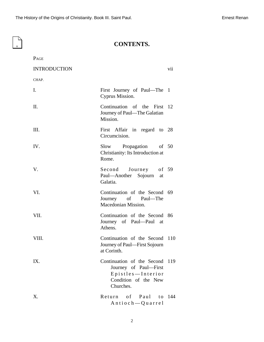# <span id="page-5-0"></span>v **CONTENTS.**

| PAGE                |                                                                                                               |       |
|---------------------|---------------------------------------------------------------------------------------------------------------|-------|
| <b>INTRODUCTION</b> |                                                                                                               | vii   |
| CHAP.               |                                                                                                               |       |
| Ι.                  | First Journey of Paul—The 1<br>Cyprus Mission.                                                                |       |
| Π.                  | Continuation of the First 12<br>Journey of Paul-The Galatian<br>Mission.                                      |       |
| III.                | First Affair in regard to 28<br>Circumcision.                                                                 |       |
| IV.                 | Slow Propagation of 50<br>Christianity: Its Introduction at<br>Rome.                                          |       |
| V.                  | Journey of 59<br>Second<br>Paul—Another Sojourn<br>at<br>Galatia.                                             |       |
| VI.                 | Continuation of the Second<br>Journey of Paul—The<br>Macedonian Mission.                                      | 69    |
| VII.                | Continuation of the Second<br>Journey of Paul—Paul<br>at<br>Athens.                                           | 86    |
| VIII.               | Continuation of the Second<br>Journey of Paul—First Sojourn<br>at Corinth.                                    | - 110 |
| IX.                 | Continuation of the Second<br>Journey of Paul—First<br>Epistles-Interior<br>Condition of the New<br>Churches. | 119   |
| X.                  | Paul<br>Return of<br>t <sub>o</sub><br>Antioch-Quarrel                                                        | 144   |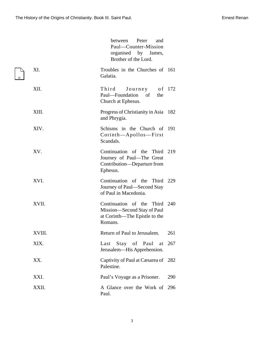|        | between Peter<br>and<br>Paul-Counter-Mission<br>organised by James,<br>Brother of the Lord.              |     |
|--------|----------------------------------------------------------------------------------------------------------|-----|
| XI.    | Troubles in the Churches of 161<br>Galatia.                                                              |     |
| XII.   | Journey of 172<br>Third<br>Paul—Foundation of<br>the<br>Church at Ephesus.                               |     |
| XIII.  | Progress of Christianity in Asia 182<br>and Phrygia.                                                     |     |
| XIV.   | Schisms in the Church of 191<br>Corinth-Apollos-First<br>Scandals.                                       |     |
| XV.    | Continuation of the Third 219<br>Journey of Paul-The Great<br>Contribution—Departure from<br>Ephesus.    |     |
| XVI.   | Continuation of the Third 229<br>Journey of Paul—Second Stay<br>of Paul in Macedonia.                    |     |
| XVII.  | Continuation of the Third 240<br>Mission-Second Stay of Paul<br>at Corinth—The Epistle to the<br>Romans. |     |
| XVIII. | Return of Paul to Jerusalem.                                                                             | 261 |
| XIX.   | Stay of Paul at<br>Last<br>Jerusalem—His Apprehension.                                                   | 267 |
| XX.    | Captivity of Paul at Cæsarea of 282<br>Palestine.                                                        |     |
| XXI.   | Paul's Voyage as a Prisoner.                                                                             | 290 |
| XXII.  | A Glance over the Work of<br>Paul.                                                                       | 296 |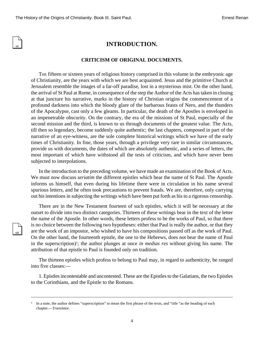<span id="page-7-0"></span>vii

viii

### **INTRODUCTION.**

#### **CRITICISM OF ORIGINAL DOCUMENTS.**

THE fifteen or sixteen years of religious history comprised in this volume in the embryonic age of Christianity, are the years with which we are best acquainted. Jesus and the primitive Church at Jerusalem resemble the images of a far-off paradise, lost in a mysterious mist. On the other hand, the arrival of St Paul at Rome, in consequence of the step the Author of the Acts has taken in closing at that juncture his narrative, marks in the history of Christian origins the commencement of a profound darkness into which the bloody glare of the barbarous feasts of Nero, and the thunders of the Apocalypse, cast only a few gleams. In particular, the death of the Apostles is enveloped in an impenetrable obscurity. On the contrary, the era of the missions of St Paul, especially of the second mission and the third, is known to us through documents of the greatest value. The Acts, till then so legendary, become suddenly quite authentic; the last chapters, composed in part of the narrative of an eye-witness, are the sole complete historical writings which we have of the early times of Christianity. In fine, those years, through a privilege very rare in similar circumstances, provide us with documents, the dates of which are absolutely authentic, and a series of letters, the most important of which have withstood all the tests of criticism, and which have never been subjected to interpolations.

In the introduction to the preceding volume, we have made an examination of the Book of Acts. We must now discuss *seriatim* the different epistles which bear the name of St Paul. The Apostle informs us himself, that even during his lifetime there were in circulation in his name several spurious letters, and he often took precautions to prevent frauds. We are, therefore, only carrying out his intentions in subjecting the writings which have been put forth as his to a rigorous censorship.

There are in the New Testament fourteen of such epistles, which it will be necessary at the outset to divide into two distinct categories. Thirteen of these writings bear in the text of the letter the name of the Apostle. In other words, these letters profess to be the works of Paul, so that there is no choice between the following two hypotheses: either that Paul is really the author, or that they are the work of an impostor, who wished to have his compositions passed off as the work of Paul. On the other band, the fourteenth epistle, the one to the Hebrews, does not bear the name of Paul in the superscription)<sup>1</sup>; the author plunges at once *in medias res* without giving his name. The attribution of that epistle to Paul is founded only on tradition.

The thirteen epistles which profess to belong to Paul may, in regard to authenticity, be ranged into five classes:—

1. Epistles incontestable and uncontested. These are the Epistles to the Galatians, the two Epistles to the Corinthians, and the Epistle to the Romans.

<sup>&</sup>lt;sup>1</sup> In a note, the author defines "superscription" to mean the first phrase of the texts, and "title "as the heading of each chapter.—*Translator*.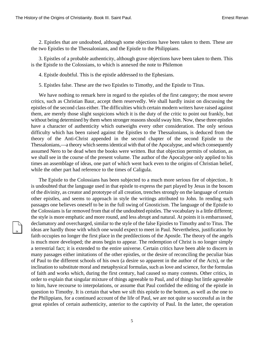ix

2. Epistles that are undoubted, although some objections have been taken to them. These are the two Epistles to the Thessalonians, and the Epistle to the Philippians.

3. Epistles of a probable authenticity, although grave objections have been taken to them. This is the Epistle to the Colossians, to which is annexed the note to Philemon

4. Epistle doubtful. This is the epistle addressed to the Ephesians.

5. Epistles false. These are the two Epistles to Timothy, and the Epistle to Titus.

We have nothing to remark here in regard to the epistles of the first category; the most severe critics, such as Christian Baur, accept them reservedly. We shall hardly insist on discussing the epistles of the second class either. The difficulties which certain modern writers have raised against them, are merely those slight suspicions which it is the duty of the critic to point out frankly, but without being determined by them when stronger reasons should sway him. Now, these three epistles have a character of authenticity which outweighs every other consideration. The only serious difficulty which has been raised against the Epistles to the Thessalonians, is deduced from the theory of the Anti-Christ appended in the second chapter of the second Epistle to the Thessalonians,—a theory which seems identical with that of the Apocalypse, and which consequently assumed Nero to be dead when the books were written. But that objection permits of solution, as we shall see in the course of the present volume. The author of the Apocalypse only applied to his times an assemblage of ideas, one part of which went back even to the origins of Christian belief, while the other part had reference to the times of Caligula.

The Epistle to the Colossians has been subjected to a much more serious fire of objection.. It is undoubted that the language used in that epistle to express the part played by Jesus in the bosom of the divinity, as creator and prototype of all creation, trenches strongly on the language of certain other epistles, and seems to approach in style the writings attributed to John. In rending such passages one believes oneself to be in the full swing of Gnosticism. The language of the Epistle to the Colossians is far removed from that of the undoubted epistles. The vocabulary is a little different; the style is more emphatic and more round, and less abrupt and natural. At points it is embarrassed, declamatory and overcharged, similar to the style of the false Epistles to Timothy and to Titus. The ideas are hardly those with which one would expect to meet in Paul. Nevertheless, justification by faith occupies no longer the first place in the predilections of the Apostle. The theory of the angels is much more developed; the æons begin to appear. The redemption of Christ is no longer simply a terrestrial fact; it is extended to the entire universe. Certain critics have been able to discern in many passages either imitations of the other epistles, or the desire of reconciling the peculiar bias of Paul to the different schools of his own (a desire so apparent in the author of the Acts), or the inclination to substitute moral and metaphysical formulas, such as love and science, for the formulas of faith and works which, during the first century, had caused so many contests. Other critics, in order to explain that singular mixture of things agreeable to Paul, and of things but little agreeable to him, have recourse to interpolations, or assume that Paul confided the editing of the epistle in question to Timothy. It is certain that when we sift this epistle to the bottom, as well as the one to the Philippians, for a continued account of the life of Paul, we are not quite so successful as in the great epistles of certain authenticity, anterior to the captivity of Paul. In the latter, the operation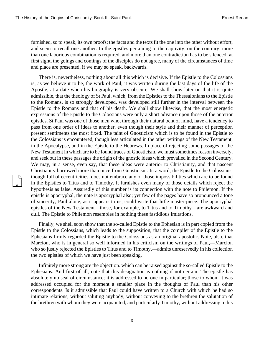x

furnished, so to speak, its own proofs; the facts and the texts fit the one into the other without effort, and seem to recall one another. In the epistles pertaining to the captivity, on the contrary, more than one laborious combination is required, and more than one contradiction has to be silenced; at first sight, the goings and comings of the disciples do not agree, many of the circumstances of time and place are presented, if we may so speak, backwards.

There is, nevertheless, nothing about all this which is decisive. If the Epistle to the Colossians is, as we believe it to be, the work of Paul, it was written during the last days of the life of the Apostle, at a date when his biography is very obscure. We shall show later on that it is quite admissible, that the theology of St Paul, which, from the Epistles to the Thessalonians to the Epistle to the Romans, is so strongly developed, was developed still further in the interval between the Epistle to the Romans and that of his death. We shall show likewise, that the most energetic expressions of the Epistle to the Colossians were only a short advance upon those of the anterior epistles. St Paul was one of those men who, through their natural bent of mind, have a tendency to pass from one order of ideas to another, even though their style and their manner of perception present sentiments the most fixed. The taint of Gnosticism which is to be found in the Epistle to the Colossians is encountered, though less articulated in the other writings of the New Testament, in the Apocalypse, and in the Epistle to the Hebrews. In place of rejecting some passages of the New Testament in which are to be found traces of Gnosticism, we must sometimes reason inversely, and seek out in these passages the origin of the gnostic ideas which prevailed in the Second Century. We may, in a sense, even say, that these ideas were anterior to Christianity, and that nascent Christianity borrowed more than once from Gnosticism. In a word, the Epistle to the Colossians, though full of eccentricities, does not embrace any of those impossibilities which are to be found in the Epistles to Titus and to Timothy. It furnishes even many of those details which reject the hypothesis as false. Assuredly of this number is its connection with the note to Philemon. If the epistle is apocryphal, the note is apocryphal also; yet few of the pages have so pronounced a tone of sincerity; Paul alone, as it appears to us, could write that little master-piece. The apocryphal epistles of the New Testament—those, for example, to Titus and to Timothy—are awkward and dull. The Epistle to Philemon resembles in nothing these fastidious imitations.

Finally, we shell soon show that the so-called Epistle to the Ephesian is in part copied from the Epistle to the Colossians, which leads to the supposition, that the compiler of the Epistle to the Ephesians firmly regarded the Epistle to the Colossians as an original apostolic. Note, also, that Marcion, who is in general so well informed in his criticism on the writings of Paul,—Marcion who so justly rejected the Epistles to Titus and to Timothy,—admits unreservedly in his collection the two epistles of which we have just been speaking.

Infinitely more strong are the objection. which can be raised against the so-called Epistle to the Ephesians. And first of all, note that this designation is nothing if not certain. The epistle has absolutely no seal of circumstance; it is addressed to no one in particular; those to whom it was addressed occupied for the moment a smaller place in the thoughts of Paul than his other correspondents. Is it admissible that Paul could have written to a Church with which he had so intimate relations, without saluting anybody, without conveying to the brethren the salutation of the brethren with whom they were acquainted, and particularly Timothy, without addressing to his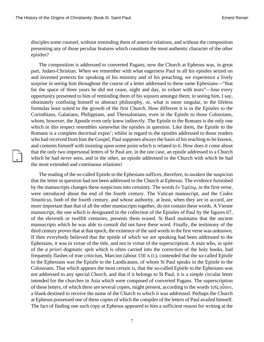xi

disciples some counsel, without reminding them of anterior relations, and without the composition presenting any of those peculiar features which constitute the most authentic character of the other epistles?

The composition is addressed to converted Pagans; now the Church at Ephesus was, in great part, Judæo-Christian. When we remember with what eagerness Paul in all his epistles seized on and invented pretexts for speaking of his ministry and of his preaching, we experience a lively surprise in seeing him throughout the course of a letter addressed to these same Ephesians—"that for the space of three years he did not cease, night and day, to exhort with tears"—lose every opportunity presented to him of reminding them of his sojourn amongst them; in seeing him, I say, obstinately confining himself to abstract philosophy, or, what is more singular, to the lifeless formulas least suited to the growth of the first Church. How different it is in the Epistles to the Corinthians, Galatians, Philippians, and Thessalonians, even in the Epistle to those Colossians, whom, however, the Apostle even only knew indirectly. The Epistle to the Romans is the only one which in this respect resembles somewhat the epistles in question. Like them, the Epistle to the Romans is a complete doctrinal expos'; whilst in regard to the epistles addressed to those readers who had received from him the Gospel, Paul supposes always the basis of his teaching to be known, and contents himself with insisting upon some point which is related to it. How does it come about that the only two impersonal letters of St Paul are, in the one case, an epistle addressed to a Church which he had never seen, and in the other, an epistle addressed to the Church with which he had the most extended and continuous relations!

The reading of the so-called Epistle to the Ephesians suffices, therefore, to awaken the suspicion that the letter in question had not been addressed to the Church at Ephesus. The evidence furnished by the manuscripts changes these suspicions into certainty. The words ἐν Ἐφέσῳ, in the first verse, were introduced about the end of the fourth century. The Vatican manuscript, and the *Codex Sinaiticus*, both of the fourth century, and whose authority, at least, when they are in accord, are more important than that of all the other manuscripts together, do not contain these words. A Vienne manuscript, the one which is designated in the collection of the Epistles of Paul by the figures 67, of the eleventh or twelfth centuries, presents them erased. St Basil maintains that the ancient manuscripts which he was able to consult did not have these word. Finally, the testimony of the third century proves that at that epoch, the existence of the said words in the first verse was unknown. If then everybody believed that the epistle of which we are speaking had been addressed to the Ephesians, it was in virtue of the title, and not in virtue of the superscription. A man who, in spite of the *a priori* dogmatic sprit which is often carried into the correction of the holy books, had frequently flashes of true criticism, Marcion (about 150 A.D.), contended that the so-called Epistle to the Ephesians was the Epistle to the Laodicæans, of whom St Paul speaks in the Epistle to the Colossians. That which appears the most certain is, that the so-called Epistle to the Ephesians was not addressed to any special Church, and that if it belongs to St Paul, it is a simple circular letter intended for the churches in Asia which were composed of converted Pagans. The superscription of these letters, of which there are several copies, might present, according to the words τοῖς οὖσιν, a blank destined to receive the name of the Church to which it was addressed. Perhaps the Church at Ephesus possessed one of these copies of which the compiler of the letters of Paul availed himself. The fact of finding one such copy at Ephesus appeared to him a sufficient reason for writing at the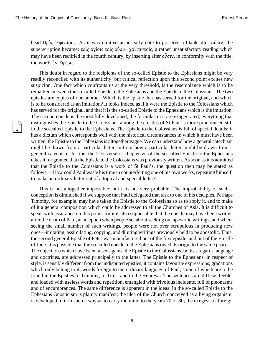xii

head Πρὸς Ἐφεσίους. As it was omitted at an early date to preserve a blank after οὖσιν, the superscription became: τοῖς αγίοις τοῖς οὖσιν, χαὶ πιστοῖς, a rather unsatisfactory reading which may have been rectified in the fourth century, by inserting after οὖσιν, in conformity with the title, the words ἐν Ἐφέσῳ.

This doubt in regard to the recipients of the so-called Epistle to the Ephesians might be very readily reconciled with its authenticity; but critical reflection upon this second point excites new suspicion. One fact which confronts us at the very threshold, is the resemblance which is to be remarked between the so-called Epistle to the Ephesians and the Epistle to the Colossians. The two epistles are copies of one another. Which is the epistle that has served for the original, and which is to be considered as an imitation? It looks indeed as if it were the Epistle to the Colossians which has served for the original, and that it is the so-called Epistle to the Ephesians which is the imitation. The second epistle is the most fully developed; the formulas in it are exaggerated; everything that distinguishes the Epistle to the Colossians among the epistles of St Paul is more pronounced still in the so-called Epistle to the Ephesians. The Epistle to the Colossians is full of special details; it has a dictum which corresponds well with the historical circumstances in which it must have been written; the Epistle to the Ephesians is altogether vague. We can understand how a general catechism might be drawn from a particular letter, but not how a particular letter might be drawn from a general catechism. In fine, the [21st verse of chapter vi. of the so-called Epistle to the Ephesians](http://www.ccel.org/b/bible/asv/xml/asv.Eph.6.xml#Eph.6.21) takes it for granted that the Epistle to the Colossians was previously written. As soon as it is admitted that the Epistle to the Colossians is a work of St Paul's, the question then may be stated as follows:—How could Paul waste his time in counterfeiting one of his own works, repeating himself, to make an ordinary letter out of a topical and special letter?

This is not altogether impossible; but it is not very probable. The improbability of such a conception is diminished if we suppose that Paul delegated that task to one of his disciples. Perhaps Timothy, for example, may have taken the Epistle to the Colossians so as to apply it, and to make of it a general composition which could be addressed to all the Churches of Asia. It is difficult to speak with assurance on this point: for it is also supposable that the epistle may have been written after the death of Paul, at an epoch when people set about seeking out apostolic writings, and when, seeing the small number of such writings, people were not over scrupulous in producing new ones—imitating, assimilating, copying, and diluting writings previously held to be apostolic. Thus, the second general Epistle of Peter was manufactured out of the first epistle, and out of the Epistle of Jude. It is possible that the so-called epistle to the Ephesians owed its origin to the same process. The objections which have been raised against the Epistle to the Colossians, both as regards language and doctrines, are addressed principally to the latter. The Epistle to the Ephesians, in respect of style, is sensibly different from the undisputed epistles; it contains favourite expressions, gradations which only belong to it; words foreign to the ordinary language of Paul, some of which are to be found in the Epistles to Timothy, to Titus, and to the Hebrews. The sentences are diffuse, feeble, and loaded with useless words and repetition, entangled with frivolous incidents, full of pleonasms and of encumbrances. The same difference is apparent in the ideas. In the so-called Epistle to the Ephesians Gnosticism is plainly manifest; the idea of the Church conceived as a living organism, is developed in it in such a way as to carry the mind to the years 70 or 80; the exegesis is foreign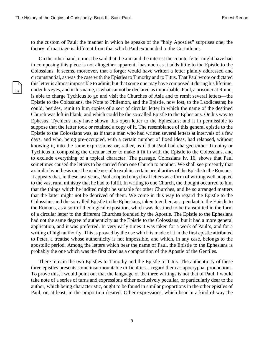to the custom of Paul; the manner in which he speaks of the "holy Apostles" surprises one; the theory of marriage is different from that which Paul expounded to the Corinthians.

xiii

On the other hand, it must be said that the aim and the interest the counterfeiter might have had in composing this piece is not altogether apparent, inasmuch as it adds little to the Epistle to the Colossians. It seems, moreover, that a forger would have written a letter plainly addressed and circumstantial, as was the case with the Epistles to Timothy and to Titus. That Paul wrote or dictated this letter is almost impossible to admit; but that some one may have composed it during his lifetime, under his eyes, and in his name, is what cannot be declared as improbable. Paul, a prisoner at Rome, is able to charge Tychicus to go and visit the Churches of Asia and to remit several letters—the Epistle to the Colossians, the Note to Philemon, and the Epistle, now lost, to the Laodicæans; he could, besides, remit to him copies of a sort of circular letter in which the name of the destined Church was left in blank, and which could be the so-called Epistle to the Ephesians. On his way to Ephesus, Tychicus may have shown this open letter to the Ephesians; and it in permissible to suppose that the latter took or retained a copy of it. The resemblance of this general epistle to the Epistle to the Colossians was, as if that a man who had written several letters at intervals of a few days, and who, being pre-occupied, with a certain number of fixed ideas, had relapsed, without knowing it, into the same expressions; or, rather, as if that Paul had charged either Timothy or Tychicus in composing the circular letter to make it fit in with the Epistle to the Colossians, and to exclude everything of a topical character. The passage, [Colossians iv. 16](http://www.ccel.org/b/bible/asv/xml/asv.Col.4.xml#Col.4.16), shows that Paul sometimes caused the letters to be carried from one Church to another. We shall see presently that a similar hypothesis must be made use of to explain certain peculiarities of the Epistle to the Romans. It appears that, in these last years, Paul adopted encyclical letters as a form of writing well adapted to the vast rural ministry that he had to fulfil. In writing to one Church, the thought occurred to him that the things which he indited might be suitable for other Churches, and he so arranged matters that the latter might not be deprived of them. We come in this way to regard the Epistle to the Colossians and the so-called Epistle to the Ephesians, taken together, as a pendant to the Epistle to the Romans, as a sort of theological exposition, which was destined to be transmitted in the form of a circular letter to the different Churches founded by the Apostle. The Epistle to the Ephesians had not the same degree of authenticity as the Epistle to the Colossians; but it had a more general application, and it was preferred. In very early times it was taken for a work of Paul's, and for a writing of high authority. This is proved by the use which is made of it in the first epistle attributed to Peter, a treatise whose authenticity is not impossible, and which, in any case, belongs to the apostolic period. Among the letters which bear the name of Paul, the Epistle to the Ephesians is probably the one which was the first cited as a composition of the Apostle of the Gentiles.

There remain the two Epistles to Timothy and the Epistle to Titus. The authenticity of these three epistles presents some insurmountable difficulties. I regard them as apocryphal productions. To prove this, I would point out that the language of the three writings is not that of Paul. I would take note of a series of turns and expressions either exclusively peculiar, or particularly dear to the author, which being characteristic, ought to be found in similar proportions in the other epistles of Paul, or, at least, in the proportion desired. Other expressions, which bear in a kind of way the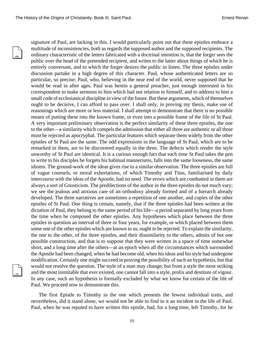xiv

xv

signature of Paul, are lacking in this. I would particularly point out that these epistles embrace a multitude of inconsistencies, both as regards the supposed author and the supposed recipients. The ordinary characteristic of the letters fabricated with a doctrinal intention is, that the forger sees the public over the head of the pretended recipient, and writes to the latter about things of which he is entirely conversant, and to which the forger desires the public to listen. The three epistles under discussion partake in a high degree of this character. Paul, whose authenticated letters are so particular, so precise; Paul, who, believing in the near end of the world, never supposed that he would be read in after ages. Paul was herein a general preacher, just enough interested in his correspondent to make sermons to him which had not relation to himself, and to address to him a small code of ecclesiastical discipline in view of the future. But these arguments, which of themselves ought to be decisive, I can afford to pass over. I shall only, in proving my thesis, make use of reasonings which are more or less material. I shall attempt to demonstrate that there is no possible means of putting these into the known frame, or even into a possible frame of the life of St Paul. A very important preliminary observation is the perfect similarity of these three epistles, the one to the other—a similarity which compels the admission that either all three are authentic or all three must be rejected as apocryphal. The particular features which separate them widely from the other epistles of St Paul are the same. The odd expressions in the language of St Paul, which are to be remarked in them, are to be discovered equally in the three. The defects which render the style unworthy of St Paul are identical. It is a curious enough fact that each time St Paul takes the pen to write to his disciples he forgets his habitual mannerisms, falls into the same looseness, the same idioms. The ground-work of the ideas gives rise to a similar observation. The three epistles are full of vague counsels, or moral exhortations, of which Timothy and Titus, familiarised by daily intercourse with the ideas of the Apostle, had no need. The errors which are combatted in them are always a sort of Gnosticism. The predilections of the author in the three epistles do not much vary; we see the jealous and anxious care of an orthodoxy already formed and of a hierarch already developed. The three narratives are sometimes a repetition of one another, and copies of the other epistles of St Paul. One thing is certain, namely, that if the three epistles had been written at the dictation of Paul, they belong to the same period of his life—a period separated by long years from the time when he composed the other epistles. Any hypotheses which place between the three epistles in question an interval of three or four years, for example, or which placed between them some one of the other epistles which are known to us, ought to be rejected. To explain the similarity, the one to the other, of the three epistles, and their dissimilarity to the others, admits of but one possible construction, and that is to suppose that they were written in a space of time somewhat short, and a long time after the others—at an epoch when all the circumstances which surrounded the Apostle had been changed, when he had become old, when his ideas and his style had undergone modification. Certainly one might succeed in proving the possibility of such an hypothesis, but that would not resolve the question. The style of a man may change; but from a style the most striking and the most inimitable that ever existed, one cannot fall into a style, prolix and destitute of vigour. In any case, such an hypothesis is formally excluded by what we know for certain of the life of Paul. We proceed now to demonstrate this.

The first Epistle to Timothy in the one which presents the fewest individual traits, and nevertheless, did it stand alone, we would not be able to find in it an incident in the life of Paul. Paul, when he was reputed to have written this epistle, had, for a long time, left Timothy, for he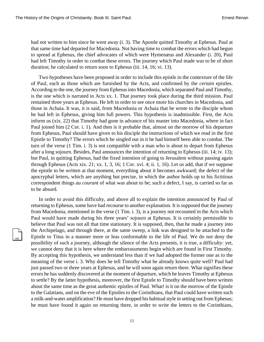xvi

had not written to him since he went away ([i. 3](http://www.ccel.org/b/bible/asv/xml/asv.iTim.1.xml#iTim.1.3)). The Apostle quitted Timothy at Ephesus. Paul at that same time had departed for Macedonia. Not having time to combat the errors which had begun to spread at Ephesus, the chief advocates of which were Hymenæus and Alexander ([i. 20\)](http://www.ccel.org/b/bible/asv/xml/asv.iTim.1.xml#iTim.1.20), Paul had left Timothy in order to combat these errors. The journey which Paul made was to be of short duration; he calculated to return soon to Ephesus [\(iii. 14, 16](http://www.ccel.org/b/bible/asv/xml/asv.iTim.3.xml#iTim.3.14 Bible:1Tim.3.16); [vi. 13\)](http://www.ccel.org/b/bible/asv/xml/asv.iTim.6.xml#iTim.6.13).

Two hypotheses have been proposed in order to include this epistle in the contexture of the life of Paul, each as those which are furnished by the Acts, and confirmed by the *certain* epistles. According to the one, the journey from Ephesus into Macedonia, which separated Paul and Timothy, is the one which is narrated in [Acts xx. 1](http://www.ccel.org/b/bible/asv/xml/asv.Acts.20.xml#Acts.20.1). That journey took place during the third mission. Paul remained three years at Ephesus. He left in order to see once more his churches in Macedonia, and those in Achaia. It was, it is said, from Macedonia or Achaia that he wrote to the disciple whom he had left in Ephesus, giving him full powers. This hypothesis is inadmissible. First, the Acts inform us [\(xix. 22](http://www.ccel.org/b/bible/asv/xml/asv.Acts.19.xml#Acts.19.22)) that Timothy had gone in advance of his master into Macedonia, where in fact Paul joined him ([2 Cor. i. 1](http://www.ccel.org/b/bible/asv/xml/asv.iiCor.1.xml#iiCor.1.1)). And then is it probable that, almost on the morrow of his departure from Ephesus, Paul should have given to his disciple the instructions of which we read in the first Epistle to Timothy? The errors which he singled out in it he had himself been able to combat. The turn of the verse ([1 Tim. i. 3](http://www.ccel.org/b/bible/asv/xml/asv.iTim.1.xml#iTim.1.3)) is not compatible with a man who is about to depart from Ephesus after a long sojourn. Besides, Paul announces the intention of returning to Ephesus ([iii. 14;](http://www.ccel.org/b/bible/asv/xml/asv.iTim.3.xml#iTim.3.14) [iv. 13\)](http://www.ccel.org/b/bible/asv/xml/asv.iTim.4.xml#iTim.4.13); but Paul, in quitting Ephesus, had the fixed intention of going to Jerusalem without passing again through Ephesus [\(Acts xix. 21;](http://www.ccel.org/b/bible/asv/xml/asv.Acts.19.xml#Acts.19.21) [xx. 1, 3, 16;](http://www.ccel.org/b/bible/asv/xml/asv.Acts.20.xml#Acts.20.1 Bible:Acts.20.3 Bible:Acts.20.16) [1 Cor. xvi. 4](http://www.ccel.org/b/bible/asv/xml/asv.iCor.16.xml#iCor.16.4); [ii. 1, 16](http://www.ccel.org/b/bible/asv/xml/asv.iCor.2.xml#iCor.2.1 Bible:1Cor.2.16)). Let us add, that if we suppose the epistle to be written at that moment, everything about it becomes awkward; the defect of the apocryphal letters, which are anything but precise, in which the author holds up to his fictitious correspondent things *au courant* of what was about to be; such a defect, I say, is carried so far as to be absurd.

In order to avoid this difficulty, and above all to explain the intention announced by Paul of returning to Ephesus, some have had recourse to another explanation. It is supposed that the journey from Macedonia, mentioned in the verse ([1 Tim. i. 3](http://www.ccel.org/b/bible/asv/xml/asv.iTim.1.xml#iTim.1.3)), is a journey not recounted in the Acts which Paul would have made during his three years' sojourn at Ephesus. It is certainly permissible to believe that Paul was not all that time stationary. It is supposed, then, that he made a journey into the Archipelago, and through there, at the same sweep, a link was designed to be attached to the Epistle to Titus in a manner more or leas conformable to the life of Paul. We do not deny the possibility of such a journey, although the silence of the Acts presents, it is true, a difficulty: yet, we cannot deny that it is here where the embarrassments begin which are found in First Timothy. By accepting this hypothesis, we understand less than if we had adopted the former one as to the meaning of the [verse i. 3.](http://www.ccel.org/b/bible/asv/xml/asv.iTim.1.xml#iTim.1.3) Why does he tell Timothy what he already knows quite well? Paul had just passed two or three years at Ephesus, and he will soon again return there. What signifies these errors he has suddenly discovered at the moment of departure, which he leaves Timothy at Ephesus to settle? By the latter hypothesis, moreover, the first Epistle to Timothy should have been written about the same time as the great authentic epistles of Paul. What! is it on the morrow of the Epistle to the Galatians, and on the eve of the Epistles to the Corinthians, that Paul could have written such a milk-and-water amplification? He must have dropped his habitual style in setting out from Ephesus; he must have found it again on returning there, in order to write the letters to the Corinthians,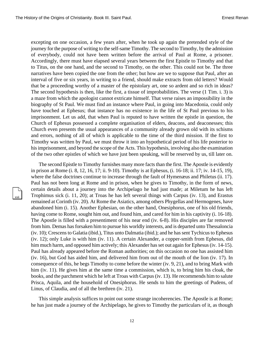xvii

excepting on one occasion, a few years after, when he took up again the pretended style of the journey for the purpose of writing to the self-same Timothy. The second to Timothy, by the admission of everybody, could not have been written before the arrival of Paul at Rome, a prisoner. Accordingly, there must have elapsed several years between the first Epistle to Timothy and that to Titus, on the one hand, and the second to Timothy, on the other. This could not be. The three narratives have been copied the one from the other; but how are we to suppose that Paul, after an interval of five or six years, in writing to a friend, should make extracts from old letters? Would that be a proceeding worthy of a master of the epistolary art, one so ardent and so rich in ideas? The second hypothesis is then, like the first, a tissue of improbabilities. The verse ([1 Tim. i. 3\)](http://www.ccel.org/b/bible/asv/xml/asv.iTim.1.xml#iTim.1.3) is a maze from which the apologist cannot extricate himself. That verse raises an impossibility in the biography of St Paul. We must find an instance where Paul, in going into Macedonia, could only have touched at Ephesus; that instance has no existence in the life of St Paul previous to his imprisonment. Let us add, that when Paul is reputed to have written the epistle in question, the Church of Ephesus possessed a complete organisation of elders, deacons, and deaconesses; this Church even presents the usual appearances of a community already grown old with its schisms and errors, nothing of all of which is applicable to the time of the third mission. If the first to Timothy was written by Paul, we must throw it into an hypothetical period of his life posterior to his imprisonment, and beyond the scope of the Acts. This hypothesis, involving also the examination of the two other epistles of which we have just been speaking, will be reserved by us, till later on.

The second Epistle to Timothy furnishes many more facts than the first. The Apostle is evidently in prison at Rome ([i. 8, 12, 16, 17](http://www.ccel.org/b/bible/asv/xml/asv.iiTim.1.xml#iiTim.1.8 Bible:2Tim.1.12 Bible:2Tim.1.16 Bible:2Tim.1.17); [ii. 9-10\)](http://www.ccel.org/b/bible/asv/xml/asv.iiTim.2.xml#iiTim.2.9). Timothy is at Ephesus, [\(i. 16-18;](http://www.ccel.org/b/bible/asv/xml/asv.iiTim.1.xml#iiTim.1.16) [ii. 17](http://www.ccel.org/b/bible/asv/xml/asv.iiTim.2.xml#iiTim.2.17); [iv. 14-15, 19](http://www.ccel.org/b/bible/asv/xml/asv.iiTim.4.xml#iiTim.4.14)), where the false doctrines continue to increase through the fault of Hymenæus and Philetus ([ii. 17](http://www.ccel.org/b/bible/asv/xml/asv.iiTim.2.xml#iiTim.2.17)). Paul has not been long at Rome and in prison, when he gives to Timothy, in the form of news, certain details about a journey into the Archipelago he had just made; at Miletum he has left Trophimus sick ([i. 11, 20\)](http://www.ccel.org/b/bible/asv/xml/asv.iiTim.4.xml#iiTim.4.20); at Troas he has left several things with Carpus [\(iv. 13\)](http://www.ccel.org/b/bible/asv/xml/asv.iiTim.4.xml#iiTim.4.13), and Erastus remained at Corinth [\(iv. 20\)](http://www.ccel.org/b/bible/asv/xml/asv.iiTim.4.xml#iiTim.4.20). At Rome the Asiatics, among others Phygellas and Hermogenes, have abandoned him ([i. 15](http://www.ccel.org/b/bible/asv/xml/asv.iiTim.1.xml#iiTim.1.15)). Another Ephesian, on the other hand, Onesiphorus, one of his old friends, having come to Rome, sought him out, and found him, and cared for him in his captivity [\(i. 16-18](http://www.ccel.org/b/bible/asv/xml/asv.iiTim.1.xml#iiTim.1.16)). The Apostle is filled with a presentiment of his near end ([iv. 6-8\)](http://www.ccel.org/b/bible/asv/xml/asv.iiTim.4.xml#iiTim.4.6). His disciples are far removed from him. Demas has forsaken him to pursue his worldly interests, and is departed unto Thessaloncia ([iv. 10](http://www.ccel.org/b/bible/asv/xml/asv.iiTim.4.xml#iiTim.4.10)); Crescens to Galatia [\(ibid.](http://www.ccel.org/b/bible/asv/xml/asv.iiTim.4.xml#iiTim.4.10)), Titus unto Dalmatia ([ibid.](http://www.ccel.org/b/bible/asv/xml/asv.iiTim.4.xml#iiTim.4.10)); and he has sent Tychicus to Ephesus ([iv. 12\)](http://www.ccel.org/b/bible/asv/xml/asv.iiTim.4.xml#iiTim.4.12); only Luke is with him [\(iv. 11](http://www.ccel.org/b/bible/asv/xml/asv.iiTim.4.xml#iiTim.4.11)). A certain Alexander, a copper-smith from Ephesus, did him much harm, and opposed him actively; this Alexander has set out again for Ephesus ([iv. 14-15](http://www.ccel.org/b/bible/asv/xml/asv.iiTim.4.xml#iiTim.4.14)). Paul has already appeared before the Roman authorities; on this occasion no one has assisted him ([iv. 16\)](http://www.ccel.org/b/bible/asv/xml/asv.iiTim.4.xml#iiTim.4.16), but God has aided him, and delivered him from out of the mouth of the lion ([iv. 17\)](http://www.ccel.org/b/bible/asv/xml/asv.iiTim.4.xml#iiTim.4.17). In consequence of this, he begs Timothy to come before the winter [\(iv. 9, 21\)](http://www.ccel.org/b/bible/asv/xml/asv.iiTim.4.xml#iiTim.4.9 Bible:2Tim.4.21), and to bring Mark with him [\(iv. 11](http://www.ccel.org/b/bible/asv/xml/asv.iiTim.4.xml#iiTim.4.11)). He gives him at the same time a commission, which is, to bring him his cloak, the books, and the parchment which he left at Troas with Carpus ([iv. 13](http://www.ccel.org/b/bible/asv/xml/asv.iiTim.4.xml#iiTim.4.13)). He recommends him to salute Prisca, Aquila, and the household of Onesiphorus. He sends to him the greetings of Pudens, of Linus, of Claudia, and of all the brethren ([iv. 21\)](http://www.ccel.org/b/bible/asv/xml/asv.iiTim.4.xml#iiTim.4.21).

This simple analysis suffices to point out some strange incoherencies. The Apostle is at Rome; he has just made a journey of the Archipelago, he gives to Timothy the particulars of it, as though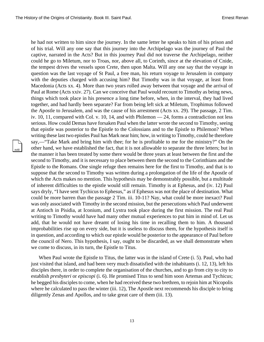xviii

he had not written to him since the journey. In the same letter he speaks to him of his prison and of his trial. Will any one say that this journey into the Archipelago was the journey of Paul the captive, narrated in the Acts? But in this journey Paul did not traverse the Archipelago, neither could he go to Miletum, nor to Troas, nor, above all, to Corinth, since at the elevation of Cnide, the tempest drives the vessels upon Crete, then upon Malta. Will any one say that the voyage in question was the last voyage of St Paul, a free man, his return voyage to Jerusalem in company with the deputies charged with accusing him? But Timothy was in that voyage, at least from Macedonia [\(Acts xx. 4\)](http://www.ccel.org/b/bible/asv/xml/asv.Acts.20.xml#Acts.20.4). More than two years rolled away between that voyage and the arrival of Paul at Rome [\(Acts xxiv. 27\)](http://www.ccel.org/b/bible/asv/xml/asv.Acts.24.xml#Acts.24.27). Can we conceive that Paul would recount to Timothy as being news, things which took place in his presence a long time before, when, in the interval, they had lived together, and had hardly been separate? Far from being left sick at Miletum, Trophimus followed the Apostle to Jerusalem, and was the cause of his arrestment [\(Acts xx. 29\)](http://www.ccel.org/b/bible/asv/xml/asv.Acts.20.xml#Acts.20.29). The passage, [2 Tim.](http://www.ccel.org/b/bible/asv/xml/asv.iiTim.4.xml#iiTim.4.10 Bible:2Tim.4.11) [iv. 10, 11,](http://www.ccel.org/b/bible/asv/xml/asv.iiTim.4.xml#iiTim.4.10 Bible:2Tim.4.11) compared with [Col. v. 10, 14](http://www.ccel.org/b/bible/asv/xml/asv.Col.5.xml#Col.5.10 Bible:Col.5.14), and with [Philemon — 24,](http://www.ccel.org/b/bible/asv/xml/asv.Phlm.1.xml#Phlm.1.24) forms a contradiction not less serious. How could Demas have forsaken Paul when the latter wrote the second to Timothy, seeing that epistle was posterior to the Epistle to the Colossians and to the Epistle to Philemon? When writing these last two epistles Paul has Mark near him; how, in writing to Timothy, could he therefore say,—"Take Mark and bring him with thee; for he is profitable to me for the ministry?" On the other hand, we have established the fact, that it is not allowable to separate the three letters; but in the manner it has been treated by some there would be three years at least between the first and the second to Timothy, and it is necessary to place between them the second to the Corinthians and the Epistle to the Romans. One single refuge then remains here for the first to Timothy, and that is to suppose that the second to Timothy was written during a prolongation of the life of the Apostle of which the Acts makes no mention. This hypothesis may be demonstrably possible, but a multitude of inherent difficulties to the epistle would still remain. Timothy is at Ephesus, and [\(iv. 12](http://www.ccel.org/b/bible/asv/xml/asv.iiTim.4.xml#iiTim.4.12)) Paul says dryly, "I have sent Tychicus to Ephesus," as if Ephesus was not the place of destination. What could be more barren than the passage [2 Tim. iii. 10-11](http://www.ccel.org/b/bible/asv/xml/asv.iiTim.3.xml#iiTim.3.10)? Nay, what could be more inexact? Paul was only associated with Timothy in the second mission, but the persecutions which Paul underwent at Antioch in Pisidia, at Iconium, and Lystra took place during the first mission. The real Paul writing to Timothy would have had many other mutual experiences to put him in mind of. Let us add, that he would not have dreamt of losing his time in recalling them to him. A thousand improbabilities rise up on every side, but it is useless to discuss them, for the hypothesis itself is in question, and according to which our epistle would be posterior to the appearance of Paul before the council of Nero. This hypothesis, I say, ought to be discarded, as we shall demonstrate when we come to discuss, in its turn, the Epistle to Titus.

When Paul wrote the Epistle to Titus, the latter was in the island of Crete ([i. 5\)](http://www.ccel.org/b/bible/asv/xml/asv.Titus.1.xml#Titus.1.5). Paul, who had just visited that island, and had been very much dissatisfied with the inhabitants ([i. 12, 13\)](http://www.ccel.org/b/bible/asv/xml/asv.Titus.1.xml#Titus.1.12 Bible:Titus.1.13), left his disciples there, in order to complete the organisation of the churches, and to go from city to city to establish *presbyteri* or *episcopi* [\(i. 6](http://www.ccel.org/b/bible/asv/xml/asv.Titus.1.xml#Titus.1.6)). He promised Titus to send him soon Artemas and Tychicus; he begged his disciples to come, when he had received these two brethren, to rejoin him at Nicopolis where he calculated to pass the winter ([iii. 12](http://www.ccel.org/b/bible/asv/xml/asv.Titus.3.xml#Titus.3.12)), The Apostle next recommends his disciple to bring diligently Zenas and Apollos, and to take great care of them ([iii. 13\)](http://www.ccel.org/b/bible/asv/xml/asv.Titus.3.xml#Titus.3.13).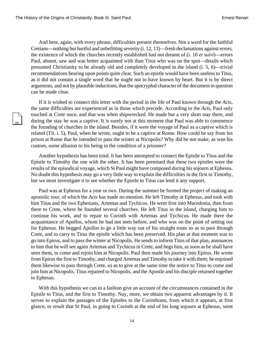xix

And here, again, with every phrase, difficulties present themselves. Not a word for the faithful Cretians—nothing but hurtful and unbefitting severity [\(i. 12, 13\)](http://www.ccel.org/b/bible/asv/xml/asv.Titus.1.xml#Titus.1.12 Bible:Titus.1.13)—fresh declamations against errors, the existence of which the churches recently established had not dreamt of [\(i. 10](http://www.ccel.org/b/bible/asv/xml/asv.Titus.1.xml#Titus.1.10) *et suivi*)—errors Paul, absent, saw and was better acquainted with than Titus who was on the spot—details which presumed Christianity to be already old and completely developed in the island ([i. 5, 6](http://www.ccel.org/b/bible/asv/xml/asv.Titus.1.xml#Titus.1.5 Bible:Titus.1.6))—trivial recommendations bearing upon points quite clear. Such an epistle would have been useless to Titus, as it did not contain a single word that he ought not to have known by heart. But it is by direct arguments, and not by plausible inductions, that the apocryphal character of the document in question can be made clear.

If it is wished to connect this letter with the period in the life of Paul known through the *Acts*, the same difficulties are experienced as in those which precede. According to the *Acts*, Paul only touched at Crete once, and that was when shipwrecked. He made but a very short stay there, and during the stay he was a captive. It is surely not at this moment that Paul was able to commence the founding of churches in the island. Besides, if it were the voyage of Paul as a captive which is related ([Tit. i. 5\)](http://www.ccel.org/b/bible/asv/xml/asv.Titus.1.xml#Titus.1.5), Paul, when he wrote, ought to be a captive at Rome. How could he say from his prison at Rome that he intended to pass the winter at Nicopolis? Why did he not make, as wan his custom, some allusion to his being in the condition of a prisoner?

Another hypothesis has been tried. It has been attempted to connect the Epistle to Titus and the Epistle to Timothy the one with the other. It has been premised that these two epistles were the results of the episodical voyage, which St Paul might have composed during his sojourn at Ephesus. No doubt this hypothesis may go a very little way to explain the difficulties in the first to Timothy, but we most investigate it to see whether the Epistle to Titus can lend it any support.

Paul was at Ephesus for a year or two. During the summer he formed the project of making an apostolic tour, of which the *Acts* has made no mention. He left Timothy at Ephesus, and took with him Titus and the two Ephesians, Artemas and Tychicus. He went first into Macedonia, then from there to Crete, where he founded several churches. He left Titus in the island, charging him to continue his work, and to repair to Corinth with Artemas and Tychicus. He made there the acquaintance of Apollos, whom he had not seen before, and who was on the point of setting out for Ephesus. He begged Apollos to go a little way out of his straight route so as to pass through Crete, and to carry to Titus the epistle which has been preserved. His plan at that moment was to go into Epirus, and to pass the winter at Nicopolis. He sends to inform Titus of that plan, announces to him that he will see again Artemas and Tychicus in Crete, and begs him, as soon as he shall have seen them, to come and rejoin him at Nicopolis. Paul then made his journey into Epirus. He wrote from Epirus the first to Timothy, and charged Artemas and Timothy to take it with them; he enjoined them likewise to pass through Crete, so as to give at the same time the notice to Titus to come and join him at Nicopolis. Titus repaired to Nicopolis, and the Apostle and his disciple returned together to Ephesus.

With this hypothesis we can in a fashion give an account of the circumstances contained in the Epistle to Titus, and the first to Timothy. Nay, more, we obtain two apparent advantages by it. It serves to explain the passages of the Epistles to the Corinthians, from which it appears, at first glance, to result that St Paul, in going to Corinth at the end of his long sojourn at Ephesus, went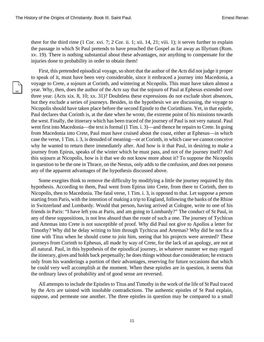xx

there for the third rime [\(1 Cor. xvi. 7](http://www.ccel.org/b/bible/asv/xml/asv.iCor.16.xml#iCor.16.7); [2 Cor. ii. 1;](http://www.ccel.org/b/bible/asv/xml/asv.iiCor.2.xml#iiCor.2.1) [xii. 14, 21;](http://www.ccel.org/b/bible/asv/xml/asv.iiCor.12.xml#iiCor.12.14 Bible:2Cor.12.21) [viii. 1\)](http://www.ccel.org/b/bible/asv/xml/asv.iiCor.8.xml#iiCor.8.1); it serves further to explain the passage in which St Paul pretends to have preached the Gospel as far away as Illyrium ([Rom.](http://www.ccel.org/b/bible/asv/xml/asv.Rom.15.xml#Rom.15.19) [xv. 19\)](http://www.ccel.org/b/bible/asv/xml/asv.Rom.15.xml#Rom.15.19). There is nothing substantial about these advantages, nor anything to compensate for the injuries done to probability in order to obtain them!

First, this pretended episodical voyage, so short that the author of the *Acts* did not judge it proper to speak of it, must have been very considerable, since it embraced a journey into Macedonia, a voyage to Crete, a sojourn at Corinth, and wintering at Nicopolis. This must have taken almost a year. Why, then, does the author of the *Acts* say that the sojourn of Paul at Ephesus extended over three year. ([Acts xix. 8, 10](http://www.ccel.org/b/bible/asv/xml/asv.Acts.19.xml#Acts.19.8 Bible:Acts.19.10); [xx. 31\)](http://www.ccel.org/b/bible/asv/xml/asv.Acts.20.xml#Acts.20.31)? Doubtless these expressions do not exclude short absences, but they exclude a series of journeys. Besides, in the hypothesis we are discussing, the voyage to Nicopolis should have taken place before the second Epistle to the Corinthians. Yet, in that epistle, Paul declares that Corinth is, at the date when he wrote, the extreme point of his missions towards the west. Finally, the itinerary which has been traced of the journey of Paul is not very natural. Paul went first into Macedonia—the text is formal [\(1 Tim. i. 3\)](http://www.ccel.org/b/bible/asv/xml/asv.iTim.1.xml#iTim.1.3)—and thence he repairs to Crete. In going from Macedonia into Crete, Paul must have cruised about the coast, either at Ephesus—in which case the verse, [1 Tim. i. 3,](http://www.ccel.org/b/bible/asv/xml/asv.iTim.1.xml#iTim.1.3) is denuded of meaning—or at Corinth, in which case we cannot conceive why he wanted to return there immediately after. And how is it that Paul, in desiring to make a journey from Epirus, speaks of the winter which he must pass, and not of the journey itself? And this sojourn at Nicopolis, how is it that we do not know more about it? To suppose the Nicopolis in question to be the one in Thrace, on the Nestus, only adds to the confusion, and does not possess any of the apparent advantages of the hypothesis discussed above.

Some exegites think to remove the difficulty by modifying a little the journey required by this hypothesis. According to them, Paul went from Epirus into Crete, from there to Corinth, then to Nicopolis, then to Macedonia. The fatal verse, [1 Tim. i. 3,](http://www.ccel.org/b/bible/asv/xml/asv.iTim.1.xml#iTim.1.3) is opposed to that. Let suppose a person starting from Paris, with the intention of making a trip to England, following the banks of the Rhine in Switzerland and Lombardy. Would that person, having arrived at Cologne, write to one of his friends in Paris: "I have left you at Paris, and am going to Lombardy?" The conduct of St Paul, in any of these suppositions, is not less absurd than the route of such a one. The journey of Tychicus and Artemas into Crete is not susceptible of proof. Why did Paul not give to Apollos a letter for Timothy? Why did he delay writing to him through Tychicus and Artemas? Why did he not fix a time with Titus when he should come to join him, seeing that his projects were arrested? These journeys from Corinth to Ephesus, all made by way of Crete, for the lack of an apology, are not at all natural. Paul, in this hypothesis of the episodical journey, in whatever manner we may regard the itinerary, gives and holds back perpetually; he does things without due consideration; he extracts only from his wanderings a portion of their advantages, reserving for future occasions that which he could very well accomplish at the moment. When these epistles are in question, it seems that the ordinary laws of probability and of good sense are reversed.

All attempts to include the Epistles to Titus and Timothy in the work of the life of St Paul traced by the *Acts* are tainted with insoluble contradictions. The authentic epistles of St Paul explain, suppose, and permeate one another. The three epistles in question may be compared to a small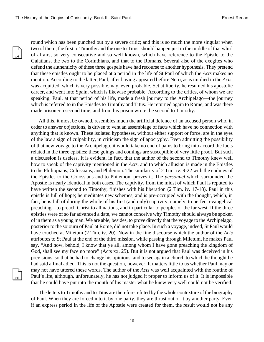xxi

xxii

round which has been punched out by a severe critic; and this is so much the more singular when two of them, the first to Timothy and the one to Titus, should happen just in the middle of that whirl of affairs, so very consecutive and so well known, which have reference to the Epistle to the Galatians, the two to the Corinthians, and that to the Romans. Several also of the exegites who defend the authenticity of these three gospels have had recourse to another hypothesis. They pretend that these epistles ought to be placed at a period in the life of St Paul of which the *Acts* makes no mention. According to the latter, Paul, after having appeared before Nero, as is implied in the *Acts*, was acquitted, which is very possible, nay, even probable. Set at liberty, he resumed his apostolic career, and went into Spain, which is likewise probable. According to the critics, of whom we are speaking, Paul, at that period of his life, made a fresh journey to the Archipelago—the journey which is referred to in the Epistles to Timothy and Titus. He returned again to Rome, and was there made prisoner a second time, and from his prison wrote the second to Timothy.

All this, it most be owned, resembles much the artificial defence of an accused person who, in order to answer objections, is driven to vent an assemblage of facts which have no connection with anything that is known. These isolated hypotheses, without either support or force, are in the eyes of the law a sign of culpability, in criticism the sign of apocryphy. Even admitting the possibility of that new voyage to the Archipelago, it would take no end of pains to bring into accord the facts related in the three epistles; these goings and comings are susceptible of very little proof. But such a discussion is useless. It is evident, in fact, that the author of the second to Timothy knew well how to speak of the captivity mentioned in the *Acts*, and to which allusion is made in the Epistles to the Philippians, Colossians, and Philemon. The similarity of [2 Tim. iv. 9-22](http://www.ccel.org/b/bible/asv/xml/asv.iiTim.4.xml#iiTim.4.9) with the endings of the Epistles to the Colossians and to Philemon, proves it. The *personnel* which surrounded the Apostle is nearly identical in both cases. The captivity, from the midst of which Paul is reputed to have written the second to Timothy, finishes with his liberation [\(2 Tim. iv. 17-18](http://www.ccel.org/b/bible/asv/xml/asv.iiTim.4.xml#iiTim.4.17)). Paul in this epistle is full of hope; he meditates new schemes, and is pre-occupied with the thought, which, in fact, he is full of during the whole of his first (and only) captivity, namely, to perfect evangelical preaching—to preach Christ to all nations, and in particular to peoples of the far west. If the three epistles were of so far advanced a date, we cannot conceive why Timothy should always be spoken of in them as a young man. We are able, besides, to prove directly that the voyage to the Archipelago, posterior to the sojourn of Paul at Rome, did not take place. In such a voyage, indeed, St Paul would have touched at Miletum [\(2 Tim. iv. 20\)](http://www.ccel.org/b/bible/asv/xml/asv.iiTim.4.xml#iiTim.4.20). Now in the fine discourse which the author of the *Acts* attributes to St Paul at the end of the third mission, while passing through Miletum, he makes Paul say, "And now, behold, I know that ye all, among whom I have gone preaching the kingdom of God, shall see my face no more" ([Acts xx. 25](http://www.ccel.org/b/bible/asv/xml/asv.Acts.20.xml#Acts.20.25)). But it is not argued that Paul was deceived in his previsions, so that he had to change his opinions, and to see again a church to which he thought he had said a final adieu. This is not the question, however. It matters little to us whether Paul may or may not have uttered these words. The author of the *Acts* was well acquainted with the routine of Paul's life, although, unfortunately, he has not judged it proper to inform us of it. It is impossible that he could have put into the mouth of his master what he knew very well could not be verified.

The letters to Timothy and to Titus are therefore refuted by the whole contexture of the biography of Paul. When they are forced into it by one party, they are thrust out of it by another party. Even if an express period in the life of the Apostle were created for them, the result would not be any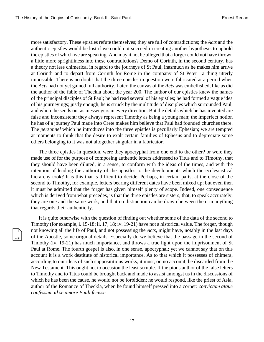xxiii

more satisfactory. These epistles refute themselves; they are full of contradictions; the *Acts* and the authentic epistles would be lost if we could not succeed in creating another hypothesis to uphold the epistles of which we are speaking. And may it not be alleged that a forger could not have thrown a little more sprightliness into these contradictions? Demo of Corinth, in the second century, has a theory not less chimerical in regard to the journeys of St Paul, inasmuch as he makes him arrive at Corinth and to depart from Corinth for Rome in the company of St Peter—a thing utterly impossible. There is no doubt that the three epistles in question were fabricated at a period when the *Acts* had not yet gained full authority. Later, the canvas of the *Acts* was embellished, like as did the author of the fable of Theckla about the year 200. The author of our epistles knew the names of the principal disciples of St Paul; he had read several of his epistles; he had formed a vague idea of his journeyings; justly enough, he is struck by the multitude of disciples which surrounded Paul, and whom he sends out as messengers in every direction. But the details which he has invented are false and inconsistent: they always represent Timothy as being a young man; the imperfect notion he has of a journey Paul made into Crete makes him believe that Paul had founded churches there. The *personnel* which he introduces into the three epistles is peculiarly Ephesian; we are tempted at moments to think that the desire to exalt certain families of Ephesus and to depreciate some others belonging to it was not altogether singular in a fabricator.

The three epistles in question, were they apocryphal from one end to the other? or were they made use of for the purpose of composing authentic letters addressed to Titus and to Timothy, that they should have been diluted, in a sense, to conform with the ideas of the times, and with the intention of leading the authority of the apostles to the developments which the ecclesiastical hierarchy took? It is this that is difficult to decide. Perhaps, in certain parts, at the close of the second to Timothy, for example, letters bearing different dates have been mixed up; but even then it must be admitted that the forger has given himself plenty of scope. Indeed, one consequence which is derived from what precedes, is that the three epistles are sisters, that, to speak accurately, they are one and the same work, and that no distinction can be drawn between them in anything that regards their authenticity.

It is quite otherwise with the question of finding out whether some of the data of the second to Timothy (for example, [i. 15-18](http://www.ccel.org/b/bible/asv/xml/asv.iiTim.1.xml#iiTim.1.15); [ii. 17, 18](http://www.ccel.org/b/bible/asv/xml/asv.iiTim.17 Bible:2Tim.xml#iiTim.17 Bible:2Tim.18); [iv. 19-21](http://www.ccel.org/b/bible/asv/xml/asv.iiTim.4.xml#iiTim.4.19)) have not a historical value. The forger, though not knowing all the life of Paul, and not possessing the *Acts*, might have, notably in the last days of the Apostle, some original details. Especially do we believe that the passage in the second of Timothy [\(iv. 19-21](http://www.ccel.org/b/bible/asv/xml/asv.iiTim.4.xml#iiTim.4.19)) has much importance, and throws a true light upon the imprisonment of St Paul at Rome. The fourth gospel is also, in one sense, apocryphal; yet we cannot say that on this account it is a work destitute of historical importance. As to that which it possesses of chimera, according to our ideas of such supposititious works, it must, on no account, be discarded from the New Testament. This ought not to occasion the least scruple. If the pious author of the false letters to Timothy and to Titus could be brought back and made to assist amongst us in the discussions of which he has been the cause, he would not be forbidden; he would respond, like the priest of Asia, author of the Romance of Theckla, when he found himself pressed into a corner: *convictum atque confessum id se amore Pauli fecisse.*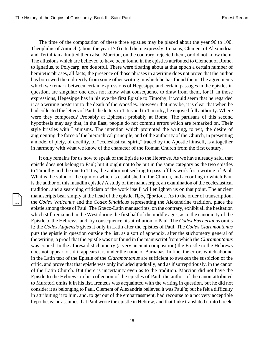xxiv

The time of the composition of these three epistles may be placed about the year 96 to 100. Theophilus of Antioch (about the year 170) cited them expressly. Irenæus, Clement of Alexandria, and Tertullian admitted them also. Marcion, on the contrary, rejected them, or did not know them. The allusions which are believed to have been found in the epistles attributed to Clement of Rome, to Ignatius, to Polycarp, are doubtful. There were floating about at that epoch a certain number of hemitetic phrases, all facts; the presence of those phrases in a writing does not prove that the author has borrowed them directly from some other writing in which he has found them. The agreements which we remark between certain expressions of Hegesippe and certain passages in the epistles in question, are singular; one does not know what consequence to draw from them, for if, in those expressions, Hegesippe has in his eye the first Epistle to Timothy, it would seem that he regarded it as a writing posterior to the death of the Apostles. However that may be, it is clear that when he had collected the letters of Paul, the letters to Titus and to Timothy, he enjoyed full authority. Where were they composed? Probably at Ephesus; probably at Rome. The partisans of this second hypothesis may say that, in the East, people do not commit errors which are remarked on. Their style bristles with Latinisms. The intention which prompted the writing, to wit, the desire of augmenting the force of the hierarchical principle, and of the authority of the Church, in presenting a model of piety, of docility, of "ecclesiastical spirit," traced by the Apostle himself, is altogether in harmony with what we know of the character of the Roman Church from the first century.

It only remains for us now to speak of the Epistle to the Hebrews. As we have already said, that epistle does not belong to Paul; but it ought not to be put in the same category as the two epistles to Timothy and the one to Titus, the author not seeking to pass off his work for a writing of Paul. What is the value of the opinion which is established in the Church, and according to which Paul is the author of this maudlin epistle? A study of the manuscripts, an examination of the ecclesiastical tradition, and a searching criticism of the work itself, will enlighten us on that point. The ancient manuscripts bear simply at the head of the epistle, Πρὸς Εβραίους. As to the order of transcription, the *Codex Vaticanus* and the *Codex Sinaiticus* representing the Alexandrine tradition, place the epistle among those of Paul. The Græco-Latin manuscripts, on the contrary, exhibit all the hesitation which still remained in the West during the first half of the middle ages, as to the canonicity of the Epistle to the Hebrews, and, by consequence, its attribution to Paul. The *Codex Bœrnerianus* omits it; the *Codex Augiensis* gives it only in Latin after the epistles of Paul. The *Codex Claramontanus* puts the epistle in question outside the list, as a sort of appendix, after the stichometry general of the writing, a proof that the epistle was not found in the manuscript from which the *Claramontanus* was copied. In the aforesaid stichometry (a very ancient composition) the Epistle to the Hebrews does not appear, or, if it appears it is under the name of Barnabas. In fine, the errors which abound in the Latin text of the Epistle of the *Claramontanus* are sufficient to awaken the suspicion of the critic, and prove that that epistle was only included gradually, and as if surreptitiously, in the canon of the Latin Church. But there is uncertainty even as to the tradition. Marcion did not have the Epistle to the Hebrews in his collection of the epistles of Paul: the author of the canon attributed to Muratori omits it in his list. Irenæus was acquainted with the writing in question, but he did not consider it as belonging to Paul. Clement of Alexandria believed it was Paul's; but he felt a difficulty in attributing it to him, and, to get out of the embarrassment, had recourse to a not very acceptible hypothesis: he assumes that Paul wrote the epistle in Hebrew, and that Luke translated it into Greek.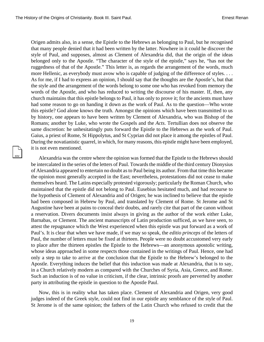xxv

Origen admits also, in a sense, the Epistle to the Hebrews as belonging to Paul, but he recognised that many people denied that it had been written by the latter. Nowhere in it could he discover the style of Paul, and supposes, almost as Clement of Alexandria did, that the origin of the ideas belonged only to the Apostle. "The character of the style of the epistle," says he, "has not the ruggedness of that of the Apostle." This letter is, as regards the arrangement of the words, much more Hellenic, as everybody must avow who is capable of judging of the difference of styles. . . . As for me, if I had to express an opinion, I should say that the thoughts are the Apostle's, but that the style and the arrangement of the words belong to some one who has revoked from memory the words of the Apostle, and who has reduced to writing the discourse of his master. If, then, any church maintains that this epistle belongs to Paul, it has only to prove it; for the ancients must have had some reason to go on handing it down as the work of Paul. As to the question—Who wrote this epistle? God alone knows the truth. Amongst the opinions which have been transmitted to us by history, one appears to have been written by Clement of Alexandria, who was Bishop of the Romans; another by Luke, who wrote the Gospels and the *Acts*. Tertullian does not observe the same discretion: he unhesitatingly puts forward the Epistle to the Hebrews as the work of Paul. Gaius, a priest of Rome, St Hippolytus, and St Cyprian did not place it among the epistles of Paul. During the novatianistic quarrel, in which, for many reasons, this epistle might have been employed, it is not even mentioned.

Alexandria was the centre where the opinion was formed that the Epistle to the Hebrews should be intercalated in the series of the letters of Paul. Towards the middle of the third century Dionysius of Alexandria appeared to entertain no doubt as to Paul being its author. From that time this became the opinion most generally accepted in the East; nevertheless, protestations did not cease to make themselves heard. The Latins especially protested vigorously; particularly the Roman Church, who maintained that the epistle did not belong to Paul. Eusebius hesitated much, and had recourse to the hypothesis of Clement of Alexandria and of Origen; he was inclined to believe that the epistle had been composed in Hebrew by Paul, and translated by Clement of Rome. St Jerome and St Augustine have been at pains to conceal their doubts, and rarely cite that part of the canon without a reservation. Divers documents insist always in giving as the author of the work either Luke, Barnabas, or Clement. The ancient manuscripts of Latin production sufficed, as we have seen, to attest the repugnance which the West experienced when this epistle was put forward as a work of Paul's. It is clear that when we have made, if we may so speak, the *editio princeps* of the letters of Paul, the number of letters must be fixed at thirteen. People were no doubt accustomed very early to place after the thirteen epistles the Epistle to the Hebrews—an anonymous apostolic writing, whose ideas approached in some respects those contained in the writings of Paul. Hence, one had only a step to take to arrive at the conclusion that the Epistle to the Hebrew's belonged to the Apostle. Everything induces the belief that this induction was made at Alexandria, that is to say, in a Church relatively modern as compared with the Churches of Syria, Asia, Greece, and Rome. Such an induction is of no value in criticism, if the clear, intrinsic proofs are perverted by another party in attributing the epistle in question to the Apostle Paul.

Now, this is in reality what has taken place. Clement of Alexandria and Origen, very good judges indeed of the Greek style, could not find in our epistle any semblance of the style of Paul. St Jerome is of the same opinion; the fathers of the Latin Church who refused to credit that the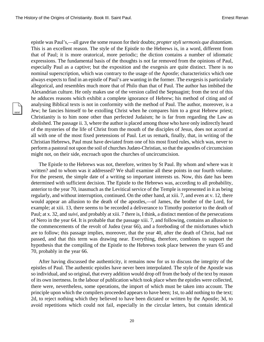xxvi

epistle was Paul's,—all gave the some reason for their doubts; *propter styli sermonis que distantiam*. This is an excellent reason. The style of the Epistle to the Hebrews is, in a word, different from that of Paul; it is more oratorical, more periodic; the diction contains a number of idiomatic expressions. The fundamental basis of the thoughts is not far removed from the opinions of Paul, especially Paul as a captive; but the exposition and the exegesis are quite distinct. There is no nominal superscription, which was contrary to the usage of the Apostle; characteristics which one always expects to find in an epistle of Paul's are wanting in the former. The exegesis is particularly allegorical, and resembles much more that of Philo than that of Paul. The author has imbibed the Alexandrian culture. He only makes use of the version called the Septuagint; from the text of this he adduces reasons which exhibit a complete ignorance of Hebrew; his method of citing and of analysing Biblical texts is not in conformity with the method of Paul. The author, moreover, is a Jew; he fancies himself to be extolling Christ when he compares him to a great Hebrew priest; Christianity is to him none other than perfected Judaism; he is far from regarding the Law as abolished. The passage [ii. 3](http://www.ccel.org/b/bible/asv/xml/asv.Heb.2.xml#Heb.2.3), where the author is placed among those who have only indirectly heard of the mysteries of the life of Christ from the mouth of the disciples of Jesus, does not accord at all with one of the most fixed pretensions of Paul. Let us remark, finally, that, in writing of the Christian Hebrews, Paul must have deviated from one of his most fixed rules, which was, never to perform a pastoral not upon the soil of churches Judæo-Christian, so that the apostles of circumcision might not, on their side, encroach upon the churches of uncircumcision.

The Epistle to the Hebrews was not, therefore, written by St Paul. By whom and where was it written? and to whom was it addressed? We shall examine all these points in our fourth volume. For the present, the simple date of a writing so important interests us. Now, this date has been determined with sufficient decision. The Epistle to the Hebrews was, according to all probability, anterior to the year 70, inasmuch as the Levitical service of the Temple is represented in it as being regularly, and without interruption, continued. On the other hand, at [xiii. 7,](http://www.ccel.org/b/bible/asv/xml/asv.Heb.13.xml#Heb.13.7) and even at [v. 12](http://www.ccel.org/b/bible/asv/xml/asv.Heb.5.xml#Heb.5.12), there would appear an allusion to the death of the apostles,—of James, the brother of the Lord, for example; at [xiii. 13,](http://www.ccel.org/b/bible/asv/xml/asv.Heb.13.xml#Heb.13.13) there seems to be recorded a deliverance to Timothy posterior to the death of Paul; at [x. 32,](http://www.ccel.org/b/bible/asv/xml/asv.Heb.10.xml#Heb.10.32) and *suivi*, and probably at [xiii. 7](http://www.ccel.org/b/bible/asv/xml/asv.Heb.13.xml#Heb.13.7) there is, I think, a distinct mention of the persecutions of Nero in the year 64. It is probable that the passage [xiii. 7](http://www.ccel.org/b/bible/asv/xml/asv.Heb.13.xml#Heb.13.7), and following, contains an allusion to the commencements of the revolt of Judea (year 66), and a foreboding of the misfortunes which are to follow; this passage implies, moreover, that the year 40, after the death of Christ, had not passed, and that this term was drawing near. Everything, therefore, combines to support the hypothesis that the compiling of the Epistle to the Hebrews took place between the years 65 and 70, probably in the year 66.

After having discussed the authenticity, it remains now for us to discuss the integrity of the epistles of Paul. The authentic epistles have never been interpolated. The style of the Apostle was so individual, and so original, that every addition would drop off from the body of the text by reason of its own inertness. In the labour of publication which took place when the epistles were collected, there were, nevertheless, some operations, the import of which must be taken into account. The principle upon which the compilers proceeded appears to have been; 1st, to add nothing to the text; 2d, to reject nothing which they believed to have been dictated or written by the Apostle; 3d, to avoid repetitions which could not fail, especially in the circular letters, but contain identical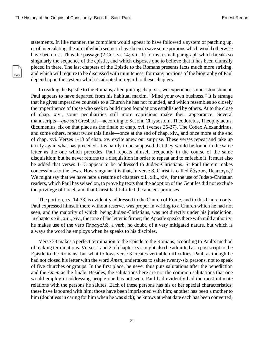xxvii

statements. In like manner, the compilers would appear to have followed a system of patching up, or of intercalating, the aim of which seems to have been to save some portions which would otherwise have been lost. Thus the passage ([2 Cor. vi. 14](http://www.ccel.org/b/bible/asv/xml/asv.iiCor.6.xml#iiCor.6.14); [viii. 1](http://www.ccel.org/b/bible/asv/xml/asv.iiCor.8.xml#iiCor.8.1)) forms a small paragraph which breaks so singularly the sequence of the epistle, and which disposes one to believe that it has been clumsily pieced in there. The last chapters of the Epistle to the Romans presents facts much more striking, and which will require to be discussed with minuteness; for many portions of the biography of Paul depend upon the system which is adopted in regard to these chapters.

In reading the Epistle to the Romans, after quitting [chap. xii.,](http://www.ccel.org/b/bible/asv/xml/asv.Rom.12.xml#Rom.12.1) we experience some astonishment. Paul appears to have departed from his habitual maxim, "Mind your own business." It is strange that he gives imperative counsels to a Church he has not founded, and which resembles so closely the impertinence of those who seek to build upon foundations established by others. At to the close of [chap. xiv.](http://www.ccel.org/b/bible/asv/xml/asv.Rom.14.xml#Rom.14.1), some peculiarities still more capricious make their appearance. Several manuscripts—*que suit* Gresbach—according to St John Chrysostom, Theodoretus, Theophylactus, Œcumenius, fix on that place as the finale of chap. xvi. ([verses 25-27\)](http://www.ccel.org/b/bible/asv/xml/asv.Rom.16.xml#Rom.16.25). The Codex Alexandrinus, and some others, repeat twice this finale—once at the end of chap. xiv., and once more at the end of chap. xvi. [Verses 1-13 of chap. xv.](http://www.ccel.org/b/bible/asv/xml/asv.Rom.15.xml#Rom.15.1) excite anew our surprise. These verses repeat and take up tacitly again what has preceded. It is hardly to be supposed that they would be found in the same letter as the one which precedes. Paul repeats himself frequently in the course of the same disquisition; but he never returns to a disquisition in order to repeat and to enfeeble it. It must also be added that [verses 1-13](http://www.ccel.org/b/bible/asv/xml/asv.Rom.15.xml#Rom.15.1) appear to be addressed to Judæo-Christians. St Paul therein makes concessions to the Jews. How singular it is that, in [verse 8](http://www.ccel.org/b/bible/asv/xml/asv.Rom.15.xml#Rom.15.8), Christ is called δάχουος Περιτογης? We might say that we have here a resume of chapters xii., xiii., xiv., for the use of Judæo-Christian readers, which Paul has seized on, to prove by texts that the adoption of the Gentiles did not exclude the privilege of Israel, and that Christ had fulfilled the ancient promises.

The portion, [xv. 14-33](http://www.ccel.org/b/bible/asv/xml/asv.Rom.15.xml#Rom.15.14), is evidently addressed to the Church of Rome, and to this Church only. Paul expressed himself there without reserve, was proper in writing to a Church which he had not seen, and the majority of which, being Judæo-Christians, was not directly under his jurisdiction. In chapters xii., xiii., xiv., the tone of the letter is firmer; the Apostle speaks there with mild authority; he makes use of the verb Παραχαλῶ, a verb, no doubt, of a very mitigated nature, but which is always the word he employs when he speaks to his disciples.

[Verse 33](http://www.ccel.org/b/bible/asv/xml/asv.Rom.15.xml#Rom.15.33) makes a perfect termination to the Epistle to the Romans, according to Paul's method of making terminations. [Verses 1 and 2 of chapter xvi.](http://www.ccel.org/b/bible/asv/xml/asv.Rom.16.xml#Rom.16.1 Bible:Rom.16.2) might also be admitted as a postscript to the Epistle to the Romans; but what follows [verse 3](http://www.ccel.org/b/bible/asv/xml/asv.Rom.16.xml#Rom.16.3) creates veritable difficulties. Paul, as though he had not closed his letter with the word *Amen*, undertakes to salute twenty-six persons, not to speak of five churches or groups. In the first place, he never thus puts salutations after the benediction and the *Amen* as the finale. Besides, the salutations here are not the common salutations that one would employ in addressing people one has not seen. Paul had evidently had the most intimate relations with the persons he salutes. Each of these persons has his or her special characteristics; these have laboured with him; those have been imprisoned with him; another has been a mother to him (doubtless in caring for him when he was sick); he knows at what date each has been converted;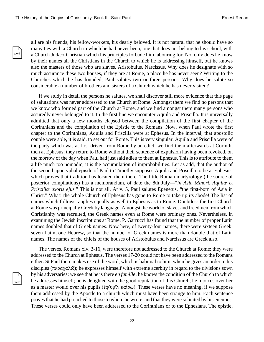xxvii i

xxix

all are his friends, his fellow-workers, his dearly beloved. It is not natural that he should have so many ties with a Church in which he had never been, one that does not belong to his school, with a Church Judæo-Christian which his principles forbade him labouring for. Not only does he know by their names all the Christians in the Church to which he is addressing himself, but he knows also the masters of those who are slaves, Aristobulus, Narcissus. Why does he designate with so much assurance these two houses, if they are at Rome, a place he has never seen? Writing to the Churches which he has founded, Paul salutes two or three persons. Why does he salute so considerable a number of brothers and sisters of a Church which he has never visited?

If we study in detail the persons he salutes, we shall discover still more evidence that this page of salutations was never addressed to the Church at Rome. Amongst them we find no persons that we know who formed part of the Church at Rome, and we find amongst them many persons who assuredly never belonged to it. In the first line we encounter Aquila and Priscilla. It is universally admitted that only a few months elapsed between the compilation of the first chapter of the Corinthians and the compilation of the Epistle to the Romans. Now, when Paul wrote the first chapter to the Corinthians, Aquila and Priscilla were at Ephesus. In the interval, that apostolic couple were able, it is said, to set out for Rome. This is very singular. Aquila and Priscilla were of the party which was at first driven from Rome by an edict; we find them afterwards at Corinth, then at Ephesus; they return to Rome without their sentence of expulsion having been revoked, on the morrow of the day when Paul had just said adieu to them at Ephesus. This is to attribute to them a life much too nomadic; it is the accumulation of improbabilities. Let as add, that the author of the second apocryphal epistle of Paul to Timothy supposes Aquila and Priscilla to be at Ephesus, which proves that tradition has located them there. The little Roman martyrology (the source of posterior compilations) has a memorandum, of date the 8th July—"*in Asia Minori, Aquilæ et Priscillæ uxoris ejus.*" This is not all. At [v. 5,](http://www.ccel.org/b/bible/asv/xml/asv.Rom.16.xml#Rom.16.5) Paul salutes Epenetus, "the first-born of Asia in Christ." What! the whole Church of Ephesus has gone to Rome to take up its abode! The list of names which follows, applies equally as well to Ephesus as to Rome. Doubtless the first Church at Rome was principally Greek by language. Amongst the world of slaves and freedmen from which Christianity was recruited, the Greek names even at Rome were ordinary ones. Nevertheless, in examining the Jewish inscriptions at Rome, P. Garrucci has found that the number of proper Latin names doubled that of Greek names. Now here, of twenty-four names, there were sixteen Greek, seven Latin, one Hebrew, so that the number of Greek names is more than double that of Latin names. The names of the chiefs of the houses of Aristobulus and Narcissus are Greek also.

The verses, [Romans xiv. 3-16,](http://www.ccel.org/b/bible/asv/xml/asv.Rom.14.xml#Rom.14.3) were therefore not addressed to the Church at Rome; they were addressed to the Church at Ephesus. The [verses 17-20](http://www.ccel.org/b/bible/asv/xml/asv.Rom.14.xml#Rom.14.17) could not have been addressed to the Romans either. St Paul there makes use of the word, which is habitual to him, when he gives an order to his disciples (παραχαλῶ); he expresses himself with extreme acerbity in regard to the divisions sown by his adversaries; we see that he is there *en famille*; he knows the condition of the Church to which he addresses himself; he is delighted with the good reputation of this Church; he rejoices over her as a master would over his pupils (ἐφ᾽υμῖν καὶρω). These verses have no meaning, if we suppose them addressed by the Apostle to a church which must have been strange to him. Each sentence proves that he had preached to those to whom he wrote, and that they were solicited by his enemies. These verses could only have been addressed to the Corinthians or to the Ephesians. The epistle,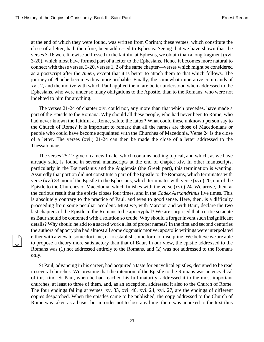xxx

at the end of which they were found, was written from Corinth; these verses, which constitute the close of a letter, had, therefore, been addressed to Ephesus. Seeing that we have shown that the [verses 3-16](http://www.ccel.org/b/bible/asv/xml/asv.Rom.14.xml#Rom.14.3) were likewise addressed to the faithful at Ephesus, we obtain than a long fragment ([xvi.](http://www.ccel.org/b/bible/asv/xml/asv.Rom.16.xml#Rom.16.3) [3-20\)](http://www.ccel.org/b/bible/asv/xml/asv.Rom.16.xml#Rom.16.3), which most have formed part of a letter to the Ephesians. Hence it becomes more natural to connect with these [verses, 3-20,](http://www.ccel.org/b/bible/asv/xml/asv.Rom.14.xml#Rom.14.3) [verses 1, 2](http://www.ccel.org/b/bible/asv/xml/asv.Rom.14.xml#Rom.14.1 Bible:Rom.14.2) of the same chapter—verses which might be considered as a postscript after the *Amen*, except that it is better to attach them to that which follows. The journey of Phoebe becomes thus more probable. Finally, the somewhat imperative commands of [xvi. 2](http://www.ccel.org/b/bible/asv/xml/asv.Rom.16.xml#Rom.16.2), and the motive with which Paul applied them, are better understood when addressed to the Ephesians, who were under so many obligations to the Apostle, than to the Romans, who were not indebted to him for anything.

The [verses 21-24 of chapter xiv.](http://www.ccel.org/b/bible/asv/xml/asv.Rom.14.xml#Rom.14.21) could not, any more than that which precedes, have made a part of the Epistle to the Romana. Why should all these people, who had never been to Rome, who had never known the faithful at Rome, salute the latter? What could these unknown person say to the Church of Rome? It is important to remark that all the names are those of Macedonians or people who could have become acquainted with the Churches of Macedonia. [Verse 24](http://www.ccel.org/b/bible/asv/xml/asv.Rom.14.xml#Rom.14.24) is the close of a letter. The [verses \(xvi.\) 21-24](http://www.ccel.org/b/bible/asv/xml/asv.Rom.16.xml#Rom.16.21) can then be made the close of a letter addressed to the Thessalonians.

The [verses 25-27](http://www.ccel.org/b/bible/asv/xml/asv.Rom.16.xml#Rom.16.25) give on a new finale, which contains nothing topical, and which, as we have already said, is found in several manuscripts at the end of chapter xiv. In other manuscripts, particularly in the Bœrnerianus and the Augiensis (the Greek part), this termination is wanting. Assuredly that portion did not constitute a part of the Epistle to the Romans, which terminates with [verse \(xv.\) 33,](http://www.ccel.org/b/bible/asv/xml/asv.Rom.15.xml#Rom.15.33) nor of the Epistle to the Ephesians, which terminates with [verse \(xvi.\) 20](http://www.ccel.org/b/bible/asv/xml/asv.Rom.16.xml#Rom.16.20), nor of the Epistle to the Churches of Macedonia, which finishes with the [verse \(xvi.\) 24.](http://www.ccel.org/b/bible/asv/xml/asv.Rom.16.xml#Rom.16.24) We arrive, then, at the curious result that the epistle closes four times, and in the *Codex Alexandrinus* five times. This is absolutely contrary to the practice of Paul, and even to good sense. Here, then, is a difficulty proceeding from some peculiar accident. Must we, with Marcion and with Baur, declare the two last chapters of the Epistle to the Romans to be apocryphal? We are surprised that a critic so acute as Baur should be contented with a solution so crude. Why should a forger invent such insignificant details? Why should he add to a sacred work a list of proper names? In the first and second centuries the authors of apocrypha had almost all some dogmatic motive; apostolic writings were interpolated either with a view to some doctrine, or to establish some form of discipline. We believe we are able to propose a theory more satisfactory than that of Baur. In our view, the epistle addrexsed to the Romans was (1) not addressed entirely to the Romans, and (2) was not addressed to the Romans only.

St Paul, advancing in his career, had acquired a taste for encyclical epistles, designed to be read in several churches. We presume that the intention of the Epistle to the Romans was an encyclical of this kind. St Paul, when he had reached his full maturity, addressed it to the most important churches, at least to three of them, and, as an exception, addressed it also to the Church of Rome. The four endings falling at verses, [xv. 33,](http://www.ccel.org/b/bible/asv/xml/asv.Rom.15.xml#Rom.15.33) [xvi. 40,](http://www.ccel.org/b/bible/asv/xml/asv.Rom.16.xml#Rom.16.40) [xvi. 24](http://www.ccel.org/b/bible/asv/xml/asv.Rom.16.xml#Rom.16.24), [xvi. 27](http://www.ccel.org/b/bible/asv/xml/asv.Rom.16.xml#Rom.16.27), are the endings of different copies despatched. When the epistles came to be published, the copy addressed to the Church of Rome was taken as a basis; but in order not to lose anything, there was annexed to the text thus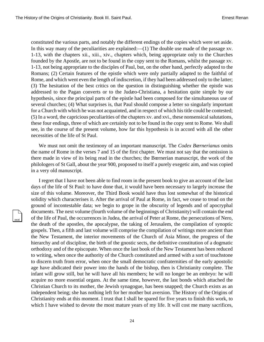xxxi

constituted the various parts, and notably the different endings of the copies which were set aside. In this way many of the peculiarities are explained:—(1) The double use made of the passage [xv.](http://www.ccel.org/b/bible/asv/xml/asv.Rom.15.xml#Rom.15.1) [1-13,](http://www.ccel.org/b/bible/asv/xml/asv.Rom.15.xml#Rom.15.1) with the chapters xii., xiii., xiv., chapters which, being appropriate only to the Churches founded by the Apostle, are not to be found in the copy sent to the Romans, whilst the passage [xv.](http://www.ccel.org/b/bible/asv/xml/asv.Rom.15.xml#Rom.15.1) [1-13,](http://www.ccel.org/b/bible/asv/xml/asv.Rom.15.xml#Rom.15.1) not being appropriate to the disciples of Paul, but, on the other hand, perfectly adapted to the Romans; (2) Certain features of the epistle which were only partially adapted to the faithful of Rome, and which went even the length of indiscretion, if they had been addressed only to the latter; (3) The hesitation of the best critics on the question in distinguishing whether the epistle was addressed to the Pagan converts or to the Judæo-Christiana, a hesitation quite simple by our hypothesis, since the principal parts of the epistle had been composed for the simultaneous use of several churches; (4) What surprises is, that Paul should compose a letter so singularly important for a Church with which he was not acquainted, and in respect of which his title could be contested; (5) In a word, the capricious peculiarities of the chapters xv. and xvi., these nonsensical salutations, these four endings, three of which are certainly not to be found in the copy sent to Rome. We shall see, in the course of the present volume, how far this hypothesis is in accord with all the other necessities of the life of St Paul.

We must not omit the testimony of an important manuscript. The *Codex Bœrnerianus* omits the name of Rome in the [verses 7 and 15 of the first chapter](http://www.ccel.org/b/bible/asv/xml/asv.Rom.1.xml#Rom.1.7 Bible:Rom.1.15). We must not say that the omission is there made in view of its being read in the churches; the Bœrnerian manuscript, the work of the philologers of St Gall, about the year 900, proposed to itself a purely exegetic aim, and was copied in a very old manuscript.

I regret that I have not been able to find room in the present book to give an account of the last days of the life of St Paul: to have done that, it would have been necessary to largely increase the size of this volume. Moreover, the Third Book would have thus lost somewhat of the historical solidity which characterises it. After the arrival of Paul at Rome, in fact, we cease to tread on the ground of incontestable data; we begin to grope in the obscurity of legends and of apocryphal documents. The next volume (fourth volume of the beginnings of Christianity) will contain the end of the life of Paul, the occurrences in Judea, the arrival of Peter at Rome, the persecutions of Nero, the death of the apostles, the apocalypse, the taking of Jerusalem, the compilation of synoptic gospels. Then, a fifth and last volume will comprise the compilation of writings more ancient than the New Testament, the interior movements of the Church of Asia Minor, the progress of the hierarchy and of discipline, the birth of the gnostic sects, the definitive constitution of a dogmatic orthodoxy and of the episcopate. When once the last book of the New Testament has been reduced to writing, when once the authority of the Church constituted and armed with a sort of touchstone to discern truth from error, when once the small democratic confraternities of the early apostolic age have abdicated their power into the hands of the bishop, then is Christianity complete. The infant will grow still, but he will have all his members; he will no longer be an embryo: he will acquire no more essential organs. At the same time, however, the last bonds which attached the Christian Church to its mother, the Jewish synagogue, has been snapped; the Church exists as an independent being; she has nothing left for her mother but aversion. The History of the Origins of Christianity ends at this moment. I trust that I shall be spared for five years to finish this work, to which I have wished to devote the most mature years of my life. It will cost me many sacrifices,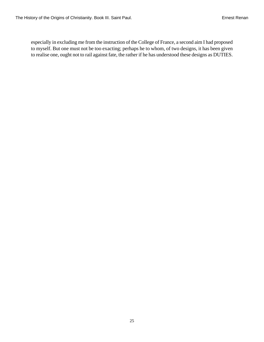especially in excluding me from the instruction of the College of France, a second aim I had proposed to myself. But one must not be too exacting; perhaps he to whom, of two designs, it has been given to realise one, ought not to rail against fate, the rather if he has understood these designs as DUTIES.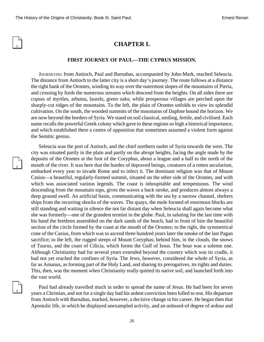3

### <sup>1</sup> **CHAPTER I.**

#### **FIRST JOURNEY OF PAUL—THE CYPRUS MISSION.**

<span id="page-29-0"></span>JOURNEYING from Antioch, Paul and Barnabas, accompanied by John-Mark, reached Seleucia. The distance from Antioch to the latter city is a short day's journey. The route follows at a distance the right bank of the Orontes, winding its way over the outermost slopes of the mountains of Pieria, and crossing by fords the numerous streams which descend from the heights. On all sides there are copses of myrtles, arbutus, laurels, green oaks; while prosperous villages are perched upon the sharply-cut ridges of the mountains. To the left, the plain of Orontes unfolds to view its splendid cultivation. On the south, the wooded summits of the mountains of Daphne bound the horizon. We are now beyond the borders of Syria. We stand on soil classical, smiling, fertile, and civilised. Each name recalls the powerful Greek colony which gave to these regions so high a historical importance, and which established there a centre of opposition that sometimes assumed a violent form against the Semitic genius.

Seleucia was the port of Antioch, and the chief northern outlet of Syria towards the west. The city was situated partly in the plain and partly on the abrupt heights, facing the angle made by the deposits of the Orontes at the foot of the Coryphas, about a league and a half to the north of the mouth of the river. It was here that the hordes of depraved beings, creatures of a rotten secularism, embarked every year to invade Rome and to infect it. The dominant religion was that of Mount Casius—a beautiful, regularly-formed summit, situated on the other side of the Orontes, and with which was associated various legends. The coast is inhospitable and tempestuous. The wind descending from the mountain tops, gives the waves a back stroke, and produces almost always a deep ground swell. An artificial basin, communicating with the sea by a narrow channel, shelters ships from the recurring shocks of the waves. The quays, the mole formed of enormous blocks are still standing and waiting in silence the not far distant day when Seleucia shall again become what she was formerly—one of the grandest termini in the globe. Paul, in saluting for the last time with his band the brethren assembled on the dark sands of the beach, had in front of him the beautiful section of the circle formed by the coast at the mouth of the Orontes; to the right, the symmetrical cone of the Casius, from which was to ascend three hundred years later the smoke of the last Pagan sacrifice; to the left, the rugged steeps of Mount Coryphas; behind him, in the clouds, the snows of Taurus, and the coast of Cilicia, which forms the Gulf of Issus. The hour was a solemn one. Although Christianity had for several years extended beyond the country which was its cradle, it had not yet reached the confines of Syria. The Jews, however, considered the whole of Syria, as far as Amanus, as forming part of the Holy Land, and sharing its prerogatives, its rights and duties. This, then, was the moment when Christianity really quitted its native soil, and launched forth into the vast world.

Paul had already travelled much in order to spread the name of Jesus. He had been for seven years a Christian, and not for a single day had his ardent conviction been lulled to rest. His departure from Antioch with Barnabas, marked, however, a decisive change in his career. He began then that Apostolic life, in which he displayed unexampled activity, and an unheard-of degree of ardour and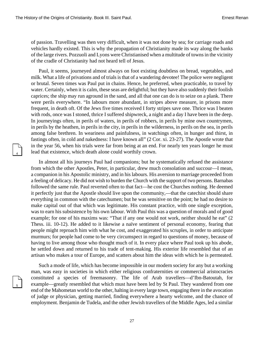of passion. Travelling was then very difficult, when it was not done by sea; for carriage roads and vehicles hardly existed. This is why the propagation of Christianity made its way along the banks of the large rivers. Pozzuoli and Lyons were Christianised when a multitude of towns in the vicinity of the cradle of Christianity had not heard tell of Jesus.

Paul, it seems, journeyed almost always on foot existing doubtless on bread, vegetables, and milk. What a life of privations and of trials is that of a wandering devotee! The police were negligent or brutal. Seven times was Paul put in chains. Hence, he preferred, when practicable, to travel by water. Certainly, when it is calm, these seas are delightful; but they have also suddenly their foolish caprices; the ship may run aground in the sand, and all that one can do is to seize on a plank. There were perils everywhere. "In labours more abundant, in stripes above measure, in prisons more frequent, in death oft. Of the Jews five times received I forty stripes save one. Thrice was I beaten with rods, once was I stoned, thrice I suffered shipwreck, a night and a day I have been in the deep. In journeyings often, in perils of waters, in perils of robbers, in perils by mine own countrymen, in perils by the heathen, in perils in the city, in perils in the wilderness, in perils on the sea, in perils among false brethren. In weariness and painfulness, in watchings often, in hunger and thirst, in fastings often, in cold and nakedness: I have known all" [\(2 Cor. xi. 23-27\)](http://www.ccel.org/b/bible/asv/xml/asv.iiCor.11.xml#iiCor.11.23). The Apostle wrote that in the year 56, when his trials were far from being at an end. For nearly ten years longer he must lead that existence, which death alone could worthily crown.

In almost all his journeys Paul had companions; but he systematically refused the assistance from which the other Apostles, Peter, in particular, drew much consolation and succour—I mean, a companion in his Apostolic ministry, and in his labours. His aversion to marriage proceeded from a feeling of delicacy. He did not wish to burden the Church with the support of two persons. Barnabas followed the same rule. Paul reverted often to that fact—he cost the Churches nothing. He deemed it perfectly just that the Apostle should live upon the community,—that the catechist should share everything in common with the catechumen; but he was sensitive on the point; he had no desire to make capital out of that which was legitimate. His constant practice, with one single exception, was to earn his subsistence by his own labour. With Paul this was a question of morals and of good example; for one of his maxims was: "That if any one would not work, neither should he eat" ([2](http://www.ccel.org/b/bible/asv/xml/asv.iiThess.3.xml#iiThess.3.10)) [Thess. iii. 10-12](http://www.ccel.org/b/bible/asv/xml/asv.iiThess.3.xml#iiThess.3.10)). He added to it likewise a naïve sentiment of personal economy, fearing that people might reproach him with what he cost, and exaggerated his scruples, in order to anticipate murmurs; for people had come to be very circumspect in regard to questions of money, because of having to live among those who thought much of it. In every place where Paul took up his abode, he settled down and returned to his trade of tent-making. His exterior life resembled that of an artisan who makes a tour of Europe, and scatters about him the ideas with which he is permeated.

5

4

Such a mode of life, which has become impossible in our modern society for any but a working man, was easy in societies in which either religious confraternities or commercial aristocracies constituted a species of freemasonry. The life of Arab travellers—d'Ibn-Batoutah, for example—greatly resembled that which must have been led by St Paul. They wandered from one end of the Mahometan world to the other, halting in every large town, engaging there in the avocation of judge or physician, getting married, finding everywhere a hearty welcome, and the chance of employment. Benjamin de Tudela, and the other Jewish travellers of the Middle Ages, led a similar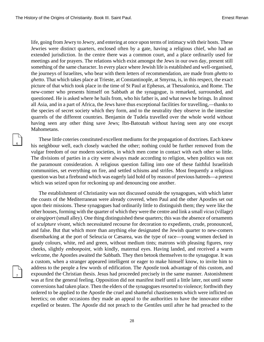7

life, going from Jewry to Jewry, and entering at once upon terms of intimacy with their hosts. These Jewries were distinct quarters, enclosed often by a gate, having a religious chief, who had an extended jurisdiction. In the centre there was a common court, and a place ordinarily used for meetings and for prayers. The relations which exist amongst the Jews in our own day, present still something of the same character. In every place where Jewish life is established and well-organised, the journeys of Israelites, who bear with them letters of recommendation, are made from *ghetto* to *ghetto*. That which takes place at Trieste, at Constantinople, at Smyrna, is, in this respect, the exact picture of that which took place in the time of St Paul at Ephesus, at Thessalonica, and Rome. The new-comer who presents himself on Sabbath at the synagogue, is remarked, surrounded, and questioned. He is asked where he hails from, who his father is, and what news he brings. In almost all Asia, and in a part of Africa, the Jews have thus exceptional facilities for travelling,—thanks to the species of secret society which they form, and to the neutrality they observe in the intestine quarrels of the different countries. Benjamin de Tudela travelled over the whole world without having seen any other thing save Jews; Ibn-Batoutah without having seen any one except Mahometans.

These little coteries constituted excellent mediums for the propagation of doctrines. Each knew his neighbour well, each closely watched the other; nothing could be further removed from the vulgar freedom of our modern societies, in which men come in contact with each other so little. The divisions of parties in a city were always made according to religion, when politics was not the paramount consideration. A religious question falling into one of these faithful Israelitish communities, set everything on fire, and settled schisms and strifes. Most frequently a religious question was but a firebrand which was eagerly laid hold of by reason of previous hatreds—a pretext which was seized upon for reckoning up and denouncing one another.

The establishment of Christianity was not discussed outside the synagogues, with which latter the coasts of the Mediterranean were already covered, when Paul and the other Apostles set out upon their missions. These synagogues had ordinarily little to distinguish them; they were like the other houses, forming with the quarter of which they were the centre and link a small *vicus* (village) or *aingiport* (small alley). One thing distinguished these quarters; this was the absence of ornaments of *sculpture vivant*, which necessitated recourse for decoration to expedients, crude, pronounced, and false. But that which more than anything else designated the Jewish quarter to new-comers disembarking at the port of Seleucia or Cæsarea, was the type of race—young women decked in gaudy colours, white, red and green, without medium tints; matrons with pleasing figures, rosy cheeks, slightly *embonpoint*, with kindly, maternal eyes. Having landed, and received a warm welcome, the Apostles awaited the Sabbath. They then betook themselves to the synagogue. It was a custom, when a stranger appeared intelligent or eager to make himself know, to invite him to address to the people a few words of edification. The Apostle took advantage of this custom, and expounded the Christian thesis. Jesus had proceeded precisely in the same manner. Astonishment was at first the general feeling. Opposition did not manifest itself until a little later, not until some conversions had taken place. Then the elders of the synagogues resorted to violence; forthwith they ordered to be applied to the Apostle the cruel and shameful chastisements which were inflicted on heretics; on other occasions they made an appeal to the authorities to have the innovator either expelled or beaten. The Apostle did not preach to the Gentiles until after he had preached to the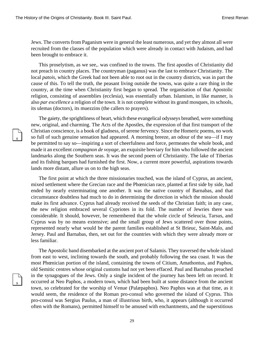Jews. The converts from Paganism were in general the least numerous, and yet they almost all were recruited from the classes of the population which were already in contact with Judaism, and had been brought to embrace it.

This proselytism, as we see,. was confined to the towns. The first apostles of Christianity did not preach in country places. The countryman (paganus) was the last to embrace Christianity. The local *patois*, which the Greek had not been able to root out in the country districts, was in part the cause of this. To tell the truth, the peasant living outside the towns, was quite a rare thing in the country, at the time when Christianity first began to spread. The organisation of that Apostolic religion, consisting of assemblies (ecclesia), was essentially urban. Islamism, in like manner, is also *par excellence* a religion of the town. It is not complete without its grand mosques, its schools, its ulemas (doctors), its muezzins (the callers to prayers).

The gaiety, the sprightliness of heart, which these evangelical odysseys breathed, were something new, original, and charming. The Acts of the Apostles, the expression of that first transport of the Christian conscience, is a book of gladness, of serene fervency. Since the Homeric poems, no work so full of such genuine sensation had appeared. A morning breeze, an odour of the sea—if I may be permitted to say so—inspiring a sort of cheerfulness and force, permeates the whole book, and made it an excellent *compagnon de voyage*, an exquisite breviary for him who followed the ancient landmarks along the Southern seas. It was the second poem of Christianity. The lake of Tiberias and its fishing barques had furnished the first. Now, a current more powerful, aspirations towards lands more distant, allure us on to the high seas.

The first point at which the three missionaries touched, was the island of Cyprus, an ancient, mixed settlement where the Grecian race and the Phœnician race, planted at first side by side, had ended by nearly exterminating one another. It was the native country of Barnabas, and that circumstance doubtless had much to do in determining the direction in which the mission should make its first advance. Cyprus had already received the seeds of the Christian faith; in any case, the new religion embraced several Cypriotes in its fold. The number of Jewries there was considerable. It should, however, be remembered that the whole circle of Seleucia, Tarsus, and Cyprus was by no means extensive; and the small group of Jews scattered over those points, represented nearly what would be the parent families established at St Brieuc, Saint-Malo, and Jersey. Paul and Barnabas, then, set out for the countries with which they were already more or less familiar.

The Apostolic band disembarked at the ancient port of Salamis. They traversed the whole island from east to west, inclining towards the south, and probably following the sea coast. It was the most Phœnician portion of the island, containing the towns of Citium, Amathontus, and Paphos, old Semitic centres whose original customs had not yet been effaced. Paul and Barnabas preached in the synagogues of the Jews. Only a single incident of the journey has been left on record. It occurred at Neo Paphos, a modern town, which had been built at some distance from the ancient town, so celebrated for the worship of Venue (Palæpaphos). Neo Paphos was at that time, as it would seem, the residence of the Roman pro-consul who governed the island of Cyprus. This pro-consul was Sergius Paulus, a man of illustrious birth, who, it appears (although it occurred often with the Romans), permitted himself to be amused with enchantments, and the superstitious

8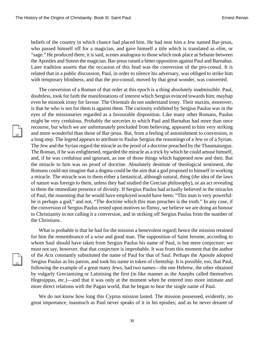11

beliefs of the country in which chance had placed him. He had near him a Jew named Bar-jesus, who passed himself off for a magician, and gave himself a title which is translated as *elim*, or "sage." He produced there, it is said, scenes analogous to those which took place at Sebaste between the Apostles and Simon the magician. Bar-jesus raised a bitter opposition against Paul and Barnabas. Later tradition asserts that the occasion of this feud was the conversion of the pro-consul. It is related that in a public discussion, Paul, in order to silence his adversary, was obliged to strike him with temporary blindness, and that the pro-consul, moved by that great wonder, was converted.

The conversion of a Roman of that order at this epoch is a thing absolutely inadmissible. Paul, doubtless, took for faith the manifestations of interest which Sergius evinced towards him; mayhap even he mistook irony for favour. The Orientals do not understand irony. Their maxim, moreover, is that he who is not for them is against them. The curiosity exhibited by Sergius Paulus was in the eyes of the missionaries regarded as a favourable disposition. Like many other Romans, Paulus might be very credulous. Probably the sorceries to which Paul and Barnabas had more than once recourse, but which we are unfortunately precluded from believing, appeared to him very striking and more wonderful than those of Bar-jesus. But, from a feeling of astonishment to conversion, is a long step. The legend appears to attribute to Paulus Sergius the reasonings of a Jew or of a Syrian. The Jew and the Syrian regard the miracle as the proof of a doctrine preached by the Thaumaturgus. The Roman, if he was enlightened, regarded the miracle as a trick by which he could amuse himself, and, if he was credulous and ignorant, as one of those things which happened now and then. But the miracle to him was no proof of doctrine. Absolutely destitute of theological sentiment, the Romans could not imagine that a dogma could be the aim that a god proposed to himself in working a miracle. The miracle was to them either a fantastical, although natural, thing (the idea of the laws of nature was foreign to them, unless they had studied the Grecian philosophy), or an act revealing to them the immediate presence of divinity. If Sergius Paulus had actually believed in the miracles of Paul, the reasoning that he would have employed would have been: "This man is very powerful: he is perhaps a god;" and not, "The doctrine which this man preaches is the truth." In any case, if the conversion of Sergius Paulus rested upon motives so flimsy, we believe we are doing an honour to Christianity in not calling it a conversion, and in striking off Sergius Paulus from the number of the Christians.

What is probable is that he had for the mission a benevolent regard; hence the mission retained for him the remembrance of a wise and good man. The supposition of Saint Jerome, according to whom Saul should have taken from Sergius Paulus his name of Paul, is but mere conjecture: we must not say, however, that that conjecture is improbable. It was from this moment that the author of the *Acts* constantly substituted the name of Paul for that of Saul. Perhaps the Apostle adopted Sergius Paulus as his patron, and took his name in token of clientship. It is possible, too, that Paul, following the example of a great many Jews, had two names—the one Hebrew, the other obtained by vulgarly Grecianising or Latinising the first (in like manner as the Josephs called themselves Hegesippus, etc.)—and that it was only at the moment when he entered into more intimate and more direct relations with the Pagan world, that he began to bear the single name of Paul.

We do not know how long this Cyprus mission lasted. The mission possessed, evidently, no great importance, inasmuch as Paul never speaks of it in his epistles; and as he never dreamt of

30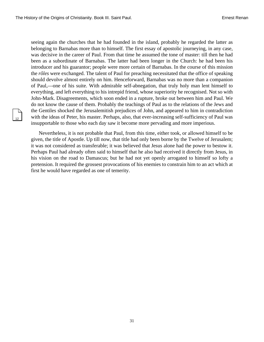seeing again the churches that he had founded in the island, probably he regarded the latter as belonging to Barnabas more than to himself. The first essay of apostolic journeying, in any case, was decisive in the career of Paul. From that time he assumed the tone of master: till then he had been as a subordinate of Barnabas. The latter had been longer in the Church: he had been his introducer and his guarantor; people were more certain of Barnabas. In the course of this mission the *rôles* were exchanged. The talent of Paul for preaching necessitated that the office of speaking should devolve almost entirely on him. Henceforward, Barnabas was no more than a companion of Paul,—one of his suite. With admirable self-abnegation, that truly holy man lent himself to everything, and left everything to his intrepid friend, whose superiority he recognised. Not so with John-Mark. Disagreements, which soon ended in a rupture, broke out between him and Paul. We do not know the cause of them. Probably the teachings of Paul as to the relations of the Jews and the Gentiles shocked the Jerusalemitish prejudices of John, and appeared to him in contradiction with the ideas of Peter, his master. Perhaps, also, that ever-increasing self-sufficiency of Paul was insupportable to those who each day saw it become more pervading and more imperious.

Nevertheless, it is not probable that Paul, from this time, either took, or allowed himself to be given, the title of Apostle. Up till now, that title had only been borne by the Twelve of Jerusalem; it was not considered as transferable; it was believed that Jesus alone had the power to bestow it. Perhaps Paul had already often said to himself that he also had received it directly from Jesus, in his vision on the road to Damascus; but he had not yet openly arrogated to himself so lofty a pretension. It required the grossest provocations of his enemies to constrain him to an act which at first he would have regarded as one of temerity.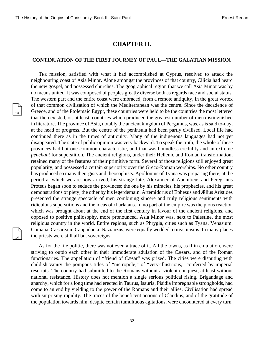14

### **CHAPTER II.**

#### <span id="page-35-0"></span>**CONTINUATION OF THE FIRST JOURNEY OF PAUL—THE GALATIAN MISSION.**

THE mission, satisfied with what it had accomplished at Cyprus, resolved to attack the neighbouring coast of Asia Minor. Alone amongst the provinces of that country, Cilicia had heard the new gospel, and possessed churches. The geographical region that we call Asia Minor was by no means united. It was composed of peoples greatly diverse both as regards race and social status. The western part and the entire coast were embraced, from a remote antiquity, in the great vortex of that common civilisation of which the Mediterranean was the centre. Since the decadence of Greece, and of the Ptolemaic Egypt, these countries were held to be the countries the most lettered that then existed, or, at least, countries which produced the greatest number of men distinguished in literature. The province of Asia, notably the ancient kingdom of Pergamus, was, as is said to-day, at the head of progress. But the centre of the peninsula had been partly civilised. Local life had continued there as in the times of antiquity. Many of the indigenous languages had not yet disappeared. The state of public opinion was very backward. To speak the truth, the whole of these provinces had but one common characteristic, and that was boundless credulity and an extreme *penchant* for superstition. The ancient religions, under their Hellenic and Roman transformation, retained many of the features of their primitive form. Several of those religions still enjoyed great popularity, and possessed a certain superiority over the Greco-Roman worships. No other country has produced so many theurgists and theosophists. Apollonius of Tyana was preparing there, at the period at which we are now arrived, his strange fate. Alexander of Aboniticus and Peregrinus Proteus began soon to seduce the provinces; the one by his miracles, his prophecies, and his great demonstrations of piety, the other by his legerdemain. Artemidorus of Ephesus and Ælius Aristides presented the strange spectacle of men combining sincere and truly religious sentiments with ridiculous superstitions and the ideas of charlatans. In no part of the empire was the pious reaction which was brought about at the end of the first century in favour of the ancient religions, and opposed to positive philosophy, more pronounced. Asia Minor was, next to Palestine, the most religious country in the world. Entire regions, such as Phrygia, cities such as Tyana, Venasium, Comana, Cæsarea in Cappadocia, Nazianzus, were equally wedded to mysticisms. In many places the priests were still all but sovereigns.

As for the life politic, there was not even a trace of it. All the towns, as if in emulation, were striving to outdo each other in their immoderate adulation of the Cæsars, and of the Roman functionaries. The appellation of "friend of Cæsar" was prized. The cities were disputing with childish vanity the pompous titles of "metropole," of "very-illustrious," conferred by imperial rescripts. The country had submitted to the Romans without a violent conquest, at least without national resistance. History does not mention a single serious political rising. Brigandage and anarchy, which for a long time had erected in Taurus, Isauria, Pisidia impregnable strongholds, had come to an end by yielding to the power of the Romans and their allies. Civilisation had spread with surprising rapidity. The traces of the beneficent actions of Claudius, and of the gratitude of the population towards him, despite certain tumultuous agitations, were encountered at every turn.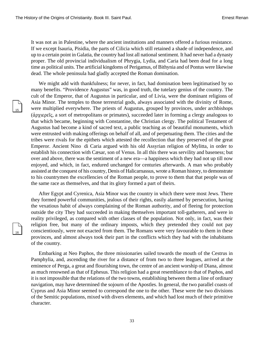16

It was not as in Palestine, where the ancient institutions and manners offered a furious resistance. If we except Isauria, Pisidia, the parts of Cilicia which still retained a shade of independence, and up to a certain point in Galatia, the country had lost all national sentiment. It had never had a dynasty proper. The old provincial individualism of Phrygia, Lydia, and Caria had been dead for a long time as political units. The artificial kingdoms of Perigamus, of Bithynia and of Pontus were likewise dead. The whole peninsula had gladly accepted the Roman domination.

We might add with thankfulness; for never, in fact, had domination been legitimatised by so many benefits. "Providence Augustus" was, in good truth, the tutelary genius of the country. The cult of the Emperor, that of Augustus in particular, and of Livia, were the dominant religions of Asia Minor. The temples to those terrestrial gods, always associated with the divinity of Rome, were multiplied everywhere. The priests of Augustus, grouped by provinces, under archbishops (ἀρχιερεῖς, a sort of metropolitans or primates), succeeded later in forming a clergy analogous to that which became, beginning with Constantine, the Christian clergy. The political Testament of Augustus had become a kind of sacred text, a public teaching as of beautiful monuments, which were entrusted with making offerings on behalf of all, and of perpetuating them. The cities and the tribes were rivals for the epithets which attested the recollection that they preserved of the great Emperor. Ancient Nino di Caria argued with his old Assyrian religion of Mylitta, in order to establish his connection with Cæsar, son of Venus. In all this there was servility and baseness; but over and above, there was the sentiment of a new era—a happiness which they had not up till now enjoyed, and which, in fact, endured unchanged for centuries afterwards. A man who probably assisted at the conquest of his country, Denis of Halicarnassus, wrote a Roman history, to demonstrate to his countrymen the excellencies of the Roman people, to prove to them that that people was of the same race as themselves, and that its glory formed a part of theirs.

After Egypt and Cyrenica, Asia Minor was the country in which there were most Jews. There they formed powerful communities, jealous of their rights, easily alarmed by persecution, having the vexatious habit of always complaining of the Roman authority, and of fleeing for protection outside the city They had succeeded in making themselves important toll-gatherers, and were in reality privileged, as compared with other classes of the population. Not only, in fact, was their religion free, but many of the ordinary imposts, which they pretended they could not pay conscientiously, were not exacted from them. The Romans were very favourable to them in these provinces, and almost always took their part in the conflicts which they had with the inhabitants of the country.

Embarking at Neo Paphos, the three missionaries sailed towards the mouth of the Cestrus in Pamphylia, and, ascending the river for a distance of from two to three leagues, arrived at the eminence of Perga, a great and flourishing town, the centre of an ancient worship of Diana, almost as much renowned as that of Ephesus. This religion had a great resemblance to that of Paphos, and it is not impossible that the relations of the two towns, establishing between them a line of ordinary navigation, may have determined the sojourn of the Apostles. In general, the two parallel coasts of Cyprus and Asia Minor seemed to correspond the one to the other. These were the two divisions of the Semitic populations, mixed with divers elements, and which had lost much of their primitive character.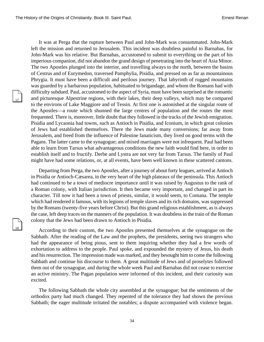18

It was at Perga that the rupture between Paul and John-Mark was consummated. John-Mark left the mission and returned to Jerusalem. This incident was doubtless painful to Barnabas, for John-Mark was his relative. But Barnabas, accustomed to submit to everything on the part of his imperious companion, did not abandon the grand design of penetrating into the heart of Asia Minor. The two Apostles plunged into the interior, and travelling always to the north, between the basins of Cestrus and of Eurymedon, traversed Pamphylia, Pisidia, and pressed on as far as mountainous Phrygia. It must have been a difficult and perilous journey. That labyrinth of rugged mountains was guarded by a barbarous population, habituated to brigandage, and whom the Romans had with difficulty subdued. Paul, accustomed to the aspect of Syria, must have been surprised at the romantic and picturesque Alpestrine regions, with their lakes, their deep valleys, which may be compared to the environs of Lake Maggiore and of Tessin. At first one is astonished at the singular route of the Apostles—a route which shunned the large centres of population and the routes the most frequented. There is, moreover, little doubt that they followed in the tracks of the Jewish emigration. Pisidia and Lycaonia had towns, such as Antioch in Pisidia, and Iconium, in which great colonies of Jews had established themselves. There the Jews made many conversions; far away from Jerusalem, and freed from the influence of Palestine fanaticism, they lived on good terms with the Pagans. The latter came to the synagogue; and mixed marriages were not infrequent. Paul had been able to learn from Tarsus what advantageous conditions the new faith would find here, in order to establish itself and to fructify. Derbe and Lystra are not very far from Tarsus. The family of Paul might have had some relations, or, at all events, have been well known in these scattered cantons.

Departing from Perga, the two Apostles, after a journey of about forty leagues, arrived at Antioch in Pisidia or Antioch-Cæsarea, in the very heart of the high plateaux of the peninsula. This Antioch had continued to be a town of mediocre importance until it was raised by Augustus to the rank of a Roman colony, with Italian jurisdiction. It then became very important, and changed in part its character. Till now it had been a town of priests, similar, it would seem, to Comana. The temple which had rendered it famous, with its legions of temple slaves and its rich domains, was suppressed by the Romans (twenty-five years before Christ). But this grand religious establishment, as is always the case, left deep traces on the manners of the population. It was doubtless in the train of the Roman colony that the Jews had been drawn to Antioch in Pisidia.

According to their custom, the two Apostles presented themselves at the synagogue on the Sabbath. After the reading of the Law and the prophets, the presidents, seeing two strangers who had the appearance of being pious, sent to them inquiring whether they had a few words of exhortation to address to the people. Paul spoke, and expounded the mystery of Jesus, his death and his resurrection. The impression made was marked, and they besought him to come the following Sabbath and continue his discourse to them. A great multitude of Jews and of proselytes followed them out of the synagogue, and during the whole week Paul and Barnabas did not cease to exercise an active ministry. The Pagan population were informed of this incident, and their curiosity was excited.

The following Sabbath the whole city assembled at the synagogue; but the sentiments of the orthodox party had much changed. They repented of the tolerance they had shown the previous Sabbath; the eager multitude irritated the notables; a dispute accompanied with violence began.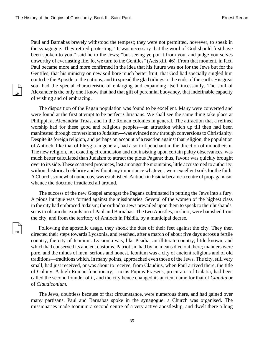20

Paul and Barnabas bravely withstood the tempest; they were not permitted, however, to speak in the synagogue. They retired protesting. "It was necessary that the word of God should first have been spoken to you," said he to the Jews; "but seeing ye put it from you, and judge yourselves unworthy of everlasting life, lo, we turn to the Gentiles" ([Acts xiii. 46](http://www.ccel.org/b/bible/asv/xml/asv.Acts.13.xml#Acts.13.46)). From that moment, in fact, Paul became more and more confirmed in the idea that his future was not for the Jews but for the Gentiles; that his ministry on new soil bore much better fruit; that God had specially singled him out to be the Apostle to the nations, and to spread the glad tidings to the ends of the earth. His great soul had the special characteristic of enlarging and expanding itself incessantly. The soul of Alexander is the only one I know that had that gift of perennial buoyancy, that indefinable capacity of wishing and of embracing.

The disposition of the Pagan population was found to be excellent. Many were converted and were found at the first attempt to be perfect Christians. We shall see the same thing take place at Philippi, at Alexandria Troas, and in the Roman colonies in general. The attraction that a refined worship had for these good and religious peoples—an attraction which up till then had been manifested through conversions to Judaism—was evinced now through conversions to Christianity. Despite its foreign religion, and perhaps on account of a reaction against that religion, the population of Antioch, like that of Phrygia in general, had a sort of penchant in the direction of monotheism. The new religion, not exacting circumcision and not insisting upon certain paltry observances, was much better calculated than Judaism to attract the pious Pagans; thus, favour was quickly brought over to its side. These scattered provinces, lost amongst the mountains, little accustomed to authority, without historical celebrity and without any importance whatever, were excellent soils for the faith. A Church, somewhat numerous, was established. Antioch in Pisidia became a centre of propagandism whence the doctrine irradiated all around.

The success of the new Gospel amongst the Pagans culminated in putting the Jews into a fury. A pious intrigue was formed against the missionaries. Several of the women of the highest class in the city had embraced Judaism; the orthodox Jews prevailed upon them to speak to their husbands, so as to obtain the expulsion of Paul and Barnabas. The two Apostles, in short, were banished from the city, and from the territory of Antioch in Pisidia, by a municipal decree.

Following the apostolic usage, they shook the dust off their feet against the city. They then directed their steps towards Lycaonia, and reached, after a march of about five days across a fertile country, the city of Iconium. Lycaonia was, like Pisidia, an illiterate country, little known, and which had conserved its ancient customs. Patriotism had by no means died out there; manners were pure, and the minds of men, serious and honest. Iconium was a city of ancient religions and of old traditions—traditions which, in many points, approached even those of the Jews. The city, still very small, had just received, or was about to receive, from Claudius, when Paul arrived there, the title of Colony. A high Roman functionary, Lucius Pupius Præsens, procurator of Galatia, had been called the second founder of it, and the city hence changed its ancient name for that of *Claudia* or of *Claudiconium*.

The Jews, doubtless because of that circumstance, were numerous there, and had gained over many partisans. Paul and Barnabas spoke in the synagogue: a Church was organised. The missionaries made Iconium a second centre of a very active apostleship, and dwelt there a long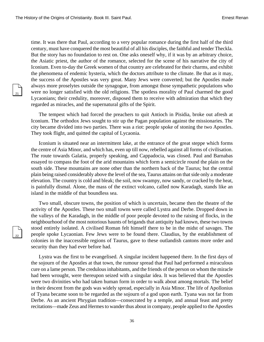22

time. It was there that Paul, according to a very popular romance during the first half of the third century, must have conquered the most beautiful of all his disciples, the faithful and tender Theckla. But the story has no foundation to rest on. One asks oneself why, if it was by an arbitrary choice, the Asiatic priest, the author of the romance, selected for the scene of his narrative the city of Iconium. Even to-day the Greek women of that country are celebrated for their charms, and exhibit the phenomena of endemic hysteria, which the doctors attribute to the climate. Be that as it may, the success of the Apostles was very great. Many Jews were converted; but the Apostles made always more proselytes outside the synagogue, from amongst those sympathetic populations who were no longer satisfied with the old religions. The spotless morality of Paul charmed the good Lycaonians; their credulity, moreover, disposed them to receive with admiration that which they regarded as miracles, and the supernatural gifts of the Spirit.

The tempest which had forced the preachers to quit Antioch in Pisidia, broke out afresh at Iconium. The orthodox Jews sought to stir up the Pagan population against the missionaries. The city became divided into two parties. There was a riot: people spoke of stoning the two Apostles. They took flight, and quitted the capital of Lycaonia.

Iconium is situated near an intermittent lake, at the entrance of the great steppe which forms the centre of Asia Minor, and which has, even up till now, rebelled against all forms of civilisation. The route towards Galatia, properly speaking, and Cappadocia, was closed. Paul and Barnabas essayed to compass the foot of the arid mountains which form a semicircle round the plain on the south side. These mountains are none other than the northern back of the Taurus; but the central plain being raised considerably above the level of the sea, Taurus attains on that side only a moderate elevation. The country is cold and bleak; the soil, now swampy, now sandy, or cracked by the heat, is painfully dismal. Alone, the mass of the extinct volcano, called now Karadagh, stands like an island in the middle of that boundless sea.

Two small, obscure towns, the position of which is uncertain, became then the theatre of the activity of the Apostles. These two small towns were called Lystra and Derbe. Dropped down in the valleys of the Karadagh, in the middle of poor people devoted to the raising of flocks, in the neighbourhood of the most notorious haunts of brigands that antiquity had known, these two towns stood entirely isolated. A civilised Roman felt himself there to be in the midst of savages. The people spoke Lycaonian. Few Jews were to be found there. Claudius, by the establishment of colonies in the inaccessible regions of Taurus, gave to these outlandish cantons more order and security than they had ever before had.

Lystra was the first to be evangelised. A singular incident happened there. In the first days of the sojourn of the Apostles at that town, the rumour spread that Paul had performed a miraculous cure on a lame person. The credulous inhabitants, and the friends of the person on whom the miracle had been wrought, were thereupon seized with a singular idea. It was believed that the Apostles were two divinities who had taken human form in order to walk about among mortals. The belief in their descent from the gods was widely spread, especially in Asia Minor. The life of Apollonius of Tyana became soon to be regarded as the sojourn of a god upon earth. Tyana was not far from Derbe. As an ancient Phrygian tradition—consecrated by a temple, and annual feast and pretty recitations—made Zeus and Hermes to wander thus about in company, people applied to the Apostles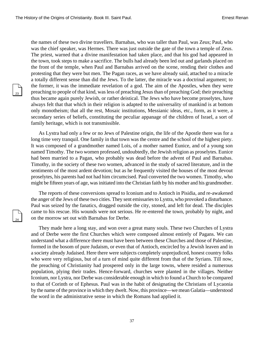24

the names of these two divine travellers. Barnabas, who was taller than Paul, was Zeus; Paul, who was the chief speaker, was Hermes. There was just outside the gate of the town a temple of Zeus. The priest, warned that a divine manifestation had taken place, and that his god had appeared in the town, took steps to make a sacrifice. The bulls had already been led out and garlands placed on the front of the temple, when Paul and Barnabas arrived on the scene, rending their clothes and protesting that they were but men. The Pagan races, as we have already said, attached to a miracle a totally different sense than did the Jews. To the latter, the miracle was a doctrinal argument; to the former, it was the immediate revelation of a god. The aim of the Apostles, when they were preaching to people of that kind, was less of preaching Jesus than of preaching God; their preaching thus became again purely Jewish, or rather deistical. The Jews who have become proselytes, have always felt that that which in their religion is adapted to the universality of mankind is at bottom only monotheism; that all the rest, Mosaic institutions, Messianic ideas, etc., form, as it were, a secondary series of beliefs, constituting the peculiar appanage of the children of Israel, a sort of family heritage, which is not transmissible.

As Lystra had only a few or no Jews of Palestine origin, the life of the Apostle there was for a long time very tranquil. One family in that town was the centre and the school of the highest piety. It was composed of a grandmother named Lois, of a mother named Eunice, and of a young son named Timothy. The two women professed, undoubtedly, the Jewish religion as proselytes. Eunice had been married to a Pagan, who probably was dead before the advent of Paul and Barnabas. Timothy, in the society of these two women, advanced in the study of sacred literature, and in the sentiments of the most ardent devotion; but as he frequently visited the houses of the most devout proselytes, his parents had not had him circumcised. Paul converted the two women. Timothy, who might be fifteen years of age, was initiated into the Christian faith by his mother and his grandmother.

The reports of these conversions spread to Iconium and to Antioch in Pisidia, and re-awakened the anger of the Jews of these two cities. They sent emissaries to Lystra, who provoked a disturbance. Paul was seized by the fanatics, dragged outside the city, stoned, and left for dead. The disciples came to his rescue. His wounds were not serious. He re-entered the town, probably by night, and on the morrow set out with Barnabas for Derbe.

They made here a long stay, and won over a great many souls. These two Churches of Lystra and of Derbe were the first Churches which were composed almost entirely of Pagans. We can understand what a difference there must have been between these Churches and those of Palestine, formed in the bosom of pure Judaism, or even that of Antioch, encircled by a Jewish leaven and in a society already Judaised. Here there were subjects completely unprejudiced, honest country folks who were very religious, but of a turn of mind quite different from that of the Syrians. Till now, the preaching of Christianity had prospered only in the large towns, where resided a numerous population, plying their trades. Hence-forward, churches were planted in the villages. Neither Iconium, nor Lystra, nor Derbe was considerable enough in which to found a Church to be compared to that of Corinth or of Ephesus. Paul was in the habit of designating the Christians of Lycaonia by the name of the province in which they dwelt. Now, this province—we mean Galatia—understood the word in the administrative sense in which the Romans had applied it.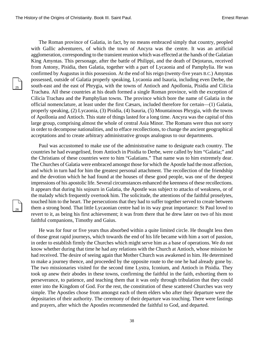26

The Roman province of Galatia, in fact, by no means embraced simply that country, peopled with Gallic adventurers, of which the town of Ancyra was the centre. It was an artificial agglomeration, corresponding to the transient reunion which was effected at the hands of the Galatian King Amyntas. This personage, after the battle of Philippi, and the death of Dejotarus, received from Antony, Pisidia, then Galatia, together with a part of Lycaonia and of Pamphylia. He was confirmed by Augustus in this possession. At the end of his reign (twenty-five years B.C.) Amyntas possessed, outside of Galatia properly speaking, Lycaonia and Isauria, including even Derbe, the south-east and the east of Phrygia, with the towns of Antioch and Apollonia, Pisidia and Cilicia Trachæa. All these countries at his death formed a single Roman province, with the exception of Cilicia Trachæa and the Pamphylian towns. The province which bore the name of Galatia in the official nomenclature, at least under the first Cæsars, included therefore for certain—(1) Galatia, properly speaking, (2) Lycaonia, (3) Pisidia, (4) Isauria, (5) Mountainous Phrygia, with the towns of Apollonia and Antioch. This state of things lasted for a long time. Ancyra was the capital of this large group, comprising almost the whole of central Asia Minor. The Romans were thus not sorry in order to decompose nationalities, and to efface recollections, to change the ancient geographical acceptations and to create arbitrary administrative groups analogous to our departments.

Paul was accustomed to make use of the administrative name to designate each country. The countries he had evangelised, from Antioch in Pisidia to Derbe, were called by him "Galatia;" and the Christians of these countries were to him "Galatians." That name was to him extremely dear. The Churches of Galatia were embraced amongst those for which the Apostle had the most affection, and which in turn had for him the greatest personal attachment. The recollection of the friendship and the devotion which he had found at the houses of these good people, was one of the deepest impressions of his apostolic life. Several circumstances enhanced the keenness of these recollections. It appears that during his sojourn in Galatia, the Apostle was subject to attacks of weakness, or of the malady which frequently overtook him. The solicitude, the attentions of the faithful proselytes, touched him to the heart. The persecutions that they had to suffer together served to create between them a strong bond. That little Lycaonian centre had in its way great importance: St Paul loved to revert to it, as being his first achievement; it was from there that he drew later on two of his most faithful companions, Timothy and Gaius.

He was for four or five years thus absorbed within a quite limited circle. He thought less then of those great rapid journeys, which towards the end of his life became with him a sort of passion, in order to establish firmly the Churches which might serve him as a base of operations. We do not know whether during that time he had any relations with the Church at Antioch, whose mission he had received. The desire of seeing again that Mother Church was awakened in him. He determined to make a journey thence, and proceeded by the opposite route to the one he had already gone by. The two missionaries visited for the second time Lystra, Iconium, and Antioch in Pisidia. They took up anew their abodes in these towns, confirming the faithful in the faith, exhorting them to perseverance, to patience, and teaching them that it was only through tribulation that they could enter into the Kingdom of God. For the rest, the constitution of these scattered Churches was very simple. The Apostles chose from amongst each of them elders who after their departure were the depositaries of their authority. The ceremony of their departure was touching. There were fastings and prayers, after which the Apostles recommended the faithful to God, and departed.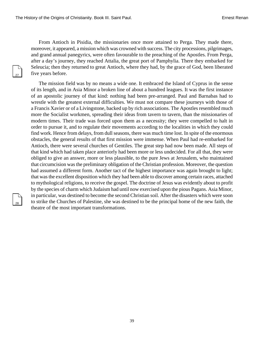From Antioch in Pisidia, the missionaries once more attained to Perga. They made there, moreover, it appeared, a mission which was crowned with success. The city processions, pilgrimages, and grand annual panegyrics, were often favourable to the preaching of the Apostles. From Perga, after a day's journey, they reached Attalia, the great port of Pamphylia. There they embarked for Seleucia; then they returned to great Antioch, where they had, by the grace of God, been liberated five years before.

The mission field was by no means a wide one. It embraced the Island of Cyprus in the sense of its length, and in Asia Minor a broken line of about a hundred leagues. It was the first instance of an apostolic journey of that kind: nothing had been pre-arranged. Paul and Barnabas had to wrestle with the greatest external difficulties. We must not compare these journeys with those of a Francis Xavier or of a Livingstone, backed up by rich associations. The Apostles resembled much more the Socialist workmen, spreading their ideas from tavern to tavern, than the missionaries of modern times. Their trade was forced upon them as a necessity; they were compelled to halt in order to pursue it, and to regulate their movements according to the localities in which they could find work. Hence from delays, from dull seasons, there was much time lost. In spite of the enormous obstacles, the general results of that first mission were immense. When Paul had re-embarked for Antioch, there were several churches of Gentiles. The great step had now been made. All steps of that kind which had taken place anteriorly had been more or less undecided. For all that, they were obliged to give an answer, more or less plausible, to the pure Jews at Jerusalem, who maintained that circumcision was the preliminary obligation of the Christian profession. Moreover, the question had assumed a different form. Another tact of the highest importance was again brought to light; that was the excellent disposition which they had been able to discover among certain races, attached to mythological religions, to receive the gospel. The doctrine of Jesus was evidently about to profit by the species of charm which Judaism had until now exercised upon the pious Pagans. Asia Minor, in particular, was destined to become the second Christian soil. After the disasters which were soon to strike the Churches of Palestine, she was destined to be the principal home of the new faith, the theatre of the most important transformations.

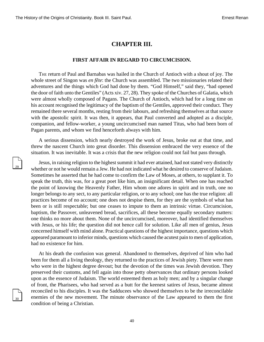$30^{\circ}$ 

### **CHAPTER III.**

#### **FIRST AFFAIR IN REGARD TO CIRCUMCISION.**

THE return of Paul and Barnabas was hailed in the Church of Antioch with a shout of joy. The whole street of Singon was *en fête*: the Church was assembled. The two missionaries related their adventures and the things which God had done by them. "God Himself," said they, "had opened the door of faith unto the Gentiles" ([Acts xiv. 27, 28\)](http://www.ccel.org/b/bible/asv/xml/asv.Acts.14.xml#Acts.14.27 Bible:Acts.14.28). They spoke of the Churches of Galatia, which were almost wholly composed of Pagans. The Church of Antioch, which had for a long time on his account recognised the legitimacy of the baptism of the Gentiles, approved their conduct. They remained there several months, resting from their labours, and refreshing themselves at that source with the apostolic spirit. It was then, it appears, that Paul converted and adopted as a disciple, companion, and fellow-worker, a young uncircumcised man named Titus, who had been born of Pagan parents, and whom we find henceforth always with him.

A serious dissension, which nearly destroyed the work of Jesus, broke out at that time, and threw the nascent Church into great disorder. This dissension embraced the very essence of the situation. It was inevitable. It was a crisis that the new religion could not fail but pass through.

Jesus, in raising religion to the highest summit it had ever attained, had not stated very distinctly whether or not he would remain a Jew. He had not indicated what he desired to conserve of Judaism. Sometimes he asserted that he had come to confirm the Law of Moses, at others, to supplant it. To speak the truth, this was, for a great poet like him, an insignificant detail. When one has reached the point of knowing the Heavenly Father, Him whom one adores in spirit and in truth, one no longer belongs to any sect, to any particular religion, or to any school; one has the true religion: all practices become of no account; one does not despise them, for they are the symbols of what has been or is still respectable; but one ceases to impute to them an intrinsic virtue. Circumcision, baptism, the Passover, unleavened bread, sacrifices, all these become equally secondary matters: one thinks no more about them. None of the uncircumcised, moreover, had identified themselves with Jesus, or his life; the question did not hence call for solution. Like all men of genius, Jesus concerned himself with mind alone. Practical questions of the highest importance, questions which appeared paramount to inferior minds, questions which caused the acutest pain to men of application, had no existence for him.

At his death the confusion was general. Abandoned to themselves, deprived of him who had been for them all a living theology, they returned to the practices of Jewish piety. There were men who were in the highest degree devout; but the devotion of the times was Jewish devotion. They preserved their customs, and fell again into those petty observances that ordinary persons looked upon as the essence of Judaism. The world esteemed them as holy men; and by a singular change of front, the Pharisees, who had served as a butt for the keenest satires of Jesus, became almost reconciled to his disciples. It was the Sadducees who showed themselves to be the irreconcilable enemies of the new movement. The minute observance of the Law appeared to them the first condition of being a Christian.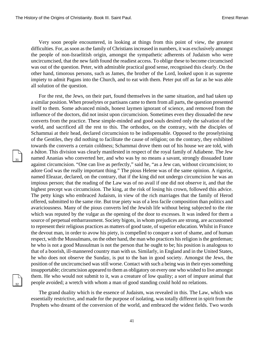32

Very soon people encountered, in looking at things from this point of view, the greatest difficulties. For, as soon as the family of Christians increased in numbers, it was exclusively amongst the people of non-Israelitish origin, amongst the sympathetic adherents of Judaism who were uncircumcised, that the new faith found the readiest access. To oblige these to become circumcised was out of the question. Peter, with admirable practical good sense, recognised this clearly. On the other hand, timorous persons, such as James, the brother of the Lord, looked upon it as supreme impiety to admit Pagans into the Church, and to eat with them. Peter put off as far as he was able all solution of the question.

For the rest, the Jews, on their part, found themselves in the same situation, and had taken up a similar position. When proselytes or partisans came to them from all parts, the question presented itself to them. Some advanced minds, honest laymen ignorant of science, and removed from the influence of the doctors, did not insist upon circumcision. Sometimes even they dissuaded the new converts from the practice. These simple-minded and good souls desired only the salvation of the world, and sacrificed all the rest to this. The orthodox, on the contrary, with the disciples of Schammai at their head, declared circumcision to be indispensable. Opposed to the proselytising of the Gentiles, they did nothing to facilitate the cause of religion; on the contrary, they exhibited towards the converts a certain coldness; Schammai drove them out of his house we are told, with a *bâton*. This division was clearly manifested in respect of the royal family of Adiabene. The Jew named Ananias who converted her, and who was by no means a savant, strongly dissuaded Izate against circumcision. "One can live as perfectly," said he, "as a Jew can, without circumcision; to adore God was the really important thing." The pious Helene was of the same opinion. A rigorist, named Eleazar, declared, on the contrary, that if the king did not undergo circumcision he was an impious person; that the reading of the Law was of no avail if one did not observe it, and that the highest precept was circumcision. The king, at the risk of losing his crown, followed this advice. The petty kings who embraced Judaism, in view of the rich marriages that the family of Herod offered, submitted to the same rite. But true piety was of a less facile composition than politics and avariciousness. Many of the pious converts led the Jewish life without being subjected to the rite which was reputed by the vulgar as the opening of the door to excesses. It was indeed for them a source of perpetual embarrassment. Society bigots, in whom prejudices are strong, are accustomed to represent their religious practices as matters of good taste, of superior education. Whilst in France the devout man, in order to avow his piety, is compelled to conquer a sort of shame, and of human respect, with the Mussulmans, on the other hand, the man who practices his religion is the gentleman; he who is not a good Mussulman is not the person that he ought to be; his position is analogous to that of a boorish, ill-mannered country man with us. Similarly, in England and in the United States, he who does not observe the Sunday, is put to the ban in good society. Amongst the Jews, the position of the uncircumcised was still worse. Contact with such a being was in their eyes something insupportable; circumcision appeared to them as obligatory on every one who wished to live amongst them. He who would not submit to it, was a creature of low quality; a sort of impure animal that people avoided; a wretch with whom a man of good standing could hold no relations.

The grand duality which is the essence of Judaism, was revealed in this. The Law, which was essentially restrictive, and made for the purpose of isolating, was totally different in spirit from the Prophets who dreamt of the conversion of the world, and embraced the widest fields. Two words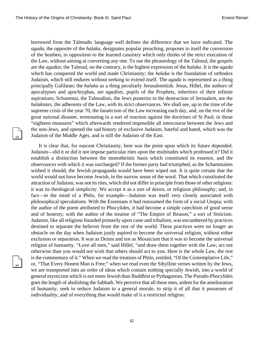borrowed from the Talmudic language well defines the difference that we have indicated. The *agada*, the opposite of the *halaka*, designates popular preaching, proposes to itself the conversion of the heathen, in opposition to the learned casuistry which only thinks of the strict execution of the Law, without aiming at converting any one. To use the phraseology of the Talmud, the gospels are the *agadas*; the Talmud, on the contrary, is the highest expression of the *halaka*. It is the *agada* which has conquered the world and made Christianity; the *halaka* is the foundation of orthodox Judaism, which still endures without seeking to extend itself. The *agada* is represented as a thing principally Galilæan; the *halaka* as a thing peculiarly Jerusalemitish. Jesus, Hillel, the authors of apocalypses and apochryphas, are *agadists*, pupils of the Prophets, inheritors of their infinite aspirations; Schammai, the Talmudists, the Jews posterior to the destruction of Jerusalem, are the *halakistes*, the adherents of the Law, with its strict observances. We shall see, up to the time of the supreme crisis of the year 70, the fanaticism of the Law increasing each day, and, on the eve of the great national disaster, terminating in a sort of reaction against the doctrines of St Paul; in those "eighteen measures" which afterwards rendered impossible all intercourse between the Jews and the non-Jews, and opened the sad history of exclusive Judaism, hateful and hated, which was the Judaism of the Middle Ages, and is still the Judaism of the East.

It is clear that, for nascent Christianity, here was the point upon which its future depended. Judaism—did it or did it not impose particular rites upon the multitudes which professed it? Did it establish a distinction between the monotheistic basis which constituted its essence, and the observances with which it was surcharged? If the former party had triumphed, as the Schammaites wished it should, the Jewish propaganda would have been wiped out. It is quite certain that the world would not have become Jewish, in the narrow sense of the word. That which constituted the attraction of Judaism, was not its rites, which did not differ in principle from those of other religions: it was its theological simplicity. We accept it as a sort of deism, or religious philosophy; and, in fact—in the mind of a Philo, for example—Judaism was itself very closely associated with philosophical speculations. With the Essenians it had reassumed the form of a social Utopia; with the author of the poem attributed to Phocylides, it had become a simple catechism of good sense and of honesty; with the author of the treatise of "The Empire of Reason," a sort of Stoicism. Judaism, like all religions founded primarily upon caste and tribalism, was encumbered by practices destined to separate the believer from the rest of the world. These practices were no longer an obstacle on the day when Judaism justly aspired to become the universal religion, without either exclusion or separation. It was as Deism and not as Mosaicism that it was to become the universal religion of humanity. "Love all men," said Hillel, "and draw them together with the Law; act not otherwise than you would not wish that others should act to you. Here is the whole Law, the rest is the commentary of it." When we read the treatises of Philo, entitled, "Of the Contemplative Life," or, "That Every Honest Man is Free;" when we read even the Sibylline verses written by the Jews, we are transported into an order of ideas which contain nothing specially Jewish, into a world of general mysticism which is not more Jewish than Buddhist or Pythagorean. The Pseudo-Phocylides goes the length of abolishing the Sabbath. We perceive that all these men, ardent for the amelioration of humanity, seek to reduce Judaism to a general morale, to strip it of all that it possesses of individuality, and of everything that would make of it a restricted religion.

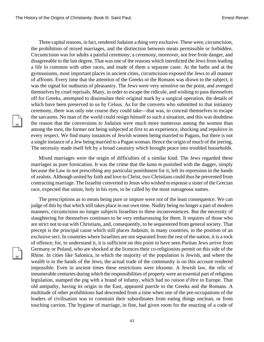36

Three capital reasons, in fact, rendered Judaism a thing very exclusive. These were, circumcision, the prohibition of mixed marriages, and the distinction between meats permissible or forbidden. Circumcision was for adults a painful ceremony; a ceremony, moreover, not free from danger, and disagreeable to the last degree. That was one of the reasons which interdicted the Jews from leading a life in common with other races, and made of them a separate caste. At the baths and at the gymnasiums, most important places in ancient cities, circumcision exposed the Jews to all manner of affronts. Every time that the attention of the Greeks or the Romans was drawn to the subject, it was the signal for outbursts of pleasantry. The Jews were very sensitive on the point, and avenged themselves by cruel reprisals. Many, in order to escape the ridicule, and wishing to pass themselves off for Greeks, attempted to dissimulate their original mark by a surgical operation, the details of which have been preserved to us by Celsus. As for the converts who submitted to that initiatory ceremony, there was only one course they could take—that was, to conceal themselves to escape the sarcasms. No man of the world could resign himself to such a situation, and this was doubtless the reason that the conversions to Judaism were much more numerous among the women than among the men, the former not being subjected at first to an experience, shocking and repulsive in every respect. We find many instances of Jewish women being married to Pagans, but there is not a single instance of a Jew being married to a Pagan woman. Hence the origin of much of the jeering. The necessity made itself felt by a broad casuistry which brought peace into troubled households.

Mixed marriages were the origin of difficulties of a similar kind. The Jews regarded these marriages as pure fornication. It was the crime that the *kana m* punished with the dagger, simply because the Law in not prescribing any particular punishment for it, left its repression in the hands of zealots. Although united by faith and love to Christ, two Christians could thus be prevented from contracting marriage. The Israelite converted to Jesus who wished to espouse a sister of the Grecian race, expected that union, holy in his eyes, to be called by the most outrageous names.

The prescriptions as to meats being pure or impure were not of the least consequence. We can judge of this by that which still takes place in our own time. Nudity being no longer a part of modern manners, circumcision no longer subjects Israelites to these inconveniences. But the necessity of slaughtering for themselves continues to be very embarrassing for them. It requires of those who are strict not to eat with Christians, and, consequently, to be sequestered from general society. That precept is the principal cause which still places Judaism, in many countries, in the position of an exclusive sect. In countries where Israelites are not separated from the rest of the nation, it is a rock of offence; for, to understand it, it is sufficient on this point to have seen Puritan Jews arrive from Germany or Poland, who are shocked at the licences their co-religionists permit on this side of the Rhine. In cities like Salonica, in which the majority of the population is Jewish, and where the wealth is in the hands of the Jews, the actual trade of the community is on this account rendered impossible. Even in ancient times these restrictions were irksome. A Jewish law, the relic of innumerable centuries during which the responsibilities of property were an essential part of religious legislation, stamped the pig with a brand of infamy, which had no *raison d'être* in Europe. That old antipathy, having its origin in the East, appeared puerile to the Greeks and the Romans. A multitude of other prohibitions had descended from a time when one of the pre-occupations of the leaders of civilisation was to constrain their subordinates from eating things unclean, or from touching carrion. The hygiene of marriage, in fine, had given room for the enacting of a code of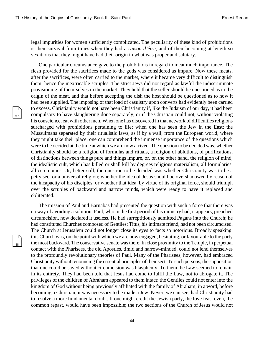38

legal impurities for women sufficiently complicated. The peculiarity of these kind of prohibitions is their survival from times when they had a *raison d'être*, and of their becoming at length so vexatious that they might have had their origin in what was proper and salutary.

One particular circumstance gave to the prohibitions in regard to meat much importance. The flesh provided for the sacrifices made to the gods was considered as impure. Now these meats, after the sacrifices, were often carried to the market, where it became very difficult to distinguish them; hence the inextricable scruples. The strict Jews did not regard as lawful the indiscriminate provisioning of them-selves in the market. They held that the seller should be questioned as to the origin of the meat, and that before accepting the dish the host should be questioned as to how it had been supplied. The imposing of that load of casuistry upon converts had evidently been carried to excess. Christianity would not have been Christianity if, like the Judaism of our day, it had been compulsory to have slaughtering done separately, or if the Christian could not, without violating his conscience, eat with other men. When one has discovered in that network of difficulties religions surcharged with prohibitions pertaining to life; when one has seen the Jew in the East; the Mussulmans separated by their ritualistic laws, as if by a wall, from the European world, where they might take their place, one can comprehend the immense importance of the questions which were to be decided at the time at which we are now arrived. The question to be decided was, whether Christianity should be a religion of formulas and rituals, a religion of ablutions, of purifications, of distinctions between things pure and things impure, or, on the other hand, the religion of mind, the idealistic cult, which has killed or shall kill by degrees religious materialism, all formularies, all ceremonies. Or, better still, the question to be decided was whether Christianity was to be a petty sect or a universal religion; whether the idea of Jesus should be overshadowed by reason of the incapacity of his disciples; or whether that idea, by virtue of its original force, should triumph over the scruples of backward and narrow minds, which were ready to have it replaced and obliterated.

The mission of Paul and Barnabas had presented the question with such a force that there was no way of avoiding a solution. Paul, who in the first period of his ministry had, it appears, preached circumcision, now declared it useless. He had surreptitiously admitted Pagans into the Church; he had constituted Churches composed of Gentiles; Titus, his intimate friend, had not been circumcised. The Church at Jerusalem could not longer close its eyes to facts so notorious. Broadly speaking, this Church was, on the point with which we are now engaged, hesitating, or favourable to the party the most backward. The conservative senate was there. In close proximity to the Temple, in perpetual contact with the Pharisees, the old Apostles, timid and narrow-minded, could not lend themselves to the profoundly revolutionary theories of Paul. Many of the Pharisees, however, had embraced Christianity without renouncing the essential principles of their sect. To such persons, the supposition that one could be saved without circumcision was blasphemy. To them the Law seemed to remain in its entirety. They had been told that Jesus had come to fulfil the Law, not to abrogate it. The privileges of the children of Abraham appeared to them intact: the Gentiles could not enter into the kingdom of God without being previously affiliated with the family of Abraham; in a word, before becoming a Christian, it was necessary to be made a Jew. Never, we can see, had Christianity had to resolve a more fundamental doubt. If one might credit the Jewish party, the love feast even, the common repast, would have been impossible; the two sections of the Church of Jesus would not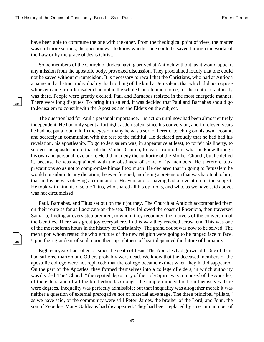40

have been able to commune the one with the other. From the theological point of view, the matter was still more serious; the question was to know whether one could be saved through the works of the Law or by the grace of Jesus Christ.

Some members of the Church of Judæa having arrived at Antioch without, as it would appear, any mission from the apostolic body, provoked discussion. They proclaimed loudly that one could not be saved without circumcision. It is necessary to recall that the Christians, who had at Antioch a name and a distinct individuality, had nothing of the kind at Jerusalem; that which did not oppose whoever came from Jerusalem had not in the whole Church much force, for the centre of authority was there. People were greatly excited. Paul and Barnabas resisted in the most energetic manner. There were long disputes. To bring it to an end, it was decided that Paul and Barnabas should go to Jerusalem to consult with the Apostles and the Elders on the subject.

The question had for Paul a personal importance. His action until now had been almost entirely independent. He had only spent a fortnight at Jerusalem since his conversion, and for eleven years he had not put a foot in it. In the eyes of many he was a sort of heretic, teaching on his own account, and scarcely in communion with the rest of the faithful. He declared proudly that he had had his revelation, his apostleship. To go to Jerusalem was, in appearance at least, to forfeit his liberty, to subject his apostleship to that of the Mother Church, to learn from others what he knew through his own and personal revelation. He did not deny the authority of the Mother Church; but he defied it, because he was acquainted with the obstinacy of some of its members. He therefore took precautions so as not to compromise himself too much. He declared that in going to Jerusalem he would not submit to any dictation; he even feigned, indulging a pretension that was habitual to him, that in this he was obeying a command of Heaven, and of having had a revelation on the subject. He took with him his disciple Titus, who shared all his opinions, and who, as we have said above, was not circumcised.

Paul, Barnabas, and Titus set out on their journey. The Church at Antioch accompanied them on their route as far as Laodicæa-on-the-sea. They followed the coast of Phœnicia, then traversed Samaria, finding at every step brethren, to whom they recounted the marvels of the conversion of the Gentiles. There was great joy everywhere. In this way they reached Jerusalem. This was one of the most solemn hours in the history of Christianity. The grand doubt was now to be solved. The men upon whom rested the whole future of the new religion were going to be ranged face to face. Upon their grandeur of soul, upon their uprightness of heart depended the future of humanity.

Eighteen years had rolled on since the death of Jesus. The Apostles had grown old. One of them had suffered martyrdom. Others probably were dead. We know that the deceased members of the apostolic college were not replaced; that the college became extinct when they had disappeared. On the part of the Apostles, they formed themselves into a college of elders, in which authority was divided. The "Church," the reputed depository of the Holy Spirit, was composed of the Apostles, of the elders, and of all the brotherhood. Amongst the simple-minded brethren themselves there were degrees. Inequality was perfectly admissible; but that inequality was altogether moral; it was neither a question of external prerogative nor of material advantage. The three principal "pillars," as we have said, of the community were still Peter, James, the brother of the Lord, and John, the son of Zebedee. Many Galileans had disappeared. They had been replaced by a certain number of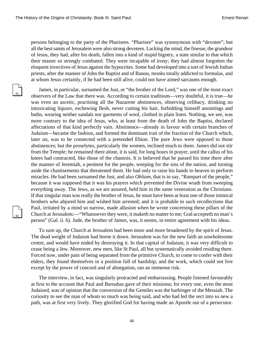persons belonging to the party of the Pharisees. "Pharisee" was synonymous with "devotee"; but all the best saints of Jerusalem were also strong devotees. Lacking the mind, the finesse, the grandeur of Jesus, they had, after his death, fallen into a kind of stupid bigotry, a state similar to that which their master so strongly combated. They were incapable of irony; they had almost forgotten the eloquent invectives of Jesus against the hypocrites. Some had developed into a sort of Jewish Indian priests, after the manner of John the Baptist and of Banou, monks totally addicted to formulas, and at whom Jesus certainly, if he had been still alive, could not have aimed sarcasms enough.

41

42

James, in particular, surnamed the Just, or "the brother of the Lord," was one of the most exact observers of the Law that there was. According to certain traditions—very doubtful, it is true—he was even an ascetic, practising all the Nazarene abstinences, observing celibacy, drinking no intoxicating liquors, eschewing flesh, never cutting his hair, forbidding himself anointings and baths, wearing neither sandals nor garments of wool, clothed in plain linen. Nothing, we see, was more contrary to the idea of Jesus, who, at least from the death of John the Baptist, declared affectations of that kind perfectly vain. Abstinence—already in favour with certain branches of Judaism—became the fashion, and formed the dominant trait of the fraction of the Church which, later on, was to be connected with a pretended Ebion. The pure Jews were opposed to those abstinences; but the proselytes, particularly the women, inclined much to them. James did not stir from the Temple; he remained there alone, it is said, for long hours in prayer, until the callus of his knees had contracted, like those of the chamois. It is believed that he passed his time there after the manner of Jeremiah, a penitent for the people, weeping for the sins of the nation, and turning aside the chastisements that threatened them. He had only to raise his hands to heaven to perform miracles. He had been surnamed the Just, and also *Obliam*, that is to say, "Rampart of the people," because it was supposed that it was his prayers which prevented the Divine wrath from sweeping everything away. The Jews, as we are assured, held him in the same veneration as the Christians. If that singular man was really the brother of Jesus, he must have been at least one of those inimical brothers who abjured him and wished him arrested; and it is probable to such recollections that Paul, irritated by a mind so narrow, made allusion when he wrote concerning these pillars of the Church at Jerusalem:—"Whatsoever they were, it maketh no matter to me; God accepteth no man's person" [\(Gal. ii. 6](http://www.ccel.org/b/bible/asv/xml/asv.Gal.2.xml#Gal.2.6)). Jude, the brother of James, was, it seems, in entire agreement with his ideas.

To sum up, the Church at Jerusalem had been more and more broadened by the spirit of Jesus. The dead weight of Judaism had borne it down. Jerusalem was for the new faith an unwholesome centre, and would have ended by destroying it. In that capital of Judaism, it was very difficult to cease being a Jew. Moreover, new men, like St Paul, all but systematically avoided residing there. Forced now, under pain of being separated from the primitive Church, to come to confer with their elders, they found themselves in a position full of hardship; and the work, which could not live except by the power of concord and of abnegation, ran an immense risk.

The interview, in fact, was singularly protracted and embarrassing. People listened favourably at first to the account that Paul and Barnabas gave of their missions; for every one, even the most Judaised, was of opinion that the conversion of the Gentiles was the harbinger of the Messiah. The curiosity to see the man of whom so much was being said, and who had led the sect into so new a path, was at first very lively. They glorified God for having made an Apostle out of a persecutor.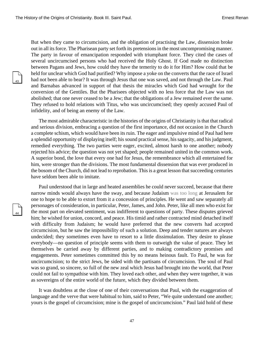44

But when they came to circumcision, and the obligation of practising the Law, dissension broke out in all its force. The Pharisean party set forth its pretensions in the most uncompromising manner. The party in favour of emancipation responded with triumphant force. They cited the cases of several uncircumcised persons who had received the Holy Ghost. If God made no distinction between Pagans and Jews, how could they have the temerity to do it for Him? How could that be held for unclear which God had purified? Why impose a yoke on the converts that the race of Israel had not been able to bear? It was through Jesus that one was saved, and not through the Law. Paul and Barnabas advanced in support of that thesis the miracles which God had wrought for the conversion of the Gentiles. But the Pharisees objected with no less force that the Law was not abolished; that one never ceased to be a Jew; that the obligations of a Jew remained ever the same. They refused to hold relations with Titus, who was uncircumcised; they openly accused Paul of infidelity, and of being an enemy of the Law.

The most admirable characteristic in the histories of the origins of Christianity is that that radical and serious division, embracing a question of the first importance, did not occasion in the Church a complete schism, which would have been its ruin. The eager and impulsive mind of Paul had here a splendid opportunity of displaying itself; his sound practical sense, his sagacity, and his judgment, remedied everything. The two parties were eager, excited, almost harsh to one another; nobody rejected his advice; the question was not yet shaped; people remained united in the common work. A superior bond, the love that every one had for Jesus, the remembrance which all entertained for him, were stronger than the divisions. The most fundamental dissension that was ever produced in the bosom of the Church, did not lead to reprobation. This is a great lesson that succeeding centuries have seldom been able to imitate.

Paul understood that in large and heated assemblies he could never succeed, because that there narrow minds would always have the sway, and because Judaism was too long at Jerusalem for one to hope to be able to extort from it a concession of principles. He went and saw separately all personages of consideration, in particular, Peter, James, and John. Peter, like all men who exist for the most part on elevated sentiment, was indifferent to questions of party. These disputes grieved him; he wished for union, concord, and peace. His timid and rather contracted mind detached itself with difficulty from Judaism; he would have preferred that the new converts had accepted circumcision, but he saw the impossibility of such a solution. Deep and tender natures are always undecided; they sometimes even have to resort to a little dissimulation. They desire to please everybody—no question of principle seems with them to outweigh the value of peace. They let themselves be carried away by different parties, and to making contradictory promises and engagements. Peter sometimes committed this by no means heinous fault. To Paul, he was for uncircumcision; to the strict Jews, be sided with the partisans of circumcision. The soul of Paul was so grand, so sincere, so full of the new zeal which Jesus had brought into the world, that Peter could not fail to sympathise with him. They loved each other, and when they were together, it was as sovereigns of the entire world of the future, which they divided between them.

It was doubtless at the close of one of their conversations that Paul, with the exaggeration of language and the verve that were habitual to him, said to Peter, "We quite understand one another; yours is the gospel of circumcision; mine is the gospel of uncircumcision." Paul laid hold of these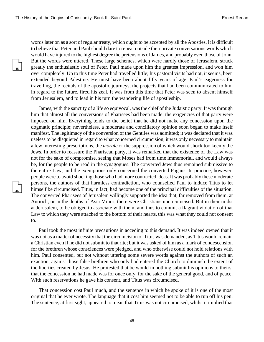words later on as a sort of regular treaty, which ought to be accepted by all the Apostles. It is difficult to believe that Peter and Paul should dare to repeat outside their private conversations words which would have injured to the highest degree the pretensions of James, and probably even those of John. But the words were uttered. These large schemes, which were hardly those of Jerusalem, struck greatly the enthusiastic soul of Peter. Paul made upon him the greatest impression, and won him over completely. Up to this time Peter had travelled little; his pastoral visits had not, it seems, been extended beyond Palestine. He must have been about fifty years of age. Paul's eagerness for travelling, the recitals of the apostolic journeys, the projects that had been communicated to him in regard to the future, fired his zeal. It was from this time that Peter was seen to absent himself from Jerusalem, and to lead in his turn the wandering life of apostleship.

James, with the sanctity of a life so equivocal, was the chief of the Judaistic party. It was through him that almost all the conversions of Pharisees had been made: the exigencies of that party were imposed on him. Everything tends to the belief that he did not make any concession upon the dogmatic principle; nevertheless, a moderate and conciliatory opinion soon began to make itself manifest. The legitimacy of the conversion of the Gentiles was admitted; it was declared that it was useless to be disquieted in regard to what concerned circumcision; it was only necessary to maintain a few interesting prescriptions, the *morale* or the suppression of which would shock too keenly the Jews. In order to reassure the Pharisean party, it was remarked that the existence of the Law was not for the sake of compromise, seeing that Moses had from time immemorial, and would always be, for the people to be read in the synagogues. The converted Jews thus remained submissive to the entire Law, and the exemptions only concerned the converted Pagans. In practice, however, people were to avoid shocking those who had more contracted ideas. It was probably these moderate persons, the authors of that harmless contradiction, who counselled Paul to induce Titus to let himself be circumcised. Titus, in fact, had become one of the principal difficulties of the situation. The converted Pharisees of Jerusalem willingly supported the idea that, far removed from them, at Antioch, or in the depths of Asia Minor, there were Christians uncircumcised. But in their midst at Jerusalem, to be obliged to associate with them, and thus to commit a flagrant violation of that Law to which they were attached to the bottom of their hearts, this was what they could not consent to.

Paul took the most infinite precautions in acceding to this demand. It was indeed owned that it was not as a matter of necessity that the circumcision of Titus was demanded, as Titus would remain a Christian even if he did not submit to that rite; but it was asked of him as a mark of condescension for the brethren whose consciences were pledged, and who otherwise could not hold relations with him. Paul consented, but not without uttering some severe words against the authors of such an exaction, against those false brethren who only had entered the Church to diminish the extent of the liberties created by Jesus. He protested that be would in nothing submit his opinions to theirs; that the concession he had made was for once only, for the sake of the general good, and of peace. With such reservations he gave his consent, and Titus was circumcised.

That concession cost Paul much, and the sentence in which he spoke of it is one of the most original that he ever wrote. The language that it cost him seemed not to be able to run off his pen. The sentence, at first sight, appeared to mean that Titus was not circumcised, whilst it implied that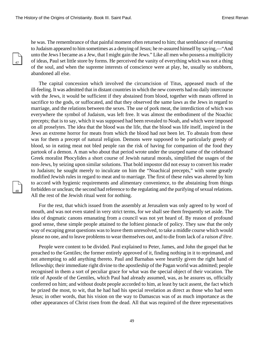he was. The remembrance of that painful moment often returned to him; that semblance of returning to Judaism appeared to him sometimes as a denying of Jesus; he re-assured himself by saying,—"And unto the Jews I became as a Jew, that I might gain the Jews." Like all men who possess a multiplicity of ideas, Paul set little store by forms. He perceived the vanity of everything which was not a thing of the soul, and when the supreme interests of conscience were at play, he, usually so stubborn, abandoned all else.

The capital concession which involved the circumcision of Titus, appeased much of the ill-feeling. It was admitted that in distant countries in which the new converts had no daily intercourse with the Jews, it would be sufficient if they abstained from blood, together with meats offered in sacrifice to the gods, or suffocated, and that they observed the same laws as the Jews in regard to marriage, and the relations between the sexes. The use of pork meat, the interdiction of which was everywhere the symbol of Judaism, was left free. It was almost the embodiment of the Noachic precepts; that is to say, which it was supposed had been revealed to Noah, and which were imposed on all proselytes. The idea that the blood was the life, that the blood was life itself, inspired in the Jews an extreme horror for meats from which the blood had not been let. To abstain from these was for them a precept of natural religion. Demons were supposed to be particularly greedy of blood, so in eating meat not bled people ran the risk of having for companion of the food they partook of a demon. A man who about that period wrote under the usurped name of the celebrated Greek moralist Phocylides a short course of Jewish natural morals, simplified the usages of the non-Jews, by seizing upon similar solutions. That bold impostor did not essay to convert his reader to Judaism; he sought merely to inculcate on him the "Noachical precepts," with some greatly modified Jewish rules in regard to meat and to marriage. The first of these rules was altered by him to accord with hygienic requirements and alimentary convenience, to the abstaining from things forbidden or unclean; the second had reference to the regulating and the purifying of sexual relations. All the rest of the Jewish ritual went for nothing.

For the rest, that which issued from the assembly at Jerusalem was only agreed to by word of mouth, and was not even stated in very strict terms, for we shall see them frequently set aside. The idea of dogmatic canons emanating from a council was not yet heard of. By reason of profound good sense, these simple people attained to the loftiest pinnacle of policy. They saw that the only way of escaping great questions was to leave them unresolved, to take a middle course which would please no one, and to leave problems to wear themselves out, and to die from lack of a *raison d'être*.

People were content to be divided. Paul explained to Peter, James, and John the gospel that he preached to the Gentiles; the former entirely approved of it, finding nothing in it to reprimand, and not attempting to add anything thereto. Paul and Barnabas were heartily given the right hand of fellowship; their immediate right divine to the apostleship of the Pagan world was admitted; people recognised in them a sort of peculiar grace for what was the special object of their vocation. The title of Apostle of the Gentiles, which Paul had already assumed, was, as he assures us, officially conferred on him; and without doubt people accorded to him, at least by tacit assent, the fact which he prized the most, to wit, that he had had his special revelation as direct as those who had seen Jesus; in other words, that his vision on the way to Damascus was of as much importance as the other appearances of Christ risen from the dead. All that was required of the three representatives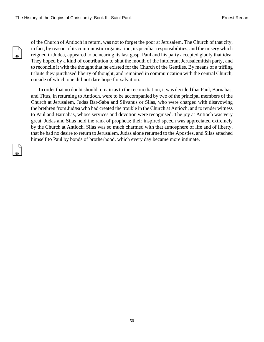50

of the Church of Antioch in return, was not to forget the poor at Jerusalem. The Church of that city, in fact, by reason of its communistic organisation, its peculiar responsibilities, and the misery which reigned in Judea, appeared to be nearing its last gasp. Paul and his party accepted gladly that idea. They hoped by a kind of contribution to shut the mouth of the intolerant Jerusalemitish party, and to reconcile it with the thought that he existed for the Church of the Gentiles. By means of a trifling tribute they purchased liberty of thought, and remained in communication with the central Church, outside of which one did not dare hope for salvation.

In order that no doubt should remain as to the reconciliation, it was decided that Paul, Barnabas, and Titus, in returning to Antioch, were to be accompanied by two of the principal members of the Church at Jerusalem, Judas Bar-Saba and Silvanus or Silas, who were charged with disavowing the brethren from Judæa who had created the trouble in the Church at Antioch, and to render witness to Paul and Barnabas, whose services and devotion were recognised. The joy at Antioch was very great. Judas and Silas held the rank of prophets: their inspired speech was appreciated extremely by the Church at Antioch. Silas was so much charmed with that atmosphere of life and of liberty, that he had no desire to return to Jerusalem. Judas alone returned to the Apostles, and Silas attached himself to Paul by bonds of brotherhood, which every day became more intimate.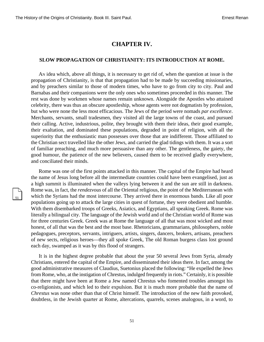## **CHAPTER IV.**

#### **SLOW PROPAGATION OF CHRISTIANITY: ITS INTRODUCTION AT ROME.**

AN idea which, above all things, it is necessary to get rid of, when the question at issue is the propagation of Christianity, is that that propagation had to be made by succeeding missionaries, and by preachers similar to those of modern times, who have to go from city to city. Paul and Barnabas and their companions were the only ones who sometimes proceeded in this manner. The rest was done by workmen whose names remain unknown. Alongside the Apostles who attained celebrity, there was thus an obscure apostleship, whose agents were not dogmatists by profession, but who were none the less most efficacious. The Jews of the period were nomads *par excellence*. Merchants, servants, small tradesmen, they visited all the large towns of the coast, and pursued their calling. Active, industrious, polite, they brought with them their ideas, their good example, their exaltation, and dominated these populations, degraded in point of religion, with all the superiority that the enthusiastic man possesses over those that are indifferent. Those affiliated to the Christian sect travelled like the other Jews, and carried the glad tidings with them. It was a sort of familiar preaching, and much more persuasive than any other. The gentleness, the gaiety, the good humour, the patience of the new believers, caused them to be received gladly everywhere, and conciliated their minds.

Rome was one of the first points attacked in this manner. The capital of the Empire had heard the name of Jesus long before all the intermediate countries could have been evangelised, just as a high summit is illuminated when the valleys lying between it and the sun are still in darkness. Rome was, in fact, the *rendezvous* of all the Oriental religious, the point of the Mediterranean with which the Syrians had the most intercourse. They arrived there in enormous bands. Like all poor populations going up to attack the large cities in quest of fortune, they were obedient and humble. With them disembarked troops of Greeks, Asiatics, and Egyptians, all speaking Greek. Rome was literally a bilingual city. The language of the Jewish world and of the Christian world of Rome was for three centuries Greek. Greek was at Rome the language of all that was most wicked and most honest, of all that was the best and the most base. Rhetoricians, grammarians, philosophers, noble pedagogues, preceptors, servants, intriguers, artists, singers, dancers, brokers, artisans, preachers of new sects, religious heroes—they all spoke Greek, The old Roman burgess class lost ground each day, swamped as it was by this flood of strangers.

It is in the highest degree probable that about the year 50 several Jews from Syria, already Christians, entered the capital of the Empire, and disseminated their ideas there. In fact, among the good administrative measures of Claudius, Suetonius placed the following: "He expelled the Jews from Rome, who, at the instigation of Chrestus, indulged frequently in riots." Certainly, it is possible that there might have been at Rome a Jew named Chrestus who fomented troubles amongst his co-religionists, and which led to their expulsion. But it is much more probable that the name of *Chrestus* was none other than that of Christ himself. The introduction of the new faith provoked, doubtless, in the Jewish quarter at Rome, altercations, quarrels, scenes analogous, in a word, to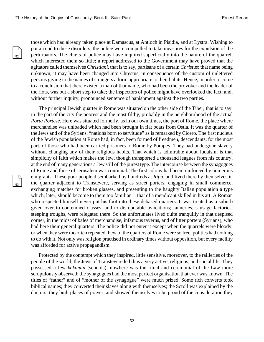53

those which had already taken place at Damascus, at Antioch in Pisidia, and at Lystra. Wishing to put an end to these disorders, the police were compelled to take measures for the expulsion of the perturbators. The chiefs of police may have inquired superficially into the nature of the quarrel, which interested them so little; a report addressed to the Government may have proved that the agitators called themselves *Christiani*, that is to say, partisans of a certain *Christus*; that name being unknown, it may have been changed into Chrestus, in consequence of the custom of unlettered persons giving to the names of strangers a form appropriate to their habits. Hence, in order to come to a conclusion that there existed a man of that name, who had been the provoker and the leader of the riots, was but a short step to take; the inspectors of police might have overlooked the fact, and, without further inquiry, pronounced sentence of banishment against the two parties.

The principal Jewish quarter in Rome was situated on the other side of the Tiber; that is to say, in the part of the city the poorest and the most filthy, probably in the neighbourhood of the actual *Porta Portese*. Here was situated formerly, as in our own times, the port of Rome, the place where merchandise was unloaded which had been brought in flat boats from Ostia. It was the quarter of the Jews and of the Syrians, "nations born to servitude" as is remarked by Cicero. The first nucleus of the Jewish population at Rome had, in fact, been formed of freedmen, descendants, for the most part, of those who had been carried prisoners to Rome by Pompey. They had undergone slavery without changing any of their religious habits. That which is admirable about Judaism, is that simplicity of faith which makes the Jew, though transported a thousand leagues from his country, at the end of many generations a Jew still of the purest type. The intercourse between the synagogues of Rome and those of Jerusalem was continual. The first colony had been reinforced by numerous emigrants. These poor people disembarked by hundreds at *Ripa*, and lived there by themselves in the quarter adjacent to Transtevere, serving as street porters, engaging in small commerce, exchanging matches for broken glasses, and presenting to the haughty Italian population a type which, later, should become to them too familiar —that of a mendicant skilled in his art. A Roman who respected himself never put his foot into these debased quarters. It was treated as a suburb given over to contemned classes, and to disreputable avocations; tanneries, sausage factories, steeping troughs, were relegated there. So the unfortunates lived quite tranquilly in that despised corner, in the midst of bales of merchandise, infamous taverns, and of litter porters (Syrians), who had here their general quarters. The police did not enter it except when the quarrels were bloody, or when they were too often repeated. Few of the quarters of Rome were so free; politics had nothing to do with it. Not only was religion practised in ordinary times without opposition, but every facility was afforded for active propagandism.

Protected by the contempt which they inspired, little sensitive, moreover, to the railleries of the people of the world, the Jews of Transtevere led thus a very active, religious, and social life. They possessed a few *kakamin* (schools); nowhere was the ritual and ceremonial of the Law more scrupulously observed; the synagogues had the most perfect organisation that ever was known. The titles of "father" and of "mother of the synagogue" were much prized. Some rich converts took biblical names; they converted their slaves along with themselves; the Scroll was explained by the doctors; they built places of prayer, and showed themselves to be proud of the consideration they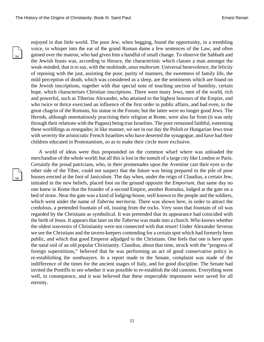55

enjoyed in that little world. The poor Jew, when begging, found the opportunity, in a trembling voice, to whisper into the ear of the grand Roman dame a few sentences of the Law, and often gained over the matron, who had given him a handful of small change. To observe the Sabbath and the Jewish feasts was, according to Horace, the characteristic which classes a man amongst the weak-minded, that is to say, with the multitude, *unus multorum*. Universal benevolence, the felicity of reposing with the just, assisting the poor, purity of manners, the sweetness of family life, the mild perception of death, which was considered as a sleep, are the sentiments which are found on the Jewish inscriptions, together with that special note of touching unction of humility, certain hope, which characterises Christian inscriptions. There were many Jews, men of the world, rich and powerful, such as Tiberius Alexander, who attained to the highest honours of the Empire, and who twice or thrice exercised an influence of the first order in public affairs, and had even, to the great chagrin of the Romans, his statue in the Forum; but the latter were no longer good Jews. The Herods, although ostentatiously practising their religion at Rome, were also far from (it was only through their relations with the Pagans) being true Israelites. The poor remained faithful, esteeming these worldlings as renegades; in like manner, we see in our day the Polish or Hungarian Jews treat with severity the aristocratic French Israelites who have deserted the synagogue, and have had their children educated in Protestantism, so as to make their circle more exclusive.

A world of ideas were thus propounded on the common wharf where was unloaded the merchandise of the whole world; but all this is lost in the tumult of a large city like London or Paris. Certainly the proud patricians, who, in their promenades upon the Aventine cast their eyes to the other side of the Tiber, could not suspect that the future was being prepared in the pile of poor houses erected at the foot of Janiculum. The day when, under the reign of Claudius, a certain Jew, initiated in the new beliefs, placed foot on the ground opposite the *Emporium*, that same day no one knew in Rome that the founder of a second Empire, another Romulus, lodged at the gate on a bed of straw. Near the gate was a kind of lodging-house, well known to the people and the soldiers, which went under the name of *Taberna meritoria*. There was shown here, in order to attract the credulous, a pretended fountain of oil, issuing from the rocks. Very soon that fountain of oil was regarded by the Christians as symbolical. It was pretended that its appearance had coincided with the birth of Jesus. It appears that later on the *Taberna* was made into a church. Who knows whether the oldest souvenirs of Christianity were not connected with that resort! Under Alexander Severus we see the Christians and the tavern-keepers contending for a certain spot which had formerly been public, and which that good Emperor adjudged to the Christians. One feels that one is here upon the natal soil of an old popular Christianity. Claudius, about that time, struck with the "progress of foreign superstitions," believed that he was performing an act of good conservative policy in re-establishing the soothsayers. In a report made to the Senate, complaint was made of the indifference of the times for the ancient usages of Italy, and for good discipline. The Senate had invited the Pontiffs to see whether it was possible to re-establish the old customs. Everything went well, in consequence, and it was believed that these respectable impostures were saved for all eternity.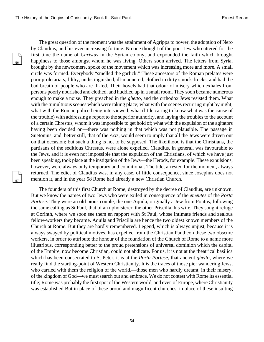57

The great question of the moment was the attainment of Agrippa to power, the adoption of Nero by Claudius, and his ever-increasing fortune. No one thought of the poor Jew who uttered for the first time the name of *Christus* in the Syrian colony, and expounded the faith which brought happiness to those amongst whom he was living. Others soon arrived. The letters from Syria, brought by the newcomers, spoke of the movement which was increasing more and more. A small circle was formed. Everybody "smelled the garlick." These ancestors of the Roman prelates were poor proletariats, filthy, undistinguished, ill-mannered, clothed in dirty smock-frocks, and had the bad breath of people who are ill-fed. Their hovels had that odour of misery which exhales from persons poorly nourished and clothed, and huddled up in a small room. They soon became numerous enough to make a noise. They preached in the *ghetto*, and the orthodox Jews resisted them. What with the tumultuous scenes which were taking place; what with the scenes recurring night by night; what with the Roman police being interviewed; what (little caring to know what was the cause of the trouble) with addressing a report to the superior authority, and laying the troubles to the account of a certain Chrestus, whom it was impossible to get hold of; what with the expulsion of the agitators having been decided on—there was nothing in that which was not plausible. The passage in Suetonius, and, better still, that of the *Acts*, would seem to imply that all the Jews were driven out on that occasion; but such a thing is not to be supposed. The likelihood is that the Christians, the partisans of the seditious Chrestus, were alone expelled. Claudius, in general, was favourable to the Jews, and it is even not impossible that the expulsion of the Christians, of which we have just been speaking, took place at the instigation of the Jews—the Herods, for example. These expulsions, however, were always only temporary and conditional. The tide, arrested for the moment, always returned. The edict of Claudius was, in any case, of little consequence, since Josephus does not mention it, and in the year 58 Rome had already a new Christian Church.

The founders of this first Church at Rome, destroyed by the decree of Claudius, are unknown. But we know the names of two Jews who were exiled in consequence of the *emeutes* of the *Porta Portese*. They were an old pious couple, the one Aquila, originally a Jew from Pontus, following the same calling as St Paul, that of an upholsterer, the other Priscilla, his wife. They sought refuge at Corinth, where we soon see them en rapport with St Paul, whose intimate friends and zealous fellow-workers they became. Aquila and Priscilla are hence the two oldest known members of the Church at Rome. But they are hardly remembered. Legend, which is always unjust, because it is always swayed by political motives, has expelled from the Christian Pantheon these two obscure workers, in order to attribute the honour of the foundation of the Church of Rome to a name more illustrious, corresponding better to the proud pretensions of universal dominion which the capital of the Empire, now become Christian, could not abdicate. For us, it is not at the theatrical basilica which has been consecrated to St Peter, it is at the *Porta Portese*, that ancient *ghetto*, where we really find the starting-point of Western Christianity. It is the traces of those pier wandering Jews, who carried with them the religion of the world,—those men who hardly dreamt, in their misery, of the kingdom of God—we must search out and embrace. We do not contest with Rome its essential title; Rome was probably the first spot of the Western world, and even of Europe, where Christianity was established But in place of these proud and magnificent churches, in place of these insulting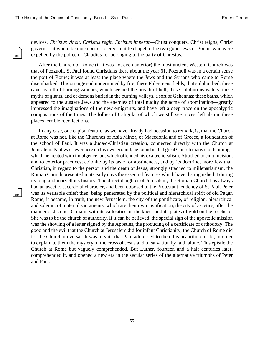devices, *Christus vincit, Christus regit, Christus imperat*—Christ conquers, Christ reigns, Christ governs—it would be much better to erect a little chapel to the two good Jews of Pontus who were expelled by the police of Claudius for belonging to the party of Chrestus.

After the Church of Rome (if it was not even anterior) the most ancient Western Church was that of Pozzuoli. St Paul found Christians there about the year 61. Pozzuoli was in a certain sense the port of Rome; it was at least the place where the Jews and the Syrians who came to Rome disembarked. This strange soil undermined by fire; these Phlegreens fields; that sulphur bed; these caverns full of burning vapours, which seemed the breath of hell; these sulphurous waters; these myths of giants, and of demons buried in the burning valleys, a sort of Gehennas; these baths, which appeared to the austere Jews and the enemies of total nudity the acme of abomination—greatly impressed the imaginations of the new emigrants, and have left a deep trace on the apocalyptic compositions of the times. The follies of Caligula, of which we still see traces, left also in these places terrible recollections.

In any case, one capital feature, as we have already had occasion to remark, is, that the Church at Rome was not, like the Churches of Asia Minor, of Macedonia and of Greece, a foundation of the school of Paul. It was a Judæo-Christian creation, connected directly with the Church at Jerusalem. Paul was never here on his own ground; he found in that great Church many shortcomings, which he treated with indulgence, but which offended his exalted idealism. Attached to circumcision, and to exterior practices; ebionite by its taste for abstinences, and by its doctrine, more Jew than Christian, in regard to the person and the death of Jesus; strongly attached to millenarianism, the Roman Church presented in its early days the essential features which have distinguished it during its long and marvellous history. The direct daughter of Jerusalem, the Roman Church has always had an ascetic, sacerdotal character, and been opposed to the Protestant tendency of St Paul. Peter was its veritable chief; then, being penetrated by the political and hierarchical spirit of old Pagan Rome, it became, in truth, the new Jerusalem, the city of the pontificate, of religion, hierarchical and solemn, of material sacraments, which are their own justification, the city of ascetics, after the manner of Jacques Obliam, with its callosities on the knees and its plates of gold on the forehead. She was to be the church of authority. If it can be believed, the special sign of the apostolic mission was the showing of a letter signed by the Apostles, the producing of a certificate of orthodoxy. The good and the evil that the Church at Jerusalem did for infant Christianity, the Church of Rome did for the Church universal. It was in vain that Paul addressed to them his beautiful epistle, in order to explain to them the mystery of the cross of Jesus and of salvation by faith alone. This epistle the Church at Rome but vaguely comprehended. But Luther, fourteen and a half centuries later, comprehended it, and opened a new era in the secular series of the alternative triumphs of Peter and Paul.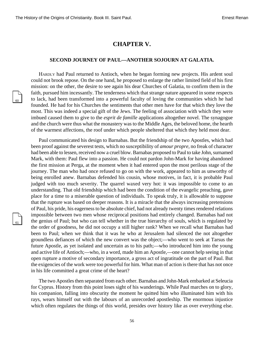## **CHAPTER V.**

#### **SECOND JOURNEY OF PAUL—ANOTHER SOJOURN AT GALATIA.**

HARDLY had Paul returned to Antioch, when he began forming new projects. His ardent soul could not brook repose. On the one hand, he proposed to enlarge the rather limited field of his first mission: on the other, the desire to see again his dear Churches of Galatia, to confirm them in the faith, pursued him incessantly. The tenderness which that strange nature appeared in some respects to lack, had been transformed into a powerful faculty of loving the communities which he had founded. He had for his Churches the sentiments that other men have for that which they love the most. This was indeed a special gift of the Jews. The feeling of association with which they were imbued caused them to give to the *esprit de famille* applications altogether novel. The synagogue and the church were thus what the monastery was to the Middle Ages, the beloved home, the hearth of the warmest affections, the roof under which people sheltered that which they held most dear.

Paul communicated his design to Barnabas. But the friendship of the two Apostles, which had been proof against the severest tests, which no susceptibility of *amour propre*, no freak of character had been able to lessen, received now a cruel blow. Barnabas proposed to Paul to take John, surnamed Mark, with them: Paul flew into a passion. He could not pardon John-Mark for having abandoned the first mission at Perga, at the moment when it had entered upon the most perilous stage of the journey. The man who had once refused to go on with the work, appeared to him as unworthy of being enrolled anew. Barnabas defended his cousin, whose motives, in fact, it is probable Paul judged with too much severity. The quarrel waxed very hot: it was impossible to come to an understanding. That old friendship which had been the condition of the evangelic preaching, gave place for a time to a miserable question of individuals. To speak truly, it is allowable to suppose that the rupture was based on deeper reasons. It is a miracle that the always increasing pretensions of Paul, his pride, his eagerness to be absolute chief, had not already twenty times rendered relations impossible between two men whose reciprocal positions had entirely changed. Barnabas had not the genius of Paul; but who can tell whether in the true hierarchy of souls, which is regulated by the order of goodness, he did not occupy a still higher rank? When we recall what Barnabas had been to Paul; when we think that it was he who at Jerusalem had silenced the not altogether groundless defiances of which the new convert was the object;—who went to seek at Tarsus the future Apostle, as yet isolated and uncertain as to his path;—who introduced him into the young and active life of Antioch;—who, in a word, made him an Apostle,—one cannot help seeing in that open rupture a motive of secondary importance, a gross act of ingratitude on the part of Paul. But the exigencies of the work were too powerful for him. What man of action is there that has not once in his life committed a great crime of the heart?

The two Apostles then separated from each other. Barnabas and John-Mark embarked at Seleucia for Cyprus. History from this point loses sight of his wanderings. While Paul marches on to glory, his companion, falling into obscurity the moment he quitted him who illuminated him with his rays, wears himself out with the labours of an unrecorded apostleship. The enormous injustice which often regulates the things of this world, presides over history like as over everything else.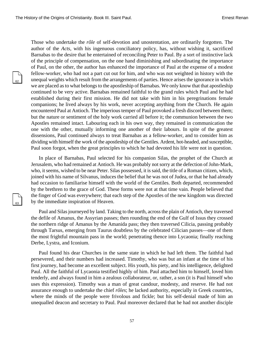Those who undertake the *rôle* of self-devotion and unostentation, are ordinarily forgotten. The author of the *Acts*, with his ingenuous conciliatory policy, has, without wishing it, sacrificed Barnabas to the desire that he entertained of reconciling Peter to Paul. By a sort of instinctive lack of the principle of compensation, on the one hand diminishing and subordinating the importance of Paul, on the other, the author has enhanced the importance of Paul at the expense of a modest fellow-worker, who had not a part cut out for him, and who was not weighted in history with the unequal weights which result from the arrangements of parties. Hence arises the ignorance in which we are placed as to what belongs to the apostleship of Barnabas. We only know that that apostleship continued to be very active. Barnabas remained faithful to the grand rules which Paul and he had established during their first mission. He did not take with him in his peregrinations female companions; he lived always by his work, never accepting anything from the Church. He again encountered Paul at Antioch. The imperious temper of Paul provoked a fresh discord between them; but the nature or sentiment of the holy work carried all before it; the communion between the two Apostles remained intact. Labouring each in his own way, they remained in communication the one with the other, mutually informing one another of their labours. In spite of the greatest dissensions, Paul continued always to treat Barnabas as a fellow-worker, and to consider him as dividing with himself the work of the apostleship of the Gentiles. Ardent, hot-headed, and susceptible, Paul soon forgot, when the great principles to which he had devoted his life were not in question.

In place of Barnabas, Paul selected for his companion Silas, the prophet of the Church at Jerusalem, who had remained at Antioch. He was probably not sorry at the defection of John-Mark, who, it seems, wished to be near Peter. Silas possessed, it is said, the title of a Roman citizen, which, joined with his name of Silvanus, induces the belief that he was not of Judea, or that he had already had occasion to familiarise himself with the world of the Gentiles. Both departed, recommended by the brethren to the grace of God. These forms were not at that time vain. People believed that the finger of God was everywhere; that each step of the Apostles of the new kingdom was directed by the immediate inspiration of Heaven.

Paul and Silas journeyed by land. Taking to the north, across the plain of Antioch, they traversed the defile of Amanus, the Assyrian passes; then rounding the end of the Gulf of Issus they crossed the northern ridge of Amanus by the Amanida pass; they then traversed Cilicia, passing probably through Tarsus, emerging from Taurus doubtless by the celebrated Cilician passes—one of them the most frightful mountain pass in the world; penetrating thence into Lycaonia; finally reaching Derbe, Lystra, and Iconium.

Paul found his dear Churches in the same state in which he had left them. The faithful had persevered, and their numbers had increased. Timothy, who was but an infant at the time of his first journey, had become an excellent subject. His youth, his piety, and his intelligence, delighted Paul. All the faithful of Lycaonia testified highly of him. Paul attached him to himself, loved him tenderly, and always found in him a zealous collaborateur, or, rather, a son (it is Paul himself who uses this expression). Timothy was a man of great candour, modesty, and reserve. He had not assurance enough to undertake the chief *rôles*; he lacked authority, especially in Greek countries, where the minds of the people were frivolous and fickle; but his self-denial made of him an unequalled deacon and secretary to Paul. Paul moreover declared that he had not another disciple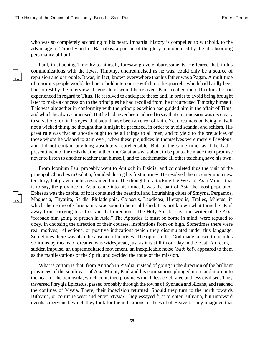65

who was so completely according to his heart. Impartial history is compelled to withhold, to the advantage of Timothy and of Barnabas, a portion of the glory monopolised by the all-absorbing personality of Paul.

Paul, in attaching Timothy to himself, foresaw grave embarrassments. He feared that, in his communications with the Jews, Timothy, uncircumcised as he was, could only be a source of repulsion and of trouble. It was, in fact, known everywhere that his father was a Pagan. A multitude of timorous people would decline to hold intercourse with him: the quarrels, which had hardly been laid to rest by the interview at Jerusalem, would be revived. Paul recalled the difficulties he had experienced in regard to Titus. He resolved to anticipate these; and, in order to avoid being brought later to make a concession to the principles he had recoiled from, he circumcised Timothy himself. This was altogether in conformity with the principles which had guided him in the affair of Titus, and which he always practised. But he had never been induced to say that circumcision was necessary to salvation; for, in his eyes, that would have been an error of faith. Yet circumcision being in itself not a wicked thing, he thought that it might be practised, in order to avoid scandal and schism. His great rule was that an apostle ought to be all things to all men, and to yield to the prejudices of those whom he wished to gain over, when these prejudices in themselves were merely frivolous, and did not contain anything absolutely reprehensible. But, at the same time, as if he had a presentiment of the tests that the faith of the Galatians was about to be put to, he made them promise never to listen to another teacher than himself, and to anathematise all other teaching save his own.

From Iconium Paul probably went to Antioch in Pisidia, and completed thus the visit of the principal Churches in Galatia, founded during his first journey. He resolved then to enter upon new territory; but grave doubts restrained him. The thought of attacking the West of Asia Minor, that is to say, the province of Asia, came into his mind. It was the part of Asia the most populated. Ephesus was the capital of it; it contained the beautiful and flourishing cities of Smyrna, Pergamos, Magnesia, Thyatira, Sardis, Philadelphia, Colossus, Laodicæa, Hierapolis, Tralles, Miletus, in which the centre of Christianity was soon to be established. It is not known what turned St Paul away from carrying his efforts in that direction. "The Holy Spirit," says the writer of the *Acts*, "forbade him going to preach in Asia." The Apostles, it must be borne in mind, were reputed to obey, in choosing the direction of their courses, inspirations from on high. Sometimes there were real motives, reflections, or positive indications which they dissimulated under this language. Sometimes there was also the absence of motives. The opinion that God made known to man his volitions by means of dreams, was widespread, just as it is still in our day in the East. A dream, a sudden impulse, an unpremeditated movement, an inexplicable noise (*bath kôl*), appeared to them as the manifestations of the Spirit, and decided the route of the mission.

What is certain is that, from Antioch in Pisidia, instead of going in the direction of the brilliant provinces of the south-east of Asia Minor, Paul and his companions plunged more and more into the heart of the peninsula, which contained provinces much less celebrated and less civilised. They traversed Phrygia Epictetus, passed probably through the towns of Synnada and Æzana, and reached the confines of Mysia. There, their indecision returned. Should they turn to the north towards Bithynia, or continue west and enter Mysia? They essayed first to enter Bithynia, but untoward events supervened, which they took for the indications of the will of Heaven. They imagined that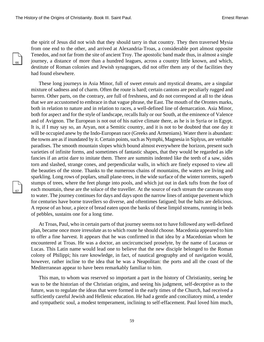the spirit of Jesus did not wish that they should tarry in that country. They then traversed Mysia from one end to the other, and arrived at Alexandria-Troas, a considerable port almost opposite Tenedos, and not far from the site of ancient Troy. The apostolic band made thus, in almost a single journey, a distance of more than a hundred leagues, across a country little known, and which, destitute of Roman colonies and Jewish synagogues, did not offer them any of the facilities they had found elsewhere.

These long journeys in Asia Minor, full of sweet *ennuis* and mystical dreams, are a singular mixture of sadness and of charm. Often the route is hard; certain cantons are peculiarly rugged and barren. Other parts, on the contrary, are full of freshness, and do not correspond at all to the ideas that we are accustomed to embrace in that vague phrase, the East. The mouth of the Orontes marks, both in relation to nature and in relation to races, a well-defined line of demarcation. Asia Minor, both for aspect and for the style of landscape, recalls Italy or our South, at the eminence of Valence and of Avignon. The European is not out of his native climate there, as he is in Syria or in Egypt. It is, if I may say so, an Aryan, not a Semitic country, and it is not to be doubted that one day it will be occupied anew by the Indo-European race (Greeks and Armenians). Water there is abundant: the towns are as if inundated by it. Certain points, such as Nymphi, Magnesia in Siplyus, are veritable paradises. The smooth mountain slopes which bound almost everywhere the horizon, present such varieties of infinite forms, and sometimes of fantastic shapes, that they would be regarded as idle fancies if an artist dare to imitate them. There are summits indented like the teeth of a saw, sides torn and slashed, strange cones, and perpendicular walls, in which are finely exposed to view all the beauties of the stone. Thanks to the numerous chains of mountains, the waters are living and sparkling. Long rows of poplars, small plane-trees, in the wide surface of the winter torrents, superb stumps of trees, where the feet plunge into pools, and which jut out in dark tufts from the foot of each mountain, these are the solace of the traveller. At the source of each stream the caravans stop to water. The journey continues for days and days upon the narrow lines of antique pavement which for centuries have borne travellers so diverse, and oftentimes fatigued; but the halts are delicious. A repose of an hour, a piece of bread eaten upon the banks of these limpid streams, running in beds of pebbles, sustains one for a long time.

At Troas, Paul, who in certain parts of that journey seems not to have followed any well-defined plan, became once more irresolute as to which route he should choose. Macedonia appeared to him to offer a fine harvest. It appears that he was confirmed in that idea by a Macedonian whom he encountered at Troas. He was a doctor, an uncircumcised proselyte, by the name of Lucanus or Lucas. This Latin name would lead one to believe that the new disciple belonged to the Roman colony of Philippi; his rare knowledge, in fact, of nautical geography and of navigation would, however, rather incline to the idea that he was a Neapolitan: the ports and all the coast of the Mediterranean appear to have been remarkably familiar to him.

This man, to whom was reserved so important a part in the history of Christianity, seeing he was to be the historian of the Christian origins, and seeing his judgment, self-deceptive as to the future, was to regulate the ideas that were formed in the early times of the Church, had received a sufficiently careful Jewish and Hellenic education. He had a gentle and conciliatory mind, a tender and sympathetic soul, a modest temperament, inclining to self-effacement. Paul loved him much,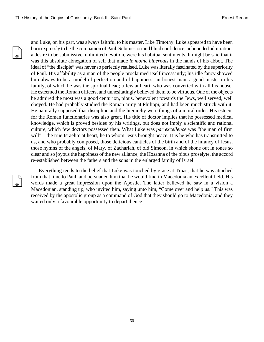69

and Luke, on his part, was always faithful to his master. Like Timothy, Luke appeared to have been born expressly to be the companion of Paul. Submission and blind confidence, unbounded admiration, a desire to be submissive, unlimited devotion, were his habitual sentiments. It might be said that it was this absolute abnegation of self that made *le moine hibernais* in the hands of his abbot. The ideal of "the disciple" was never so perfectly realised. Luke was literally fascinated by the superiority of Paul. His affability as a man of the people proclaimed itself incessantly; his idle fancy showed him always to be a model of perfection and of happiness; an honest man, a good master in his family, of which he was the spiritual head; a Jew at heart, who was converted with all his house. He esteemed the Roman officers, and unhesitatingly believed them to be virtuous. One of the objects he admired the most was a good centurion, pious, benevolent towards the Jews, well served, well obeyed. He had probably studied the Roman army at Philippi, and had been much struck with it. He naturally supposed that discipline and the hierarchy were things of a moral order. His esteem for the Roman functionaries was also great. His title of doctor implies that he possessed medical knowledge, which is proved besides by his writings, but does not imply a scientific and rational culture, which few doctors possessed then. What Luke was *par excellence* was "the man of firm will"—the true Israelite at heart, he to whom Jesus brought peace. It is he who has transmitted to us, and who probably composed, those delicious canticles of the birth and of the infancy of Jesus, those hymns of the angels, of Mary, of Zachariah, of old Simeon, in which shone out in tones so clear and so joyous the happiness of the new alliance, the Hosanna of the pious proselyte, the accord re-established between the fathers and the sons in the enlarged family of Israel.

Everything tends to the belief that Luke was touched by grace at Troas; that he was attached from that time to Paul, and persuaded him that he would find in Macedonia an excellent field. His words made a great impression upon the Apostle. The latter believed he saw in a vision a Macedonian, standing up, who invited him, saying unto him, "Come over and help us." This was received by the apostolic group as a command of God that they should go to Macedonia, and they waited only a favourable opportunity to depart thence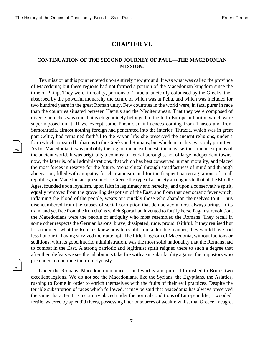# **CHAPTER VI.**

### **CONTINUATION OF Tl9E SECOND JOURNEY OF PAUL—THE MACEDONIAN MISSION.**

THE mission at this point entered upon entirely new ground. It was what was called the province of Macedonia; but these regions had not formed a portion of the Macedonian kingdom since the time of Philip. They were, in reality, portions of Thracia, anciently colonised by the Greeks, then absorbed by the powerful monarchy the centre of which was at Pella, and which was included for two hundred years in the great Roman unity. Few countries in the world were, in fact, purer in race than the countries situated between Hæmus and the Mediterranean. That they were composed of diverse branches was true, but each genuinely belonged to the Indo-European family, which were superimposed on it. If we except some Phœnician influences coming from Thasos and from Samothracia, almost nothing foreign had penetrated into the interior. Thracia, which was in great part Celtic, had remained faithful to the Aryan life: she preserved the ancient religions, under a form which appeared barbarous to the Greeks and Romans, but which, in reality, was only primitive. As for Macedonia, it was probably the region the most honest, the most serious, the most pious of the ancient world. It was originally a country of feudal boroughs, not of large independent towns; now, the latter is, of all administrations, that which has best conserved human morality, and placed the most forces in reserve for the future. Monarchical through steadfastness of mind and through abnegation, filled with antipathy for charlatanism, and for the frequent barren agitations of small republics, the Macedonians presented to Greece the type of a society analogous to that of the Middle Ages, founded upon loyalism, upon faith in legitimacy and heredity, and upon a conservative spirit, equally removed from the grovelling despotism of the East, and from that democratic fever which, inflaming the blood of the people, wears out quickly those who abandon themselves to it. Thus disencumbered from the causes of social corruption that democracy almost always brings in its train, and yet free from the iron chains which Sparta had invented to fortify herself against revolution, the Macedonians were the people of antiquity who most resembled the Romans. They recall in some other respects the German barons, brave, dissipated, rude, proud, faithful. If they realised but for a moment what the Romans knew how to establish in a durable manner, they would have had less honour in having survived their attempt. The little kingdom of Macedonia, without factions or seditions, with its good interior administration, was the most solid nationality that the Romans had to combat in the East. A strong patriotic and legitimist spirit reigned there to such a degree that after their defeats we see the inhabitants take fire with a singular facility against the impostors who pretended to continue their old dynasty.



70

Under the Romans, Macedonia remained a land worthy and pure. It furnished to Brutus two excellent legions. We do not see the Macedonians, like the Syrians, the Egyptians, the Asiatics, rushing to Rome in order to enrich themselves with the fruits of their evil practices. Despite the terrible substitution of races which followed, it may be said that Macedonia has always preserved the same character. It is a country placed under the normal conditions of European life,—wooded, fertile, watered by splendid rivers, possessing interior sources of wealth; whilst that Greece, meagre,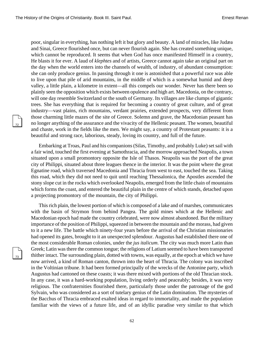73

poor, singular in everything, has nothing left it but glory and beauty. A land of miracles, like Judæa and Sinai, Greece flourished once, but can never flourish again. She has created something unique, which cannot be reproduced. It seems that when God has once manifested Himself in a country, He blasts it for ever. A laud of *klephtes* and of artists, Greece cannot again take an original part on the day when the world enters into the channels of wealth, of industry, of abundant consumption: she can only produce genius. In passing through it one is astonished that a powerful race was able to live upon that pile of arid mountains, in the middle of which is a somewhat humid and deep valley, a little plain, a kilometre in extent—all this compels our wonder. Never has there been so plainly seen the opposition which exists between opulence and high art. Macedonia, on the contrary, will one day resemble Switzerland or the south of Germany. Its villages are like clumps of gigantic trees. She has everything that is required for becoming a country of great culture, and of great industry—vast plains, rich mountains, verdant prairies, extended prospects, very different from those charming little mazes of the site of Greece. Solemn and grave, the Macedonian peasant has no longer anything of the assurance and the vivacity of the Hellenic peasant. The women, beautiful and chaste, work in the fields like the men. We might say, a country of Protestant peasants: it is a beautiful and strong race, laborious, steady, loving its country, and full of the future.

Embarking at Troas, Paul and his companions (Silas, Timothy, and probably Luke) set sail with a fair wind, touched the first evening at Samothracia, and the morrow approached Neapolis, a town situated upon a small promontory opposite the Isle of Thasos. Neapolis was the port of the great city of Philippi, situated about three leagues thence in the interior. It was the point where the great Egnatine road, which traversed Macedonia and Thracia from west to east, touched the sea. Taking this road, which they did not need to quit until reaching Thessalonica, the Apostles ascended the stony slope cut in the rocks which overlooked Neapolis, emerged from the little chain of mountains which forms the coast, and entered the beautiful plain in the centre of which stands, detached upon a projecting promontory of the mountain, the city of Philippi.

This rich plain, the lowest portion of which is composed of a lake and of marshes, communicates with the basin of Strymon from behind Pangea. The gold mines which at the Hellenic and Macedonian epoch had made the country celebrated, were now almost abandoned. But the military importance of the position of Philippi, squeezed in between the mountain and the morass, had given to it a new life. The battle which ninety-four years before the arrival of the Christian missionaries had opened its gates, brought to it an unexpected splendour. Augustus had established there one of the most considerable Roman colonies, under the *jus italicum*. The city was much more Latin than Greek; Latin was there the common tongue; the religions of Latium seemed to have been transported thither intact. The surrounding plain, dotted with towns, was equally, at the epoch at which we have now arrived, a kind of Roman canton, thrown into the heart of Thracia. The colony was inscribed in the Voltinian tribune. It had been formed principally of the wrecks of the Antonine party, which Augustus had cantoned on these coasts; it was there mixed with portions of the old Thracian stock. In any case, it was a hard-working population, living orderly and peaceably; besides, it was very religious. The confraternities flourished there, particularly those under the patronage of the god Sylvain, who was considered as a sort of tutelary genius of the Latin domination. The mysteries of the Bacchus of Thracia embraced exalted ideas in regard to immortality, and made the population familiar with the views of a future life, and of an idyllic paradise very similar to that which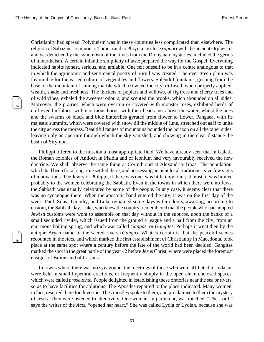Christianity had spread. Polytheism was in these countries less complicated than elsewhere. The religion of Sabazius, common to Thracia and to Phrygia, in close *rapport* with the ancient Orpheism, and yet detached by the syncretism of the times from the Dionysian mysteries, included the germs of monotheism. A certain infantile simplicity of taste prepared the way for the Gospel. Everything indicated habits honest, serious, and amiable. One felt oneself to be in a centre analogous to that in which the agronomic and sentimental poetry of Virgil was created. The ever green plain was favourable for the varied culture of vegetables and flowers. Splendid fountains, gushing from the base of the mountain of shining marble which crowned the city, diffused, when properly applied, wealth, shade and freshness. The thickets of poplars and willows, of fig trees and cherry trees and of wild vines, exhaled the sweetest odours, and scented the brooks, which abounded on all sides. Moreover, the prairies, which were overrun or covered with monster roses, exhibited herds of dull-eyed buffaloes, with enormous horns, with their heads just above the water; whilst the bees and the swarms of black and blue butterflies gyrated from flower to flower. Pangaea, with its majestic summits, which were covered with snow till the middle of June, stretched out as if to unite the city across the morass. Beautiful ranges of mountains bounded the horizon on all the other sides, leaving only an aperture through which the sky vanished, and showing in the clear distance the basin of Strymon.

Philippi offered to the mission a most appropriate field. We have already seen that in Galatia the Roman colonies of Antioch in Pisidia and of Iconium had very favourably received the new doctrine. We shall observe the same thing at Corinth and at Alexandria-Troas. The population, which had been for a long time settled there, and possessing ancient local traditions, gave few signs of innovations. The Jewry of Philippi, if there was one, was little important; at most, it was limited probably to the women celebrating the Sabbath. Even in the towns in which there were no Jews, the Sabbath was usually celebrated by some of the people. In any case, it seems clear that there was no synagogue there. When the apostolic band entered the city, it was on the first day of the week. Paul, Silas, Timothy, and Luke remained some days within doors, awaiting, according to custom, the Sabbath day. Luke, who knew the country, remembered that the people who had adopted Jewish customs were wont to assemble on that day without in the suburbs, upon the banks of a small secluded rivulet, which issued from the ground a league and a half from the city, from an enormous boiling spring, and which was called *Gangas* or *Gangites*. Perhaps it went then by the antique Aryan name of the sacred rivers (*Ganga*). What is certain is that the peaceful scenes recounted in the *Acts*, and which marked the first establishment of Christianity in Macedonia, took place at the same spot where a century before the fate of the world had been decided. Gangites marked the spot in the great battle of the year 42 before Jesus Christ, where were placed the foremost ensigns of Brutus and of Cassius.

In towns where there was no synagogue, the meetings of those who were affiliated to Judaism were held in small hypethral erections, or frequently simply in the open air in enclosed spaces, which were called *proseuchæ*. People delighted in establishing these oratories near the sea or rivers, so as to have facilities for ablutions. The Apostles repaired to the place indicated. Many women, in fact, resorted there for devotion. The Apostles spoke to them, and proclaimed to them the mystery of Jesus. They were listened to attentively. One woman, in particular, was touched. "The Lord," says the writer of the *Acts*, "opened her heart." She was called Lydia or Lydian, because she was

63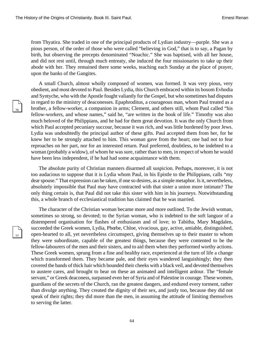from Thyatira. She traded in one of the principal products of Lydian industry—purple. She was a pious person, of the order of those who were called "believing in God," that is to say, a Pagan by birth, but observing the precepts denominated "Noachic." She was baptised, with all her house, and did not rest until, through much entreaty, she induced the four missionaries to take up their abode with her. They remained there some weeks, teaching each Sunday at the place of prayer, upon the banks of the Gangites.

A small Church, almost wholly composed of women, was formed. It was very pious, very obedient, and most devoted to Paul. Besides Lydia, this Church embraced within its bosom Evhodia and Syntyche, who with the Apostle fought valiantly for the Gospel, but who sometimes had disputes in regard to the ministry of deaconesses. Epaphroditus, a courageous man, whom Paul treated as a brother, a fellow-worker, a companion in arms; Clement, and others still, whom Paul called "his fellow-workers, and whose names," said he, "are written in the book of life." Timothy was also much beloved of the Philippians, and he had for them great devotion. It was the only Church from which Paul accepted pecuniary succour, because it was rich, and was little burdened by poor Jews. Lydia was undoubtedly the principal author of these gifts. Paul accepted them from her, for he knew her to be strongly attached to him. This woman gave from the heart; one had not to fear reproaches on her part, nor for an interested return. Paul preferred, doubtless, to be indebted to a woman (probably a widow), of whom he was sure, rather than to men, in respect of whom he would have been less independent, if he had had some acquaintance with them.

The absolute purity of Christian manners disarmed all suspicion. Perhaps, moreover, it is not too audacious to suppose that it is Lydia whom Paul, in his Epistle to the Philippians, calls "my dear spouse." That expression can be taken, if one so desires, as a simple metaphor. Is it, nevertheless, absolutely impossible that Paul may have contracted with that sister a union more intimate? The only thing certain is, that Paul did not take this sister with him in his journeys. Notwithstanding this, a whole branch of ecclesiastical tradition has claimed that he was married.

The character of the Christian woman became more and more outlined. To the Jewish woman, sometimes so strong, so devoted; to the Syrian woman, who is indebted to the soft languor of a distempered organisation for flashes of enthusiasm and of love; to Tabitha, Mary Magdalen, succeeded the Greek women, Lydia, Phœbe, Chloe, vivacious, gay, active, amiable, distinguished, open-hearted to all, yet nevertheless circumspect, giving themselves up to their master to whom they were subordinate, capable of the greatest things, because they were contented to be the fellow-labourers of the men and their sisters, and to aid them when they performed worthy actions. These Greek women, sprung from a fine and healthy race, experienced at the turn of life a change which transformed them. They became pale, and their eyes wandered languishingly; they then covered the bands of thick hair which bounded their cheeks with a black veil, and devoted themselves to austere cares, and brought to bear on these an animated and intelligent ardour. The "female servant," or Greek deaconess, surpassed even her of Syria and of Palestine in courage. These women, guardians of the secrets of the Church, ran the greatest dangers, and endured every torment, rather than divulge anything. They created the dignity of their sex, and justly too, because they did not speak of their rights; they did more than the men, in assuming the attitude of limiting themselves to serving the latter.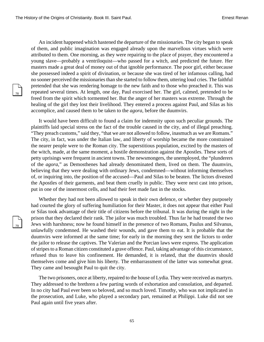79

An incident happened which hastened the departure of the missionaries. The city began to speak of them, and public imagination was engaged already upon the marvellous virtues which were attributed to them. One morning, as they were repairing to the place of prayer, they encountered a young slave—probably a ventriloquist—who passed for a witch, and predicted the future. Her masters made a great deal of money out of that ignoble performance. The poor girl, either because she possessed indeed a spirit of divination, or because she was tired of her infamous calling, had no sooner perceived the missionaries than she started to follow them, uttering loud cries. The faithful pretended that she was rendering homage to the new faith and to those who preached it. This was repeated several times. At length, one day, Paul exorcised her. The girl, calmed, pretended to be freed from the spirit which tormented her. But the anger of her masters was extreme. Through the healing of the girl they lost their livelihood. They entered a process against Paul, and Silas as his accomplice, and caused them to be taken to the *agora*, before the duumvirs.

It would have been difficult to found a claim for indemnity upon such peculiar grounds. The plaintiffs laid special stress on the fact of the trouble caused in the city, and of illegal preaching. "They preach customs," said they, "that we are not allowed to follow, inasmuch as we are Romans." The city, in fact, was under the Italian law, and liberty of worship became the more constrained the nearer people were to the Roman city. The superstitious population, excited by the masters of the witch, made, at the same moment, a hostile demonstration against the Apostles. These sorts of petty uprisings were frequent in ancient towns. The newsmongers, the unemployed, the "plunderers of the *agora*," as Demosthenes had already denominated them, lived on them. The duumvirs, believing that they were dealing with ordinary Jews, condemned—without informing themselves of, or inquiring into, the position of the accused—Paul and Silas to be beaten. The lictors divested the Apostles of their garments, and beat them cruelly in public. They were next cast into prison, put in one of the innermost cells, and had their feet made fast in the stocks.

Whether they had not been allowed to speak in their own defence, or whether they purposely had courted the glory of suffering humiliation for their Master, it does not appear that either Paul or Silas took advantage of their title of citizens before the tribunal. It was during the night in the prison that they declared their rank. The jailor was much troubled. Thus far he had treated the two Jews with harshness; now he found himself in the presence of two Romans, Paulus and Silvanus, unlawfully condemned. He washed their wounds, and gave them to eat. It is probable that the duumvirs were informed at the same time; for early in the morning they sent the lictors to order the jailor to release the captives. The Valerian and the Porcian laws were express. The application of stripes to a Roman citizen constituted a grave offence. Paul, taking advantage of this circumstance, refused thus to leave his confinement. He demanded, it is related, that the duumvirs should themselves come and give him his liberty. The embarrassment of the latter was somewhat great. They came and besought Paul to quit the city.

The two prisoners, once at liberty, repaired to the house of Lydia. They were received as martyrs. They addressed to the brethren a few parting words of exhortation and consolation, and departed. In no city had Paul ever been so beloved, and so much loved. Timothy, who was not implicated in the prosecution, and Luke, who played a secondary part, remained at Philippi. Luke did not see Paul again until five years after.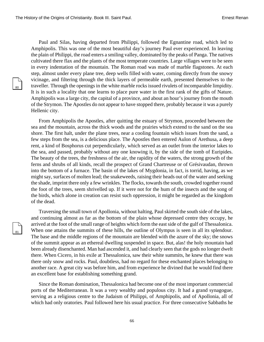81

Paul and Silas, having departed from Philippi, followed the Egnantine road, which led to Amphipolis. This was one of the most beautiful day's journey Paul ever experienced. In leaving the plain of Philippi, the road enters a smiling valley, dominated by the peaks of Panga. The natives cultivated there flax and the plants of the most temperate countries. Large villages were to be seen in every indentation of the mountain. The Roman road was made of marble flagstones. At each step, almost under every plane tree, deep wells filled with water, coming directly from the snowy vicinage, and filtering through the thick layers of permeable earth, presented themselves to the traveller. Through the openings in the white marble rocks issued rivulets of incomparable limpidity. It is in such a locality that one learns to place pure water in the first rank of the gifts of Nature. Amphipolis was a large city, the capital of a province, and about an hour's journey from the mouth of the Strymon. The Apostles do not appear to have stopped there, probably because it was a purely Hellenic city.

From Amphipolis the Apostles, after quitting the estuary of Strymon, proceeded between the sea and the mountain, across the thick woods and the prairies which extend to the sand on the sea shore. The first halt, under the plane trees, near a cooling fountain which issues from the sand, a few steps from the sea, is a delicious place. The Apostles then entered Aulon of Arethusa, a deep rent, a kind of Bosphorus cut perpendicularly, which served as an outlet from the interior lakes to the sea, and passed, probably without any one knowing it, by the side of the tomb of Euripides. The beauty of the trees, the freshness of the air, the rapidity of the waters, the strong growth of the ferns and shrubs of all kinds, recall the prospect of Grand Chartreuse or of Grésivaudan, thrown into the bottom of a furnace. The basin of the lakes of Mygdonia, in fact, is torrid, having, as we might say, surfaces of molten lead; the snakeweeds, raising their heads out of the water and seeking the shade, imprint there only a few wrinkles. The flocks, towards the south, crowded together round the foot of the trees, seem shrivelled up. If it were not for the hum of the insects and the song of the birds, which alone in creation can resist such oppression, it might be regarded as the kingdom of the dead.

Traversing the small town of Apollonia, without halting, Paul skirted the south side of the lakes, and continuing almost as far as the bottom of the plain whose depressed centre they occupy, he arrived at the foot of the small range of heights which form the east side of the gulf of Thessalonica. When one attains the summits of these hills, the outline of Olympus is seen in all its splendour. The base and the middle regions of the mountain are blended with the azure of the sky; the snows of the summit appear as an ethereal dwelling suspended in space. But, alas! the holy mountain had been already disenchanted. Man had ascended it, and had clearly seen that the gods no longer dwelt there. When Cicero, in his exile at Thessalonica, saw their white summits, he knew that there was there only snow and rocks. Paul, doubtless, had no regard for these enchanted places belonging to another race. A great city was before him, and from experience he divined that he would find there an excellent base for establishing something grand.

Since the Roman domination, Thessalonica had become one of the most important commercial ports of the Mediterranean. It was a very wealthy and populous city. It had a grand synagogue, serving as a religious centre to the Judaism of Philippi, of Amphipolis, and of Apollonia, all of which had only oratories. Paul followed here his usual practice. For three consecutive Sabbaths he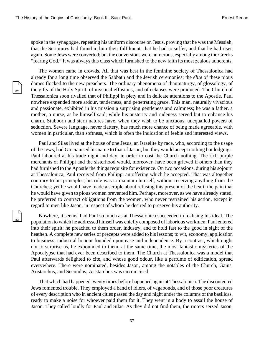spoke in the synagogue, repeating his uniform discourse on Jesus, proving that he was the Messiah, that the Scriptures had found in him their fulfilment, that he had to suffer, and that he had risen again. Some Jews were converted; but the conversions were numerous, especially among the Greeks "fearing God." It was always this class which furnished to the new faith its most zealous adherents.

The women came in crowds. All that was best in the feminine society of Thessalonica had already for a long time observed the Sabbath and the Jewish ceremonies; the *élite* of these pious dames flocked to the new preachers. The ordinary phenomena of thaumaturgy, of glossology, of the gifts of the Holy Spirit, of mystical effusions, and of ecktases were produced. The Church of Thessalonica soon rivalled that of Philippi in piety and in delicate attentions to the Apostle. Paul nowhere expended more ardour, tenderness, and penetrating grace. This man, naturally vivacious and passionate, exhibited in his mission a surprising gentleness and calmness; he was a father, a mother, a nurse, as he himself said; while his austerity and rudeness served but to enhance his charm. Stubborn and stern natures have, when they wish to be unctuous, unequalled powers of seduction. Severe language, never flattery, has much more chance of being made agreeable, with women in particular, than softness, which is often the indication of feeble and interested views.

Paul and Silas lived at the house of one Jesus, an Israelite by race, who, according to the usage of the Jews, had Grecianised his name to that of Jason; but they would accept nothing but lodgings. Paul laboured at his trade night and day, in order to cost the Church nothing. The rich purple merchants of Philippi and the sisterhood would, moreover, have been grieved if others than they had furnished to the Apostle the things requisite for existence. On two occasions, during his sojourn at Thessalonica, Paul received from Philippi an offering which he accepted. That was altogether contrary to his principles; his rule was to maintain himself, without receiving anything from the Churches; yet he would have made a scruple about refusing this present of the heart: the pain that he would have given to pious women prevented him. Perhaps, moreover, as we have already stated, he preferred to contract obligations from the women, who never restrained his action, except in regard to men like Jason, in respect of whom he desired to preserve his authority.

Nowhere, it seems, had Paul so much as at Thessalonica succeeded in realising his ideal. The population to which he addressed himself was chiefly composed of laborious workmen; Paul entered into their spirit: he preached to them order, industry, and to hold fast to the good in sight of the heathen. A complete new series of precepts were added to his lessons; to wit, economy, application to business, industrial honour founded upon ease and independence. By a contrast, which ought not to surprise us, he expounded to them, at the same time, the most fantastic mysteries of the Apocalypse that had ever been described to them. The Church at Thessalonica was a model that Paul afterwards delighted to cite, and whose good odour, like a perfume of edification, spread everywhere. There were nominated, besides Jason, among the notables of the Church, Gaius, Aristarchus, and Secundus; Aristarchus was circumcised.

That which had happened twenty times before happened again at Thessalonica. The discontented Jews fomented trouble. They employed a band of idlers, of vagabonds, and of those poor creatures of every description who in ancient cities passed the day and night under the columns of the basilicas, ready to make a noise for whoever paid them for it. They went in a body to assail the house of Jason. They called loudly for Paul and Silas. As they did not find them, the rioters seized Jason,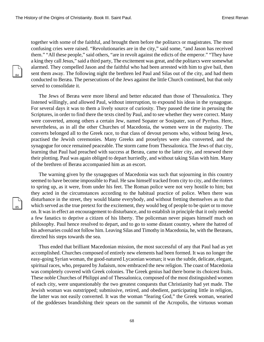together with some of the faithful, and brought them before the politarcs or magistrates. The most confusing cries were raised. "Revolutionaries are in the city," said some, "and Jason has received them." "All these people," said others, "are in revolt against the edicts of the emperor." "They have a king they call Jesus," said a third party, The excitement was great, and the politarcs were somewhat alarmed. They compelled Jason and the faithful who had been arrested with him to give bail, then sent them away. The following night the brethren led Paul and Silas out of the city, and had them conducted to Beræa. The persecutions of the Jews against the little Church continued, but that only served to consolidate it.

The Jews of Beræa were more liberal and better educated than those of Thessalonica. They listened willingly, and allowed Paul, without interruption, to expound his ideas in the synagogue. For several days it was to them a lively source of curiosity. They passed the time in perusing the Scriptures, in order to find there the texts cited by Paul, and to see whether they were correct. Many were converted, among others a certain Jew, named Sopater or Sosipater, son of Pyrrhus. Here, nevertheless, as in all the other Churches of Macedonia, the women were in the majority. The converts belonged all to the Greek race, to that class of devout persons who, without being Jews, practised the Jewish ceremonies. Many Greeks and proselytes were also converted, and the synagogue for once remained peaceable. The storm came from Thessalonica. The Jews of that city, learning that Paul had preached with success at Beræa, came to the latter city, and renewed there their plotting. Paul was again obliged to depart hurriedly, and without taking Silas with him. Many of the brethren of Beræa accompanied him as an escort.

The warning given by the synagogues of Macedonia was such that sojourning in this country seemed to have become impossible to Paul. He saw himself tracked from city to city, and the rioters to spring up, as it were, from under his feet. The Roman police were not very hostile to him; but they acted in the circumstances according to the habitual practice of police. When there was disturbance in the street, they would blame everybody, and without fretting themselves as to that which served as the true pretext for the excitement, they would beg of people to be quiet or to move on. It was in effect an encouragement to disturbance, and to establish in principle that it only needed a few fanatics to deprive a citizen of his liberty. The policeman never piques himself much on philosophy. Paul hence resolved to depart, and to go to some distant country, where the hatred of his adversaries could not follow him. Leaving Silas and Timothy in Macedonia, he, with the Beræans, directed his steps towards the sea.

Thus ended that brilliant Macedonian mission, the most successful of any that Paul had as yet accomplished. Churches composed of entirely new elements had been formed. It was no longer the easy-going Syrian woman, the good-natured Lycaonian woman; it was the subtle, delicate, elegant, spiritual races, who, prepared by Judaism, now embraced the new religion. The coast of Macedonia was completely covered with Greek colonies. The Greek genius had there borne its choicest fruits. These noble Churches of Philippi and of Thessalonica, composed of the most distinguished women of each city, were unquestionably the two greatest conquests that Christianity had yet made. The Jewish woman was outstripped; submissive, retired, and obedient, participating little in religion, the latter was not easily converted. It was the woman "fearing God," the Greek woman, wearied of the goddesses brandishing their spears on the summit of the Acropolis, the virtuous woman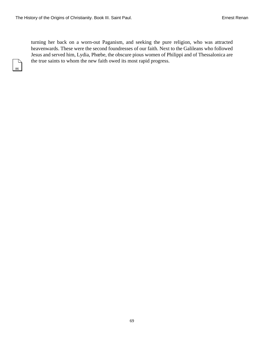turning her back on a worn-out Paganism, and seeking the pure religion, who was attracted heavenwards. These were the second foundresses of our faith. Next to the Galileans who followed Jesus and served him, Lydia, Phœbe, the obscure pious women of Philippi and of Thessalonica are the true saints to whom the new faith owed its most rapid progress.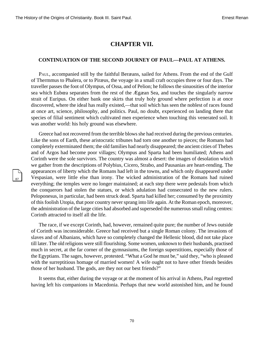## **CHAPTER VII.**

### **CONTINUATION OF THE SECOND JOURNEY OF PAUL—PAUL AT ATHENS.**

PAUL, accompanied still by the faithful Beræans, sailed for Athens. From the end of the Gulf of Thermmus to Phalera, or to Piræus, the voyage in a small craft occupies three or four days. The traveller passes the foot of Olympus, of Ossa, and of Pelion; he follows the sinuosities of the interior sea which Eubœa separates from the rest of the Ægæan Sea, and touches the singularly narrow strait of Euripus. On either bank one skirts that truly holy ground where perfection is at once discovered, where the ideal has really existed,—that soil which has seen the noblest of races found at once art, science, philosophy, and politics. Paul, no doubt, experienced on landing there that species of filial sentiment which cultivated men experience when touching this venerated soil. It was another world: his holy ground was elsewhere.

Greece had not recovered from the terrible blows she had received during the previous centuries. Like the sons of Earth, these aristocratic tribunes had torn one another to pieces; the Romans had completely exterminated them; the old families had nearly disappeared; the ancient cities of Thebes and of Argos had become poor villages; Olympus and Sparta had been humiliated; Athens and Corinth were the sole survivors. The country was almost a desert: the images of desolation which we gather from the descriptions of Polybius, Cicero, Strabo, and Pausanias are heart-rending. The appearances of liberty which the Romans had left in the towns, and which only disappeared under Vespasian, were little else than irony. The wicked administration of the Romans had ruined everything; the temples were no longer maintained; at each step there were pedestals from which the conquerors had stolen the statues, or which adulation had consecrated to the new rulers. Peloponesus, in particular, had been struck dead. Sparta had killed her; consumed by the proximity of this foolish Utopia, that poor country never sprang into life again. At the Roman epoch, moreover, the administration of the large cities had absorbed and superseded the numerous small ruling centres: Corinth attracted to itself all the life.

The race, if we except Corinth, had, however, remained quite pure; the number of Jews outside of Corinth was inconsiderable. Greece had received but a single Roman colony. The invasions of slaves and of Albanians, which have so completely changed the Hellenic blood, did not take place till later. The old religions were still flourishing. Some women, unknown to their husbands, practised much in secret, at the far corner of the gymnasiums, the foreign superstitions, especially those of the Egyptians. The sages, however, protested. "What a God he must be," said they, "who is pleased with the surreptitious homage of married women! A wife ought not to have other friends besides those of her husband. The gods, are they not our best friends?"

It seems that, either during the voyage or at the moment of his arrival in Athens, Paul regretted having left his companions in Macedonia. Perhaps that new world astonished him, and he found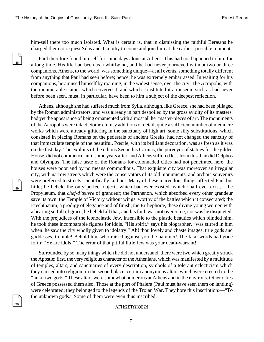him-self there too much isolated. What is certain is, that in dismissing the faithful Beræans he charged them to request Silas and Timothy to come and join him at the earliest possible moment.

Paul therefore found himself for some days alone at Athens. This had not happened to him for a long time. His life had been as a whirlwind, and he had never journeyed without two or three companions. Athens, to the world, was something unique—at all events, something totally different from anything that Paul had seen before; hence, he was extremely embarrassed. In waiting for his companions, he amused himself by roaming, in the widest sense, over the city. The Acropolis, with the innumerable statues which covered it, and which constituted it a museum such as had never before been seen, must, in particular, have been to him a subject of the deepest reflection.

Athens, although she had suffered much from Sylla, although, like Greece, she had been pillaged by the Roman administrators, and was already in part despoiled by the gross avidity of its masters, had yet the appearance of being ornamented with almost all her master-pieces of art. The monuments of the Acropolis were intact. Some clumsy additions of detail, quite a sufficient number of mediocre works which were already glittering in the sanctuary of high art, some silly substitutions, which consisted in placing Romans on the pedestals of ancient Greeks, had not changed the sanctity of that immaculate temple of the beautiful. Pœcile, with its brilliant decoration, was as fresh as it was on the fast day. The exploits of the odious Secundus Carinas, the purveyor of statues for the gilded House, did not commence until some years after, and Athens suffered less from this than did Delphos and Olympus. The false taste of the Romans for colonnaded cities had not penetrated here; the houses were poor and by no means commodious. That exquisite city was moreover an irregular city, with narrow streets which were the conservators of its old monuments, and archaic souvenirs were preferred to streets scientifically laid out. Many of these marvellous things affected Paul but little; he beheld the only perfect objects which had ever existed, which shall ever exist,—the Propylæum, that *chef-d'œuvre* of grandeur; the Parthenon, which absorbed every other grandeur save its own; the Temple of Victory without wings, worthy of the battles which it consecrated; the Erechthæum, a prodigy of elegance and of finish; the Errhephoræ, these divine young women with a bearing so full of grace; he beheld all that, and his faith was not overcome, nor was he disquieted. With the prejudices of the iconoclastic Jew, insensible to the plastic beauties which blinded him, he took these incomparable figures for idols. "His spirit," says his biographer, "was stirred in him when. he saw the city wholly given to idolatry." Ah! thou lovely and chaste images, true gods and goddesses, tremble! Behold him who raised against you the hammer! The fatal words had gone forth: "Ye are idols!" The error of that pitiful little Jew was your death-warrant!

Surrounded by so many things which he did not understand, there were two which greatly struck the Apostle: first, the very religious character of the Athenians, which was manifested by a multitude of temples, altars, and sanctuaries of every description, symbols of a tolerant eclecticism which they carried into religion; in the second place, certain anonymous altars which were erected to the "unknown gods." These altars were somewhat numerous at Athens and in the environs. Other cities of Greece possessed them also. Those at the port of Phalera (Paul must have seen them on landing) were celebrated; they belonged to the legends of the Trojan War. They bore this inscription:—"To the unknown gods." Some of them were even thus inscribed:—

### ΑΓΗΩΣΤΩΙΘΕΩΙ

71

89

90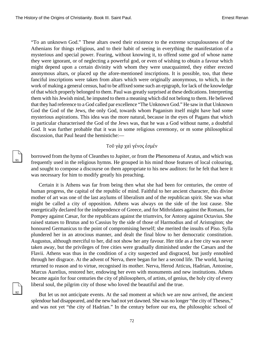"To an unknown God." These altars owed their existence to the extreme scrupulousness of the Athenians for things religious, and to their habit of seeing in everything the manifestation of a mysterious and special power. Fearing, without knowing it, to offend some god of whose name they were ignorant, or of neglecting a powerful god, or even of wishing to obtain a favour which might depend upon a certain divinity with whom they were unacquainted, they either erected anonymous altars, or placed up the afore-mentioned inscriptions. It is possible, too, that these fanciful inscriptions were taken from altars which were originally anonymous, to which, in the work of making a general census, had to be affixed some such an epigraph, for lack of the knowledge of that which properly belonged to them. Paul was greatly surprised at these dedications. Interpreting them with his Jewish mind, he imputed to them a meaning which did not belong to them. He believed that they had reference to a God called par excellence "The Unknown God." He saw in that Unknown God the God of the Jews, the only God, towards whom Paganism itself might have had some mysterious aspirations. This idea was the more natural, because in the eyes of Pagans that which in particular characterised the God of the Jews was, that he was a God without name, a doubtful God. It was further probable that it was in some religious ceremony, or m some philosophical discussion, that Paul heard the hemistiche:—

## Τοῦ γὰρ χαὶ γένος ἐσμέν

borrowed from the hymn of Cleanthes to Jupiter, or from the Phenomena of Aratus, and which was frequently used in the religious hymns. He grouped in his mind those features of local colouring, and sought to compose a discourse on them appropriate to his new auditors: for he felt that here it was necessary for him to modify greatly his preaching.

Certain it is Athens was far from being then what she had been for centuries, the centre of human progress, the capital of the republic of mind. Faithful to her ancient character, this divine mother of art was one of the last asylums of liberalism and of the republican spirit. She was what might be called a city of opposition. Athens was always on the side of the lost cause. She energetically declared for the independence of Greece, and for Mithridates against the Romans, for Pompey against Cæsar, for the republicans against the triumvirs, for Antony against Octavius. She raised statues to Brutus and to Cassius by the side of those of Harmodius and of Aristogiton; she honoured Germanicus to the point of compromising herself; she merited the insults of Piso. Sylla plundered her in an atrocious manner, and dealt the final blow to her democratic constitution. Augustus, although merciful to her, did not show her any favour. Her title as a free city was never taken away, but the privileges of free cities were gradually diminished under the Cæsars and the Flavii. Athens was thus in the condition of a city suspected and disgraced, but justly ennobled through her disgrace. At the advent of Nerva, there began for her a second life. The world, having returned to reason and to virtue, recognised its mother. Nerva, Herod Atticus, Hadrian, Antonine, Marcus Aurelius, restored her, endowing her even with monuments and new institutions. Athens became again for four centuries the city of philosophers, of artists, of genius, the holy city of every liberal soul, the pilgrim city of those who loved the beautiful and the true.



91

But let us not anticipate events. At the sad moment at which we are now arrived, the ancient splendour had disappeared, and the new had not yet dawned. She was no longer "the city of Theseus," and was not yet "the city of Hadrian." In the century before our era, the philosophic school of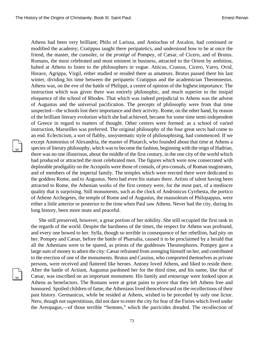94

Athens had been very brilliant; Philo of Larissa, and Antiochus of Ascalon, had continued or modified the academy; Cratippus taught there peripatetics, and understood how to be at once the friend, the master, the consoler, or the *protégé* of Pompey, of Cæsar, of Cicero, and of Brutus. Romans, the most celebrated and most eminent in business, attracted to the Orient by ambition, halted at Athens to listen to the philosophers in vogue. Atticus, Crassus, Cicero, Varro, Ovid, Horace, Agrippa, Virgil, either studied or resided there as amateurs. Brutus passed there his last winter, dividing his time between the peripatetic Cratippus and the academician Theomnestus. Athens was, on the eve of the battle of Philippi, a centre of opinion of the highest importance. The instruction which was given there was entirely philosophic, and much superior to the insipid eloquence of the school of Rhodes. That which was indeed prejudicial to Athens was the advent of Augustus and the universal pacification. The precepts of philosophy were from that time suspected—the schools lost their importance and their activity. Rome, on the other hand, by reason of the brilliant literary evolution which she had achieved, became for some time semi-independent of Greece in regard to matters of thought. Other centres were formed: as a school of varied instruction, Marseilles was preferred. The original philosophy of the four great sects had come to an end. Eclecticism, a sort of flabby, unsystematic style of philosophising, had commenced. If we except Ammonius of Alexandria, the master of Plutarch, who founded about that time at Athens a species of literary philosophy, which was to become the fashion, beginning with the reign of Hadrian, there was no one illustrious, about the middle of the first century, in the one city of the world which had produced or attracted the most celebrated men. The figures which were now consecrated with deplorable prodigality on the Acropolis were those of consuls, of pro-consuls, of Roman magistrates, and of members of the imperial family. The temples which were erected there were dedicated to the goddess Rome, and to Augustus. Nero had even his statues there. Artists of talent having been attracted to Rome, the Athenian works of the first century were, for the most part, of a mediocre quality that is surprising. Still monuments, such as the clock of Andronicus Cyrrhesta, the portico of Athene Archegetes, the temple of Rome and of Augustus, the mausoleum of Philopappus, were either a little anterior or posterior to the time when Paul saw Athens. Never had the city, during its long history, been more mute and peaceful.

She still preserved, however, a great portion of her nobility. She still occupied the first rank in the regards of the world. Despite the harshness of the times, the respect for Athens was profound, and every one bowed to her. Sylla, though so terrible in consequence of her rebellion, had pity on her. Pompey and Cæsar, before the battle of Pharsalia, caused it to be proclaimed by a herald that all the Athenians were to be spared, as priests of the goddesses Thesmophores. Pompey gave a large sum of money to adorn the city: Cæsar refrained from avenging himself on her, and contributed to the erection of one of the monuments. Brutus and Cassius, who comported themselves as private persons, were received and flattered like heroes. Antony loved Athens, and liked to reside there. After the battle of Actium, Augustus pardoned her for the third time, and his name, like that of Cæsar, was inscribed on an important monument. His family and *entourage* were looked upon at Athens as benefactors. The Romans were at great pains to prove that they left Athens free and honoured. Spoiled children of fame, the Athenians lived thenceforward on the recollections of their past history. Germanicus, while be resided at Athens, wished to be preceded by only one lictor. Nero, though not superstitious, did not dare to enter the city for fear of the Furies which lived under the Areopagus,—of those terrible "Semnes," which the parricides dreaded. The recollection of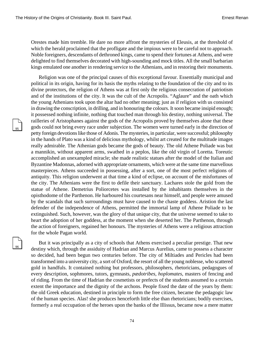96

Orestes made him tremble. He dare no more affront the mysteries of Eleusis, at the threshold of which the herald proclaimed that the profligate and the impious were to be careful not to approach. Noble foreigners, descendants of dethroned kings, came to spend their fortunes at Athens, and were delighted to find themselves decorated with high-sounding and mock titles. All the small barbarian kings emulated one another in rendering service to the Athenians, and in restoring their monuments.

Religion was one of the principal causes of this exceptional favour. Essentially municipal and political in its origin, having for its basis the myths relating to the foundation of the city and to its divine protectors, the religion of Athens was at first only the religious consecration of patriotism and of the institutions of the city. It was the cult of the Acropolis. "Aglaure" and the oath which the young Athenians took upon the altar had no other meaning; just as if religion with us consisted in drawing the conscription, in drilling, and in honouring the colours. It soon became insipid enough; it possessed nothing infinite, nothing that touched man through his destiny, nothing universal. The railleries of Aristophanes against the gods of the Acropolis proved by themselves alone that these gods could not bring every race under subjection. The women were turned early in the direction of petty foreign devotions like those of Adonis. The mysteries, in particular, were successful; philosophy in the hands of Plato was a kind of delicious mythology, whilst art created for the multitude images really admirable. The Athenian gods became the gods of beauty. The old Athene Poliade was but a mannikin, without apparent arms, swathed in a peplos, like the old virgin of Loretta. Toreutic accomplished an unexampled miracle; she made realistic statues after the model of the Italian and Byzantine Madonnas, adorned with appropriate ornaments, which were at the same time marvellous masterpieces. Athens succeeded in possessing, after a sort, one of the most perfect religions of antiquity. This religion underwent at that time a kind of eclipse, on account of the misfortunes of the city. The Athenians were the first to defile their sanctuary. Lachares stole the gold from the statue of Athene. Demetrius Poliorcetes was installed by the inhabitants themselves in the opisthodome of the Parthenon. He harboured his courtesans near himself, and people were amused by the scandals that such surroundings must have caused to the chaste goddess. Aristion the last defender of the independence of Athens, permitted the immortal lamp of Athene Poliade to be extinguished. Such, however, was the glory of that unique city, that the universe seemed to take to heart the adoption of her goddess, at the moment when she deserted her. The Parthenon, through the action of foreigners, regained her honours. The mysteries of Athens were a religious attraction for the whole Pagan world.

But it was principally as a city of schools that Athens exercised a peculiar prestige. That new destiny which, through the assiduity of Hadrian and Marcus Aurelius, came to possess a character so decided, had been begun two centuries before. The city of Miltiades and Pericles had been transformed into a university city, a sort of Oxford, the resort of all the young noblesse, who scattered gold in handfuls. It contained nothing but professors, philosophers, rhetoricians, pedagogues of every description, sophmores, tutors, gymnasts, *pædotribes, hoplomates*, masters of fencing and of riding. From the time of Hadrian the cosmetists or prefects of the students assumed to a certain extent the importance and the dignity of the archons. People fixed the date of the years by them: the old Greek education, destined in principle to form the free citizen, became the pedagogic law of the human species. Alas! she produces henceforth little else than rhetoricians; bodily exercises, formerly a real occupation of the heroes upon the banks of the Illissus, became now a mere matter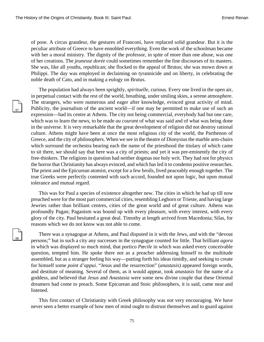98

of pose. A circus grandeur, the gestures of Franconi, have replaced solid grandeur. But it is the peculiar attribute of Greece to have ennobled everything. Even the work of the schoolman became with her a moral ministry. The dignity of the professor, in spite of more than one abuse, was one of her creations. The *jeunesse dorée* could sometimes remember the fine discourses of its masters. She was, like all youths, republican; she flocked to the appeal of Brutus; she was mown down at Philippi. The day was employed in declaiming on tyrannicide and on liberty, in celebrating the noble death of Cato, and in making a eulogy on Brutus.

The population had always been sprightly, *spirituelle*, curious. Every one lived in the open air, in perpetual contact with the rest of the world, breathing, under smiling skies, a serene atmosphere. The strangers, who were numerous and eager after knowledge, evinced great activity of mind. Publicity, the journalism of the ancient world—if one may be permitted to make use of such an expression—had its centre at Athens. The city not being commercial, everybody had but one care, which was to learn the news, to be made *au courant* of what was said and of what was being done in the universe. It is very remarkable that the great development of religion did not destroy rational culture. Athens might have been at once the most religious city of the world, the Parthenon of Greece, and the city of philosophers. When we see in the theatre of Dionysius the marble arm-chairs which surround the orchestra bearing each the name of the priesthood the titulary of which came to sit there, we should say that here was a city of priests; and yet it was pre-eminently the city of free-thinkers. The religions in question had neither dogmas nor holy writ. They had not for physics the horror that Christianity has always evinced, and which has led it to condemn positive researches. The priest and the Epicurean atomist, except for a few broils, lived peaceably enough together. The true Greeks were perfectly contented with such accord, founded not upon logic, but upon mutual tolerance and mutual regard.

This was for Paul a species of existence altogether new. The cities in which he had up till now preached were for the most part commercial cities, resembling Leghorn or Trieste, and having large Jewries rather than brilliant centres, cities of the great world and of great culture. Athens was profoundly Pagan; Paganism was bound up with every pleasure, with every interest, with every glory of the city. Paul hesitated a great deal. Timothy at length arrived from Macedonia; Silas, for reasons which we do not know was not able to come.

There was a synagogue at Athens, and Paul disputed in it with the Jews, and with the "devout persons;" but in such a city any successes in the synagogue counted for little. That brilliant *agora* in which was displayed so much mind, that portico *Pœcile* in which was asked every conceivable question, tempted him. He spoke there not as a preacher addressing himself to the multitude assembled, but as a stranger feeling his way—putting forth his ideas timidly, and seeking to create for himself some *point d'appui*. "Jesus and the resurrection" (*anastasis*) appeared foreign words, and destitute of meaning. Several of them, as it would appear, took *anastasis* for the name of a goddess, and believed that *Jesus* and *Anastasia* were some new divine couple that these Oriental dreamers had come to preach. Some Epicurean and Stoic philosophers, it is said, came near and listened.

This first contact of Christianity with Greek philosophy was not very encouraging. We have never seen a better example of how men of mind ought to distrust themselves and to guard against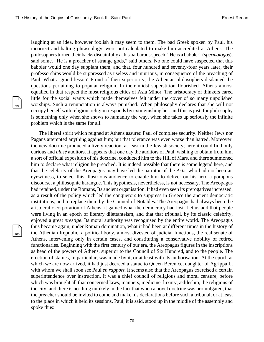100

laughing at an idea, however foolish it may seem to them. The bad Greek spoken by Paul, his incorrect and halting phraseology, were not calculated to make him accredited at Athens. The philosophers turned their backs disdainfully at his barbarous speech. "He is a babbler" (*spermologos*), said some. "He is a preacher of strange gods," said others. No one could have suspected that this babbler would one day supplant them, and that, four hundred and seventy-four years later, their professorships would be suppressed as useless and injurious, in consequence of the preaching of Paul. What a grand lesson! Proud of their superiority, the Athenian philosophers disdained the questions pertaining to popular religion. In their midst superstition flourished. Athens almost equalled in that respect the most religious cities of Asia Minor. The aristocracy of thinkers cared little for the social wants which made themselves felt under the cover of so many unpolished worships. Such a renunciation is always punished. When philosophy declares that she will not occupy herself with religion, religion responds by extinguishing her; and this is just, for philosophy is something only when she shows to humanity the way, when she takes up seriously the infinite problem which is the same for all.

The liberal spirit which reigned at Athens assured Paul of complete security. Neither Jews nor Pagans attempted anything against him; but that tolerance was even worse than hatred. Moreover, the new doctrine produced a lively reaction, at least in the Jewish society; here it could find only curious and *blasé* auditors. It appears that one day the auditors of Paul, wishing to obtain from him a sort of official exposition of his doctrine, conducted him to the Hill of Mars, and there summoned him to declare what religion he preached. It is indeed possible that there is some legend here, and that the celebrity of the Areopagus may have led the narrator of the *Acts*, who had not been an eyewitness, to select this illustrious audience to enable him to deliver on his hero a pompous discourse, a philosophic harangue. This hypothesis, nevertheless, is not necessary. The Areopagus had retained, under the Romans, Its ancient organisation. It had even seen its prerogatives increased, as a result of the policy which led the conquerors to suppress in Greece the ancient democratic institutions, and to replace them by the Council of Notables. The Areopagus had always been the aristocratic corporation of Athens: it gained what the democracy had lost. Let us add that people were living in an epoch of literary dilettanteism, and that that tribunal, by its classic celebrity, enjoyed a great *prestige*. Its moral authority was recognised by the entire world. The Areopagus thus became again, under Roman domination, what it had been at different times in the history of the Athenian Republic, a political body, almost divested of judicial functions, the real senate of Athens, intervening only in certain cases, and constituting a conservative nobility of retired functionaries. Beginning with the first century of our era, the Areopagus figures in the inscriptions as head of the powers of Athens, superior to the Council of Six Hundred, and to the people. The erection of statues, in particular, was made by it, or at least with its authorisation. At the epoch at which we are now arrived, it had just decreed a statue to Queen Berenice, daughter of Agrippa I., with whom we shall soon see Paul *en rapport*. It seems also that the Areopagus exercised a certain superintendence over instruction. It was a chief council of religious and moral censure, before which was brought all that concerned laws, manners, medicine, luxury, ædileship, the religions of the city; and there is no-thing unlikely in the fact that when a novel doctrine was promulgated, that the preacher should be invited to come and make his declarations before such a tribunal, or at least to the place in which it held its sessions. Paul, it is said, stood up in the middle of the assembly and spoke thus: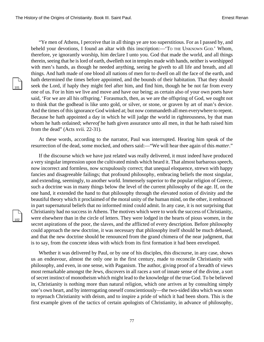102

"Ye men of Athens, I perceive that in all things ye are too superstitious. For as I passed by, and beheld your devotions, I found an altar with this inscription:—'TO THE UNKNOWN GOD.' Whom, therefore, ye ignorantly worship, him declare I unto you. God that made the world, and all things therein, seeing that he is lord of earth, dwelleth not in temples made with hands, neither is worshipped with men's hands, as though he needed anything, seeing he giveth to all life and breath, and all things. And hath made of one blood all nations of men for to dwell on all the face of the earth, and hath determined the times before appointed, and the bounds of their habitation. That they should seek the Lord, if haply they might feel after him, and find him, though he be not far from every one of us. For in him we live and move and have our being; as certain also of your own poets have said, 'For we are all his offspring.' Forasmuch, then, as we are the offspring of God, we ought not to think that the godhead is like unto gold, or silver, or stone, or graven by art of man's device. And the times of this ignorance God winked at; but now commandeth all men everywhere to repent. Because he hath appointed a day in which he will judge the world in righteousness, by that man whom he hath ordained; *whereof* he hath given assurance unto all men, in that he hath raised him from the dead" ([Acts xvii. 22-31\)](http://www.ccel.org/b/bible/asv/xml/asv.Acts.17.xml#Acts.17.22).

At these words, according to the narrator, Paul was interrupted. Hearing him speak of the resurrection of the dead, some mocked, and others said:—"We will hear thee again of this *matter*."

If the discourse which we have just related was really delivered, it must indeed have produced a very singular impression upon the cultivated minds which heard it. That almost barbarous speech, now incorrect and formless, now scrupulously correct; that unequal eloquence, strewn with happy fancies and disagreeable failings; that profound philosophy, embracing beliefs the most singular, and extending, seemingly, to another world. Immensely superior to the popular religion of Greece, such a doctrine was in many things below the level of the current philosophy of the age. If, on the one hand, it extended the hand to that philosophy through the elevated notion of divinity and the beautiful theory which it proclaimed of the moral unity of the human mind, on the other, it embraced in part supernatural beliefs that no informed mind could admit. In any case, it is not surprising that Christianity had no success in Athens. The motives which were to work the success of Christianity, were elsewhere than in the circle of letters. They were lodged in the hearts of pious women, in the secret aspirations of the poor, the slaves, and the afflicted of every description. Before philosophy could approach the new doctrine, it was necessary that philosophy itself should be much debased, and that the new doctrine should be renounced from the grand chimera of the near judgment, that is to say, from the concrete ideas with which from its first formation it had been enveloped.

Whether it was delivered by Paul, or by one of his disciples, this discourse, in any case, shows us an endeavour, almost the only one in the first century, made to reconcile Christianity with philosophy, and even, in one sense, with Paganism. The author, giving proof of a breadth of views most remarkable amongst the Jews, discovers in all races a sort of innate sense of the divine, a sort of secret instinct of monotheism which might lead to the knowledge of the true God. To be believed in, Christianity is nothing more than natural religion, which one arrives at by consulting simply one's own heart, and by interrogating oneself conscientiously—the two-sided idea which was soon to reproach Christianity with deism, and to inspire a pride of which it had been shorn. This is the first example given of the tactics of certain apologists of Christianity, in advance of philosophy,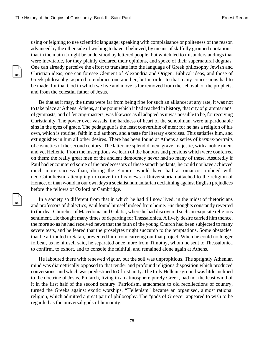using or feigning to use scientific language; speaking with complaisance or politeness of the reason advanced by the other side of wishing to have it believed, by means of skilfully grouped quotations, that in the main it might be understood by lettered people; but which led to misunderstandings that were inevitable, for they plainly declared their opinions, and spoke of their supernatural dogmas. One can already perceive the effort to translate into the language of Greek philosophy Jewish and Christian ideas; one can foresee Clement of Alexandria and Origen. Biblical ideas, and those of Greek philosophy, aspired to embrace one another; but in order to that many concessions had to be made; for that God in which we live and move is far removed from the Jehovah of the prophets, and from the celestial father of Jesus.

Be that as it may, the times were far from being ripe for such an alliance; at any rate, it was not to take place at Athens. Athens, at the point which it had reached in history, that city of grammarians, of gymnasts, and of fencing-masters, was likewise as ill adapted as it was possible to be, for receiving Christianity. The power over vassals, the hardness of heart of the schoolman, were unpardonable sins in the eyes of grace. The pedagogue is the least convertible of men; for he has a religion of his own, which is routine, faith in old authors, and a taste for literary exercises. This satisfies him, and extinguishes in him all other desires. There has been found at Athens a series of *hermes*-portraits of cosmetics of the second century. The latter are splendid men, grave, majestic, with a noble mien, and yet Hellenic. From the inscriptions we learn of the honours and pensions which were conferred on them: the really great men of the ancient democracy never had so many of these. Assuredly if Paul had encountered some of the predecessors of these superb pedants, he could not have achieved much more success than, during the Empire, would have had a romancist imbued with neo-Catholicism, attempting to convert to his views a Universitarian attached to the religion of Horace, or than would in our own days a socialist humanitarian declaiming against English prejudices before the fellows of Oxford or Cambridge.

In a society so different from that in which he had till now lived, in the midst of rhetoricians and professors of dialectics, Paul found himself indeed from home. His thoughts constantly reverted to the dear Churches of Macedonia and Galatia, where he had discovered such an exquisite religious sentiment. He thought many times of departing for Thessalonica. A lively desire carried him thence, the more so as he had received news that the faith of the young Church had been subjected to many severe tests, and he feared that the proselytes might succumb to the temptations. Some obstacles, that he attributed to Satan, prevented him from carrying out that project. When he could no longer forbear, as he himself said, he separated once more from Timothy, whom he sent to Thessalonica to confirm, to exhort, and to console the faithful, and remained alone again at Athens.

He laboured there with renewed vigour, but the soil was unpropitious. The sprightly Athenian mind was diametrically opposed to that tender and profound religious disposition which produced conversions, and which was predestined to Christianity. The truly Hellenic ground was little inclined to the doctrine of Jesus. Plutarch, living in an atmosphere purely Greek, had not the least wind of it in the first half of the second century. Patriotism, attachment to old recollections of country, turned the Greeks against exotic worships. "Hellenism" became an organised, almost rational religion, which admitted a great part of philosophy. The "gods of Greece" appeared to wish to be regarded as the universal gods of humanity.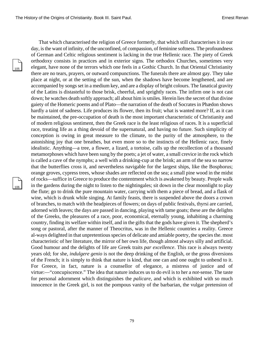106

That which characterised the religion of Greece formerly, that which still characterises it in our day, is the want of infinity, of the unconfined, of compassion, of feminine softness. The profoundness of German and Celtic religious sentiment is lacking in the true Hellenic race. The piety of Greek orthodoxy consists in practices and in exterior signs. The orthodox Churches, sometimes very elegant, have none of the terrors which one feels in a Gothic Church. In that Oriental Christianity there are no tears, prayers, or outward compunctions. The funerals there are almost gay. They take place at night, or at the setting of the sun, when the shadows have become lengthened, and are accompanied by songs set in a medium key, and are a display of bright colours. The fanatical gravity of the Latins is distasteful to those brisk, cheerful, and sprightly races. The infirm one is not cast down; he watches death softly approach; all about him is smiles. Herein lies the secret of that divine gaiety of the Homeric poems and of Plato—the narration of the death of Socrates in Phædon shows hardly a taint of sadness. Life produces its flower, then its fruit; what is wanted more? If, as it can be maintained, the pre-occupation of death is the most important characteristic of Christianity and of modern religious sentiment, then the Greek race is the least religious of races. It is a superficial race, treating life as a thing devoid of the supernatural, and having no future. Such simplicity of conception is owing in great measure to the climate, to the purity of the atmosphere, to the astonishing joy that one breathes, but even more so to the instincts of the Hellenic race, finely idealistic. Anything—a tree, a flower, a lizard, a tortoise, calls up the recollection of a thousand metamorphoses which have been sung by the poets; a jet of water, a small crevice in the rock which is called a cave of the nymphs; a well with a drinking-cup at the brink; an arm of the sea so narrow that the butterflies cross it, and nevertheless navigable for the largest ships, like the Bosphorus; orange groves, cypress trees, whose shades are reflected on the sea; a small pine wood in the midst of rocks—suffice in Greece to produce the contentment which is awakened by beauty. People walk in the gardens during the night to listen to the nightingales; sit down in the clear moonlight to play the flute; go to drink the pure mountain water, carrying with them a piece of bread, and a flask of wine, which is drunk while singing. At family feasts, there is suspended above the doors a crown of branches, to match with the headpieces of flowers; on days of public festivals, thyrsi are carried, adorned with leaves; the days are passed in dancing, playing with tame goats; these are the delights of the Greeks, the pleasures of a race, poor, economical, eternally young, inhabiting a charming country, finding its welfare within itself, and in the gifts that the gods have given it. The shepherd's song or pastoral, after the manner of Theocritus, was in the Hellenic countries a reality. Greece al-ways delighted in that unpretentious species of delicate and amiable poetry, the species the. most characteristic of her literature, the mirror of her own life, though almost always silly and artificial. Good humour and the delights of life are Greek traits *par excellence*. This race is always twenty years old; for she, *indulgere genio* is not the deep drinking of the English, or the gross diversions of the French; it is simply to think that nature is kind, that one can and one ought to unbend to it. For Greece, in fact, nature is a counsellor of elegance, a mistress of justice and of virtue:—"concupiscence." The idea that nature induces us to do evil is to her a *not*-sense. The taste for personal adornment which distinguishes the *palicare*, and which is exhibited with so much innocence in the Greek girl, is not the pompous vanity of the barbarian, the vulgar pretension of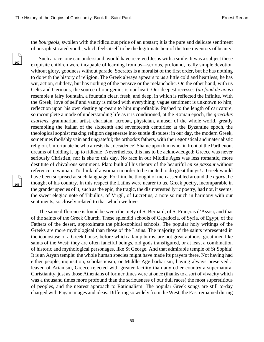108

the *bourgeois*, swollen with the ridiculous pride of an upstart; it is the pure and delicate sentiment of unsophisticated youth, which feels itself to be the legitimate heir of the true inventors of beauty.

Such a race, one can understand, would have received Jesus with a smile. It was a subject these exquisite children were incapable of learning from us—serious, profound, really simple devotion without glory, goodness without parade. Socrates is a moralist of the first order, but he has nothing to do with the history of religion. The Greek always appears to us a little cold and heartless; he has wit, action, subtlety, but has nothing of the pensive or the melancholic. On the other hand, with us Celts and Germans, the source of our genius is our heart. Our deepest recesses (*au fond de nous*) resemble a fairy fountain, a fountain clear, fresh, and deep, in which is reflected the infinite. With the Greek, love of self and vanity is mixed with everything; vague sentiment is unknown to him; reflection upon his own destiny ap-pears to him unprofitable. Pushed to the length of caricature, so incomplete a mode of understanding life as it is conditioned, at the Roman epoch, the *græculus esuriens*, grammarian, artist, charlatan, acrobat, physician, amuser of the whole world, greatly resembling the Italian of the sixteenth and seventeenth centuries; at the Byzantine epoch, the theological sophist making religion degenerate into subtle disputes; in our day, the modern Greek, sometimes foolishly vain and ungrateful; the orthodox fathers, with their egotistical and materialistic religion. Unfortunate he who arrests that decadence! Shame upon him who, in front of the Parthenon, dreams of holding it up to ridicule! Nevertheless, this has to be acknowledged: Greece was never seriously Christian, nor is she to this day. No race in our Middle Ages was less romantic, more destitute of chivalrous sentiment. Plato built all his theory of the beautiful *en se passant* without reference to woman. To think of a woman in order to be incited to do great things! a Greek would have been surprised at such language. For him, he thought of men assembled around the *agora*, he thought of his country. In this respect the Latins were nearer to us. Greek poetry, incomparable in the grander species of it, such as the epic, the tragic, the disinterested lyric poetry, had not, it seems, the sweet elegiac note of Tibullus, of Virgil, of Lucretius, a note so much in harmony with our sentiments, so closely related to that which we love.

The same difference is found between the piety of St Bernard, of St François d'Assisi, and that of the saints of the Greek Church. These splendid schools of Capadocia, of Syria, of Egypt, of the Fathers of the desert, approximate the philosophical schools. The popular holy writings of the Greeks are more mythological than those of the Latins. The majority of the saints represented in the iconostase of a Greek house, before which a lamp burns, are not great authors, great men like saints of the West: they are often fanciful beings, old gods transfigured, or at least a combination of historic and mythological personages, like St George. And that admirable temple of St Sophia! It is an Aryan temple: the whole human species might have made its prayers there. Not having had either people, inquisition, scholasticism, or Middle Age barbarism, having always preserved a leaven of Arianism, Greece rejected with greater facility than any other country a supernatural Christianity, just as those Athenians of former times were at once (thanks to a sort of vivacity which was a thousand times more profound than the seriousness of our dull races) the most superstitious of peoples, and the nearest approach to Rationalism. The popular Greek songs are still to-day charged with Pagan images and ideas. Differing so widely from the West, the East remained during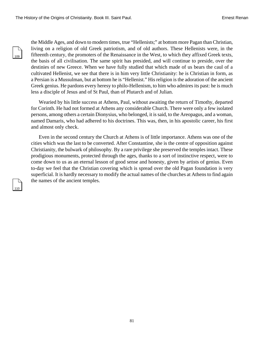the Middle Ages, and down to modern times, true "Hellenists;" at bottom more Pagan than Christian, living on a religion of old Greek patriotism, and of old authors. These Hellenists were, in the fifteenth century, the promoters of the Renaissance in the West, to which they affixed Greek texts, the basis of all civilisation. The same spirit has presided, and will continue to preside, over the destinies of new Greece. When we have fully studied that which made of us bears the caul of a cultivated Hellenist, we see that there is in him very little Christianity: he is Christian in form, as a Persian is a Mussulman, but at bottom he is "Hellenist." His religion is the adoration of the ancient Greek genius. He pardons every heresy to philo-Hellenism, to him who admires its past: he is much less a disciple of Jesus and of St Paul, than of Plutarch and of Julian.

Wearied by his little success at Athens, Paul, without awaiting the return of Timothy, departed for Corinth. He had not formed at Athens any considerable Church. There were only a few isolated persons, among others a certain Dionysius, who belonged, it is said, to the Areopagus, and a woman, named Damaris, who had adhered to his doctrines. This was, then, in his apostolic career, his first and almost only check.

Even in the second century the Church at Athens is of little importance. Athens was one of the cities which was the last to be converted. After Constantine, she is the centre of opposition against Christianity, the bulwark of philosophy. By a rare privilege she preserved the temples intact. These prodigious monuments, protected through the ages, thanks to a sort of instinctive respect, were to come down to us as an eternal lesson of good sense and honesty, given by artists of genius. Even to-day we feel that the Christian covering which is spread over the old Pagan foundation is very superficial. It is hardly necessary to modify the actual names of the churches at Athens to find again the names of the ancient temples.

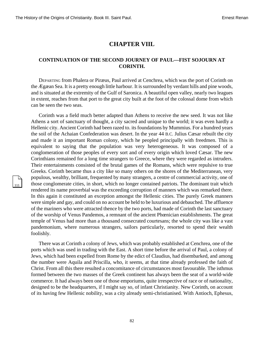# **CHAPTER VIIL**

## **CONTINUATION OF THE SECOND JOURNEY OF PAUL—FIST SOJOURN AT CORINTH.**

DEPARTING from Phalera or Piræus, Paul arrived at Cenchrea, which was the port of Corinth on the Ægæan Sea. It is a pretty enough little harbour. It is surrounded by verdant hills and pine woods, and is situated at the extremity of the Gulf of Saronica. A beautiful open valley, nearly two leagues in extent, reaches from that port to the great city built at the foot of the colossal dome from which can be seen the two seas.

Corinth was a field much better adapted than Athens to receive the new seed. It was not like Athens a sort of sanctuary of thought, a city sacred and unique to the world; it was even hardly a Hellenic city. Ancient Corinth had been razed to. its foundations by Mummius. For a hundred years the soil of the Achaian Confederation was desert. In the year 44 B.C. Julius Cæsar rebuilt the city and made it an important Roman colony, which he peopled principally with freedmen. This is equivalent to saying that the population was very heterogeneous. It was composed of a conglomeration of those peoples of every sort and of every origin which loved Cæsar. The new Corinthians remained for a long time strangers to Greece, where they were regarded as intruders. Their entertainments consisted of the brutal games of the Romans, which were repulsive to true Greeks. Corinth became thus a city like so many others on the shores of the Mediterranean, very populous, wealthy, brilliant, frequented by many strangers, a centre of commercial activity, one of those conglomerate cities, in short, which no longer contained patriots. The dominant trait which rendered its name proverbial was the exceeding corruption of manners which was remarked there. In this again it constituted an exception amongst the Hellenic cities. The purely Greek manners were simple and gay, and could on no account be held to be luxurious and debauched. The affluence of the mariners who were attracted thence by the two ports, had made of Corinth the last sanctuary of the worship of Venus Pandemos, a remnant of the ancient Phœnician establishments. The great temple of Venus had more than a thousand consecrated courtesans; the whole city was like a vast pandemonium, where numerous strangers, sailors particularly, resorted to spend their wealth foolishly.

There was at Corinth a colony of Jews, which was probably established at Cenchrea, one of the ports which was used in trading with the East. A short time before the arrival of Paul, a colony of Jews, which had been expelled from Rome by the edict of Claudius, had disembarked, and among the number were Aquila and Priscilla, who, it seems, at that time already professed the faith of Christ. From all this there resulted a concomitance of circumstances most favourable. The isthmus formed between the two masses of the Greek continent has always been the seat of a world-wide commerce. It had always been one of those emporiums, quite irrespective of race or of nationality, designed to be the headquarters, if I might say so, of infant Christianity. New Corinth, on account of its having few Hellenic nobility, was a city already semi-christianised. With Antioch, Ephesus,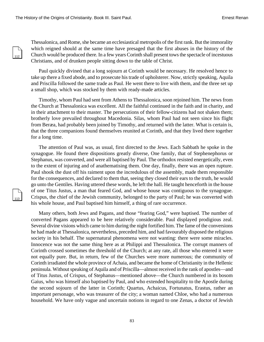Thessalonica, and Rome, she became an ecclesiastical metropolis of the first rank. But the immorality which reigned should at the same time have presaged that the first abuses in the history of the Church would be produced there. In a few years Corinth shall present tows the spectacle of incestuous Christians, and of drunken people sitting down to the table of Christ.

Paul quickly divined that a long sojourn at Corinth would be necessary. He resolved hence to take up there a fixed abode, and to prosecute his trade of upholsterer. Now, strictly speaking, Aquila and Priscilla followed the same trade as Paul. He went there to live with them, and the three set up a small shop, which was stocked by them with ready-made articles.

Timothy, whom Paul had sent from Athens to Thessalonica, soon rejoined him. The news from the Church at Thessalonica was excellent. All the faithful continued in the faith and in charity, and in their attachment to their master. The persecutions of their fellow-citizens had not shaken them; brotherly love prevailed throughout Macedonia. Silas, whom Paul had not seen since his flight from Beræa, had probably been joined by Timothy, and returned with the latter. What is certain is, that the three companions found themselves reunited at Corinth, and that they lived there together for a long time.

The attention of Paul was, as usual, first directed to the Jews. Each Sabbath he spoke in the synagogue. He found there dispositions greatly diverse, One family, that of Stephenephorus or Stephanus, was converted, and were all baptised by Paul. The orthodox resisted energetically, even to the extent of injuring and of anathematising them. One day, finally, there was an open rupture. Paul shook the dust off his raiment upon the incredulous of the assembly, made them responsible for the consequences, and declared to them that, seeing they closed their ears to the truth, he would go unto the Gentiles. Having uttered these words, he left the hall. He taught henceforth in the house of one Titus Justus, a man that feared God, and whose house was contiguous to the synagogue. Crispus, the chief of the Jewish community, belonged to the party of Paul; he was converted with his whole house, and Paul baptised him himself, a thing of rare occurrence.

Many others, both Jews and Pagans, and those "fearing God," were baptised. The number of converted Pagans appeared to be here relatively considerable. Paul displayed prodigious zeal. Several divine visions which came to him during the night fortified him. The fame of the conversions he had made at Thessalonica, nevertheless, preceded him, and had favourably disposed the religious society in his behalf. The supernatural phenomena were not wanting: there were some miracles. Innocence was not the same thing here as at Philippi and Thessalonica. The corrupt manners of Corinth crossed sometimes the threshold of the Church; at any rate, all those who entered it were not equally pure. But, in return, few of the Churches were more numerous; the community of Corinth irradiated the whole province of Achaia, and became the home of Christianity in the Hellenic peninsula. Without speaking of Aquila and of Priscilla—almost received in the rank of apostles—and of Titus Justus, of Crispus, of Stephanus—mentioned above—the Church numbered in its bosom Gaius, who was himself also baptised by Paul, and who extended hospitality to the Apostle during the second sojourn of the latter in Corinth; Quartus, Achaicus, Fortunatus, Erastus, rather an important personage, who was treasurer of the city; a woman named Chloe, who had a numerous household. We have only vague and uncertain notions in regard to one Zenas, a doctor of Jewish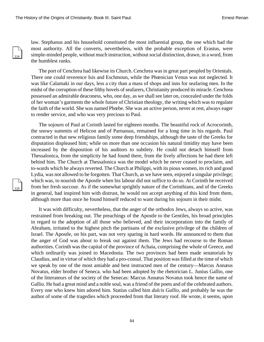115

law. Stephanus and his household constituted the most influential group, the one which had the most authority. All the converts, nevertheless, with the probable exception of Erastus, were simple-minded people, without much instruction, without social distinction, drawn, in a word, from the humblest ranks.

The port of Cenchrea had likewise its Church. Cenchrea was in great part peopled by Orientals. There one could reverence Isis and Eschmoun, while the Phœnician Venus was not neglected. It was like Calamaki in our days, less a city than a mass of shops and inns for seafaring men. In the midst of the corruption of these filthy hovels of seafarers, Christianity produced its miracle. Cenchrea possessed an admirable deaconess, who, one day, as we shall see later on, concealed under the folds of her woman's garments the whole future of Christian theology, the writing which was to regulate the faith of the world. She was named Phœbe. She was an active person, never at rest, always eager to render service, and who was very precious to Paul.

The sojourn of Paul at Corinth lasted for eighteen months. The beautiful rock of Acrocorinth, the snowy summits of Helicon and of Parnassus, remained for a long time in his regards. Paul contracted in that new religious family some deep friendships, although the taste of the Greeks for disputation displeased him; while on more than one occasion his natural timidity may have been increased by the disposition of his auditors to subtlety. He could not detach himself from Thessalonica, from the simplicity he had found there, from the lively affections he had there left behind him. The Church at Thessalonica was the model which he never ceased to proclaim, and to-wards which he always reverted. The Church at Philippi, with its pious women, its rich and good Lydia, was not allowed to be forgotten. That Church, as we have seen, enjoyed a singular privilege; which was, to nourish the Apostle when his labour did not suffice to do so. At Corinth he received from her fresh succour. As if the somewhat sprightly nature of the Corinthians, and of the Greeks in general, had inspired him with distrust, he would not accept anything of this kind from them, although more than once he found himself reduced to want during his sojourn in their midst.

It was with difficulty, nevertheless, that the anger of the orthodox Jews, always so active, was restrained from breaking out. The preachings of the Apostle to the Gentiles, his broad principles in regard to the adoption of all those who believed, and their incorporation into the family of Abraham, irritated to the highest pitch the partisans of the exclusive privilege of the children of Israel. The Apostle, on his part, was not very sparing in hard words. He announced to them that the anger of God was about to break out against them. The Jews had recourse to the Roman authorities. Corinth was the capital of the province of Achaia, comprising the whole of Greece, and which ordinarily was joined to Macedonia. The two provinces had been made senatorials by Claudius, and in virtue of which they had a pro-consul. That position was filled at the time of which we speak by one of the most amiable and best instructed men of the century—Marcus Annæus Novatus, elder brother of Seneca. who had been adopted by the rhetorician L. Junius Gallio, one of the litterateurs of the society of the Senecas: Marcus Annæus Novatus took hence the name of Gallio. He had a great mind and a noble soul, was a friend of the poets and of the celebrated authors. Every one who knew him adored him. Statius called him *dulcis Gallio*, and probably he was the author of some of the tragedies which proceeded from that literary roof. He wrote, it seems, upon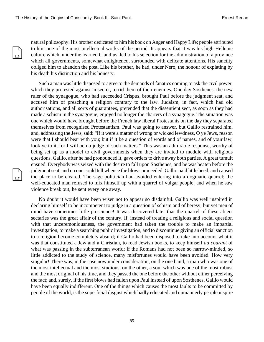117

natural philosophy. His brother dedicated to him his book on Anger and Happy Life; people attributed to him one of the most intellectual works of the period. It appears that it was his high Hellenic culture which, under the learned Claudius, led to his selection for the administration of a province which all governments, somewhat enlightened, surrounded with delicate attentions. His sanctity obliged him to abandon the post. Like his brother, he had, under Nero, the honour of expiating by his death his distinction and his honesty.

Such a man was little disposed to agree to the demands of fanatics coming to ask the civil power, which they protested against in secret, to rid them of their enemies. One day Sosthenes, the new ruler of the synagogue, who had succeeded Crispus, brought Paul before the judgment seat, and accused him of preaching a religion contrary to the law. Judaism, in fact, which had old authorisations, and all sorts of guarantees, pretended that the dissentient sect, as soon as they had made a schism in the synagogue, enjoyed no longer the charters of a synagogue. The situation was one which would have brought before the French law liberal Protestants on the day they separated themselves from recognised Protestantism. Paul was going to answer, but Gallio restrained him, and, addressing the Jews, said: "If it were a matter of wrong or wicked lewdness, O ye Jews, reason were that I should bear with you; but if it be a question of words and of names, and of your law, look ye to it, for I will be no judge of such matters." This was an admirable response, worthy of being set up as a model to civil governments when they are invited to meddle with religious questions. Gallio, after he had pronounced it, gave orders to drive away both parties. A great tumult ensued. Everybody was seized with the desire to fall upon Sosthenes, and he was beaten before the judgment seat, and no one could tell whence the blows proceeded. Gallio paid little heed, and caused the place to be cleared. The sage politician had avoided entering into a dogmatic quarrel; the well-educated man refused to mix himself up with a quarrel of vulgar people; and when he saw violence break out, he sent every one away.

No doubt it would have been wiser not to appear so disdainful. Gallio was well inspired in declaring himself to be incompetent to judge in a question of schism and of heresy; but yet men of mind have sometimes little prescience! It was discovered later that the quarrel of these abject sectaries was the great affair of the century. If, instead of treating a religious and social question with that unceremoniousness, the government had taken the trouble to make an impartial investigation, to make a searching public investigation, and to discontinue giving an official sanction to a religion become completely absurd; if Gallio had been disposed to take into account what it was that constituted a Jew and a Christian, to read Jewish books, to keep himself *au courant* of what was passing in the subterranean world; if the Romans had not been so narrow-minded, so little addicted to the study of science, many misfortunes would have been avoided. How very singular! There was, in the case now under consideration, on the one hand, a man who was one of the most intellectual and the most studious; on the other, a soul which was one of the most robust and the most original of his time, and they passed the one before the other without either perceiving the fact; and, surely, if the first blows had fallen upon Paul instead of upon Sosthenes, Gallio would have been equally indifferent. One of the things which causes the most faults to be committed by people of the world, is the superficial disgust which badly educated and unmannerly people inspire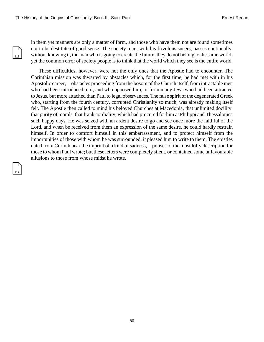119

in them yet manners are only a matter of form, and those who have them not are found sometimes not to be destitute of good sense. The society man, with his frivolous sneers, passes continually, without knowing it, the man who is going to create the future; they do not belong to the same world; yet the common error of society people is to think that the world which they see is the entire world.

These difficulties, however, were not the only ones that the Apostle had to encounter. The Corinthian mission was thwarted by obstacles which, for the first time, he had met with in his Apostolic career,—obstacles proceeding from the bosom of the Church itself, from intractable men who had been introduced to it, and who opposed him, or from many Jews who had been attracted to Jesus, but more attached than Paul to legal observances. The false spirit of the degenerated Greek who, starting from the fourth century, corrupted Christianity so much, was already making itself felt. The Apostle then called to mind his beloved Churches at Macedonia, that unlimited docility, that purity of morals, that frank cordiality, which had procured for him at Philippi and Thessalonica such happy days. He was seized with an ardent desire to go and see once more the faithful of the Lord, and when be received from them an expression of the same desire, he could hardly restrain himself. In order to comfort himself in this embarrassment, and to protect himself from the importunities of those with whom he was surrounded, it pleased him to write to them. The epistles dated from Corinth bear the imprint of a kind of sadness,—praises of the most lofty description for those to whom Paul wrote; but these letters were completely silent, or contained some unfavourable allusions to those from whose midst he wrote.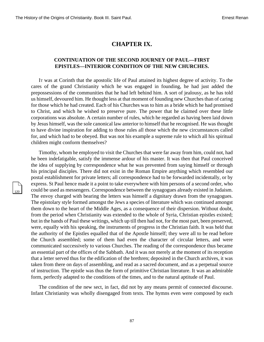# **CHAPTER IX.**

## **CONTINUATION OF THE SECOND JOURNEY OF PAUL—FIRST EPISTLES—INTERIOR CONDITION OF THE NEW CHURCHES.**

IT was at Corinth that the apostolic life of Paul attained its highest degree of activity. To the cares of the grand Christianity which he was engaged in founding, he had just added the prepossessions of the communities that he had left behind him. A sort of jealousy, as he has told us himself, devoured him. He thought less at that moment of founding new Churches than of caring for those which he had created. Each of his Churches was to him as a bride which he had promised to Christ, and which he wished to preserve pure. The power that he claimed over these little corporations was absolute. A certain number of rules, which he regarded as having been laid down by Jesus himself, was the sole canonical law anterior to himself that he recognised. He was thought to have divine inspiration for adding to those rules all those which the new circumstances called for, and which had to be obeyed. But was not his example a supreme rule to which all his spiritual children might conform themselves?

Timothy, whom he employed to visit the Churches that were far away from him, could not, had he been indefatigable, satisfy the immense ardour of his master. It was then that Paul conceived the idea of supplying by correspondence what he was prevented from saying himself or through his principal disciples. There did not exist in the Roman Empire anything which resembled our postal establishment for private letters; all correspondence had to be forwarded incidentally, or by express. St Paul hence made it a point to take everywhere with him persons of a second order, who could be used as messengers. Correspondence between the synagogues already existed in Judaism. The envoy charged with bearing the letters was himself a dignitary drawn from the synagogues. The epistolary style formed amongst the Jews a species of literature which was continued amongst them down to the heart of the Middle Ages, as a consequence of their dispersion. Without doubt, from the period when Christianity was extended to the whole of Syria, Christian epistles existed; but in the hands of Paul these writings, which up till then had not, for the most part, been preserved, were, equally with his speaking, the instruments of progress in the Christian faith. It was held that the authority of the Epistles equalled that of the Apostle himself; they were all to be read before the Church assembled; some of them had even the character of circular letters, and were communicated successively to various Churches. The reading of the correspondence thus became an essential part of the offices of the Sabbath. And it was not merely at the moment of its reception that a letter served thus for the edification of the brethren; deposited in the Church archives, it was taken from there on days of assembling, and read as a sacred document, and as a perpetual source of instruction. The epistle was thus the form of primitive Christian literature. It was an admirable form, perfectly adapted to the conditions of the times, and to the natural aptitude of Paul.

The condition of the new sect, in fact, did not by any means permit of connected discourse. Infant Christianity was wholly disengaged from texts. The hymns even were composed by each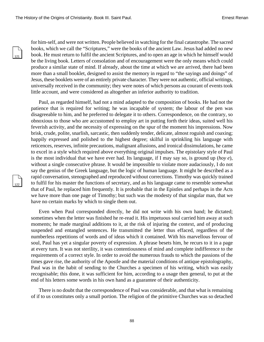122

for him-self, and were not written. People believed in watching for the final catastrophe. The sacred books, which we call the "Scriptures," were the books of the ancient Law. Jesus had added no new book. He must return to fulfil the ancient Scriptures, and to open an age in which he himself would be the living book. Letters of consolation and of encouragement were the only means which could produce a similar state of mind. If already, about the time at which we are arrived, there had been more than a small booklet, designed to assist the memory in regard to "the sayings and doings" of Jesus, these booklets were of an entirely private character. They were not authentic, official writings, universally received in the community; they were notes of which persons au courant of events took little account, and were considered as altogether an inferior authority to tradition.

Paul, as regarded himself, had not a mind adapted to the composition of books. He had not the patience that is required for writing; he was incapable of system; the labour of the pen was disagreeable to him, and he preferred to delegate it to others. Correspondence, on the contrary, so obnoxious to those who are accustomed to employ art in putting forth their ideas, suited well his feverish activity, and the necessity of expressing on the spur of the moment his impressions. Now brisk, crude, polite, snarlish, sarcastic, then suddenly tender, delicate, almost roguish and coaxing; happily expressed and polished to the highest degree; skilful in sprinkling his language with reticences, reserves, infinite precautions, malignant allusions, and ironical dissimulations, he came to excel in a style which required above everything original impulses. The epistolary style of Paul is the most individual that we have ever had. Its language, if I may say so, is ground up (*hoy e*), without a single consecutive phrase. It would be impossible to violate more audaciously, I do not say the genius of the Greek language, but the logic of human language. It might be described as a rapid conversation, stenographed and reproduced without corrections. Timothy was quickly trained to fulfil for his master the functions of secretary, and as his language came to resemble somewhat that of Paul, he replaced him frequently. It is probable that in the Epistles and perhaps in the Acts we have more than one page of Timothy; but such was the modesty of that singular man, that we have no certain marks by which to single them out.

Even when Paul corresponded directly, he did not write with his own hand; he dictated; sometimes when the letter was finished he re-read it. His impetuous soul carried him away at such moments; he made marginal additions to it, at the risk of injuring the context, and of producing suspended and entangled sentences. He transmitted the letter thus effaced, regardless of the numberless repetitions of words and of ideas which it contained. With his marvellous fervour of soul, Paul has yet a singular poverty of expression. A phrase besets him, he recurs to it in a page at every turn. It was not sterility, it was contentiousness of mind and complete indifference to the requirements of a correct style. In order to avoid the numerous frauds to which the passions of the times gave rise, the authority of the Apostle and the material conditions of antique epistolography, Paul was in the habit of sending to the Churches a specimen of his writing, which was easily recognisable; this done, it was sufficient for him, according to a usage then general, to put at the end of his letters some words in his own hand as a guarantee of their authenticity.

There is no doubt that the correspondence of Paul was considerable, and that what is remaining of if to us constitutes only a small portion. The religion of the primitive Churches was so detached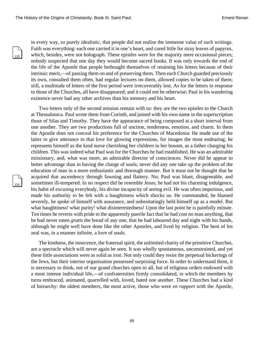in every way, so purely idealistic, that people did not realise the immense value of such writings. Faith was everything: each one carried it in one's heart, and cared little for stray leaves of papyrus, which, besides, were not holograph. These epistles were for the majority mere occasional pieces; nobody suspected that one day they would become sacred books. It was only towards the end of the life of the Apostle that people bethought themselves of retaining his letters because of their intrinsic merit,—of passing them on and of preserving them. Then each Church guarded preciously its own, consulted them often, had regular lectures on them, allowed copies to be taken of them; still, a multitude of letters of the first period were irrecoverably lost. As for the letters in response to those of the Churches, all have disappeared; and it could not be otherwise; Paul in his wandering existence never had any other archives than his memory and his heart.

Two letters only of the second mission remain with us: they are the two epistles to the Church at Thessalonica. Paul wrote them from Corinth, and joined with his own name in the superscription those of Silas and Timothy. They have the appearance of being composed at a short interval from one another. They are two productions full of unction, tenderness, emotion, and charm. In them the Apostle does not conceal his preference for the Churches of Macedonia: He made use of the latter to give utterance to that love for glowing expressions, for images the most endearing; he represents himself as the kind nurse cherishing her children in her bosom, as a father charging his children. This was indeed what Paul was for the Churches he had established. He was an admirable missionary, and, what was more, an admirable director of consciences. Never did he appear to better advantage than in having the charge of souls; never did any one take up the problem of the education of man in a more enthusiastic and thorough manner. But it must not be thought that he acquired that ascendency through fawning and flattery. No; Paul was blunt, disagreeable, and sometimes ill-tempered. In no respect did he resemble Jesus; he had not his charming indulgence, his habit of excusing everybody, his divine incapacity of seeing evil. He was often imperious, and made his authority to be felt with a haughtiness which shocks us. He commanded, he blamed severely, he spoke of himself with assurance, and unhesitatingly held himself up as a model. But what haughtiness! what purity! what disinterestedness! Upon the last point he is painfully minute. Ten times he reverts with pride to the apparently puerile fact that he had cost no man anything, that he had never eaten *gratis* the bread of any one, that he had laboured day and night with his hands, although he might well have done like the other Apostles, and lived by religion. The bent of his zeal was, in a manner infinite, a love of souls.

The kindness, the innocence, the fraternal spirit, the unlimited charity of the primitive Churches, are a spectacle which will never again be seen. It was wholly spontaneous, unconstrained, and yet these little associations were as solid as iron. Not only could they resist the perpetual bickerings of the Jews, but their interior organisation possessed surprising force. In order to understand them, it is necessary to think, not of our grand churches open to all, but of religious orders endowed with a most intense individual life,—of confraternities firmly consolidated, in which the members by turns embraced, animated, quarrelled with, loved, hated one another. These Churches had a kind of hierarchy: the oldest members, the most active, those who were *en rapport* with the Apostle,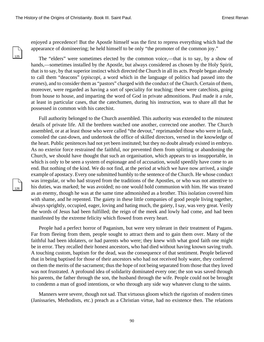enjoyed a precedence! But the Apostle himself was the first to repress everything which had the appearance of domineering; he held himself to be only "the promoter of the common joy."

The "elders" were sometimes elected by the common voice,—that is to say, by a show of hands,—sometimes installed by the Apostle, but always considered as chosen by the Holy Spirit, that is to say, by that superior instinct which directed the Church in all its acts. People began already to call them "deacons" (*episcopi*, a word which in the language of politics had passed into the *eranes*), and to consider them as "pastors" charged with the conduct of the Church. Certain of them, moreover, were regarded as having a sort of speciality for teaching; these were catechists, going from house to house, and imparting the word of God in private admonitions. Paul made it a rule, at least in particular cases, that the catechumen, during his instruction, was to share all that he possessed in common with his catechist.

Full authority belonged to the Church assembled. This authority was extended to the minutest details of private life. All the brethren watched one another, corrected one another. The Church assembled, or at at least those who were called "the devout," reprimanded those who were in fault, consoled the cast-down, and undertook the office of skilled directors, versed in the knowledge of the heart. Public penitences had not yet been instituted; but they no doubt already existed in embryo. As no exterior force restrained the faithful, nor prevented them from splitting or abandoning the Church, we should have thought that such an organisation, which appears to us insupportable, in which is only to be seen a system of espionage and of accusation, would speedily have come to an end. But nothing of the kind. We do not find, at the period at which we have now arrived, a single example of apostacy. Every one submitted humbly to the sentence of the Church. He whose conduct was irregular, or who had strayed from the traditions of the Apostles, or who was not attentive to his duties, was marked; he was avoided; no one would hold communion with him. He was treated as an enemy, though he was at the same time admonished as a brother. This isolation covered him with shame, and he repented. The gaiety in these little companies of good people living together, always sprightly, occupied, eager, loving and hating much, the gaiety, I say, was very great. Verily the words of Jesus had been fulfilled; the reign of the meek and lowly had come, and had been manifested by the extreme felicity which flowed from every heart.

People had a perfect horror of Paganism, but were very tolerant in their treatment of Pagans. Far from fleeing from them, people sought to attract them and to gain them over. Many of the faithful had been idolaters, or had parents who were; they knew with what good faith one might be in error. They recalled their honest ancestors, who had died without having known saving truth. A touching custom, baptism for the dead, was the consequence of that sentiment. People believed that in being baptised for those of their ancestors who had not received holy water, they conferred on them the merits of the sacrament; thus the hope of not being separated from those that they loved was not frustrated. A profound idea of solidarity dominated every one; the son was saved through his parents, the father through the son, the husband through the wife. People could not be brought to condemn a man of good intentions, or who through any side way whatever clung to the saints.

Manners were severe, though not sad. That virtuous gloom which the rigorists of modern times (Janissaries, Methodists, etc.) preach as a Christian virtue, had no existence then. The relations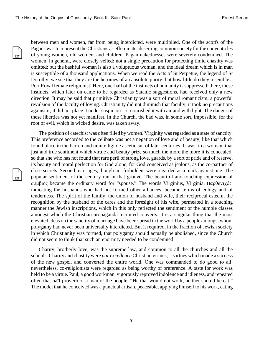128

between men and women, far from being interdicted, were multiplied. One of the scoffs of the Pagans was to represent the Christians as effeminate, deserting common society for the conventicles of young women, old women, and children. Pagan nakednesses were severely condemned. The women, in general, were closely veiled: not a single precaution for protecting timid chastity was omitted; but the bashful woman is also a voluptuous woman, and the ideal dream which is in man is susceptible of a thousand applications. When we read the Acts of St Perpetue, the legend of St Dorothy, we see that they are the heroines of an absolute purity; but how little do they resemble a Port Royal female religionist! Here, one-half of the instincts of humanity is suppressed; there, these instincts, which later on came to be regarded as Satanic suggestions, had received only a new direction. It may be said that primitive Christianity was a sort of moral romanticism, a powerful revulsion of the faculty of loving. Christianity did not diminish that faculty; it took no precautions against it; it did not place it under suspicion—it nourished it with air and with light. The danger of these liberties was not yet manifest. In the Church, the bad was, in some sort, impossible, for the root of evil, which is wicked desire, was taken away.

The position of catechist was often filled by women. Virginity was regarded as a state of sanctity. This preference accorded to the celibate was not a negation of love and of beauty, like that which found place in the barren and unintelligible asceticism of later centuries. It was, in a woman, that just and true sentiment which virtue and beauty prize so much the more the more it is concealed; so that she who has not found that rare peril of strong love, guards, by a sort of pride and of reserve, its beauty and moral perfection for God alone, for God conceived as jealous, as the co-partner of close secrets. Second marriages, though not forbidden, were regarded as a mark against one. The popular sentiment of the century ran in that groove. The beautiful and touching expression of σύμβιος became the ordinary word for "spouse." The words Virginius, Virginia, Παρθενιχός, indicating the husbands who had not formed other alliances, became terms of eulogy and of tenderness. The spirit of the family, the union of husband and wife, their reciprocal esteem, the recognition by the husband of the cares and the foresight of his wife, permeated in a touching manner the Jewish inscriptions, which in this only reflected the sentiment of the humble classes amongst which the Christian propaganda recruited converts. It is a singular thing that the most elevated ideas on the sanctity of marriage have been spread in the world by a people amongst whom polygamy had never been universally interdicted. But it required, in the fraction of Jewish society in which Christianity was formed, that polygamy should actually be abolished, since the Church did not seem to think that such an enormity needed to be condemned.

Charity, brotherly love, was the supreme law, and common to all the churches and all the schools. Charity and chastity were *par excellence* Christian virtues,—virtues which made a success of the new gospel, and converted the entire world. One was commanded to do good to all: nevertheless, co-religionists were regarded as being worthy of preference. A taste for work was held to be a virtue. Paul, a good workman, vigorously reproved indolence and idleness, and repeated often that naïf proverb of a man of the people: "He that would not work, neither should he eat." The model that he conceived was a punctual artisan, peaceable, applying himself to his work, eating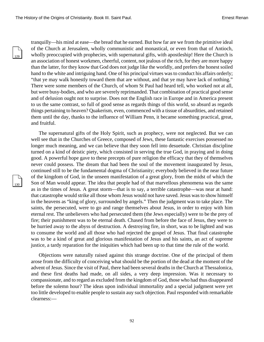130

tranquilly—his mind at ease—the bread that he earned. But how far are we from the primitive ideal of the Church at Jerusalem, wholly communistic and monastical, or even from that of Antioch, wholly preoccupied with prophecies, with supernatural gifts, with apostleship! Here the Church is an association of honest workmen, cheerful, content, not jealous of the rich, for they are more happy than the latter, for they know that God does not judge like the worldly, and prefers the honest soiled hand to the white and intriguing hand. One of his principal virtues was to conduct his affairs orderly; "that ye may walk honestly toward them that are without, and that ye may have lack of nothing." There were some members of the Church, of whom St Paul had heard tell, who worked not at all, but were busy-bodies, and who are severely reprimanded. That combination of practical good sense and of delusion ought not to surprise. Does not the English race in Europe and in America present to us the same contrast, so full of good sense as regards things of this world, so absurd as regards things pertaining to heaven? Quakerism, even, commenced with a tissue of absurdities, and retained them until the day, thanks to the influence of William Penn, it became something practical, great, and fruitful.

The supernatural gifts of the Holy Spirit, such as prophecy, were not neglected. But we can well see that in the Churches of Greece, composed of Jews, these fantastic exercises possessed no longer much meaning, and we can believe that they soon fell into desuetude. Christian discipline turned on a kind of deistic piety, which consisted in serving the true God, in praying and in doing good. A powerful hope gave to these precepts of pure religion the efficacy that they of themselves never could possess. The dream that had been the soul of the movement inaugurated by Jesus, continued still to be the fundamental dogma of Christianity; everybody believed in the near future of the kingdom of God, in the unseen manifestation of a great glory, from the midst of which the Son of Man would appear. The idea that people had of that marvellous phenomena was the same as in the times of Jesus. A great storm—that is to say, a terrible catastrophe—was near at hand: that catastrophe would strike all those whom Jesus would not have saved. Jesus was to show himself in the heavens as "king of glory, surrounded by angels." Then the judgment was to take place. The saints, the persecuted, were to go and range themselves about Jesus, in order to enjoy with him eternal rest. The unbelievers who had persecuted them (the Jews especially) were to be the prey of fire; their punishment was to be eternal death. Chased from before the face of Jesus, they were to be hurried away to the abyss of destruction. A destroying fire, in short, was to be lighted and was to consume the world and all those who had rejected the gospel of Jesus. That final catastrophe was to be a kind of great and glorious manifestation of Jesus and his saints, an act of supreme justice, a tardy reparation for the iniquities which had been up to that time the rule of the world.

Objections were naturally raised against this strange doctrine. One of the principal of them arose from the difficulty of conceiving what should be the portion of the dead at the moment of the advent of Jesus. Since the visit of Paul, there had been several deaths in the Church at Thessalonica, and these first deaths had made, on all sides, a very deep impression. Was it necessary to compassionate, and to regard as excluded from the kingdom of God, those who had thus disappeared before the solemn hour? The ideas upon individual immortality and a special judgment were yet too little developed to enable people to sustain auy such objection. Paul responded with remarkable clearness:—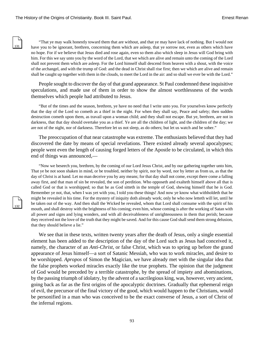"That ye may walk honestly toward them that are without, and that ye may have lack of nothing. But I would not have you to be ignorant, brethren, concerning them which are asleep, that ye sorrow not, even as others which have no hope. For if we believe that Jesus died and rose again, even so them also which sleep in Jesus will God bring with him. For this we say unto you by the word of the Lord, that we which are alive and remain unto the coming of the Lord shall not prevent them which are asleep. For the Lord himself shall descend from heaven with a shout, with the voice of the archangel, and with the trump of God: and the dead in Christ shall rise first; then we which are alive and remain shall be caught up together with them in the clouds, to meet the Lord in the air: and so shall we ever be with the Lord."

People sought to discover the day of that grand appearance. St Paul condemned these inquisitive speculations, and made use of them in order to show the almost worthlessness of the words themselves which people had attributed to Jesus.

"But of the times and the season, brethren, ye have no need that I write unto you. For yourselves know perfectly that the day of the Lord so cometh as a thief in the night. For when they shall say, Peace and safety; then sudden destruction cometh upon them, as travail upon a woman child; and they shall not escape. But ye, brethren, are not in darkness, that that day should overtake you as a thief. Ye are all the children of light, and the children of the day; we are not of the night, nor of darkness. Therefore let us not sleep, as do others; but let us watch and be sober."

The preoccupation of that near catastrophe was extreme. The enthusiasts believed that they had discovered the date by means of special revelations. There existed already several apocalypses; people went even the length of causing forged letters of the Apostle to be circulated, in which this end of things was announced,—

"Now we beseech you, brethren, by the coming of our Lord Jesus Christ, and by our gathering together unto him, That ye be not soon shaken in mind, or be troubled, neither by spirit, nor by word, nor by letter as from us, as that the day of Christ is at hand. Let no man deceive you by any means; for that day shall not come, except there come a falling away first, and that man of sin be revealed, the son of perdition. Who opposeth and exalteth himself above all that is called God or that is worshipped; so that he as God sitteth in the temple of God, shewing himself that he is God. Remember ye not, that, when I was yet with you, I told you these things! And now ye know what withholdeth that he might be revealed in his time. For the mystery of iniquity doth already work; only he who now letteth will let, until he be taken out of the way. And then shall the Wicked be revealed, whom that Lord shall consume with the spirit of his mouth, and shall destroy with the brightness of his coming; even him, whose coming is after the working of Satan with all power and signs and lying wonders, and with all deceivableness of unrighteousness in them that perish; because they received not the love of the truth that they might be saved. And for this cause God shall send them strong delusion, that they should believe a lie."

We see that in these texts, written twenty years after the death of Jesus, only a single essential element has been added to the description of the day of the Lord such as Jesus had conceived it, namely, the character of an *Anti-Christ*, or false Christ, which was to spring up before the grand appearance of Jesus himself—a sort of Satanic Messiah, who was to work miracles, and desire to be worshipped. *Apropos* of Simon the Magician, we have already met with the singular idea that the false prophets worked miracles exactly like the true prophets. The opinion that the judgment of God would be preceded by a terrible catastrophe, by the spread of impiety and abominations, by the passing triumph of idolatry, by the advent of a sacrilegious king, was, however, very ancient, going back as far as the first origins of the apocalyptic doctrines. Gradually that ephemeral reign of evil, the precursor of the final victory of the good, which would happen to the Christians, would be personified in a man who was conceived to be the exact converse of Jesus, a sort of Christ of the infernal regions.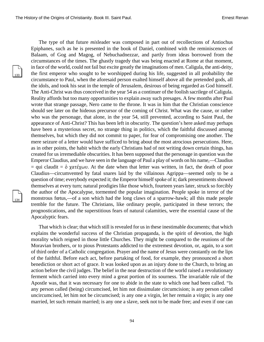134

The type of that future *mis*leader was composed in part out of recollections of Antiochus Epiphanes, such as he is presented in the book of Daniel, combined with the reminiscences of Balaam, of Gog and Magog, of Nebuchadnezzar, and partly from ideas borrowed from the circumstances of the times. The ghastly tragedy that was being enacted at Rome at that moment, in face of the world, could not fail but excite greatly the imaginations of men. Caligula, the anti-deity, the first emperor who sought to be worshipped during his life, suggested in all probability the circumstance to Paul, when the aforesaid person exalted himself above all the pretended gods, all the idols, and took his seat in the temple of Jerusalem, desirous of being regarded as God himself. The Anti-Christ was thus conceived in the year 54 as a continuer of the foolish sacrilege of Caligula. Reality affords but too many opportunities to explain away such presages. A few months after Paul wrote that strange passage, Nero came to the throne. It was in him that the Christian conscience should see later on the hideous precursor of the coming of Christ. What was the cause, or rather who was the personage, that alone, in the year 54, still prevented, according to Saint Paul, the appearance of Anti-Christ? This has been left in obscurity. The question's here asked may perhaps have been a mysterious secret, no strange thing in politics, which the faithful discussed among themselves, but which they did not commit to paper, for fear of compromising one another. The mere seizure of a letter would have sufficed to bring about the most atrocious persecutions. Here, as in other points, the habit which the early Christians had of not writing down certain things, has created for us irremediable obscurities. It has been supposed that the personage in question was the Emperor Claudius, and we have seen in the language of Paul a play of words on his name,—Claudius  $=$  qui claudit  $=$   $\delta$  χατέχωυ. At the date when that letter was written, in fact, the death of poor Claudius—circumvented by fatal snares laid by the villainous Agrippa—seemed only to be a question of time; everybody expected it; the Emperor himself spoke of it; dark presentiments showed themselves at every turn; natural prodigies like those which, fourteen years later, struck so forcibly the author of the Apocalypse, tormented the popular imagination. People spoke in terror of the monstrous fœtus,—of a son which had the long claws of a sparrow-hawk; all this made people tremble for the future. The Christians, like ordinary people, participated in these terrors; the prognostications, and the superstitious fears of natural calamities, were the essential cause of the Apocalyptic fears.

That which is clear; that which still is revealed for us in these inestimable documents; that which explains the wonderful success of the Christian propaganda, is the spirit of devotion, the high morality which reigned in those little Churches. They might be compared to the reunions of the Moravian brothers, or to pious Protestants addicted to the extremest devotion, or, again, to a sort of third order of a Catholic congregation. Prayer and the name of Jesus were constantly on the lips of the faithful. Before each act, before partaking of food, for example, they pronounced a short benediction or short act of grace. It was looked upon as an injury done to the Church, to bring an action before the civil judges. The belief in the near destruction of the world raised a revolutionary ferment which carried into every mind a great portion of its sourness. The invariable rule of the Apostle was, that it was necessary for one to abide in the state to which one had been called. "Is any person called (being) circumcised, let him not dissimulate circumcision; is any person called uncircumcised, let him not be circumcised; is any one a virgin, let her remain a virgin; is any one married, let such remain married; is any one a slave, seek not to be made free; and even if one can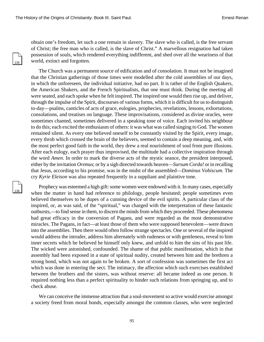136

obtain one's freedom, let such a one remain in slavery. The slave who is called, is the free servant of Christ; the free man who is called, is the slave of Christ." A marvellous resignation had taken possession of souls, which rendered everything indifferent, and shed over all the weariness of that world, extinct and forgotten.

The Church was a permanent source of edification and of consolation. It must not be imagined that the Christian gatherings of those times were modelled after the cold assemblies of our days, in which the unforeseen, the individual initiative, had no part. It is rather of the English Quakers, the American Shakers, and the French Spiritualists, that one must think. During the meeting all were seated, and each spoke when he felt inspired. The inspired one would then rise up, and deliver, through the impulse of the Spirit, discourses of various forms, which it is difficult for us to distinguish to-day—psalms, canticles of acts of grace, eulogies, prophecies, revelations, lessons, exhortations, consolations, and treatises on language. These improvisations, considered as divine oracles, were sometimes chanted, sometimes delivered in a speaking tone of voice. Each invited his neighbour to do this; each excited the enthusiasm of others: it was what was called singing to God. The women remained silent. As every one believed oneself to be constantly visited by the Spirit, every image, every throb which crossed the brain of the believers, seemed to contain a deep meaning, and, with the most perfect good faith in the world, they drew a real nourishment of soul from pure illusions. After each eulogy, each prayer thus improvised, the multitude had a collective inspiration through the word *Amen*. In order to mark the diverse acts of the mystic seance, the president interposed, either by the invitation *Oremus*; or by a sigh directed towards heaven—*Sursum Corda!* or in recalling that Jesus, according to his promise, was in the midst of the assembled—*Dominus Vobiscum.* The cry *Kyrie Eleison* was also repeated frequently in a suppliant and plaintive tone.

Prophecy was esteemed a high gift: some women were endowed with it. In many cases, especially when the matter in hand had reference to philology, people hesitated; people sometimes even believed themselves to be dupes of a cunning device of the evil spirits. A particular class of the inspired, or, as was said, of the "spiritual," was charged with the interpretation of these fantastic outbursts,—to find sense in them, to discern the minds from which they proceeded. These phenomena had great efficacy in the conversion of Pagans, and were regarded as the most demonstrative miracles. The Pagans, in fact—at least those of them who were supposed benevolent—were drawn into the assemblies. Then there would often follow strange spectacles. One or several of the inspired would address the intruder, address him alternately with rudeness or with gentleness, reveal to him inner secrets which he believed he himself only knew, and unfold to him the sins of his past life. The wicked were astonished, confounded. The shame of that public manifestation, which in that assembly had been exposed in a state of spiritual nudity, created between him and the brethren a strong bond, which was not again to be broken. A sort of confession was sometimes the first act which was done in entering the sect. The intimacy, the affection which such exercises established between the brothers and the sisters, was without reserve: all became indeed as one person. It required nothing less than a perfect spirituality to hinder such relations from springing up, and to check abuse.

We can conceive the immense attraction that a soul-movement so active would exercise amongst a society freed from moral bonds, especially amongst the common classes, who were neglected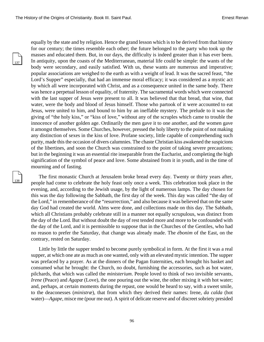138

equally by the state and by religion. Hence the grand lesson which is to be derived from that history for our century; the times resemble each other; the future belonged to the party who took up the masses and educated them. But, in our days, the difficulty is indeed greater than it has ever been. In antiquity, upon the coasts of the Mediterranean, material life could be simple: the wants of the body were secondary, and easily satisfied. With us, these wants are numerous and imperative; popular associations are weighed to the earth as with a weight of lead. It was the sacred feast, "the Lord's Supper" especially, that had an immense moral efficacy; it was considered as a mystic act by which all were incorporated with Christ, and as a consequence united in the same body. There was hence a perpetual lesson of equality, of fraternity. The sacramental words which were connected with the last supper of Jesus were present to all. It was believed that that bread, that wine, that water, were the body and blood of Jesus himself. Those who partook of it were accounted to eat Jesus, were united to him, and bound to him by an ineffable mystery. The prelude to it was the giving of "the holy kiss," or "kiss of love," without any of the scruples which came to trouble the innocence of another golden age. Ordinarily the men gave it to one another, and the women gave it amongst themselves. Some Churches, however, pressed the holy liberty to the point of not making any distinction of sexes in the kiss of love. Profane society, little capable of comprehending such purity, made this the occasion of divers calumnies. The chaste Christian kiss awakened the suspicions of the libertines, and soon the Church was constrained to the point of taking severe precautions; but in the beginning it was an essential rite inseparable from the Eucharist, and completing the high signification of the symbol of peace and love. Some abstained from it in youth, and in the time of mourning and of fasting.

The first monastic Church at Jerusalem broke bread every day. Twenty or thirty years after, people had come to celebrate the holy feast only once a week. This celebration took place in the evening, and, according to the Jewish usage, by the light of numerous lamps. The day chosen for this was the day following the Sabbath, the first day of the week. This day was called "the day of the Lord," in rememberance of the "resurrection," and also because it was believed that on the same day God had created the world. Alms were done, and collections made on this day. The Sabbath, which all Christians probably celebrate still in a manner not equally scrupulous, was distinct from the day of the Lord. But without doubt the day of rest tended more and more to be confounded with the day of the Lord, and it is permissible to suppose that in the Churches of the Gentiles, who had no reason to prefer the Saturday, that change was already made. The *ébonim* of the East, on the contrary, rested on Saturday.

Little by little the supper tended to become purely symbolical in form. At the first it was a real supper, at which one ate as much as one wanted, only with an elevated mystic intention. The supper was prefaced by a prayer. As at the dinners of the Pagan fraternities, each brought his basket and consumed what he brought: the Church, no doubt, furnishing the accessories, such as hot water, pilchards, that which was called the *ministerium*. People loved to think of two invisible servants, *Irene* (Peace) and *Agapa* (Love), the one pouring out the wine, the other mixing it with hot water; and, perhaps, at certain moments during the repast, one would be heard to say, with a sweet smile, to the deaconesses (*ministræ*), that from which they derived their names: Irene, *da calda* (hot water)—*Agape*, misce me (pour me out). A spirit of delicate reserve and of discreet sobriety presided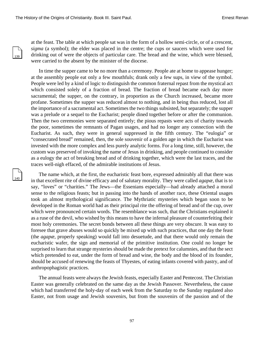140

at the feast. The table at which people sat was in the form of a hollow semi-circle, or of a crescent, *sigma* (a symbol); the elder was placed in the centre; the cups or saucers which were used for drinking out of were the objects of particular care. The bread and the wine, which were blessed, were carried to the absent by the minister of the diocese.

In time the supper came to be no more than a ceremony. People ate at home to appease hunger; at the assembly people eat only a few mouthfuls; drank only a few sups, in view of the symbol. People were led by a kind of logic to distinguish the common fraternal repast from the mystical act which consisted solely of a fraction of bread. The fraction of bread became each day more sacramental; the supper, on the contrary, in proportion as the Church increased, became more profane. Sometimes the supper was reduced almost to nothing, and in being thus reduced, lost all the importance of a sacramental act. Sometimes the two things subsisted, but separately; the supper was a prelude or a sequel to the Eucharist; people dined together before or after the communion. Then the two ceremonies were separated entirely; the pious repasts were acts of charity towards the poor, sometimes the remnants of Pagan usages, and had no longer any connection with the Eucharist. As such, they were in general suppressed in the fifth century. The "eulogia" or "consecrated bread" remained, then, the sole souvenir of a golden age in which the Eucharist was invested with the more complex and less purely analytic forms. For a long time, still, however, the custom was preserved of invoking the name of Jesus in drinking, and people continued to consider as a eulogy the act of breaking bread and of drinking together, which were the last traces, and the traces well-nigh effaced, of the admirable institutions of Jesus.

The name which, at the first, the eucharistic feast bore, expressed admirably all that there was in that excellent rite of divine efficacy and of salutary morality. They were called *agapæ*, that is to say, "loves" or "charities." The Jews—the Essenians especially—had already attached a moral sense to the religious feasts; but in passing into the hands of another race, these Oriental usages took an almost mythological significance. The Mythriatic mysteries which began soon to be developed in the Roman world had as their principal rite the offering of bread and of the cup, over which were pronounced certain words. The resemblance was such, that the Christians explained it as a ruse of the devil, who wished by this means to have the infernal pleasure of counterfeiting their most holy ceremonies. The secret bonds between all these things are very obscure. It was easy to foresee that grave abuses would so quickly be mixed up with such practices, that one day the feast (the *agapæ*, properly speaking) would fall into desuetude, and that there would only remain the eucharistic wafer, the sign and memorial of the primitive institution. One could no longer be surprised to learn that strange mysteries should be made the pretext for calumnies, and that the sect which pretended to eat, under the form of bread and wine, the body and the blood of its founder, should be accused of renewing the feasts of Thyestes, of eating infants covered with pastry, and of anthropophagistic practices.

The annual feasts were always the Jewish feasts, especially Easter and Pentecost. The Christian Easter was generally celebrated on the same day as the Jewish Passover. Nevertheless, the cause which had transferred the holy-day of each week from the Saturday to the Sunday regulated also Easter, not from usage and Jewish souvenirs, but from the souvenirs of the passion and of the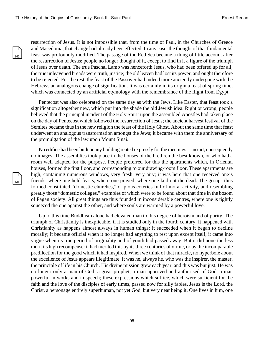resurrection of Jesus. It is not impossible that, from the time of Paul, in the Churches of Greece and Macedonia, that change had already been effected. In any case, the thought of that fundamental feast was profoundly modified. The passage of the Red Sea became a thing of little account after the resurrection of Jesus; people no longer thought of it, except to find in it a figure of the triumph of Jesus over death. The true Paschal Lamb was henceforth Jesus, who had been offered up for all; the true unleavened breads were truth, justice; the old leaven had lost its power, and ought therefore to be rejected. For the rest, the feast of the Passover had indeed more anciently undergone with the Hebrews an analogous change of signification. It was certainly in its origin a feast of spring time, which was connected by an artificial etymology with the remembrance of the flight from Egypt.

Pentecost was also celebrated on the same day as with the Jews. Like Easter, that feast took a signification altogether new, which put into the shade the old Jewish idea. Right or wrong, people believed that the principal incident of the Holy Spirit upon the assembled Apostles had taken place on the day of Pentecost which followed the resurrection of Jesus; the ancient harvest festival of the Semites became thus in the new religion the feast of the Holy Ghost. About the same time that feast underwent an analogous transformation amongst the Jews; it became with them the anniversary of the promulgation of the law upon Mount Sinai.

No edifice had been built or any building rented expressly for the meetings;—no art, consequently no images. The assemblies took place in the houses of the brethren the best known, or who had a room well adapted for the purpose. People preferred for this the apartments which, in Oriental houses, formed the first floor, and corresponding to our drawing-room floor. These apartments are high, containing numerous windows, very fresh, very airy; it was here that one received one's friends, where one held feasts, where one prayed, where one laid out the dead. The groups thus formed constituted "domestic churches," or pious coteries full of moral activity, and resembling greatly those "domestic colleges," examples of which were to be found about that time in the bosom of Pagan society. All great things are thus founded in inconsiderable centres, where one is tightly squeezed the one against the other, and where souls are warmed by a powerful love.

Up to this time Buddhism alone had elevated man to this degree of heroism and of purity. The triumph of Christianity is inexplicable, if it is studied only in the fourth century. It happened with Christianity as happens almost always in human things: it succeeded when it began to decline morally; it became official when it no longer had anything to rest upon except itself; it came into vogue when its true period of originality and of youth had passed away. But it did none the less merit its high recompense: it had merited this by its three centuries of virtue, or by the incomparable predilection for the good which it had inspired. When we think of that miracle, no hyperbole about the excellence of Jesus appears illegitimate. It was he, always he, who was the inspirer, the master, the principle of life in his Church. His divine mission grew each year, and this was but just. He was no longer only a man of God, a great prophet, a man approved and authorised of God, a man powerful in works and in speech; these expressions which suffice, which were sufficient for the faith and the love of the disciples of early times, passed now for silly fables. Jesus is the Lord, the Christ, a personage entirely superhuman, not yet God, but very near being it. One lives in him, one

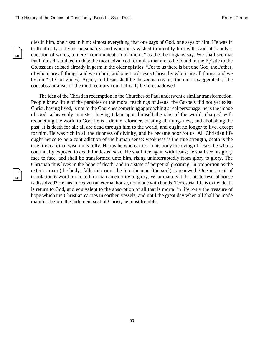144

dies in him, one rises in him; almost everything that one says of God, one says of him. He was in truth already a divine personality, and when it is wished to identify him with God, it is only a question of words, a mere "communication of idioms" as the theologians say. We shall see that Paul himself attained to this: the most advanced formulas that are to be found in the Epistle to the Colossians existed already in germ in the older epistles. "For to us there is but one God, the Father, of whom are all things, and we in him, and one Lord Jesus Christ, by whom are all things, and we by him" ([1 Cor. viii. 6](http://www.ccel.org/b/bible/asv/xml/asv.iCor.8.xml#iCor.8.6)). Again, and Jesus shall be the *logos*, creator; the most exaggerated of the consubstantialists of the ninth century could already be foreshadowed.

The idea of the Christian redemption in the Churches of Paul underwent a similar transformation. People knew little of the parables or the moral teachings of Jesus: the Gospels did not yet exist. Christ, having lived, is not to the Churches something approaching a real personage: he is the image of God, a heavenly minister, having taken upon himself the sins of the world, charged with reconciling the world to God; he is a divine reformer, creating all things new, and abolishing the past. It is death for all; all are dead through him to the world, and ought no longer to live, except for him. He was rich in all the richness of divinity, and he became poor for us. All Christian life ought hence to be a contradiction of the human sense: weakness is the true strength, death is the true life; cardinal wisdom is folly. Happy he who carries in his body the dying of Jesus, he who is continually exposed to death for Jesus' sake. He shall live again with Jesus; he shall see his glory face to face, and shall be transformed unto him, rising uninterruptedly from glory to glory. The Christian thus lives in the hope of death, and in a state of perpetual groaning. In proportion as the exterior man (the body) falls into ruin, the interior man (the soul) is renewed. One moment of tribulation is worth more to him than an eternity of glory. What matters it that his terrestrial house is dissolved? He has in Heaven an eternal house, not made with hands. Terrestrial life is exile; death is return to God, and equivalent to the absorption of all that is mortal in life, only the treasure of hope which the Christian carries in earthen vessels, and until the great day when all shall be made manifest before the judgment seat of Christ, he must tremble.

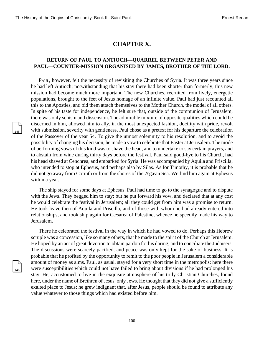# **CHAPTER X.**

### **RETURN OF PAUL TO ANTIOCH—QUARREL BETWEEN PETER AND PAUL—COUNTER-MISSION ORGANISED BY JAMES, BROTHER OF THE LORD.**

PAUL, however, felt the necessity of revisiting the Churches of Syria. It was three years since he had left Antioch; notwithstanding that his stay there had been shorter than formerly, this new mission had become much more important. The new Churches, recruited from lively, energetic populations, brought to the feet of Jesus homage of an infinite value. Paul had just recounted all this to the Apostles, and bid them attach themselves to the Mother Church, the model of all others. In spite of his taste for independence, he felt sure that, outside of the communion of Jerusalem, there was only schism and dissension. The admirable mixture of opposite qualities which could be discerned in him, allowed him to ally, in the most unexpected fashion, docility with pride, revolt with submission, severity with gentleness. Paul chose as a pretext for his departure the celebration of the Passover of the year 54. To give the utmost solemnity to his resolution, and to avoid the possibility of changing his decision, he made a vow to celebrate that Easter at Jerusalem. The mode of performing vows of this kind was to shave the head, and to undertake to say certain prayers, and to abstain from wine during thirty days before the festival. Paul said good-bye to his Church, had his head shaved at Cenchrea, and embarked for Syria. He was accompanied by Aquila and Priscilla, who intended to stop at Ephesus, and perhaps also by Silas. As for Timothy, it is probable that he did not go away from Corinth or from the shores of the Ægæan Sea. We find him again at Ephesus within a year.

The ship stayed for some days at Ephesus. Paul had time to go to the synagogue and to dispute with the Jews. They begged him to stay; but he put forward his vow, and declared that at any cost he would celebrate the festival in Jerusalem; all they could get from him was a promise to return. He took leave then of Aquila and Priscilla, and of those with whom he had already entered into relationships, and took ship again for Cæsarea of Palestine, whence he speedily made his way to Jerusalem.

There he celebrated the festival in the way in which he had vowed to do. Perhaps this Hebrew scruple was a concession, like so many others, that he made to the spirit of the Church at Jerusalem. He hoped by an act of great devotion to obtain pardon for his daring, and to conciliate the Judaisers. The discussions were scarcely pacified, and peace was only kept for the sake of business. It is probable that he profited by the opportunity to remit to the poor people in Jerusalem a considerable amount of money as alms. Paul, as usual, stayed for a very short time in the metropolis: here there were susceptibilities which could not have failed to bring about divisions if he had prolonged his stay. He, accustomed to live in the exquisite atmosphere of his truly Christian Churches, found here, under the name of Brethren of Jesus, only Jews. He thought that they did not give a sufficiently exalted place to Jesus; he grew indignant that, after Jesus, people should be found to attribute any value whatever to those things which had existed before him.

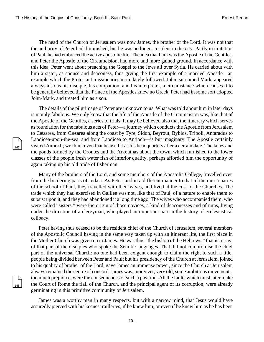148

The head of the Church of Jerusalem was now James, the brother of the Lord. It was not that the authority of Peter had diminished, but he was no longer resident in the city. Partly in imitation of Paul, he had embraced the active apostolic life. The idea that Paul was the Apostle of the Gentiles, and Peter the Apostle of the Circumcision, had more and more gained ground. In accordance with this idea, Peter went about preaching the Gospel to the Jews all over Syria. He carried about with him a sister, as spouse and deaconess, thus giving the first example of a married Apostle—an example which the Protestant missionaries more lately followed. John, surnamed Mark, appeared always also as his disciple, his companion, and his interpreter, a circumstance which causes it to be generally believed that the Prince of the Apostles knew no Greek. Peter had in some sort adopted John-Mark, and treated him as a son.

The details of the pilgrimage of Peter are unknown to us. What was told about him in later days is mainly fabulous. We only know that the life of the Apostle of the Circumcision was, like that of the Apostle of the Gentiles, a series of trials. It may be believed also that the itinerary which serves as foundation for the fabulous acts of Peter—a journey which conducts the Apostle from Jerusalem to Cæsarea, from Cæsarea along the coast by Tyre, Sidon, Beyrout, Byblos, Tripoli, Antaradus to Laodicea-upon-the-sea, and from Laodicea to Antioch—is but imaginary. The Apostle certainly visited Antioch; we think even that he used it as his headquarters after a certain date. The lakes and the ponds formed by the Orontes and the Arkeuthas about the town, which furnished to the lower classes of the people fresh water fish of inferior quality, perhaps afforded him the opportunity of again taking up his old trade of fisherman.

Many of the brothers of the Lord, and some members of the Apostolic College, travelled even from the bordering parts of Judæa. As Peter, and in a different manner to that of the missionaries of the school of Paul, they travelled with their wives, and lived at the cost of the Churches. The trade which they had exercised in Galilee was not, like that of Paul, of a nature to enable them to subsist upon it, and they had abandoned it a long time ago. The wives who accompanied them, who were called "sisters," were the origin of those novices, a kind of deaconesses and of nuns, living under the direction of a clergyman, who played an important part in the history of ecclesiastical celibacy.

Peter having thus ceased to be the resident chief of the Church of Jerusalem, several members of the Apostolic Council having in the same way taken up with an itinerant life, the first place in the Mother Church was given up to James. He was thus "the bishop of the Hebrews," that is to say, of that part of the disciples who spoke the Semitic languages. That did not compromise the chief part of the universal Church: no one had been exigent enough to claim the right to such a title, people being divided between Peter and Paul; but his presidency of the Church at Jerusalem, joined to his quality of brother of the Lord, gave James an immense power, since the Church at Jerusalem always remained the centre of concord. James was, moreover, very old; some ambitious movements, too much prejudice, were the consequences of such a position. All the faults which must later make the Court of Rome the flail of the Church, and the principal agent of its corruption, were already germinating in this primitive community of Jerusalem.

James was a worthy man in many respects, but with a narrow mind, that Jesus would have assuredly pierced with his keenest railleries, if he knew him, or even if be knew him as he has been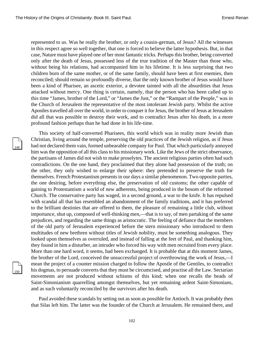150

represented to us. Was he really the brother, or only a cousin-german, of Jesus? All the witnesses in this respect agree so well together, that one is forced to believe the latter hypothesis. But, in that case, Nature must have played one of her most fantastic tricks. Perhaps this brother, being converted only after the death of Jesus, possessed less of the true tradition of the Master than those who, without being his relations, had accompanied him in his lifetime. It is less surprising that two children born of the same mother, or of the same family, should have been at first enemies, then reconciled; should remain so profoundly diverse, that the only known brother of Jesus would have been a kind of Pharisee, an ascetic exterior, a devotee tainted with all the absurdities that Jesus attacked without mercy. One thing is certain, namely, that the person who has been called up to this time "James, brother of the Lord," or "James the Just," or the "Rampart of the People," was in the Church of Jerusalem the representative of the most intolerant Jewish party. Whilst the active Apostles travelled all over the world, in order to conquer it for Jesus, the brother of Jesus at Jerusalem did all that was possible to destroy their work, and to contradict Jesus after his death, in a more profound fashion perhaps than he had done in his life-time.

This society of half-converted Pharisees, this world which was in reality more Jewish than Christian, living around the temple, preserving the old practices of the Jewish religion, as if Jesus had not declared them vain, formed unbearable company for Paul. That which particularly annoyed him was the opposition of all this class to his missionary work. Like the Jews of the strict observance, the partisans of James did not wish to make proselytes. The ancient religious parties often had such contradictions. On the one hand, they proclaimed that they alone had possession of the truth; on the other, they only wished to enlarge their sphere: they pretended to preserve the truth for themselves. French Protestantism presents in our days a similar phenomenon. Two opposite parties, the one desiring, before everything else, the preservation of old customs; the other capable of gaining to Protestantism a world of new adherents, being produced in the bosom of the reformed Church. The conservative party has waged, in a second ground, a war to the knife. It has repulsed with scandal all that has resembled an abandonment of the family traditions, and it has preferred to the brilliant destinies that are offered to them, the pleasure of remaining a little club, without importance, shut up, composed of well-thinking men,—that is to say, of men partaking of the same prejudices, and regarding the same things as aristocratic. The feeling of defiance that the members of the old party of Jerusalem experienced before the stern missionary who introduced to them multitudes of new brethren without titles of Jewish nobility, must be something analogous. They looked upon themselves as overruled, and instead of falling at the feet of Paul, and thanking him, they found in him a disturber, an intruder who forced his way with men recruited from every place. More than one hard word, it seems, had been exchanged. It is probable that at this moment James, the brother of the Lord, conceived the unsuccessful project of overthrowing the work of Jesus,—I mean the project of a counter mission charged to follow the Apostle of the Gentiles, to contradict his dogmas, to persuade converts that they must be circumcised, and practise all the Law. Sectarian movements are not produced without schisms of this kind; when one recalls the heads of Saint-Simonianism quarrelling amongst themselves, but yet remaining ardent Saint-Simonians, and as such voluntarily reconciled by the survivors after his death.

Paul avoided these scandals by setting out as soon as possible for Antioch. It was probably then that Silas left him. The latter was the founder of the Church at Jerusalem. He remained there, and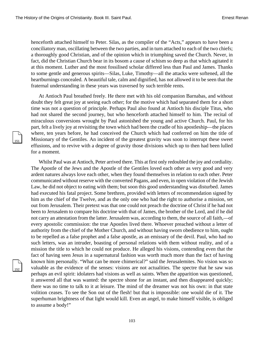henceforth attached himself to Peter. Silas, as the compiler of the "Acts," appears to have been a conciliatory man, oscillating between the two parties, and in turn attached to each of the two chiefs; a thoroughly good Christian, and of the opinion which in triumphing saved the Church. Never, in fact, did the Christian Church bear in its bosom a cause of schism so deep as that which agitated it at this moment. Luther and the most fossilised scholar differed less than Paul and James. Thanks to some gentle and generous spirits—Silas, Luke, Timothy—all the attacks were softened, all the heartburnings concealed. A beautiful tale, calm and dignified, has not allowed it to be seen that the fraternal understanding in these years was traversed by such terrible rents.

At Antioch Paul breathed freely. He there met with his old companion Barnabas, and without doubt they felt great joy at seeing each other; for the motive which had separated them for a short time was not a question of principle. Perhaps Paul also found at Antioch his disciple Titus, who had not shared the second journey, but who henceforth attached himself to him. The recital of miraculous conversions wrought by Paul astonished the young and active Church. Paul, for his part, felt a lively joy at revisiting the town which had been the cradle of his apostleship—the places where, ten years before, he had conceived the Church which had conferred on him the title of Missionary of the Gentiles. An incident of the greatest gravity was soon to interrupt these sweet effusions, and to revive with a degree of gravity those divisions which up to then had been lulled for a moment.

Whilst Paul was at Antioch, Peter arrived there. This at first only redoubled the joy and cordiality. The Apostle of the Jews and the Apostle of the Gentiles loved each other as very good and very ardent natures always love each other, when they found themselves in relation to each other. Peter communicated without reserve with the converted Pagans, and even, in open violation of the Jewish Law, he did not object to eating with them; but soon this good understanding was disturbed. James had executed his fatal project. Some brethren, provided with letters of recommendation signed by him as the chief of the Twelve, and as the only one who had the right to authorise a mission, set out from Jerusalem. Their pretext was that one could not preach the doctrine of Christ if he had not been to Jerusalem to compare his doctrine with that of James, the brother of the Lord, and if he did not carry an attestation from the latter. Jerusalem was, according to them, the source of all faith,—of every apostolic commission: the true Apostles lived there. Whoever preached without a letter of authority from the chief of the Mother Church, and without having sworn obedience to him, ought to be repelled as a false prophet and a false apostle, as an emissary of the devil. Paul, who had no such letters, was an intruder, boasting of personal relations with them without reality, and of a mission the title to which he could not produce. He alleged his visions, contending even that the fact of having seen Jesus in a supernatural fashion was worth much more than the fact of having known him personally. "What can be more chimerical?" said the Jerusalemites. No vision was so valuable as the evidence of the senses: visions are not actualities. The spectre that he saw was perhaps an evil spirit: idolaters had visions as well as saints. When the apparition was questioned, it answered all that was wanted: the spectre shone for an instant, and then disappeared quickly; there was no time to talk to it at leisure. The mind of the dreamer was not his own: in that state volition ceases. To see the Son out of the flesh! but that is impossible: one would die of it. The superhuman brightness of that light would kill. Even an angel, to make himself visible, is obliged to assume a body!"

103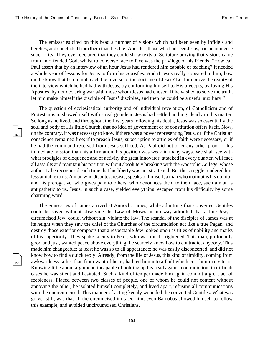154

The emissaries cited on this head a number of visions which had been seen by infidels and heretics, and concluded from them that the chief Apostles, those who had seen Jesus, had an immense superiority. They even declared that they could show texts of Scripture proving that visions came from an offended God, whilst to converse face to face was the privilege of his friends. "How can Paul assert that by an interview of an hour Jesus had rendered him capable of teaching? It needed a whole year of lessons for Jesus to form his Apostles. And if Jesus really appeared to him, how did he know that he did not teach the reverse of the doctrine of Jesus? Let him prove the reality of the interview which he had had with Jesus, by conforming himself to His precepts, by loving His Apostles, by not declaring war with those whom Jesus had chosen. If he wished to serve the truth, let him make himself the disciple of Jesus' disciples, and then he could be a useful auxiliary."

The question of ecclesiastical authority and of individual revelation, of Catholicism and of Protestantism, showed itself with a real grandeur. Jesus had settled nothing clearly in this matter. So long as he lived, and throughout the first years following his death, Jesus was so essentially the soul and body of His little Church, that no idea of government or of constitution offers itself. Now, on the contrary, it was necessary to know if there was a power representing Jesus, or if the Christian conscience remained free; if to preach Jesus, subscription to articles of faith were necessary, or if he had the command received from Jesus sufficed. As Paul did not offer any other proof of his immediate mission than his affirmation, his position was weak in many ways. We shall see with what prodigies of eloquence and of activity the great innovator, attacked in every quarter, will face all assaults and maintain his position without absolutely breaking with the Apostolic College, whose authority he recognised each time that his liberty was not straitened. But the struggle rendered him less amiable to us. A man who disputes, resists, speaks of himself; a man who maintains his opinion and his prerogative, who gives pain to others, who denounces them to their face, such a man is antipathetic to us. Jesus, in such a case, yielded everything, escaped from his difficulty by some charming word.

The emissaries of James arrived at Antioch. James, while admitting that converted Gentiles could be saved without observing the Law of Moses, in no way admitted that a true Jew, a circumcised Jew, could, without sin, violate the law. The scandal of the disciples of James was at its height when they saw the chief of the Churches of the circumcision act like a true Pagan, and destroy those exterior compacts that a respectable Jew looked upon as titles of nobility and marks of his superiority. They spoke keenly to Peter, who was much frightened. This man, profoundly good and just, wanted peace above everything: he scarcely knew how to contradict anybody. This made him changeable: at least he was so to all appearance; he was easily disconcerted, and did not know how to find a quick reply. Already, from the life of Jesus, this kind of timidity, coming from awkwardness rather than from want of heart, had led him into a fault which cost him many tears. Knowing little about argument, incapable of holding up his head against contradiction, in difficult cases he was silent and hesitated. Such a kind of temper made him again commit a great act of feebleness. Placed between two classes of people, one of whom he could not content without annoying the other, he isolated himself completely, and lived apart, refusing all communications with the uncircumcised. This manner of acting keenly wounded the converted Gentiles. What was graver still, was that all the circumcised imitated him; even Barnabas allowed himself to follow this example, and avoided uncircumcised Christians.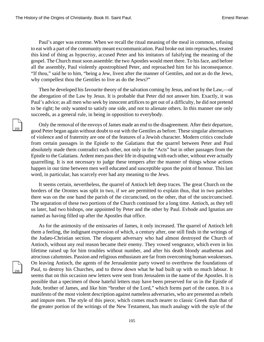156

Paul's anger was extreme. When we recall the ritual meaning of the meal in common, refusing to eat with a part of the community meant excommunication. Paul broke out into reproaches, treated this kind of thing as hypocrisy, accused Peter and his imitators of falsifying the meaning of the gospel. The Church must soon assemble: the two Apostles would meet there. To his face, and before all the assembly, Paul violently apostrophised Peter, and reproached him for his inconsequence. "If thou," said he to him, "being a Jew, livest after the manner of Gentiles, and not as do the Jews, why compellest thou the Gentiles to live as do the Jews?"

Then he developed his favourite theory of the salvation coming by Jesus, and not by the Law,—of the abrogation of the Law by Jesus. It is probable that Peter did not answer him. Exactly, it was Paul's advice; as all men who seek by innocent artifices to get out of a difficulty, he did not pretend to be right; he only wanted to satisfy one side, and not to alienate others. In this manner one only succeeds, as a general rule, in being in opposition to everybody.

Only the removal of the envoys of James made an end to the disagreement. After their departure, good Peter began again without doubt to eat with the Gentiles as before. These singular alternatives of violence and of fraternity are one of the features of a Jewish character. Modern critics conclude from certain passages in the Epistle to the Galatians that the quarrel between Peter and Paul absolutely made them contradict each other, not only in the "Acts" but in other passages from the Epistle to the Galatians. Ardent men pass their life in disputing with each other, without ever actually quarrelling. It is not necessary to judge these tempers after the manner of things whose actions happen in our time between men well educated and susceptible upon the point of honour. This last word, in particular, has scarcely ever had any meaning to the Jews.

It seems certain, nevertheless, the quarrel of Antioch left deep traces. The great Church on the borders of the Orontes was split in two, if we are permitted to explain thus, that in two parishes there was on the one hand the parish of the circumcised, on the other, that of the uncircumcised. The separation of these two portions of the Church continued for a long time. Antioch, as they tell us later, had two bishops, one appointed by Peter and the other by Paul. Evhode and Ignatius are named as having filled up after the Apostles that office.

As for the animosity of the emissaries of James, it only increased. The quarrel of Antioch left them a feeling, the indignant expression of which, a century after, one still finds in the writings of the Judæo-Christian section. The eloquent adversary who had almost destroyed the Church of Antioch, without any real reason became their enemy. They vowed vengeance, which even in his lifetime raised up for him troubles without number, and after his death bloody anathemas and atrocious calumnies. Passion and religious enthusiasm are far from overcoming human weaknesses. On leaving Antioch, the agents of the Jerusalemite party vowed to overthrow the foundations of Paul, to destroy his Churches, and to throw down what he had built up with so much labour. It seems that on this occasion new letters were sent from Jerusalem in the name of the Apostles. It is possible that a specimen of those hateful letters may have been preserved for us in the Epistle of Jude, brother of James, and like him "brother of the Lord," which forms part of the canon. It is a manifesto of the most violent description against nameless adversaries, who are presented as rebels and impure men. The style of this piece, which comes much nearer to classic Greek than that of the greater portion of the writings of the New Testament, has much analogy with the style of the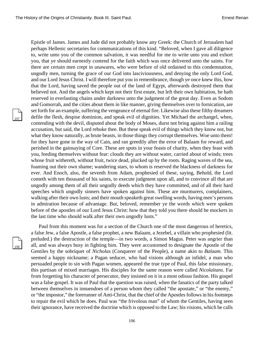158

Epistle of James. James and Jude did not probably know any Greek: the Church of Jerusalem had perhaps Hellenic secretaries for communications of this kind. "Beloved, when I gave all diligence to, write unto you of the common salvation, it was needful for me to write unto you and exhort you, that ye should earnestly contend for the faith which was once delivered unto the saints. For there are certain men crept in unawares, who were before of old ordained to this condemnation, ungodly men, turning the grace of our God into lasciviousness, and denying the only Lord God, and our Lord Jesus Christ. I will therefore put you in remembrance, though ye once knew this, how that the Lord, having saved the people out of the land of Egypt, afterwards destroyed them that believed not. And the angels which kept not their first estate, but left their own habitation, he hath reserved in everlasting chains under darkness unto the judgment of the great day. Even as Sodom and Gomorrah, and the cities about them in like manner, giving themselves over to fornication, are set forth for an example, suffering the vengeance of eternal fire. Likewise also these filthy dreamers defile the flesh, despise dominion, and speak evil of dignities. Yet Michael the archangel, when, contending with the devil, disputed about the body of Moses, durst not bring against him a railing accusation, but said, the Lord rebuke thee. But these speak evil of things which they know not, but what they know naturally, as brute beasts, in those things they corrupt themselves. Woe unto them! for they have gone in the way of Cain, and ran greedily after the error of Balaam for reward, and perished in the gainsaying of Core. These are spots in your feasts of charity, when they feast with you, feeding themselves without fear: clouds they are without water, carried about of winds; trees whose fruit withereth, without fruit, twice dead, plucked up by the roots. Raging waves of the sea, foaming out their own shame; wandering stars, to whom is reserved the blackness of darkness for ever. And Enoch, also, the seventh from Adam, prophesied of these, saying, Behold, the Lord cometh with ten thousand of his saints, to execute judgment upon all, and to convince all that are ungodly among them of all their ungodly deeds which they have committed, and of all their hard speeches which ungodly sinners have spoken against him. These are murmurers, complainers, walking after their own lusts; and their mouth speaketh great swelling words, having men's persons in admiration because of advantage. But, beloved, remember ye the words which were spoken before of the apostles of our Lord Jesus Christ: how that they told you there should be mockers in the last time who should walk after their own ungodly lusts."

Paul from this moment was for a section of the Church one of the most dangerous of heretics, a false Jew, a false Apostle, a false prophet, a new Balaam, a Jezebel, a villain who prophesied (lit. preluded.) the destruction of the temple—in two words, a Simon Magus. Peter was angrier than all, and was always busy in fighting him. They were accustomed to designate the Apostle of the Gentiles by the sobriquet of *Nicholas* (Conquerer of the People), a name akin to *Balaam*. This seemed a happy nickname; a Pagan seducer, who had visions although an infidel, a man who persuaded people to sin with Pagan women, appeared the true type of Paul, this false missionary, this partisan of mixed marriages. His disciples for the same reason were called *Nicolaitans*. Far from forgetting his character of persecutor, they insisted on it in a most odious fashion. His gospel was a false gospel. It was of Paul that the question was raised, when the fanatics of the party talked between themselves in innuendoes of a person whom they called "the apostate," or "the enemy," or "the impostor," the forerunner of Anti-Christ, that the chief of the Apostles follows in his footsteps to repair the evil which he does. Paul was "the frivolous man" of whom the Gentiles, having seen their ignorance, have received the doctrine which is opposed to the Law; his visions, which he calls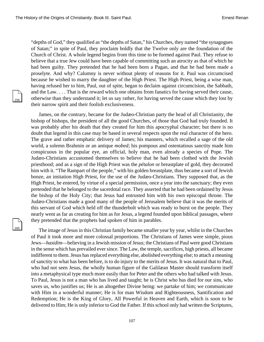"depths of God," they qualified as "the depths of Satan," his Churches, they named "the synagogues of Satan;" in spite of Paul, they proclaim boldly that the Twelve only are the foundation of the Church of Christ. A whole legend begins from this time to be formed against Paul. They refuse to believe that a true Jew could have been capable of committing such an atrocity as that of which he had been guilty. They pretended that he had been born a Pagan, and that he had been made a proselyte. And why? Calumny is never without plenty of reasons for it. Paul was circumcised because he wished to marry the daughter of the High Priest. The High Priest, being a wise man, having refused her to him, Paul, out of spite, began to declaim against circumcision, the Sabbath, and the Law. . . . That is the reward which one obtains from fanatics for having served their cause, otherwise than they understand it; let us say rather, for having served the cause which they lost by their narrow spirit and their foolish exclusiveness.

James, on the contrary, became for the Judæo-Christian party the head of all Christianity, the bishop of bishops, the president of all the good Churches, of those that God had truly founded. It was probably after his death that they created for him this apocryphal character; but there is no doubt that legend in this case may be based in several respects upon the real character of the hero. The grave and rather emphatic delivery of James; his manners, which recalled a sage of the old world, a solemn Brahmin or an antique *mobed*; his pompous and ostentatious sanctity made him conspicuous in the popular eye, an official, holy man, even already a species of Pope. The Judæo-Christians accustomed themselves to believe that he had been clothed with the Jewish priesthood; and as a sign of the High Priest was the *pétalon* or breastplate of gold, they decorated him with it. "The Rampart of the people," with his golden breastplate, thus became a sort of Jewish bonze, an imitation High Priest, for the use of the Judæo-Christians. They supposed that, as the High Priest, he entered, by virtue of a special permission, once a year into the sanctuary; they even pretended that he belonged to the sacerdotal race. They asserted that he had been ordained by Jesus the bishop of the Holy City; that Jesus had entrusted him with his own episcopal throne. The Judæo-Christians made a good many of the people of Jerusalem believe that it was the merits of this servant of God which held off the thunderbolt which was ready to burst on the people. They nearly went as far as creating for him as for Jesus, a legend founded upon biblical passages, where they pretended that the prophets had spoken of him in parables.

The image of Jesus in this Christian family became smaller year by year, whilst in the Churches of Paul it took more and more colossal proportions. The Christians of James were simple, pious Jews—*hasidim*—believing in a Jewish mission of Jesus; the Christians of Paul were good Christians in the sense which has prevailed ever since. The Law, the temple, sacrifices, high priests, all became indifferent to them. Jesus has replaced everything else, abolished everything else; to attach a meaning of sanctity to what has been before, is to do injury to the merits of Jesus. It was natural that to Paul, who had not seen Jesus, the wholly human figure of the Galilæan Master should transform itself into a metaphysical type much more easily than for Peter and the others who had talked with Jesus. To Paul, Jesus is not a man who has lived and taught; he is Christ who has died for our sins, who saves us, who justifies us; He is an altogether Divine being: we partake of him; we communicate with Him in a wonderful manner; He is for man Wisdom and Righteousness, Santification and Redemption; He is the King of Glory, All Powerful in Heaven and Earth, which is soon to be delivered to Him; He is only inferior to God the Father. If this school only had written the Scriptures,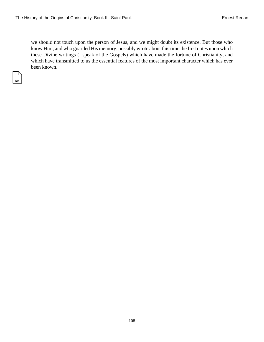we should not touch upon the person of Jesus, and we might doubt its existence. But those who know Him, and who guarded His memory, possibly wrote about this time the first notes upon which these Divine writings (I speak of the Gospels) which have made the fortune of Christianity, and which have transmitted to us the essential features of the most important character which has ever been known.

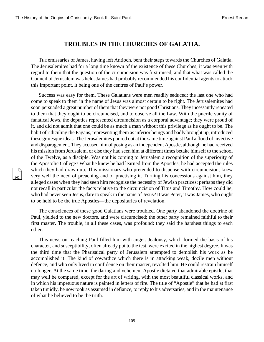# **TROUBLES IN THE CHURCHES OF GALATIA.**

THE emissaries of James, having left Antioch, bent their steps towards the Churches of Galatia. The Jerusalemites had for a long time known of the existence of these Churches; it was even with regard to them that the question of the circumcision was first raised, and that what was called the Council of Jerusalem was held. James had probably recommended his confidential agents to attack this important point, it being one of the centres of Paul's power.

Success was easy for them. These Galatians were men readily seduced; the last one who had come to speak to them in the name of Jesus was almost certain to be right. The Jerusalemites had soon persuaded a great number of them that they were not good Christians. They incessantly repeated to them that they ought to be circumcised, and to observe all the Law. With the puerile vanity of fanatical Jews, the deputies represented circumcision as a corporal advantage; they were proud of it, and did not admit that one could be as much a man without this privilege as he ought to be. The habit of ridiculing the Pagans, representing them as inferior beings and badly brought up, introduced these grotesque ideas. The Jerusalemites poured out at the same time against Paul a flood of invective and disparagement. They accused him of posing as an independent Apostle, although he had received his mission from Jerusalem, or else they had seen him at different times betake himself to the school of the Twelve, as a disciple. Was not his coming to Jerusalem a recognition of the superiority of the Apostolic College? What he knew he had learned from the Apostles; he had accepted the rules which they had drawn up. This missionary who pretended to dispense with circumcision, knew very well the need of preaching and of practising it. Turning his concessions against him, they alleged cases when they had seen him recognise the necessity of Jewish practices; perhaps they did not recall in particular the facts relative to the circumcision of Titus and Timothy. How could he, who had never seen Jesus, dare to speak in the name of Jesus? It was Peter, it was James, who ought to be held to be the true Apostles—the depositaries of revelation.

The consciences of these good Galatians were troubled. One party abandoned the doctrine of Paul, yielded to the new doctors, and were circumcised; the other party remained faithful to their first master. The trouble, in all these cases, was profound: they said the harshest things to each other.

This news on reaching Paul filled him with anger. Jealousy, which formed the basis of his character, and susceptibility, often already put to the test, were excited in the highest degree. It was the third time that the Pharisaical party of Jerusalem attempted to demolish his work as he accomplished it. The kind of cowardice which there is in attacking weak, docile men without defence, and who only lived in confidence on their master, revolted him. He could restrain himself no longer. At the same time, the daring and vehement Apostle dictated that admirable epistle, that may well be compared, except for the art of writing, with the most beautiful classical works, and in which his impetuous nature is painted in letters of fire. The title of "Apostle" that he had at first taken timidly, he now took as assumed in defiance, to reply to his adversaries, and in the maintenance of what he believed to be the truth.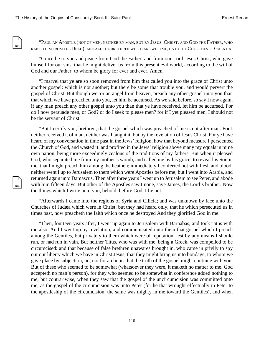"PAUL AN APOSTLE (NOT OF MEN, NEITHER BY MAN, BUT BY JESUS CHRIST, AND GOD THE FATHER, WHO RAISED HIM FROM THE DEAD); AND ALL THE BRETHREN WHICH ARE WITH ME, UNTO THE CHURCHES OF GALATIA:

"Grace be to you and peace from God the Father, and from our Lord Jesus Christ, who gave himself for our sins, that he might deliver us from this present evil world, according to the will of God and our Father: to whom be glory for ever and ever. Amen.

"I marvel that ye are so soon removed from him that called you into the grace of Christ unto another gospel: which is not another; but there be some that trouble you, and would pervert the gospel of Christ. But though we, or an angel from heaven, preach any other gospel unto you than that which we have preached unto you, let him be accursed. As we said before, so say I now again, if any man preach any other gospel unto you than that ye have received, let him be accursed. For do I now persuade men, or God? or do I seek to please men? for if I yet pleased men, I should not be the servant of Christ.

"But I certify you, brethren, that the gospel which was preached of me is not after man. For I neither received it of man, neither was I taught it, but by the revelation of Jesus Christ. For ye have heard of my conversation in time past in the Jews' religion, how that beyond measure I persecuted the Church of God, and wasted it: and profited in the Jews' religion above many my equals in mine own nation, being more exceedingly zealous of the traditions of my fathers. But when it pleased God, who separated me from my mother's womb, and called me by his grace, to reveal his Son in me, that I might preach him among the heathen; immediately I conferred not with flesh and blood: neither went I up to Jerusalem to them which were Apostles before me; but I went into Arabia, and returned again unto Damascus. Then after three years I went up to Jerusalem to see Peter, and abode with him fifteen days. But other of the Apostles saw I none, save James, the Lord's brother. Now the things which I write unto you, behold, before God, I lie not.

"Afterwards I came into the regions of Syria and Cilicia; and was unknown by face unto the Churches of Judæa which were in Christ; but they had heard only, that he which persecuted us in times past, now preacheth the faith which once he destroyed And they glorified God in me.

"Then, fourteen years after, I went up again to Jerusalem with Barnabas, and took Titus with me also. And I went up by revelation, and communicated unto them that gospel which I preach among the Gentiles, but privately to them which were of reputation, lest by any means I should run, or had run in vain. But neither Titus, who was with me, being a Greek, was compelled to be circumcised: and that because of false brethren unawares brought in, who came in privily to spy out our liberty which we have in Christ Jesus, that they might bring us into bondage, to whom we gave place by subjection, no, not for an hour: that the truth of the gospel might continue with you. But of these who seemed to be somewhat (whatsoever they were, it maketh no matter to me. God accepteth no man's person), for they who seemed to be somewhat in conference added nothing to me; but contrariwise, when they saw that the gospel of the uncircumcision was committed onto me, as the gospel of the circumcision was unto Peter (for he that wrought effectually in Peter to the apostleship of the circumcision, the same was mighty in me toward the Gentiles), and when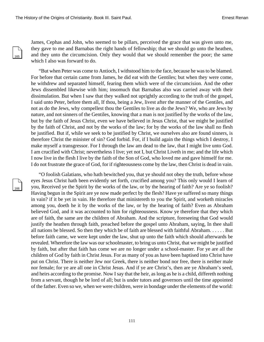166

James, Cephas and John, who seemed to be pillars, perceived the grace that was given unto me, they gave to me and Barnabas the right hands of fellowship; that we should go unto the heathen, and they unto the circumcision. Only they would that we should remember the poor; the same which I also was forward to do.

"But when Peter was come to Antioch, I withstood him to the face, because he was to be blamed. For before that certain came from James, he did eat with the Gentiles; but when they were come, he withdrew and separated himself, fearing them which were of the circumcision. And the other Jews dissembled likewise with him; insomuch that Barnabas also was carried away with their dissimulation. But when I saw that they walked not uprightly according to the truth of the gospel, I said unto Peter, before them all, If thou, being a Jew, livest after the manner of the Gentiles, and not as do the Jews, why compellest thou the Gentiles to live as do the Jews? We, who are Jews by nature, and not sinners of the Gentiles, knowing that a man is not justified by the works of the law, but by the faith of Jesus Christ, even we have believed in Jesus Christ, that we might be justified by the faith of Christ, and not by the works of the law; for by the works of the law shall no flesh be justified. But if, while we seek to be justified by Christ, we ourselves also are found sinners, is therefore Christ the minister of sin? God forbid. For, if I build again the things which I destroy, I make myself a transgressor. For I through the law am dead to the law, that I might live unto God. I am crucified with Christ; nevertheless I live; yet not I, but Christ Liveth in me; and the life which I now live in the flesh I live by the faith of the Son of God, who loved me and gave himself for me. I do not frustrate the grace of God, for if righteousness come by the law, then Christ is dead in vain.

"O foolish Galatians, who hath bewitched you, that ye should not obey the truth, before whose eyes Jesus Christ hath been evidently set forth, crucified among you? This only would I learn of you, Received ye the Spirit by the works of the law, or by the hearing of faith? Are ye so foolish? Having begun in the Spirit are ye now made perfect by the flesh? Have ye suffered so many things in vain? if it be yet in vain. He therefore that ministereth to you the Spirit, and worketh miracles among you, doeth he it by the works of the law, or by the hearing of faith? Even as Abraham believed God, and it was accounted to him for righteousness. Know ye therefore that they which are of faith, the same are the children of Abraham. And the scripture, foreseeing that God would justify the heathen through faith, preached before the gospel unto Abraham, saying, In thee shall all nations be blessed. So then they which be of faith are blessed with faithful Abraham. . . . . . But before faith came, we were kept under the law, shut up unto the faith which should afterwards be revealed. Wherefore the law was our schoolmaster, to bring us unto Christ, that we might be justified by faith, but after that faith has come we are no longer under a school-master. For ye are all the children of God by faith in Christ Jesus. For as many of you as have been baptised into Christ have put on Christ. There is neither Jew nor Greek, there is neither bond nor free, there is neither male nor female; for ye are all one in Christ Jesus. And if ye are Christ's, then are ye Abraham's seed, and heirs according to the promise. Now I say that the heir, as long as he is a child, differeth nothing from a servant, though he be lord of all; but is under tutors and governors until the time appointed of the father. Even so we, when we were children, were in bondage under the elements of the world: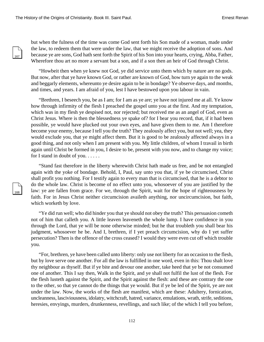but when the fulness of the time was come God sent forth his Son made of a woman, made under the law, to redeem them that were under the law, that we might receive the adoption of sons. And because ye are sons, God hath sent forth the Spirit of his Son into your hearts, crying, Abba, Father, Wherefore thou art no more a servant but a son, and if a son then an heir of God through Christ.

"Howbeit then when ye knew not God, ye did service unto them which by nature are no gods. But now, after that ye have known God, or rather are known of God, how turn ye again to the weak and beggarly elements, whereunto ye desire again to be in bondage? Ye observe days, and months, and times, and years. I am afraid of you, lest I have bestowed upon you labour in vain.

"Brethren, I beseech you, be as I am; for I am as ye are; ye have not injured me at all. Ye know how through infirmity of the flesh I preached the gospel unto you at the first. And my temptation, which was in my flesh ye despised not, nor rejected; but received me as an angel of God, even as Christ Jesus. Where is then the blessedness ye spake of? for I bear you record, that, if it had been possible, ye would have plucked out your own eyes, and have given them to me. Am I therefore become your enemy, because I tell you the truth? They zealously affect you, but not well; yea, they would exclude you, that ye might affect them. But it is good to be zealously affected always in a good thing, and not only when I am present with you. My little children, of whom I travail in birth again until Christ be formed in you, I desire to be, present with you now, and to change my voice; for I stand in doubt of you. . . . . .

"Stand fast therefore in the liberty wherewith Christ hath made us free, and be not entangled again with the yoke of bondage. Behold, I, Paul, say unto you that, if ye be circumcised, Christ shall profit you nothing. For I testify again to every man that is circumcised, that he is a debtor to do the whole law. Christ is become of no effect unto you, whosoever of you are justified by the law: ye are fallen from grace. For we, through the Spirit, wait for the hope of righteousness by faith. For in Jesus Christ neither circumcision availeth anything, nor uncircumcision, but faith, which worketh by love.

"Ye did run well; who did hinder you that ye should not obey the truth? This persuasion cometh not of him that calleth you. A little leaven leaveneth the whole lump. I have confidence in you through the Lord, that ye will be none otherwise minded; but he that troubleth you shall bear his judgment, whosoever he be. And I, brethren, if I yet preach circumcision, why do I yet suffer persecution? Then is the offence of the cross ceased? I would they were even cut off which trouble you.

"For, brethren, ye have been called unto liberty: only use not liberty for an occasion to the flesh, but by love serve one another. For all the law is fulfilled in one word, even in this: Thou shalt love thy neighbour as thyself. But if ye bite and devour one another, take heed that ye be not consumed one of another. This I say then, Walk in the Spirit, and ye shall not fulfil the lust of the flesh. For the flesh lusteth against the Spirit, and the Spirit against the flesh: and these are contrary the one to the other, so that ye cannot do the things that ye would. But if ye be led of the Spirit, ye are not under the law. Now, the works of the flesh are manifest, which are these: Adultery, fornication, uncleanness, lasciviousness, idolatry, witchcraft, hatred, variance, emulations, wrath, strife, seditions, heresies, envyings, murders, drunkenness, revellings, and such like; of the which I tell you before,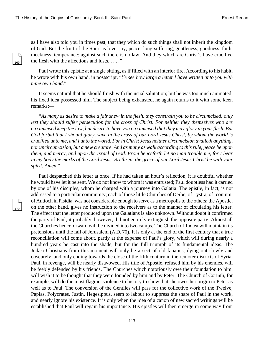as I have also told you in times past, that they which do such things shall not inherit the kingdom of God. But the fruit of the Spirit is love, joy, peace, long-suffering, gentleness, goodness, faith, meekness, temperance: against such there is no law. And they which are Christ's have crucified the flesh with the affections and lusts.  $\dots$ ."

Paul wrote this epistle at a single sitting, as if filled with an interior fire. According to his habit, he wrote with his own hand, in postscript, "*Ye see how large a letter I have written unto you with mine own hand*."

It seems natural that he should finish with the usual salutation; but he was too much animated: his fixed idea possessed him. The subject being exhausted, he again returns to it with some keen remarks:—

"*As many as desire to make a fair shew in the flesh, they constrain you to be circumcised; only lest they should suffer persecution for the cross of Christ. For neither they themselves who are circumcised keep the law, but desire to have you circumcised that they may glory in your flesh. But God forbid that I should glory, save in the cross of our Lord Jesus Christ, by whom the world is crucified unto me, and I unto the world. For in Christ Jesus neither circumcision availeth anything, nor uncircumcision, but a new creature. And as many as walk according to this rule, peace be upon them, and mercy, and upon the Israel of God. From henceforth let no man trouble me, for I bear in my body the marks of the Lord Jesus. Brethren, the grace of our Lord Jesus Christ be with your spirit. Amen.*"

Paul despatched this letter at once. If he had taken an hour's reflection, it is doubtful whether he would have let it be sent. We do not know to whom it was entrusted; Paul doubtless had it carried by one of his disciples, whom he charged with a journey into Galatia. The epistle, in fact, is not addressed to a particular community; each of those little Churches of Derbe, of Lystra, of Iconium, of Antioch in Pisidia, was not considerable enough to serve as a metropolis to the others; the Apostle, on the other hand, gives no instruction to the receivers as to the manner of circulating his letter. The effect that the letter produced upon the Galatians is also unknown. Without doubt it confirmed the party of Paul; it probably, however, did not entirely extinguish the opposite party. Almost all the Churches henceforward will be divided into two camps. The Church of Judæa will maintain its pretensions until the fall of Jerusalem (A.D. 70). It is only at the end of the first century that a true reconciliation will come about, partly at the expense of Paul's glory, which will during nearly a hundred years be cast into the shade, but for the full triumph of its fundamental ideas. The Judæo-Christians from this moment will only be a sect of old fanatics, dying out slowly and obscurely, and only ending towards the close of the fifth century in the remoter districts of Syria. Paul, in revenge, will be nearly disavowed. His title of Apostle, refused him by his enemies, will be feebly defended by his friends. The Churches which notoriously owe their foundation to him, will wish it to be thought that they were founded by him and by Peter. The Church of Corinth, for example, will do the most flagrant violence to history to show that she owes her origin to Peter as well as to Paul. The conversion of the Gentiles will pass for the collective work of the Twelve; Papias, Polycrates, Justin, Hegesippus, seem to labour to suppress the share of Paul in the work, and nearly ignore his existence. It is only when the idea of a canon of new sacred writings will be established that Paul will regain his importance. His epistles will then emerge in some way from

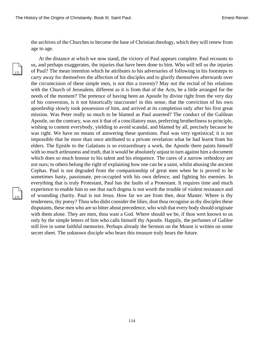the archives of the Churches to become the base of Christian theology, which they will renew from age to age.

171

At the distance at which we now stand, the victory of Paul appears complete. Paul recounts to us, and perhaps exaggerates, the injuries that have been done to him. Who will tell us the injuries of Paul? The mean intention which he attributes to his adversaries of following in his footsteps to carry away for themselves the affection of his disciples and to glorify themselves afterwards over the circumcision of these simple men, is not this a travesty? May not the recital of his relations with the Church of Jerusalem, different as it is from that of the Acts, be a little arranged for the needs of the moment? The pretence of having been an Apostle by divine right from the very day of his conversion, is it not historically inaccurate! in this sense, that the conviction of his own apostleship slowly took possession of him, and arrived at its completion only after his first great mission. Was Peter really so much to be blamed as Paul asserted? The conduct of the Galilean Apostle, on the contrary, was not it that of a conciliatory man, preferring brotherliness to principle, wishing to content everybody, yielding to avoid scandal, and blamed by all, precisely because he was right. We have no means of answering these questions. Paul was very egotistical; it is not impossible that he more than once attributed to a private revelation what he had learnt from his elders. The Epistle to the Galatians is so extraordinary a work, the Apostle there paints himself with so much artlessness and truth, that it would be absolutely unjust to turn against him a document which does so much honour to his talent and his eloquence. The cares of a narrow orthodoxy are not ours; to others belong the right of explaining how one can be a saint, whilst abusing the ancient Cephas. Paul is not degraded from the companionship of great men when he is proved to be sometimes hasty, passionate, pre-occupied with his own defence, and fighting his enemies. In everything that is truly Protestant, Paul has the faults of a Protestant. It requires time and much experience to enable him to see that each dogma is not worth the trouble of violent resistance and of wounding charity. Paul is not Jesus. How far we are from thee, dear Master. Where is thy tenderness, thy poesy? Thou who didst consider the lilies, dost thou recognise as thy disciples these disputants, these men who are so bitter about precedence, who wish that every body should originate with them alone. They are men, thou wast a God. Where should we be, if thou wert known to us only by the simple letters of him who calls himself thy Apostle. Happily, the perfumes of Galilee still live in some faithful memories. Perhaps already the Sermon on the Mount is written on some secret sheet. The unknown disciple who bears this treasure truly bears the future.

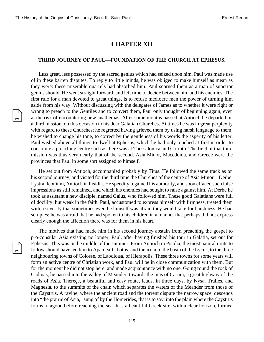## **CHAPTER XII**

#### **THIRD JOURNEY OF PAUL—FOUNDATION OF THE CHURCH AT EPHESUS.**

LESS great, less possessed by the sacred genius whicn had seized upon him, Paul was made use of in these barren disputes. To reply to little minds, he was obliged to make himself as mean as they were: these miserable quarrels had absorbed him. Paul scorned them as a man of superior genius should. He went straight forward, and left time to decide between him and his enemies. The first rule for a man devoted to great things, is to refuse mediocre men the power of turning him aside from his way. Without discussing with the delegates of James as to whether it were right or wrong to preach to the Gentiles and to convert them, Paul only thought of beginning again, even at the risk of encountering new anathemas. After some months passed at Antioch he departed on a third mission, on this occasion to his dear Galatian Churches. At times he was in great perplexity with regard to these Churches; he regretted having grieved them by using harsh language to them; he wished to change his tone, to correct by the gentleness of his words the asperity of his letter. Paul wished above all things to dwell at Ephesus, which he had only touched at first in order to constitute a preaching centre such as there was at Thessalonica and Corinth. The field of that third mission was thus very nearly that of the second. Asia Minor, Macedonia, and Greece were the provinces that Paul in some sort assigned to himself.

He set out from Antioch, accompanied probably by Titus. He followed the same track as on his second journey, and visited for the third time the Churches of the centre of Asia Minor—Derbe, Lystra, Iconium, Antioch in Pisidia. He speedily regained his authority, and soon effaced such false impressions as still remained, and which his enemies had sought to raise against him. At Derbe he took as assistant a new disciple, named Gaius, who followed him. These good Galatians were full of docility, but weak in the faith. Paul, accustomed to express himself with firmness, treated them with a severity that sometimes even he himself was afraid they would take for harshness. He had scruples; he was afraid that he had spoken to his children in a manner that perhaps did not express clearly enough the affection there was for them in his heart.

The motives that had made him in his second journey abstain from preaching the gospel to pro-consular Asia existing no longer, Paul, after having finished his tour in Galatia, set out for Ephesus. This was in the middle of the summer. From Antioch in Pisidia, the most natural route to follow should have led him to Apamea-Cibotus, and thence into the basin of the Lycus, to the three neighbouring towns of Colosse, of Laodicæa, of Hierapolis. These three towns for some years will form an active centre of Christian work, and Paul will be in close communication with them. But for the moment he did not stop here, and made acquaintance with no one. Going round the rock of Cadmas, he passed into the valley of Meander, towards the inns of Carura, a great highway of the roads of Asia. Thereçe, a beautiful and easy route, leads, in three days, by Nysa, Tralles, and Magnesia, to the summits of the chain which separates the waters of the Meander from those of the Caystrus. A ravine, where the ancient road and the torrent dispute the narrow space, descends into "the prairie of Asia," sung of by the Homerides, that is to say, into the plain where the Caystrus forms a lagoon before reaching the sea. It is a beautiful Greek site, with a clear horizon, formed

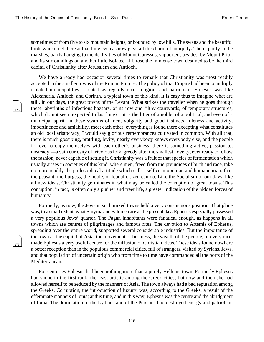176

sometimes of from five to six mountain heights, or bounded by low hills. The swans and the beautiful birds which met there at that time even as now gave all the charm of antiquity. There, partly in the marshes, partly hanging to the declivities of Mount Coressus, supported, besides, by Mount Prion and its surroundings on another little isolated hill, rose the immense town destined to be the third capital of Christianity after Jerusalem and Antioch.

We have already had occasion several times to remark that Christianity was most readily accepted in the smaller towns of the Roman Empire. The policy of that Empire had been to multiply isolated municipalities; isolated as regards race, religion, and patriotism. Ephesus was like Alexandria, Antioch, and Corinth, a typical town of this kind. It is easy thus to imagine what are still, in our days, the great towns of the Levant. What strikes the traveller when he goes through these labyrinths of infectious bazaars, of narrow and filthy courtyards, of temporary structures, which do not seem expected to last long?—it is the litter of a noble, of a political, and even of a municipal spirit. In these swarms of men, vulgarity and good instincts, idleness and activity, impertinence and amiability, meet each other: everything is found there excepting what constitutes an old local aristocracy; I would say glorious remembrances cultivated in common. With all that, there is much gossiping, prattling, levity; nearly everybody knows everybody else, and the people for ever occupy themselves with each other's business; there is something active, passionate, unsteady,—a vain curiosity of frivolous folk, greedy after the smallest novelty, ever ready to follow the fashion, never capable of setting it. Christianity was a fruit of that species of fermentation which usually arises in societies of this kind, where men, freed from the prejudices of birth and race, take up more readily the philosophical attitude which calls itself cosmopolitan and humanitarian, than the peasant, the burgess, the noble, or feudal citizen can do. Like the Socialism of our days, like all new ideas, Christianity germinates in what may be called the corruption of great towns. This corruption, in fact, is often only a plainer and freer life, a greater indication of the hidden forces of humanity.

Formerly, as now, the Jews in such mixed towns held a very conspicuous position. That place was, to a small extent, what Smyrna and Salonica are at the present day. Ephesus especially possessed a very populous Jews' quarter. The Pagan inhabitants were fanatical enough, as happens in all towns which are centres of pilgrimages and famous rites. The devotion to Artemis of Ephesus, spreading over the entire world, supported several considerable industries. But the importance of the town as the capital of Asia, the movement of business, the wealth of the people, of every race, made Ephesus a very useful centre for the diffusion of Christian ideas. These ideas found nowhere a better reception than in the populous commercial cities, full of strangers, visited by Syrians, Jews, and that population of uncertain origin who from time to time have commanded all the ports of the Mediterranean.

For centuries Ephesus had been nothing more than a purely Hellenic town. Formerly Ephesus had shone in the first rank, the least artistic among the Greek cities; but now and then she had allowed herself to be seduced by the manners of Asia. The town always had a bad reputation among the Greeks. Corruption, the introduction of luxury, was, according to the Greeks, a result of the effeminate manners of Ionia; at this time, and in this way, Ephesus was the centre and the abridgment of Ionia. The domination of the Lydians and of the Persians had destroyed energy and patriotism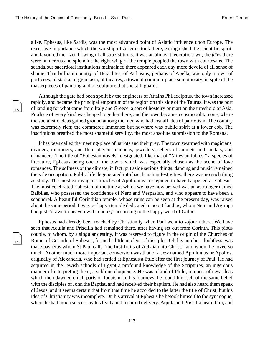alike. Ephesus, like Sardis, was the most advanced point of Asiatic influence upon Europe. The excessive importance which the worship of Artemis took there, extinguished the scientific spirit, and favoured the over-flowing of all superstitions. It was an almost theocratic town; the *fêtes* there were numerous and splendid; the right wing of the temple peopled the town with courtesans. The scandalous sacerdotal institutions maintained there appeared each day more devoid of all sense of shame. That brilliant country of Heraclites, of Parhasius, perhaps of Apella, was only a town of porticoes, of stadia, of gymnasia, of theatres, a town of common-place sumptuosity, in spite of the masterpieces of painting and of sculpture that she still guards.

Although the gate had been spoilt by the engineers of Attains Philadelphus, the town increased rapidly, and became the principal emporium of the region on this side of the Taurus. It was the port of landing for what came from Italy and Greece, a sort of hostelry or mart on the threshold of Asia. Produce of every kind was heaped together there, and the town became a cosmopolitan one, where the socialistic ideas gained ground among the men who had lost all idea of patriotism. The country was extremely rich; the commerce immense; but nowhere was public spirit at a lower ebb. The inscriptions breathed the most shameful servility, the most absolute submission to the Romana.

It has been called the meeting-place of harlots and their prey. The town swarmed with magicians, diviners, mummers, and flute players; eunuchs, jewellers, sellers of amulets and medals, and romancers. The title of "Ephesian novels" designated, like that of "Milesian fables," a species of literature, Ephesus being one of the towns which was especially chosen as the scene of love romances. The softness of the climate, in fact, put aside serious things: dancing and music remained the sole occupation. Public life degenerated into bacchanalian festivities: there was no such thing as study. The most extravagant miracles of Apollonius are reputed to have happened at Ephesus. The most celebrated Ephesian of the time at which we have now arrived was an astrologer named Balbilas, who possessed the confidence of Nero and Vespasian, and who appears to have been a scoundrel. A beautiful Corinthian temple, whose ruins can be seen at the present day, was raised about the same period. It was perhaps a temple dedicated to poor Claudius, whom Nero and Agrippa had just "drawn to heaven with a hook," according to the happy word of Gallio.

Ephesus had already been reached by Christianity when Paul went to sojourn there. We have seen that Aquila and Priscilla had remained there, after having set out from Corinth. This pious couple, to whom, by a singular destiny, it was reserved to figure in the origin of the Churches of Rome, of Corinth, of Ephesus, formed a little nucleus of disciples. Of this number, doubtless, was that Epasnetus whom St Paul calls "the first-fruits of Achaia unto Christ," and whom he loved so much. Another much more important conversion was that of a Jew named Apollonius or Apollos, originally of Alexandria, who had settled at Ephesus a little after the first journey of Paul. He had acquired in the Jewish schools of Egypt a profound knowledge of the Scriptures, an ingenious manner of interpreting them, a sublime eloquence. He was a kind of Philo, in quest of new ideas which then dawned on all parts of Judaism. In his journeys, he found him-self of the same belief with the disciples of John the Baptist, and had received their baptism. He had also heard them speak of Jesus, and it seems certain that from that time he accorded to the latter the title of Christ; but his idea of Christianity was incomplete. On his arrival at Ephesus he betook himself to the synagogue, where he had much success by his lively and inspired delivery. Aquila and Priscilla heard him, and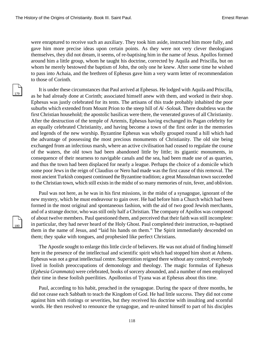were enraptured to receive such an auxiliary. They took him aside, instructed him more fully, and gave him more precise ideas upon certain points. As they were not very clever theologians themselves, they did not dream, it seems, of re-baptising him in the name of Jesus. Apollos formed around him a little group, whom he taught his doctrine, corrected by Aquila and Priscilla, but on whom he merely bestowed the baptism of John, the only one he knew. After some time he wished to pass into Achaia, and the brethren of Ephesus gave him a very warm letter of recommendation to those of Corinth.

It is under these circumstances that Paul arrived at Ephesus. He lodged with Aquila and Priscilla, as he had already done at Corinth; associated himself anew with them, and worked in their shop. Ephesus was justly celebrated for its tents. The artisans of this trade probably inhabited the poor suburbs which extended from Mount Prion to the steep hill of *Ai -Solouk*. There doubtless was the first Christian household; the apostolic basilicas were there, the venerated graves of all Christianity. After the destruction of the temple of Artemis, Ephesus having exchanged its Pagan celebrity for an equally celebrated Christianity, and having become a town of the first order in the memories and legends of the new worship. Byzantine Ephesus was wholly grouped round a hill which had the advantage of possessing the most precious monuments of Christianity. The old site being exchanged from an infectious marsh, where an active civilisation had ceased to regulate the course of the waters, the old town had been abandoned little by little; its gigantic monuments, in consequence of their nearness to navigable canals and the sea, had been made use of as quarries, and thus the town had been displaced for nearly a league. Perhaps the choice of a domicile which some poor Jews in the reign of Claudius or Nero had made was the first cause of this removal. The most ancient Turkish conquest continued the Byzantine tradition; a great Mussulman town succeeded

Paul was not here, as he was in his first missions, in the midst of a synagogue, ignorant of the new mystery, which he must endeavour to gain over. He had before him a Church which had been formed in the most original and spontaneous fashion, with the aid of two good Jewish merchants, and of a strange doctor, who was still only half a Christian. The company of Apollos was composed of about twelve members. Paul questioned them, and perceived that their faith was still incomplete: in particular, they had never heard of the Holy Ghost. Paul completed their instruction, re-baptised them in the name of Jesus, and "laid his hands on them." The Spirit immediately descended on them; they spake with tongues, and prophesied like perfect Christians.

to the Christian town, which still exists in the midst of so many memories of ruin, fever, and oblivion.

The Apostle sought to enlarge this little circle of believers. He was not afraid of finding himself here in the presence of the intellectual and scientific spirit which had stopped him short at Athens. Ephesus was not a great intellectual centre. Superstition reigned there without any control; everybody lived in foolish preoccupations of demonology and theology. The magic formulas of Ephesus (*Ephesia Grammata*) were celebrated, books of sorcery abounded, and a number of men employed their time in these foolish puerilities. Apollonius of Tyana was at Ephesus about this time.

Paul, according to his habit, preached in the synagogue. During the space of three months, he did not cease each Sabbath to teach the Kingdom of God. He had little success. They did not come against him with riotings or severities, but they received his doctrine with insulting and scornful words. He then resolved to renounce the synagogue, and re-united himself to part of his disciples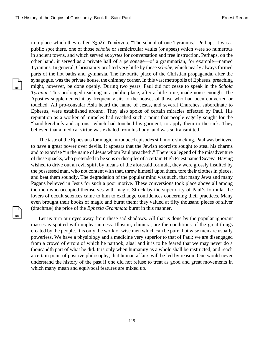in a place which they called Σχολὴ Τυράννου, "The school of one Tyrannus." Perhaps it was a public spot there, one of those *scholæ* or semicircular vaults (or apses) which were so numerous in ancient towns, and which served as *xystes* for conversation and free instruction. Perhaps, on the other hand, it served as a private hall of a personage—of a grammarian, for example—named Tyrannus. In general, Christianity profited very little by these *scholæ*, which nearly always formed parts of the hot baths and gymnasia. The favourite place of the Christian propaganda, after the synagogue, was the private house, the chimney corner, In this vast metropolis of Ephesus. preaching might, however, be done openly. During two years, Paul did not cease to speak in the *Schola Tyranni*. This prolonged teaching in a public place, after a little time, made noise enough. The Apostles supplemented it by frequent visits to the houses of those who had been converted or touched. All pro-consular Asia heard the name of Jesus, and several Churches, subordinate to Ephesus, were established around. They also spoke of certain miracles effected by Paul. His reputation as a worker of miracles had reached such a point that people eagerly sought for the "hand-kerchiefs and aprons" which had touched his garment, to apply them to the sick. They believed that a medical virtue was exhaled from his body, and was so transmitted.

The taste of the Ephesians for magic introduced episodes still more shocking. Paul was believed to have a great power over devils. It appears that the Jewish exorcists sought to steal his charms and to exorcise "in the name of Jesus whom Paul preacheth." There is a legend of the misadventure of these quacks, who pretended to be sons or disciples of a certain High Priest named Scæva. Having wished to drive out an evil spirit by means of the aforesaid formula, they were grossly insulted by the possessed man, who not content with that, threw himself upon them, tore their clothes in pieces, and beat them soundly. The degradation of the popular mind was such, that many Jews and many Pagans believed in Jesus for such a poor motive. These conversions took place above all among the men who occupied themselves with magic. Struck by the superiority of Paul's formula, the lovers of occult sciences came to him to exchange confidences concerning their practices. Many even brought their books of magic and burnt them; they valued at fifty thousand pieces of silver (drachmæ) the price of the *Ephesia Grammata* burnt in this manner.

Let us turn our eyes away from these sad shadows. All that is done by the popular ignorant masses is spotted with unpleasantness. Illusion, chimera, are the conditions of the great things created by the people. It is only the work of wise men which can be pure; but wise men are usually powerless. We have a physiology and a medicine very superior to that of Paul; we are disengaged from a crowd of errors of which he partook, alas! and it is to be feared that we may never do a thousandth part of what he did. It is only when humanity as a whole shall be instructed, and reach a certain point of positive philosophy, that human affairs will be led by reason. One would never understand the history of the past if one did not refuse to treat as good and great movements in which many mean and equivocal features are mixed up.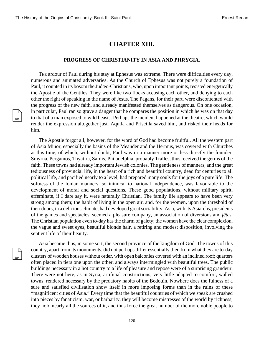## **CHAPTER XIII.**

#### **PROGRESS OF CHRISTIANITY IN ASIA AND PHRYGIA.**

THE ardour of Paul during his stay at Ephesus was extreme. There were difficulties every day, numerous and animated adversaries. As the Church of Ephesus was not purely a foundation of Paul, it counted in its bosom the Judæo-Christians, who, upon important points, resisted energetically the Apostle of the Gentiles. They were like two flocks accusing each other, and denying to each other the right of speaking in the name of Jesus. The Pagans, for their part, were discontented with the progress of the new faith, and already manifested themselves as dangerous. On one occasion, in particular, Paul ran so grave a danger that he compares the position in which he was on that day to that of a man exposed to wild beasts. Perhaps the incident happened at the theatre, which would render the expression altogether just. Aquila and Priscilla saved him, and risked their heads for him.

The Apostle forgot all, however, for the word of God had become fruitful. All the western part of Asia Minor, especially the basins of the Meander and the Hermus, was covered with Churches at this time, of which, without doubt, Paul was in a manner more or less directly the founder. Smyrna, Pergamos, Thyatira, Sardis, Philadelphia, probably Tralles, thus received the germs of the faith. These towns had already important Jewish colonies. The gentleness of manners, and the great tediousness of provincial life, in the heart of a rich and beautiful country, dead for centuries to all political life, and pacified nearly to a level, had prepared many souls for the joys of a pure life. The softness of the Ionian manners, so inimical to national independence, was favourable to the development of moral and social questions. These good populations, without military spirit, effeminate, if I dare say it, were naturally Christian. The family life appears to have been very strong among them; the habit of living in the open air, and, for the women, upon the threshold of their doors, in a delicious climate, had developed great sociability. Asia, with its Asiarchs, presidents of the games and spectacles, seemed a pleasure company, an association of diversions and *fêtes*. The Christian population even to-day has the charm of gaiety; the women have the clear complexion, the vague and sweet eyes, beautiful blonde hair, a retiring and modest disposition, involving the sentient life of their beauty.

Asia became thus, in some sort, the second province of the kingdom of God. The towns of this country, apart from its monuments, did not perhaps differ essentially then from what they are to-day clusters of wooden houses without order, with open balconies covered with an inclined roof; quarters often placed in tiers one upon the other, and always intermingled with beautiful trees. The public buildings necessary in a hot country to a life of pleasure and repose were of a surprising grandeur. There were not here, as in Syria, artificial constructions, very little adapted to comfort, walled towns, rendered necessary by the predatory habits of the Bedouin. Nowhere does the fulness of a sure and satisfied civilisation show itself in more imposing forms than in the ruins of these "magnificent cities of Asia." Every time that the beautiful countries of which we speak are crushed into pieces by fanaticism, war, or barbarity, they will become mistresses of the world by richness; they hold nearly all the sources of it, and thus force the great number of the more noble people to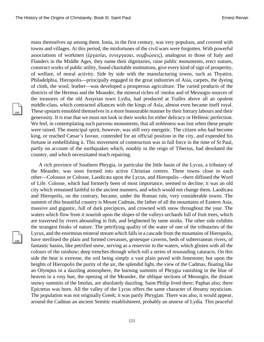mass themselves up among them. Ionia, in the first century, was very populous, and covered with towns and villages. At this period, the misfortunes of the civil wars were forgotten. With powerful associations of workmen (ἐργασίαι, συνεργασαι, συμβιώσεις), analogous to those of Italy and Flanders in the Middle Ages, they name their dignitaries, raise public monuments, erect statues, construct works of public utility, found charitable institutions, give every kind of sign of prosperity, of welfare, of moral activity. Side by side with the manufacturing towns, such as Thyatira, Philadelphia, Hieropolis—principally engaged in the great industries of Asia, carpets, the dyeing of cloth, the wool, leather—was developed a prosperous agriculture. The varied products of the districts of the Hermus and the Meander, the mineral riches of Imolus and of Messogio sources of the treasures of the old Assyrian town Lydia, had produced at Tralles above all an opulent middle-class, which contracted alliances with the kings of Asia, almost even became itself royal. These upstarts ennobled themselves in a more honourable manner by their literary labours and their generosity. It is true that we must not look in their works for either delicacy or Hellenic perfection. We feel, in contemplating such parvenu monuments, that all nobleness was lost when these people were raised. The municipal spirit, however, was still very energetic. The citizen who had become king, or reached Cæsar's favour, contended for an official position in the city, and expended his fortune in embellishing it. This movement of construction was in full force in the time of St Paul, partly on account of the earthquakes which, notably in the reign of Tiberius, had desolated the country, and which necessitated much repairing.

A rich province of Southern Phrygia, in particular the little basin of the Lycus, a tributary of the Meander, was soon formed into active Christian centres. Three towns close to each other—Colossus or Colosse, Laodicæa upon the Lycus, and Hieropolis—there diffused the Word of Life. Colosse, which had formerly been of most importance, seemed to decline; it was an old city which remained faithful to the ancient manners, and which would not change them. Laodicæa and Hieropolis, on the contrary, became, under the Roman rule, very considerable towns. The summit of this beautiful country is Mount Cadmas, the father of all the mountains of Eastern Asia, massive and gigantic, full of dark precipices, and crowned with snow throughout the year. The waters which flow from it nourish upon the slopes of the valleys orchards full of fruit trees, which are traversed by rivers abounding in fish, and brightened by tame storks. The other side exhibits the strangest freaks of nature. The petrifying quality of the water of one of the tributaries of the Lycus, and the enormous mineral stream which falls in a cascade from the mountains of Hieropolis, have sterilised the plain and formed crevasses, grotesque caverns, beds of subterranean rivers, of fantastic basins, like petrified snow, serving as a reservoir to the waters, which glisten with all the colours of the rainbow; deep trenches through which roll a series of resounding cataracts. On this side the heat is extreme, the soil being simply a vast plain paved with limestone; but upon the heights of Hieropolis the purity of the air, the splendid light, the view of the Cadmas, floating like an Olympus in a dazzling atmosphere, the burning summits of Phrygia vanishing in the blue of heaven in a rosy hue, the opening of the Meander, the oblique sections of Messogio, the distant snowy summits of the Imolus, are absolutely dazzling. Saint Philip lived there; Paphas also; there Epictetus was born. All the valley of the Lycus offers the same character of dreamy mysticism. The population was not originally Greek; it was partly Phrygian. There was also, it would appear, around the Cadmas an ancient Semitic establishment, probably an annexe of Lydia. This peaceful

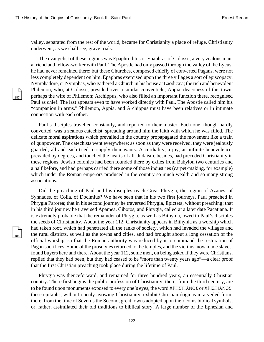valley, separated from the rest of the world, became for Christianity a place of refuge. Christianity underwent, as we shall see, grave trials.

The evangelist of these regions was Epaphroditus or Epaphras of Colosse, a very zealous man, a friend and fellow-worker with Paul. The Apostle had only passed through the valley of the Lycus; he had never remained there; but these Churches, composed chiefly of converted Pagans, were not less completely dependent on him. Epaphras exercised upon the three villages a sort of episcopacy. Nymphadore, or Nymphas, who gathered a Church in his house at Laodicæa; the rich and benevolent Philemon, who, at Colosse, presided over a similar conventicle; Appia, deaconess of this town, perhaps the wife of Philemon; Archippus, who also filled an important function there, recognised Paul as chief. The last appears even to have worked directly with Paul. The Apostle called him his "companion in arms." Philemon, Appia, and Archippus must have been relatives or in intimate connection with each other.

Paul's disciples travelled constantly, and reported to their master. Each one, though hardly converted, was a zealous catechist, spreading around him the faith with which he was filled. The delicate moral aspirations which prevailed in the country propapagated the movement like a train of gunpowder. The catechists went everywhere; as soon as they were received, they were jealously guarded; all and each tried to supply their wants. A cordiality, a joy, an infinite benevolence, prevailed by degrees, and touched the hearts of all. Judaism, besides, had preceded Christianity in these regions. Jewish colonies had been founded there by exiles from Babylon two centuries and a half before, and had perhaps carried there some of those industries (carpet-making, for example) which under the Roman emperors produced in the country so much wealth and so many strong associations.

Did the preaching of Paul and his disciples reach Great Phrygia, the region of Azanes, of Synnades, of Colia, of Docimius? We have seen that in his two first journeys, Paul preached in Phrygia Parorea; that in his second journey he traversed Phrygia, Epicteta, without preaching; that in his third journey he traversed Apamea, Cibotos, and Phrygia, called at a later date Pacatiana. It is extremely probable that the remainder of Phrygia, as well as Bithynia, owed to Paul's disciples the seeds of Christianity. About the year 112, Christianity appears in Bithynia as a worship which had taken root, which had penetrated all the ranks of society, which had invaded the villages and the rural districts, as well as the towns and cities, and had brought about a long cessation of the official worship, so that the Roman authority was reduced by it to command the restoration of Pagan sacrifices. Some of the proselytes returned to the temples, and the victims, now made slaves, found buyers here and there. About the year 112, some men, on being asked if they were Christians, replied that they had been, but they had ceased to be "more than twenty years ago"—a clear proof that the first Christian preaching took place during the lifetime of Paul.

Phrygia was thenceforward, and remained for three hundred years, an essentially Christian country. There first begins the public profession of Christianity; there, from the third century, are to be found upon monuments exposed to every one's eyes, the word ΧΡΗΣΤΙΑΝΟΣ or ΧΡΙΣΤΙΑΝΟΣ: these epitaphs, without openly avowing Christianity, exhibit Christian dogmas in a veiled form; there, from the time of Severus the Second, great towns adopted upon their coins biblical symbols, or, rather, assimilated their old traditions to biblical story. A large number of the Ephesian and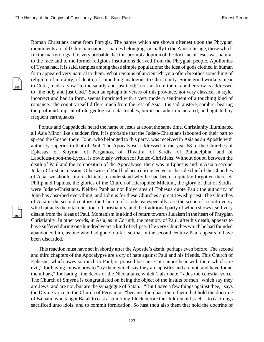Roman Christians came from Phrygia. The names which are shown oftenest upon the Phrygian monuments are old Christian names—names belonging specially to the Apostolic age, those which fill the martyrology. It is very probable that this prompt adoption of the doctrine of Jesus was natural to the race and to the former religious institutions derived from the Phrygian people. Apollonius of Tyana had, it is said, temples among these simple populations: the idea of gods clothed in human form appeared very natural to them. What remains of ancient Phrygia often breathes something of religion, of morality, of depth, of something analogous to Christianity. Some good workers, near to Cotia, made a vow "to the saintly and just God;" not far from there, another vow is addressed to "the holy and just God." Such an epitaph in verses of this province, not very classical in style, incorrect and bad in form, seems imprinted with a very modern sentiment of a touching kind of romance. The country itself differs much from the rest of Asia. It is sad, austere, sombre, bearing the profound imprint of old geological catastrophes, burnt, or rather incinerated, and agitated by frequent earthquakes.

Pontus and Cappadocia heard the name of Jesus at about the same time. Christianity illuminated all Asia Minor like a sudden fire. It is probable that the Judæo-Christians laboured on their part to spread the Gospel there. John, who belonged to this party, was received in Asia as an Apostle with authority superior to that of Paul. The Apocalypse, addressed in the year 68 to the Churches of Ephesus, of Smyrna, of Pergamos, of Thyatira, of Sardis, of Philadelphia, and of Laodicæa-upon-the-Lycus, is obviously written for Judæo-Christians. Without doubt, between the death of Paul and the composition of the Apocalypse, there was in Ephesus and in Asia a second Judæo-Christian mission. Otherwise, if Paul had been during ten years the sole chief of the Churches of Asia, we should find it difficult to understand why he had been so quickly forgotten there. St Philip and Paphias, the glories of the Church of Hieropolis; Miletum, the glory of that of Sardis, were Judæo-Christians. Neither Paphias nor Polycrates of Ephesus quote Paul; the authority of John has absorbed everything, and John is for these Churches a great Jewish priest. The Churches of Asia in the second century, the Church of Laodicæa especially, are the scene of a controversy which attacks the vital question of Christianity, and the traditional party of which shows itself very distant from the ideas of Paul. Montanism is a kind of return towards Judaism in the heart of Phrygian Christianity. In other words, in Asia, as in Corinth, the memory of Paul, after his death, appears to have suffered during one hundred years a kind of eclipse. The very Churches which he had founded abandoned him, as one who had gone too far, so that in the second century Paul appears to have been discarded.

This reaction must have set in shortly after the Apostle's death, perhaps even before. The second and third chapters of the Apocalypse are a cry of hate against Paul and his friends. This Church of Ephesus, which owes so much to Paul, is praised be-cause "it cannot bear with them which are evil," for having known how to "try them which say they are apostles and are not, and have found them liars," for hating "the deeds of the Nicolaitans, which 1 also hate," adds the celestial voice. The Church of Smyrna is congratulated on being the object of the insults of men "which say they are Jews, and are not, but are the synagogue of Satan." "But I have a few things against thee," says the Divine voice to the Church of Pergamos, "because thou hast there them that hold the doctrine of Balaam, who taught Balak to cast a stumbling-block before the children of Israel,—to eat things sacrificed unto idols, and to commit fornication. So hast thou also them that hold the doctrine of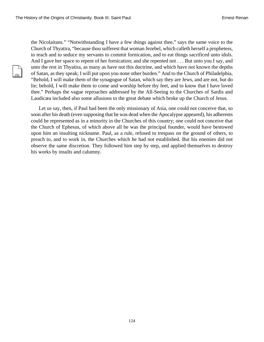the Nicolaitans." "Notwithstanding I have a few things against thee," says the same voice to the Church of Thyatira, "because thou sufferest that woman Jezebel, which calleth herself a prophetess, to teach and to seduce my servants to commit fornication, and to eat things sacrificed unto idols. And I gave her space to repent of her fornication; and she repented not . . . But unto you I say, and unto the rest in Thyatira, as many as have not this doctrine, and which have not known the depths of Satan, as they speak; I will put upon you none other burden." And to the Church of Philadelphia, "Behold, I will make them of the synagogue of Satan, which say they are Jews, and are not, but do lie; behold, I will make them to come and worship before thy feet, and to know that I have loved thee." Perhaps the vague reproaches addressed by the All-Seeing to the Churches of Sardis and Laodicæa included also some allusions to the great debate which broke up the Church of Jesus.

Let us say, then, if Paul had been the only missionary of Asia, one could not conceive that, so soon after his death (even supposing that he was dead when the Apocalypse appeared), his adherents could be represented as in a minority in the Churches of this country; one could not conceive that the Church of Ephesus, of which above all he was the principal founder, would have bestowed upon him an insulting nickname. Paul, as a rule, refused to trespass on the ground of others, to preach to, and to work in, the Churches which he had not established. But his enemies did not observe the same discretion. They followed him step by step, and applied themselves to destroy his works by insults and calumny.

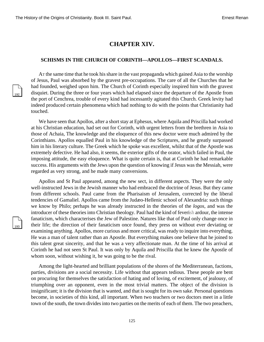## **CHAPTER XIV.**

#### **SCHISMS IN THE CHURCH OF CORINTH—APOLLOS—FIRST SCANDALS.**

AT the same time that he took his share in the vast propaganda which gained Asia to the worship of Jesus, Paul was absorbed by the gravest pre-occupations. The care of all the Churches that he had founded, weighed upon him. The Church of Corinth especially inspired him with the gravest disquiet. During the three or four years which had elapsed since the departure of the Apostle from the port of Cenchrea, trouble of every kind had incessantly agitated this Church. Greek levity had indeed produced certain phenomena which had nothing to do with the points that Christianity had touched.

We have seen that Apollos, after a short stay at Ephesus, where Aquila and Priscilla had worked at his Christian education, had set out for Corinth, with urgent letters from the brethren in Asia to those of Achaia, The knowledge and the eloquence of this new doctor were much admired by the Corinthians. Apollos equalled Paul in his knowledge of the Scriptures, and he greatly surpassed him in his literary culture. The Greek which he spoke was excellent, whilst that of the Apostle was extremely defective. He had also, it seems, the exterior gifts of the orator, which failed in Paul, the imposing attitude, the easy eloquence. What is quite certain is, that at Corinth he had remarkable success. His arguments with the Jews upon the question of knowing if Jesus was the Messiah, were regarded as very strong, and he made many conversions.

Apollos and St Paul appeared, among the new sect, in different aspects. They were the only well-instructed Jews in the Jewish manner who had embraced the doctrine of Jesus. But they came from different schools. Paul came from the Pharisaism of Jerusalem, corrected by the liberal tendencies of Gamaliel. Apollos came from the Judæo-Hellenic school of Alexandria: such things we know by Philo; perhaps he was already instructed in the theories of the *logos*, and was the introducer of these theories into Christian theology. Paul had the kind of feverish ardour, the intense fanaticism, which characterises the Jew of Palestine. Natures like that of Paul only change once in their life; the direction of their fanaticism once found, they press on without ever deviating or examining anything. Apollos, more curious and more critical, was ready to inquire into everything. He was a man of talent rather than an Apostle. But everything makes one believe that he joined to this talent great sincerity, and that he was a very affectionate man. At the time of his arrival at Corinth he had not seen St Paul. It was only by Aquila and Priscilla that he knew the Apostle of whom soon, without wishing it, he was going to be the rival.

Among the light-hearted and brilliant populations of the shores of the Mediterranean, factions, parties, divisions are a social necessity. Life without that appears tedious. These people are bent on procuring for themselves the satisfaction of hating and of loving, of excitement, of jealousy, of triumphing over an opponent, even in the most trivial matters. The object of the division is insignificant; it is the division that is wanted, and that is sought for its own sake. Personal questions become, in societies of this kind, all important. When two teachers or two doctors meet in a little town of the south, the town divides into two parties on the merits of each of them. The two preachers,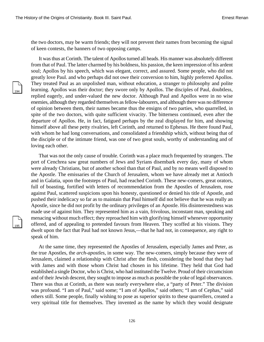the two doctors, may be warm friends; they will not prevent their names from becoming the signal of keen contests, the banners of two opposing camps.

It was thus at Corinth. The talent of Apollos turned all heads. His manner was absolutely different from that of Paul. The latter charmed by his boldness, his passion, the keen impression of his ardent soul; Apollos by his speech, which was elegant, correct, and assured. Some people, who did not greatly love Paul. and who perhaps did not owe their conversion to him, highly preferred Apollos. They treated Paul as an unpolished man, without education, a stranger to philosophy and polite learning. Apollos was their doctor; they swore only by Apollos. The disciples of Paul, doubtless, replied eagerly, and under-valued the new doctor. Although Paul and Apollos were in no wise enemies, although they regarded themselves as fellow-labourers, and although there was no difference of opinion between them, their names became thus the ensigns of two parties, who quarrelled, in spite of the two doctors, with quite sufficient vivacity. The bitterness continued, even after the departure of Apollos. He, in fact, fatigued perhaps by the zeal displayed for him, and showing himself above all these petty rivalries, left Corinth, and returned to Ephesus. He there found Paul, with whom he had long conversations, and consolidated a friendship which, without being that of the disciple or of the intimate friend, was one of two great souls, worthy of understanding and of loving each other.

That was not the only cause of trouble. Corinth was a place much frequented by strangers. The port of Cenchrea saw great numbers of Jews and Syrians disembark every day, many of whom were already Christians, but of another school than that of Paul, and by no means well disposed to the Apostle. The emissaries of the Church of Jerusalem, whom we have already met at Antioch and in Galatia, upon the footsteps of Paul, had reached Corinth. These new-comers, great orators, full of boasting, fortified with letters of recommendation from the Apostles of Jerusalem, rose against Paul, scattered suspicions upon his honesty, questioned or denied his title of Apostle, and pushed their indelicacy so far as to maintain that Paul himself did not believe that he was really an Apostle, since he did not profit by the ordinary privileges of an Apostle. His disinterestedness was made use of against him. They represented him as a vain, frivolous, inconstant man, speaking and menacing without much effect; they reproached him with glorifying himself whenever opportunity offered, and of appealing to pretended favours from Heaven. They scoffed at his visions. They dwelt upon the fact that Paul had not known Jesus,—that he had not, in consequence, any right to speak of him.

At the same time, they represented the Apostles of Jerusalem, especially James and Peter, as the true Apostles, the *arch-apostles*, in some way. The new-comers, simply because they were of Jerusalem, claimed a relationship with Christ after the flesh, considering the bond that they had with James and with those whom Christ had chosen in his lifetime. They held that God had established a single Doctor, who is Christ, who had instituted the Twelve. Proud of their circumcision and of their Jewish descent, they sought to impose as much as possible the yoke of legal observances. There was thus at Corinth, as there was nearly everywhere else, a "party of Peter." The division was profound. "I am of Paul," said some; "I am of Apollos," said others; "I am of Cephas," said others still. Some people, finally wishing to pose as superior spirits to these quarrellers, created a very spiritual title for themselves. They invented as the name by which they would designate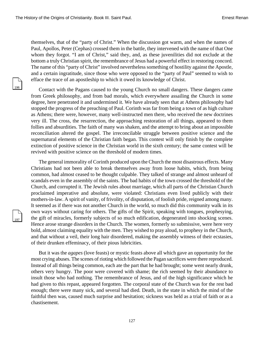197

themselves, that of the "party of Christ." When the discussion got warm, and when the names of Paul, Apollos, Peter (Cephas) crossed them in the battle, they intervened with the name of that One whom they forgot. "I am of Christ," said they, and, as these juvenilities did not exclude at the bottom a truly Christian spirit, the remembrance of Jesus had a powerful effect in restoring concord. The name of this "party of Christ" involved nevertheless something of hostility against the Apostle, and a certain ingratitude, since those who were opposed to the "party of Paul" seemed to wish to efface the trace of an apostleship to which it owed its knowledge of Christ.

Contact with the Pagans caused to the young Church no small dangers. These dangers came from Greek philosophy, and from bad morals, which everywhere assailing the Church in some degree, here penetrated it and undermined it. We have already seen that at Athens philosophy had stopped the progress of the preaching of Paul. Corinth was far from being a town of as high culture as Athens; there were, however, many well-instructed men there, who received the new doctrines very ill. The cross, the resurrection, the approaching restoration of all things, appeared to them follies and absurdities. The faith of many was shaken, and the attempt to bring about an impossible reconciliation altered the gospel. The irreconcilable struggle between positive science and the supernatural elements of the Christian faith began. This contest will only finish by the complete extinction of positive science in the Christian world in the sixth century; the same contest will be revived with positive science on the threshold of modern times.

The general immorality of Corinth produced upon the Church the most disastrous effects. Many Christians had not been able to break themselves away from loose habits, which, from being common, had almost ceased to be thought culpable. They talked of strange and almost unheard of scandals even in the assembly of the saints. The bad habits of the town crossed the threshold of the Church, and corrupted it. The Jewish rules about marriage, which all parts of the Christian Church proclaimed imperative and absolute, were violated: Christians even lived publicly with their mothers-in-law. A spirit of vanity, of frivolity, of disputation, of foolish pride, reigned among many. It seemed as if there was not another Church in the world, so much did this community walk in its own ways without caring for others. The gifts of the Spirit, speaking with tongues, prophesying, the gift of miracles, formerly subjects of so much edification, degenerated into shocking scenes. Hence arose strange disorders in the Church. The women, formerly so submissive, were here very bold, almost claiming equality with the men. They wished to pray aloud, to prophesy in the Church, and that without a veil, their long hair disordered, making the assembly witness of their ecstasies, of their drunken effeminacy, of their pious lubricities.

But it was the *agapes* (love feasts) or mystic feasts above all which gave an opportunity for the most crying abuses. The scenes of rioting which followed the Pagan sacrifices were there reproduced. Instead of all things being common, each ate the part that he had brought; some went nearly drunk, others very hungry. The poor were covered with shame; the rich seemed by their abundance to insult those who had nothing. The remembrance of Jesus, and of the high significance which he had given to this repast, appeared forgotten. The corporal state of the Church was for the rest bad enough; there were many sick, and several had died. Death, in the state in which the mind of the faithful then was, caused much surprise and hesitation; sickness was held as a trial of faith or as a chastisement.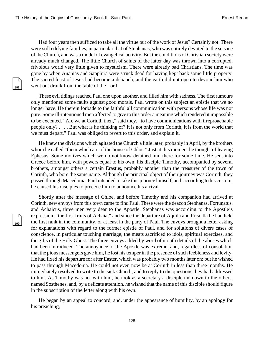199

Had four years then sufficed to take all the virtue out of the work of Jesus? Certainly not. There were still edifying families, in particular that of Stephanas, who was entirely devoted to the service of the Church, and was a model of evangelical activity. But the conditions of Christian society were already much changed. The little Church of saints of the latter day was thrown into a corrupted, frivolous world very little given to mysticism. There were already bad Christians. The time was gone by when Ananias and Sapphira were struck dead for having kept back some little property. The sacred feast of Jesus had become a debauch, and the earth did not open to devour him who went out drunk from the table of the Lord.

These evil tidings reached Paul one upon another, and filled him with sadness. The first rumours only mentioned some faults against good morals. Paul wrote on this subject an epistle that we no longer have. He therein forbade to the faithful all communication with persons whose life was not pure. Some ill-intentioned men affected to give to this order a meaning which rendered it impossible to be executed. "Are we at Corinth then," said they, "to have communications with irreproachable people only? . . . . But what is he thinking of? It is not only from Corinth, it is from the world that we must depart." Paul was obliged to revert to this order, and explain it.

He knew the divisions which agitated the Church a little later, probably in April, by the brothers whom he called "them which are of the house of Chloe." Just at this moment he thought of leaving Ephesus. Some motives which we do not know detained him there for some time. He sent into Greece before him, with powers equal to his own, his disciple Timothy, accompanied by several brothers, amongst others a certain Erastus, probably another than the treasurer of the town of Corinth, who bore the same name. Although the principal object of their journey was Corinth, they passed through Macedonia. Paul intended to take this journey himself, and, according to his custom, he caused his disciples to precede him to announce his arrival.

Shortly after the message of Chloe, and before Timothy and his companion had arrived at Corinth, new envoys from this town came to find Paul. These were the deacon Stephanas, Fortunatus, and Achaicus, three men very dear to the Apostle. Stephanas was according to the Apostle's expression, "the first fruits of Achaia," and since the departure of Aquila and Priscilla he had held the first rank in the community, or at least in the party of Paul. The envoys brought a letter asking for explanations with regard to the former epistle of Paul, and for solutions of divers cases of conscience, in particular touching marriage, the meats sacrificed to idols, spiritual exercises, and the gifts of the Holy Ghost. The three envoys added by word of mouth details of the abuses which had been introduced. The annoyance of the Apostle was extreme, and, regardless of consolation that the pious messengers gave him, he lost his temper in the presence of such feebleness and levity. He had fixed his departure for after Easter, which was probably two months later on; but he wished to pass through Macedonia. He could not even now be at Corinth in less than three months. He immediately resolved to write to the sick Church, and to reply to the questions they had addressed to him. As Timothy was not with him, he took as a secretary a disciple unknown to the others, named Sosthenes, and, by a delicate attention, he wished that the name of this disciple should figure in the subscription of the letter along with his own.

He began by an appeal to concord, and, under the appearance of humility, by an apology for his preaching,—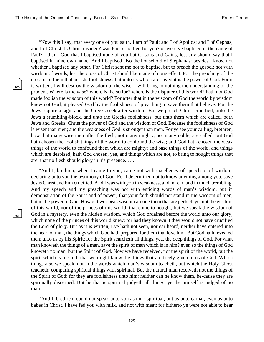201

"Now this I say, that every one of you saith, I am of Paul; and I of Apollos; and I of Cephas; and I of Christ. Is Christ divided? was Paul crucified for you? or were ye baptised in the name of Paul? I thank God that I baptised none of you but Crispus and Gaius; lest any should say that I baptised in mine own name. And I baptised also the household of Stephanas: besides I know not whether I baptised any other. For Christ sent me not to baptise, but to preach the gospel: not with wisdom of words, lest the cross of Christ should be made of none effect. For the preaching of the cross is to them that perish, foolishness; but unto us which are saved it is the power of God. For it is written, I will destroy the wisdom of the wise, I will bring to nothing the understanding of the prudent. Where is the wise? where is the scribe? where is the disputer of this world? hath not God made foolish the wisdom of this world? For after that in the wisdom of God the world by wisdom knew not God, it pleased God by the foolishness of preaching to save them that believe. For the Jews require a sign, and the Greeks seek after wisdom. But we preach Christ crucified, unto the Jews a stumbling-block, and unto the Greeks foolishness; but unto them which are called, both Jews and Greeks, Christ the power of God and the wisdom of God. Because the foolishness of God is wiser than men; and the weakness of God is stronger than men. For ye see your calling, brethren, how that many wise men after the flesh, not many mighty, not many noble, are called: but God hath chosen the foolish things of the world to confound the wise; and God hath chosen the weak things of the world to confound them which are mighty; and base things of the world, and things which are despised, hath God chosen, yea, and things which are not, to bring to nought things that are: that no flesh should glory in his presence. . . .

"And I, brethren, when I came to you, came not with excellency of speech or of wisdom, declaring unto you the testimony of God. For I determined not to know anything among you, save Jesus Christ and him crucified. And I was with you in weakness, and in fear, and in much trembling. And my speech and my preaching was not with enticing words of man's wisdom, but in demonstration of the Spirit and of power; that your faith should not stand in the wisdom of men, but in the power of God. Howbeit we speak wisdom among them that are perfect; yet not the wisdom of this world, nor of the princes of this world, that come to nought, but we speak the wisdom of God in a mystery, even the hidden wisdom, which God ordained before the world unto our glory; which none of the princes of this world knew; for had they known it they would not have crucified the Lord of glory. But as it is written, Eye hath not seen, nor ear heard, neither have entered into the heart of man, the things which God hath prepared for them that love him. But God hath revealed them unto us by his Spirit; for the Spirit searcheth all things, yea, the deep things of God. For what man knoweth the things of a man, save the spirit of man which is in him? even so the things of God knoweth no man, but the Spirit of God. Now we have received, not the spirit of the world, but the spirit which is of God; that we might know the things that are freely given to us of God. Which things also we speak, not in the words which man's wisdom teacheth, but which the Holy Ghost teacheth; comparing spiritual things with spiritual. But the natural man receiveth not the things of the Spirit of God: for they are foolishness unto him: neither can he know them, be-cause they are spiritually discerned. But he that is spiritual judgeth all things, yet he himself is judged of no man. . . .

"And I, brethren, could not speak unto you as unto spiritual, but as unto carnal, even as unto babes in Christ. I have fed you with milk, and not with meat; for hitherto ye were not able to bear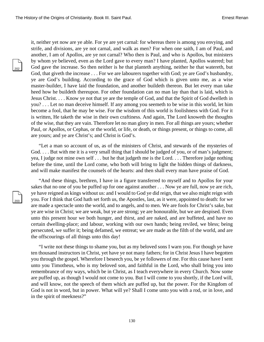it, neither yet now are ye able. For ye are yet carnal: for whereas there is among you envying, and strife, and divisions, are ye not carnal, and walk as men? For when one saith, I am of Paul, and another, I am of Apollos, are ye not carnal? Who then is Paul, and who is Apollos, but ministers by whom ye believed, even as the Lord gave to every man? I have planted, Apollos watered; but God gave the increase. So then neither is he that planteth anything, neither he that watereth, but God, that giveth the increase . . . For we are labourers together with God; ye are God's husbandry, ye are God's building. According to the grace of God which is given unto me, as a wise master-builder, I have laid the foundation, and another buildeth thereon. But let every man take heed how he buildeth thereupon. For other foundation can no man lay than that is laid, which is Jesus Christ. . . . Know ye not that ye are the temple of God, and that the Spirit of God dwelleth in you? . . . Let no man deceive himself. If any among you seemeth to be wise in this world, let him become a fool, that he may be wise. For the wisdom of this world is foolishness with God. For it is written, He taketh the wise in their own craftiness. And again, The Lord knoweth the thoughts of the wise, that they are vain. Therefore let no man glory in men. For all things are yours; whether Paul, or Apollos, or Cephas, or the world, or life, or death, or things present, or things to come, all are yours; and ye are Christ's; and Christ is God's.

"Let a man so account of us, as of the ministers of Christ, and stewards of the mysteries of God. . . . But with me it is a very small thing that I should be judged of you, or of man's judgment; yea, I judge not mine own self . . . but he that judgeth me is the Lord. . . . Therefore judge nothing before the time, until the Lord come, who both will bring to light the hidden things of darkness, and will make manifest the counsels of the hearts: and then shall every man have praise of God.

"And these things, brethren, I have in a figure transferred to myself and to Apollos for your sakes that no one of you be puffed up for one against another . . . Now ye are full, now ye are rich, ye have reigned as kings without us: and I would to God ye did reign, that we also might reign with you. For I think that God hath set forth us, the Apostles, last, as it were, appointed to death: for we are made a spectacle unto the world, and to angels, and to men. We are fools for Christ's sake, but ye are wise in Christ; we are weak, but ye are strong; ye are honourable, but we are despised. Even unto this present hour we both hunger, and thirst, and are naked, and are buffeted, and have no certain dwelling-place; and labour, working with our own hands; being reviled, we bless; being persecuted, we suffer it; being defamed, we entreat; we are made as the filth of the world, and are the offscourings of all things unto this day!

"I write not these things to shame you, but as my beloved sons I warn you. For though ye have ten thousand instructors in Christ, yet have ye not many fathers; for in Christ Jesus I have begotten you through the gospel. Wherefore I beseech you, be ye followers of me. For this cause have I sent unto you Timotheus, who is my beloved son, and faithful in the Lord, who shall bring you into remembrance of my ways, which be in Christ, as I teach everywhere in every Church. Now some are puffed up, as though I would not come to you. But I will come to you shortly, if the Lord will, and will know, not the speech of them which are puffed up, but the power. For the Kingdom of God is not in word, but in power. What will ye? Shall I come unto you with a rod, or in love, and in the spirit of meekness?"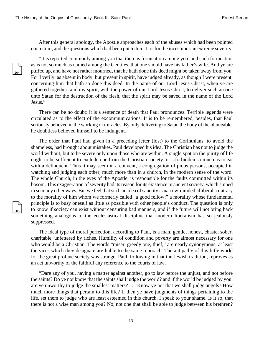205

After this general apology, the Apostle approaches each of the abuses which had been pointed out to him, and the questions which had been put to him. It is for the incestuous an extreme severity.

"It is reported commonly among you that there is fornication among you, and such fornication as is not so much as named among the Gentiles, that one should have his father's wife. And ye are puffed up, and have not rather mourned, that he hath done this deed might be taken away from you. For I verily, as absent in body, but present in spirit, have judged already, as though I were present, concerning him that hath so done this deed. In the name of our Lord Jesus Christ, when ye are gathered together, and my spirit, with the power of our Lord Jesus Christ, to deliver such an one unto Satan for the destruction of the flesh, that the spirit may be saved in the name of the Lord Jesus."

There can be no doubt: it is a sentence of death that Paul pronounces. Terrible legends were circulated as to the effect of the excommunications. It is to be remembered, besides, that Paul seriously believed in the working of miracles. By only delivering to Satan the body of the blameable, he doubtless believed himself to be indulgent.

The order that Paul had given in a preceding letter (lost) to the Corinthians, to avoid the shameless, had brought about mistakes. Paul developed his idea. The Christian has not to judge the world without, but to be severe only upon those who are within. A single spot on the purity of life ought to be sufficient to exclude one from the Christian society; it is forbidden so much as to eat with a delinquent. Thus it may seem in a convent, a congregation of pious persons, occupied in watching and judging each other, much more than in a church, in the modern sense of the word. The whole Church, in the eyes of the Apostle, is responsible for the faults committed within its bosom. This exaggeration of severity had its reason for its existence in ancient society, which sinned in so many other ways. But we feel that such an idea of sanctity is narrow-minded, illiberal, contrary to the morality of him whom we formerly called "a good fellow;" a morality whose fundamental principle is to busy oneself as little as possible with other people's conduct. The question is only to know if society can exist without censuring bad manners, and if the future will not bring back something analogous to the ecclesiastical discipline that modern liberalism has so jealously suppressed.

The ideal type of moral perfection, according to Paul, is a man, gentle, honest, chaste, sober, charitable, unfettered by riches. Humility of condition and poverty are almost necessary for one who would be a Christian. The words "miser, greedy one, thief," are nearly synonymous; at least the vices which they designate are liable to the same reproach. The antipathy of this little world for the great profane society was strange. Paul, following in that the Jewish tradition, reproves as an act unworthy of the faithful any reference to the courts of law.

"Dare any of you, having a matter against another, go to law before the unjust, and not before the saints? Do ye not know that the saints shall judge the world? and if the world be judged by you, are ye unworthy to judge the smallest matters? . . . Know ye not that we shall judge angels? How much more things that pertain to this life? If then ye have judgments of things pertaining to the life, set them to judge who are least esteemed in this church. I speak to your shame. Is it so, that there is not a wise man among you? No, not one that shall be able to judge between his brethren?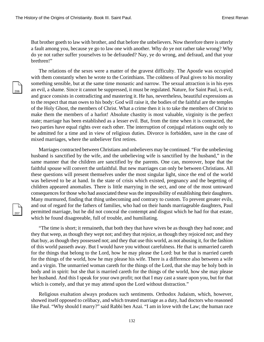207

But brother goeth to law with brother, and that before the unbelievers. Now therefore there is utterly a fault among you, because ye go to law one with another. Why do ye not rather take wrong? Why do ye not rather suffer yourselves to be defrauded? Nay, ye do wrong, and defraud, and that your brethren!"

The relations of the sexes were a matter of the gravest difficulty. The Apostle was occupied with them constantly when he wrote to the Corinthians. The coldness of Paul gives to his morality something sensible, but at the same time monastic and narrow. The sexual attraction is in his eyes an evil, a shame. Since it cannot be suppressed, it must be regulated. Nature, for Saint Paul, is evil, and grace consists in contradicting and mastering it. He has, nevertheless, beautiful expressions as to the respect that man owes to his body: God will raise it, the bodies of the faithful are the temples of the Holy Ghost, the members of Christ. What a crime then it is to take the members of Christ to make them the members of a harlot! Absolute chastity is most valuable, virginity is the perfect state; marriage has been established as a lesser evil. But, from the time when it is contracted, the two parties have equal rights over each other. The interruption of conjugal relations ought only to be admitted for a time and in view of religious duties. Divorce is forbidden, save in the case of mixed marriages, where the unbeliever first retires.

Marriages contracted between Christians and unbelievers may be continued. "For the unbelieving husband is sanctified by the wife, and the unbelieving wife is sanctified by the husband," in the same manner that the children are sanctified by the parents. One can, moreover, hope that the faithful spouse will convert the unfaithful. But new marriages can only be between Christians. All these questions will present themselves under the most singular light, since the end of the world was believed to be at hand. In the state of crisis which existed, pregnancy and the begetting of children appeared anomalies. There is little marrying in the sect, and one of the most untoward consequences for those who had associated these was the impossibility of establishing their daughters. Many murmured, finding that thing unbecoming and contrary to custom. To prevent greater evils, and out of regard for the fathers of families, who had on their hands marriageable daughters, Paul permitted marriage, but he did not conceal the contempt and disgust which he had for that estate, which he found disagreeable, full of trouble, and humiliating.

"The time is short; it remaineth, that both they that have wives be as though they had none; and they that weep, as though they wept not; and they that rejoice, as though they rejoiced not; and they that buy, as though they possessed not; and they that use this world, as not abusing it, for the fashion of this world passeth away. But I would have you without carefulness. He that is unmarried careth for the things that belong to the Lord, how he may please the Lord: but he that is married careth for the things of the world, how he may please his wife. There is a difference also between a wife and a virgin. The unmarried woman careth for the things of the Lord, that she may be holy both in body and in spirit: but she that is married careth for the things of the world, how she may please her husband. And this I speak for your own profit; not that I may cast a snare upon you, but for that which is comely, and that ye may attend upon the Lord without distraction."

Religious exaltation always produces such sentiments. Orthodox Judaism, which, however, showed itself opposed to celibacy, and which treated marriage as a duty, had doctors who reasoned like Paul. "Why should I marry?" said Rabbi ben Azai. "I am in love with the Law; the human race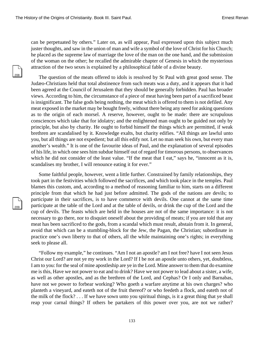can be perpetuated by others." Later on, as will appear, Paul expressed upon this subject much juster thoughts, and saw in the union of man and wife a symbol of the love of Christ for his Church; he placed as the supreme law of marriage the love of the man on the one hand, and the submission of the woman on the other; he recalled the admirable chapter of Genesis in which the mysterious attraction of the two sexes is explained by a philosophical fable of a divine beauty.

The question of the meats offered to idols is resolved by St Paul with great good sense. The Judæo-Christians held that total abstinence from such meats was a duty, and it appears that it had been agreed at the Council of Jerusalem that they should be generally forbidden. Paul has broader views. According to him, the circumstance of a piece of meat having been part of a sacrificed beast is insignificant. The false gods being nothing, the meat which is offered to them is not defiled. Any meat exposed in the market may be bought freely, without there being any need for asking questions as to the origin of each morsel. A reserve, however, ought to be made: there are scrupulous consciences which take that for idolatry; and the enlightened man ought to be guided not only by principle, but also by charity. He ought to forbid himself the things which are permitted, if weak brethren are scandalised by it. Knowledge exalts, but charity edifies. "All things are lawful unto you, but all things are not expedient; but all this edify not. Let no man seek his own, but every man another's wealth." It is one of the favourite ideas of Paul, and the explanation of several episodes of his life, in which one sees him subdue himself out of regard for timorous persons, to observances which he did not consider of the least value. "If the meat that I eat," says he, "innocent as it is, scandalises my brother, I will renounce eating it for ever."

Some faithful people, however, went a little further. Constrained by family relationships, they took part in the festivities which followed the sacrifices, and which took place in the temples. Paul blames this custom, and, according to a method of reasoning familiar to him, starts on a different principle from that which he had just before admitted. The gods of the nations are devils; to participate in their sacrifices, is to have commerce with devils. One cannot at the same time participate at the table of the Lord and at the table of devils, or drink the cup of the Lord and the cup of devils. The feasts which are held in the houses are not of the same importance: it is not necessary to go there, nor to disquiet oneself about the providing of meats; if you are told that any meat has been sacrificed to the gods, from a scandal which must result, abstain from it. In general, avoid that which can be a stumbling-block for the Jew, the Pagan, the Christian; subordinate in practice one's own liberty to that of others, all the while maintaining one's rights; in everything seek to please all.

"Follow my example," he continues. "Am I not an apostle? am I not free? have I not seen Jesus Christ our Lord? are not ye my work in the Lord? If I be not an apostle unto others, yet, doubtless, I am to you: for the seal of mine apostleship are ye in the Lord. Mine answer to them that do examine me is this, Have we not power to eat and to drink? Have we not power to lead about a sister, a wife, as well as other apostles, and as the brethren of the Lord, and Cephas? Or I only and Barnabas, have not we power to forbear working? Who goeth a warfare anytime at his own charges? who planteth a vineyard, and eateth not of the fruit thereof? or who feedeth a flock, and eateth not of the milk of the flock? . . . If we have sown unto you spiritual things, is it a great thing that ye shall reap your carnal things? If others be partakers of this power over you, are not we rather?

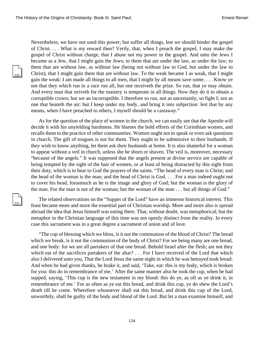Nevertheless, we have not used this power; but suffer all things, lest we should hinder the gospel of Christ. . . . What is my reward then? Verily, that, when I preach the gospel, I may make the gospel of Christ without charge, that I abuse not my power in the gospel. And unto the Jews I became as a Jew, that I might gain the Jews; to them that are under the law, as under the law; to them that are without law, as without law (being not without law to God, but under the law to Christ), that I might gain them that are without law. To the weak became I as weak, that I might gain the weak: I am made all things to all men, that I might by all means save some. . . . Know ye not that they which run in a race run all, but one receiveth the prize. So run, that ye may obtain. And every man that striveth for the mastery is temperate in all things. Now they do it to obtain a corruptible crown; but we an incorruptible. I therefore so run, not as uncertainly; so fight I; not as one that beateth the air: but I keep under my body, and bring it into subjection: lest that by any means, when I have preached to others, I myself should be a castaway."

As for the question of the place of women in the church, we can easily see that the Apostle will decide it with his unyielding harshness. He blames the bold efforts of the Corinthian women, and recalls them to the practice of other communities. Women ought not to speak or even ask questions in church. The gift of tongues is not for them. They ought to be submissive to their husbands. If they wish to know anything, let them ask their husbands at home. It is also shameful for a woman to appear without a veil in church, unless she be shorn or shaven. The veil is, moreover, necessary "because of the angels." It was supposed that the angels present at divine service are capable of being tempted by the sight of the hair of women, or at least of being distracted by this sight from their duty, which is to bear to God the prayers of the saints. "The head of every man is Christ; and the head of the woman is the man; and the head of Christ is God. . . . For a man indeed ought not to cover his head, forasmuch as he is the image and glory of God; but the woman is the glory of the man. For the man is not of the woman; but the woman of the man . . . but all things of God."

The related observations on the "Supper of the Lord" have an immense historical interest. This feast became more and more the essential part of Christian worship. More and more also is spread abroad the idea that Jesus himself was eating there. That, without doubt, was metaphorical; but the metaphor in the Christian language of this time was not openly distinct from the reality. In every case this sacrament was in a great degree a sacrament of union and of love.

"The cup of blessing which we bless, is it not the communion of the blood of Christ? The bread which we break, is it not the communion of the body of Christ? For we being many are one bread, and one body: for we are all partakers of that one bread. Behold Israel after the flesh; are not they which eat of the sacrifices partakers of the altar? . . . For I have received of the Lord that which also I delivered unto you, That the Lord Jesus the same night in which he was betrayed took bread: And when he had given thanks, he brake it, and said, 'Take, eat: this is my body, which is broken for you: this do in remembrance of me.' After the same manner also he took the cup, when he had supped, saying, 'This cup is the new testament in my blood: this do ye, as oft as ye drink it, in remembrance of me.' For as often as ye eat this bread, and drink this cup, ye do shew the Lord's death till he come. Wherefore whosoever shall eat this bread, and drink this cup of the Lord, unworthily, shall be guilty of the body and blood of the Lord. But let a man examine himself, and

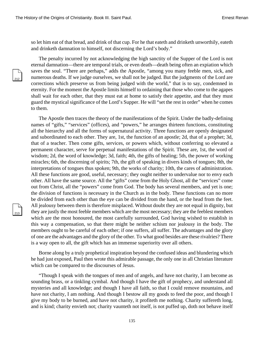so let him eat of that bread, and drink of that cup. For he that eateth and drinketh unworthily, eateth and drinketh damnation to himself, not discerning the Lord's body."

The penalty incurred by not acknowledging the high sanctity of the Supper of the Lord is not eternal damnation—there are temporal trials, or even death—death being often an expiation which saves the soul. "There are perhaps," adds the Apostle, "among you many feeble men, sick, and numerous deaths. If we judge ourselves, we shall not be judged. But the judgments of the Lord are corrections which preserve us from being judged with the world," that is to say, condemned in eternity. For the moment the Apostle limits himself to ordaining that those who come to the agapes shall wait for each other, that they must eat at home to satisfy their appetite, and that they must guard the mystical significance of the Lord's Supper. He will "set the rest in order" when he comes to them.

The Apostle then traces the theory of the manifestations of the Spirit. Under the badly-defining names of "gifts," "services" (offices), and "powers," he arranges thirteen functions, constituting all the hierarchy and all the forms of supernatural activity. Three functions are openly designated and subordinated to each other. They are, 1st, the function of an apostle; 2d, that of a prophet; 3d, that of a teacher. Then come gifts, services, or powers which, without conferring so elevated a permanent character, serve for perpetual manifestations of the Spirit. These are, 1st, the word of wisdom; 2d, the word of knowledge; 3d, faith; 4th, the gifts of healing; 5th, the power of working miracles; 6th, the discerning of spirits; 7th, the gift of speaking in divers kinds of tongues; 8th, the interpretations of tongues thus spoken; 9th, the works of charity; 10th, the cares of administration. All these functions are good, useful, necessary; they ought neither to undervalue nor to envy each other. All have the same source. All the "gifts" come from the Holy Ghost, all the "services" come out from Christ, all the "powers" come from God. The body has several members, and yet is one; the division of functions is necessary in the Church as in the body. These functions can no more be divided from each other than the eye can be divided from the hand, or the head from the feet. All jealousy between them is therefore misplaced. Without doubt they are not equal in dignity, but they are justly the most feeble members which are the most necessary; they are the feeblest members which are the most honoured, the most carefully surrounded, God having wished to establish in this way a compensation, so that there might be neither schism nor jealousy in the body. The members ought to be careful of each other; if one suffers, all suffer. The advantages and the glory of one are the advantages and the glory of the other. To what good besides are these rivalries? There is a way open to all, the gift which has an immense superiority over all others.

Borne along by a truly prophetical inspiration beyond the confused ideas and blundering which he had just exposed, Paul then wrote this admirable passage, the only one in all Christian literature which can be compared to the discourses of Jesus.

"Though I speak with the tongues of men and of angels, and have not charity, I am become as sounding brass, or a tinkling cymbal. And though I have the gift of prophecy, and understand all mysteries and all knowledge; and though I have all faith, so that I could remove mountains, and have not charity, I am nothing. And though I bestow all my goods to feed the poor, and though I give my body to be burned, and have not charity, it profiteth me nothing. Charity suffereth long, and is kind; charity envieth not; charity vaunteth not itself, is not puffed up, doth not behave itself

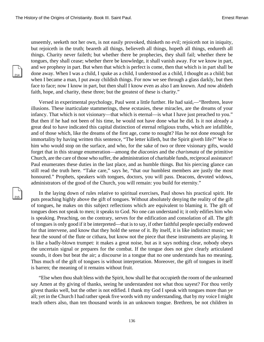215

unseemly, seeketh not her own, is not easily provoked, thinketh no evil; rejoiceth not in iniquity, but rejoiceth in the truth; beareth all things, believeth all things, hopeth all things, endureth all things. Charity never faileth; but whether there be prophecies, they shall fail; whether there be tongues, they shall cease; whether there be knowledge, it shall vanish away. For we know in part, and we prophesy in part. But when that which is perfect is come, then that which is in part shall be done away. When I was a child, I spake as a child, I understood as a child, I thought as a child; but when I became a man, I put away childish things. For now we see through a glass darkly, but then face to face; now I know in part, but then shall I know even as also I am known. And now abideth faith, hope, and charity, these three; but the greatest of these is charity."

Versed in experimental psychology, Paul went a little further. He had said,—"Brethren, leave illusions. These inarticulate stammerings, these ecstasies, these miracles, are the dreams of your infancy. That which is not visionary—that which is eternal—is what I have just preached to you." But then if he had not been of his time, he would not have done what he did. Is it not already a great deal to have indicated this capital distinction of eternal religious truths, which are infallible, and of those which, like the dreams of the first age, come to nought? Has he not done enough for immortality by having written this sentence, "The letter killeth, but the Spirit giveth life?" Woe to him who would stop on the surface, and who, for the sake of two or three visionary gifts, would forget that in this strange enumeration—among the *diaconies* and the *charismata* of the primitive Church, are the care of those who suffer, the administration of charitable funds, reciprocal assistance! Paul enumerates these duties in the last place, and as humble things. But his piercing glance can still read the truth here. "Take care," says he, "that our humblest members are justly the most honoured." Prophets, speakers with tongues, doctors, you will pass. Deacons, devoted widows, administrators of the good of the Church, you will remain: you build for eternity."

In the laying down of rules relative to spiritual exercises, Paul shows his practical spirit. He puts preaching highly above the gift of tongues. Without absolutely denying the reality of the gift of tongues, he makes on this subject reflections which are equivalent to blaming it. The gift of tongues does not speak to men; it speaks to God. No one can understand it; it only edifies him who is speaking. Preaching, on the contrary, serves for the edification and consolation of all. The gift of tongues is only good if it be interpreted—that is to say, if other faithful people specially endowed for that intervene, and know that they hold the sense of it. By itself, it is like indistinct music; we hear the sound of the flute or cithara, but know not the piece that these instruments are playing. It is like a badly-blown trumpet: it makes a great noise, but as it says nothing clear, nobody obeys the uncertain signal or prepares for the combat. If the tongue does not give clearly articulated sounds, it does but beat the air; a discourse in a tongue that no one understands has no meaning. Thus much of the gift of tongues is without interpretation. Moreover, the gift of tongues in itself is barren; the meaning of it remains without fruit.

"Else when thou shalt bless with the Spirit, how shall he that occupieth the room of the unlearned say Amen at thy giving of thanks, seeing he understandest not what thou sayest? For thou verily givest thanks well, but the other is not edified. I thank my God I speak with tongues more than ye all; yet in the Church I had rather speak five words with my understanding, that by my voice I might teach others also, than ten thousand words in an unknown tongue. Brethren, be not children in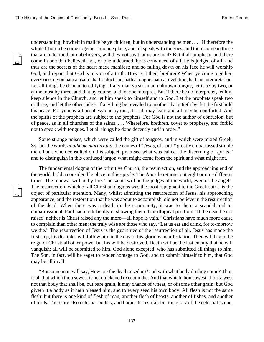understanding; howbeit in malice be ye children, but in understanding be men. . . . If therefore the whole Church be come together into one place, and all speak with tongues, and there come in those that are unlearned, or unbelievers, will they not say that ye are mad? But if all prophesy, and there come in one that believeth not, or one unlearned, he is convinced of all, he is judged of all; and thus are the secrets of the heart made manifest; and so falling down on his face he will worship God, and report that God is in you of a truth. How is it then, brethren? When ye come together, every one of you hath a psalm, hath a doctrine, hath a tongue, hath a revelation, hath an interpretation. Let all things be done unto edifying. If any man speak in an unknown tongue, let it be by two, or at the most by three, and that by course; and let one interpret. But if there be no interpreter, let him keep silence in the Church, and let him speak to himself and to God. Let the prophets speak two or three, and let the other judge. If anything be revealed to another that sitteth by, let the first hold his peace. For ye may all prophesy one by one, that all may learn and all may be comforted. And the spirits of the prophets are subject to the prophets. For God is not the author of confusion, but of peace, as in all churches of the saints. . . . Wherefore, brethren, covet to prophesy, and forbid not to speak with tongues. Let all things be done decently and in order."

Some strange noises, which were called the gift of tongues, and in which were mixed Greek, Syriac, the words *anathema maran atha*, the names of "*Jesus*, of Lord," greatly embarrassed simple men. Paul, when consulted on this subject, practised what was called "the discerning of spirits," and to distinguish in this confused jargon what might come from the spirit and what might not.

The fundamental dogma of the primitive Church, the resurrection, and the approaching end of the world, hold a considerable place in this epistle. The Apostle returns to it eight or nine different times. The renewal will be by fire. The saints will be the judges of the world, even of the angels. The resurrection, which of all Christian dogmas was the most repugnant to the Greek spirit, is the object of particular attention. Many, whilst admitting the resurrection of Jesus, his approaching appearance, and the restoration that he was about to accomplish, did not believe in the resurrection of the dead. When there was a death in the community, it was to them a scandal and an embarrassment. Paul had no difficulty in showing them their illogical position: "If the dead be not raised, neither is Christ raised any the more—all hope is vain." Christians have much more cause to complain than other men; the truly wise are those who say, "Let us eat and drink, for to-morrow we die." The resurrection of Jesus is the guarantee of the resurrection of all. Jesus has made the first step, his disciples will follow him in the day of his glorious manifestation. Then will begin the reign of Christ: all other power but his will be destroyed. Death will be the last enemy that he will vanquish: all will be submitted to him, God alone excepted, who has submitted all things to him. The Son, in fact, will be eager to render homage to God, and to submit himself to him, that God may be all in all.

"But some man will say, How are the dead raised up? and with what body do they come? Thou fool, that which thou sowest is not quickened except it die: And that which thou sowest, thou sowest not that body that shall be, but bare grain, it may chance of wheat, or of some other grain: but God giveth it a body as it hath pleased him, and to every seed his own body. All flesh is not the same flesh: but there is one kind of flesh of man, another flesh of beasts, another of fishes, and another of birds. There are also celestial bodies, and bodies terrestrial: but the glory of the celestial is one,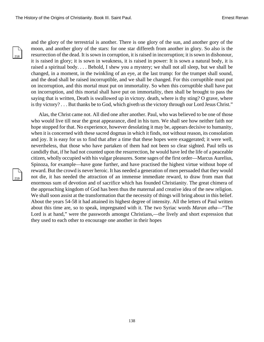and the glory of the terrestrial is another. There is one glory of the sun, and another gory of the moon, and another glory of the stars: for one star differeth from another in glory. So also is the resurrection of the dead. It is sown in corruption, it is raised in incorruption; it is sown in dishonour, it is raised in glory; it is sown in weakness, it is raised in power: It is sown a natural body, it is raised a spiritual body. . . . Behold, I shew you a mystery; we shall not all sleep, but we shall be changed, in a moment, in the twinkling of an eye, at the last trump: for the trumpet shall sound, and the dead shall be raised incorruptible, and we shall be changed. For this corruptible must put on incorruption, and this mortal must put on immortality. So when this corruptible shall have put on incorruption, and this mortal shall have put on immortality, then shall be brought to pass the saying that is written, Death is swallowed up in victory. death, where is thy sting? O grave, where is thy victory? . . . But thanks be to God, which giveth us the victory through our Lord Jesus Christ."

Alas, the Christ came not. All died one after another. Paul, who was believed to be one of those who would live till near the great appearance, died in his turn. We shall see how neither faith nor hope stopped for that. No experience, however desolating it may be, appears decisive to humanity, when it is concerned with these sacred dogmas in which it finds, not without reason, its consolation and joy. It is easy for us to find that after a time that these hopes were exaggerated; it were well, nevertheless, that those who have partaken of them had not been so clear sighted. Paul tells us candidly that, if he had not counted upon the resurrection, he would have led the life of a peaceable citizen, wholly occupied with his vulgar pleasures. Some sages of the first order—Marcus Aurelius, Spinoza, for example—have gone further, and have practised the highest virtue without hope of reward. But the crowd is never heroic. It has needed a generation of men persuaded that they would not die, it has needed the attraction of an immense immediate reward, to draw from man that enormous sum of devotion and of sacrifice which has founded Christianity. The great chimera of the approaching kingdom of God has been thus the maternal and creative idea of the new religion. We shall soon assist at the transformation that the necessity of things will bring about in this belief. About the years 54-58 it had attained its highest degree of intensity. All the letters of Paul written about this time are, so to speak, impregnated with it. The two Syriac words *Maran atha*—"The Lord is at hand," were the passwords amongst Christians,—the lively and short expression that they used to each other to encourage one another in their hopes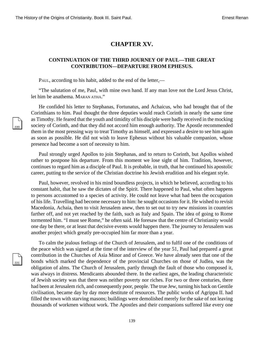# **CHAPTER XV.**

### **CONTINUATION OF THE THIRD JOURNEY OF PAUL—THE GREAT CONTRIBUTION—DEPARTURE FROM EPHESUS.**

PAUL, according to his habit, added to the end of the letter,—

"The salutation of me, Paul, with mine own hand. If any man love not the Lord Jesus Christ, let him be anathema. MARAN ATHA."

He confided his letter to Stephanas, Fortunatus, and Achaicus, who had brought that of the Corinthians to him. Paul thought the three deputies would reach Corinth in nearly the same time as Timothy. He feared that the youth and timidity of his disciple were badly received in the mocking society of Corinth, and that they did not accord him enough authority. The Apostle recommended them in the most pressing way to treat Timothy as himself, and expressed a desire to see him again as soon as possible. He did not wish to leave Ephesus without his valuable companion, whose presence had become a sort of necessity to him.

Paul strongly urged Apollos to join Stephanas, and to return to Corinth, but Apollos wished rather to postpone his departure. From this moment we lose sight of him. Tradition, however, continues to regard him as a disciple of Paul. It is probable, in truth, that he continued his apostolic career, putting to the service of the Christian doctrine his Jewish erudition and his elegant style.

Paul, however, revolved in his mind boundless projects, in which he believed, according to his constant habit, that he saw the dictates of the Spirit. There happened to Paul, what often happens to persons accustomed to a species of activity. He could not leave what had been the occupation of his life. Travelling had become necessary to him: he sought occasions for it. He wished to revisit Macedonia, Achaia, then to visit Jerusalem anew, then to set out to try new missions in countries farther off, and not yet reached by the faith, such as Italy and Spain. The idea of going to Rome tormented him. "I must see Rome," he often said. He foresaw that the centre of Christianity would one day be there, or at least that decisive events would happen there. The journey to Jerusalem was another project which greatly pre-occupied him far more than a year.

To calm the jealous feelings of the Church of Jerusalem, and to fulfil one of the conditions of the peace which was signed at the time of the interview of the year 51, Paul had prepared a great contribution in the Churches of Asia Minor and of Greece. We have already seen that one of the bonds which marked the dependence of the provincial Churches on those of Judlea, was the obligation of alms. The Church of Jerusalem, partly through the fault of those who composed it, was always in distress. Mendicants abounded there. In the earliest ages, the leading characteristic of Jewish society was that there was neither poverty nor riches. For two or three centuries, there had been at Jerusalem rich, and consequently poor, people. The true Jew, turning his back on Gentile civilisation, became day by day more destitute of resources. The public works of Agrippa II. had filled the town with starving masons; buildings were demolished merely for the sake of not leaving thousands of workmen without work. The Apostles and their companions suffered like every one

220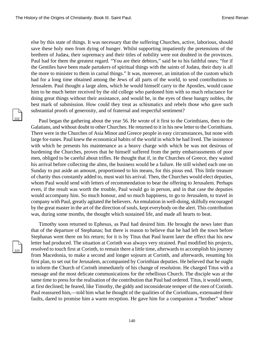223

else by this state of things. It was necessary that the suffering Churches, active, laborious, should save these holy men from dying of hunger. Whilst supporting impatiently the pretensions of the brethren of Judæa, their supremacy and their titles of nobility were not doubted in the provinces. Paul had for them the greatest regard. "You are their debtors," said he to his faithful ones; "for if the Gentiles have been made partakers of spiritual things with the saints of Judæa, their duty is all the more to minister to them in carnal things." It was, moreover, an imitation of the custom which had for a long time obtained among the Jews of all parts of the world, to send contributions to Jerusalem. Paul thought a large alms, which he would himself carry to the Apostles, would cause him to be much better received by the old college who pardoned him with so much reluctance for doing great things without their assistance, and would be, in the eyes of these hungry nobles, the best mark of submission. How could they treat as schismatics and rebels those who gave such substantial proofs of generosity, and of fraternal and respectful sentiment?

Paul began the gathering about the year 56. He wrote of it first to the Corinthians, then to the Galatians, and without doubt to other Churches. He returned to it in his new letter to the Corinthians. There were in the Churches of Asia Minor and Greece people in easy circumstances, but none with large for-tunes. Paul knew the economical habits of the world in which he had lived. The insistence with which he presents his maintenance as a heavy charge with which he was not desirous of burdening the Churches, proves that he himself suffered from the petty embarrassments of poor men, obliged to be careful about trifles. He thought that if, in the Churches of Greece, they waited his arrival before collecting the alms, the business would be a failure. He still wished each one on Sunday to put aside an amount, proportioned to his means, for this pious end. This little treasure of charity thus constantly added to, must wait his arrival. Then, the Churches would elect deputies, whom Paul would send with letters of recommendation to bear the offering to Jerusalem. Perhaps even, if the result was worth the trouble, Paul would go in person, and in that case the deputies would accompany him. So much honour, and so much happiness, to go to Jerusalem, to travel in company with Paul, greatly agitated the believers. An emulation in well-doing, skilfully encouraged by the great master in the art of the direction of souls, kept everybody on the alert. This contribution was, during some months, the thought which sustained life, and made all hearts to beat.

Timothy soon returned to Ephesus, as Paul had desired him. He brought the news later than that of the departure of Stephanas; but there is reason to believe that he had left the town before Stephanas went there on his return; for it is by Titus that Paul learnt later the effect that his new letter had produced. The situation at Corinth was always very strained. Paul modified his projects, resolved to touch first at Corinth, to remain there a little time, afterwards to accomplish his journey from Macedonia, to make a second and longer sojourn at Corinth, and afterwards, resuming his first plan, to set out for Jerusalem, accompanied by Corinthian deputies. He believed that he ought to inform the Church of Corinth immediately of his change of resolution. He charged Titus with a message and the most delicate communications for the rebellious Church. The disciple was at the same time to press for the realisation of the contribution that Paul had ordered. Titus, it would seem, at first declined; he feared, like Timothy, the giddy and inconsiderate temper of the men of Corinth. Paul reassured him,—told him what he thought of the qualities of the Corinthians, extenuated their faults, dared to promise him a warm reception. He gave him for a companion a "brother" whose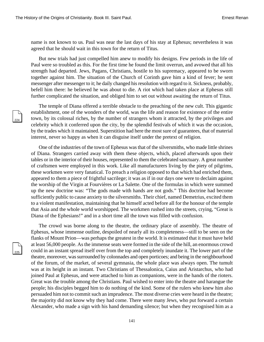name is not known to us. Paul was near the last days of his stay at Ephesus; nevertheless it was agreed that he should wait in this town for the return of Titus.

But new trials had just compelled him anew to modify his designs. Few periods in the life of Paul were so troubled as this. For the first time he found the limit overrun, and avowed that all his strength had departed. Jews, Pagans, Christians, hostile to his supremacy, appeared to be sworn together against him. The situation of the Church of Corinth gave him a kind of fever; he sent messenger after messenger to it; he daily changed his resolution with regard to it. Sickness, probably, befell him there: he believed he was about to die. A riot which had taken place at Ephesus still further complicated the situation, and obliged him to set out without awaiting the return of Titus.

The temple of Diana offered a terrible obstacle to the preaching of the new cult. This gigantic establishment, one of the wonders of the world, was the life and reason for existence of the entire town, by its colossal riches, by the number of strangers whom it attracted, by the privileges and celebrity which it conferred upon the city, by the splendid festivals of which it was the occasion, by the trades which it maintained. Superstition had here the most sure of guarantees, that of material interest, never so happy as when it can disguise itself under the pretext of religion.

One of the industries of the town of Ephesus was that of the silversmiths, who made little shrines of Diana. Strangers carried away with them these objects, which, placed afterwards upon their tables or in the interior of their houses, represented to them the celebrated sanctuary. A great number of craftsmen were employed in this work. Like all manufacturers living by the piety of pilgrims, these workmen were very fanatical. To preach a religion opposed to that which had enriched them, appeared to them a piece of frightful sacrilege; it was as if in our days one were to declaim against the worship of the Virgin at Fourvières or La Salette. One of the formulas in which were summed up the new doctrine was: "The gods made with hands are not gods." This doctrine had become sufficiently public to cause anxiety to the silversmiths. Their chief, named Demetrius, excited them to a violent manifestation, maintaining that he himself acted before all for the honour of the temple that Asia and the whole world worshipped. The workmen rushed into the streets, crying, "Great is Diana of the Ephesians!" and in a short time all the town was filled with confusion.

The crowd was borne along to the theatre, the ordinary place of assembly. The theatre of Ephesus, whose immense outline, despoiled of nearly all its completeness—still to be seen on the flanks of Mount Prion—was perhaps the greatest in the world. It is estimated that it must have held at least 56,000 people. As the immense seats were formed in the side of the hill, an enormous crowd could in an instant spread itself over from the top and completely inundate it. The lower part of the theatre, moreover, was surrounded by colonnades and open porticoes; and being in the neighbourhood of the forum, of the market, of several gymnasia, the whole place was always open. The tumult was at its height in an instant. Two Christians of Thessalonica, Caius and Aristarchus, who had joined Paul at Ephesus, and were attached to him as companions, were in the hands of the rioters. Great was the trouble among the Christians. Paul wished to enter into the theatre and harangue the people; his disciples begged him to do nothing of the kind. Some of the rulers who knew him also persuaded him not to commit such an imprudence. The most diverse cries were heard in the theatre; the majority did not know why they had come. There were many Jews, who put forward a certain Alexander, who made a sign with his hand demanding silence; but when they recognised him as a

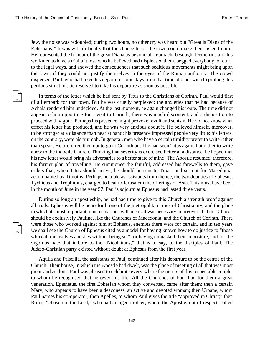227

Jew, the noise was redoubled; during two hours, no other cry was heard but "Great is Diana of the Ephesians!" It was with difficulty that the chancellor of the town could make them listen to him. He represented the honour of the great Diana as beyond all reproach; besought Demetrius and his workmen to have a trial of those who he believed had displeased them, begged everybody to return to the legal ways, and showed the consequences that such seditious movements might bring upon the town, if they could not justify themselves in the eyes of the Roman authority. The crowd dispersed. Paul, who had fixed his departure some days from that time, did not wish to prolong this perilous situation. tie resolved to take his departure as soon as possible.

In terms of the letter which he had sent by Titus to the Christians of Corinth, Paul would first of all embark for that town. But he was cruelly perplexed: the anxieties that he had because of Achaia rendered him undecided. At the last moment, he again changed his route. The time did not appear to him opportune for a visit to Corinth; there was much discontent, and a disposition to proceed with vigour. Perhaps his presence might provoke revolt and schism. He did not know what effect his letter had produced, and he was very anxious about it. He believed himself, moreover, to be stronger at a distance than near at hand: his presence impressed people very little; his letters, on the contrary, were his triumph. In general, men who have a certain timidity prefer to write rather than speak. He preferred then not to go to Corinth until he had seen Titus again, but rather to write anew to the indocile Church. Thinking that severity is exercised better at a distance, he hoped that his new letter would bring his adversaries to a better state of mind. The Apostle resumed, therefore, his former plan of travelling. He summoned the faithful, addressed his farewells to them, gave orders that, when Titus should arrive, he should be sent to Troas, and set out for Macedonia, accompanied by Timothy. Perhaps he took, as assistants from thence, the two deputies of Ephesus, Tychicus and Trophimus, charged to bear to Jerusalem the offerings of Asia. This must have been in the month of June in the year 57. Paul's sojourn at Ephesus had lasted three years.

During so long an apostleship, he had had time to give to this Church a strength proof against all trials. Ephesus will be henceforth one of the metropolitan cities of Christianity, and the place in which its most important transformations will occur. It was necessary, moreover, that this Church should be exclusively Pauline, like the Churches of Macedonia, and the Church of Corinth. There were those who worked against him at Ephesus, enemies there were for certain, and in ten years we shall see the Church of Ephesus cited as a model for having known how to do justice to "those who call themselves apostles without being so," for having unmasked their imposture, and for the vigorous hate that it bore to the "Nicolaitans," that is to say, to the disciples of Paul. The Judæo-Christian party existed without doubt at Ephesus from the first year.

Aquila and Priscilla, the assistants of Paul, continued after his departure to be the centre of the Church. Their house, in which the Apostle had dwelt, was the place of meeting of all that was most pious and zealous. Paul was pleased to celebrate every-where the merits of this respectable couple, to whom he recognised that he owed his life. All the Churches of Paul had for them a great veneration. Epænetus, the first Ephesian whom they converted, came after them; then a certain Mary, who appears to have been a deaconess, an active and devoted woman; then Urbane, whom Paul names his co-operator; then Apelles, to whom Paul gives the title "approved in Christ;" then Rufus, "chosen in the Lord," who had an aged mother, whom the Apostle, out of respect, called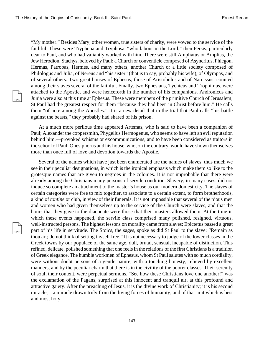"My mother." Besides Mary, other women, true sisters of charity, were vowed to the service of the faithful. These were Tryphena and Tryphosa, "who labour in the Lord;" then Persis, particularly dear to Paul, and who had valiantly worked with him. There were still Ampliatus or Amplias, the Jew Herodion, Stachys, beloved by Paul; a Church or conventicle composed of Asyncritus, Phlegon, Hermas, Patrobas, Hermes, and many others; another Church or a little society composed of Philologus and Julia, of Nereus and "his sister" (that is to say, probably his wife), of Olympas, and of several others. Two great houses of Ephesus, those of Aristobulus and of Narcissus, counted among their slaves several of the faithful. Finally, two Ephesians, Tychicus and Trophimus, were attached to the Apostle, and were henceforth in the number of his companions. Andronicus and Junia were also at this time at Ephesus. These were members of the primitive Church of Jerusalem; St Paul had the greatest respect for them "because they had been in Christ before him." He calls them "of note among the Apostles." It is a new detail that in the trial that Paul calls "his battle against the beasts," they probably had shared of his prison.

At a much more perilous time appeared Artemas, who is said to have been a companion of Paul; Alexander the coppersmith, Phygellus Hermogenus, who seems to have left an evil reputation behind him,—provoked schisms or excommunications, and to have been considered as traitors in the school of Paul; Onesiphorus and his house, who, on the contrary, would have shown themselves more than once full of love and devotion towards the Apostle.

Several of the names which have just been enumerated are the names of slaves; thus much we see in their peculiar designations, in which is the ironical emphasis which make them so like to the grotesque names that are given to negroes in the colonies. It is not improbable that there were already among the Christians many persons of servile condition. Slavery, in many cases, did not induce so complete an attachment to the master's house as our modern domesticity. The slaves of certain categories were free to mix together, to associate to a certain extent, to form brotherhoods, a kind of *tontine* or club, in view of their funerals. It is not impossible that several of the pious men and women who had given themselves up to the service of the Church were slaves, and that the hours that they gave to the diaconate were those that their masters allowed them. At the time in which these events happened, the servile class comprised many polished, resigned, virtuous, well-instructed persons. The highest lessons on morality came from slaves; Epictetus passed a great part of his life in servitude. The Stoics, the sages, spoke as did St Paul to the slave: "Remain as thou art; do not think of setting thyself free." It is not necessary to judge of the lower classes in the Greek towns by our populace of the same age, dull, brutal, sensual, incapable of distinction. This refined, delicate, polished something that one feels in the relations of the first Christians is a tradition of Greek elegance. The humble workmen of Ephesus, whom St Paul salutes with so much cordiality, were without doubt persons of a gentle nature, with a touching honesty, relieved by excellent manners, and by the peculiar charm that there is in the civility of the poorer classes. Their serenity of soul, their content, were perpetual sermons. "See how these Christians love one another!" was the exclamation of the Pagans, surprised at this innocent and tranquil air, at this profound and attractive gaiety. After the preaching of Jesus, it is the divine work of Christianity; it is his second miracle,—a miracle drawn truly from the living forces of humanity, and of that in it which is best and most holy.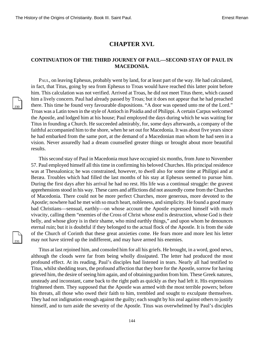# **CHAPTER XVL**

### **CONTINUATION OF THE THIRD JOURNEY OF PAUL—SECOND STAY OF PAUL IN MACEDONIA.**

PAUL, on leaving Ephesus, probably went by land, for at least part of the way. He had calculated, in fact, that Titus, going by sea from Ephesus to Troas would have reached this latter point before him. This calculation was not verified. Arrived at Troas, he did not meet Titus there, which caused him a lively concern. Paul had already passed by Troas; but it does not appear that he had preached there. This time he found very favourable dispositions. "A door was opened unto me of the Lord." Troas was a Latin town in the style of Antioch in Pisidia and of Philippi. A certain Carpus welcomed the Apostle, and lodged him at his house; Paul employed the days during which he was waiting for Titus in founding a Church. He succeeded admirably, for, some days afterwards, a company of the faithful accompanied him to the shore, when he set out for Macedonia. It was about five years since he had embarked from the same port, at the demand of a Macedonian man whom he had seen in a vision. Never assuredly had a dream counselled greater things or brought about more beautiful results.

This second stay of Paul in Macedonia must have occupied six months, from June to November 57. Paul employed himself all this time in confirming his beloved Churches. His principal residence was at Thessalonica; he was constrained, however, to dwell also for some time at Philippi and at Beræa. Troubles which had filled the last months of his stay at Ephesus seemed to pursue him. During the first days after his arrival he had no rest. His life was a continual struggle: the gravest apprehensions stood in his way. These cares and afflictions did not assuredly come from the Churches of Macedonia. There could not be more perfect Churches, more generous, more devoted to the Apostle; nowhere had he met with so much heart, nobleness, and simplicity. He found a good many bad Christians—sensual, earthly—on whose account the Apostle expressed himself with much vivacity, calling them "enemies of the Cross of Christ whose end is destruction, whose God is their belly, and whose glory is in their shame, who mind earthly things," and upon whom he denounces eternal ruin; but it is doubtful if they belonged to the actual flock of the Apostle. It is from the side of the Church of Corinth that these great anxieties come. He fears more and more lest his letter may not have stirred up the indifferent, and may have armed his enemies.

Titus at last rejoined him, and consoled him for all his griefs. He brought, in a word, good news, although the clouds were far from being wholly dissipated. The letter had produced the most profound effect. At its reading, Paul's disciples had listened in tears. Nearly all had testified to Titus, whilst shedding tears, the profound affection that they bore for the Apostle, sorrow for having grieved him, the desire of seeing him again, and of obtaining pardon from him. These Greek natures, unsteady and inconstant, came back to the right path as quickly as they had left it. His expressions frightened them. They supposed that the Apostle was armed with the most terrible powers; before his threats, all those who owed their faith to him, trembled and sought to exculpate themselves. They had not indignation enough against the guilty; each sought by his zeal against others to justify himself, and to turn aside the severity of the Apostle. Titus was overwhelmed by Paul's disciples

 $230$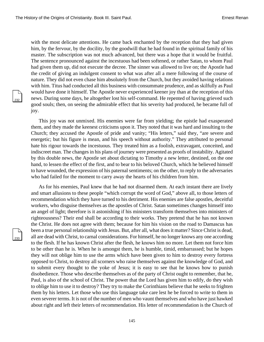233

with the most delicate attentions. He came back enchanted by the reception that they had given him, by the fervour, by the docility, by the goodwill that he had found in the spiritual family of his master. The subscription was not much advanced, but there was a hope that it would be fruitful. The sentence pronounced against the incestuous had been softened, or rather Satan, to whom Paul had given them up, did not execute the decree. The sinner was allowed to live on; the Apostle had the credit of giving an indulgent consent to what was after all a mere following of the course of nature. They did not even chase him absolutely from the Church, but they avoided having relations with him. Titus had conducted all this business with consummate prudence, and as skilfully as Paul would have done it himself. The Apostle never experienced keener joy than at the reception of this news. During some days, he altogether lost his self-command. He repented of having grieved such good souls; then, on seeing the admirable effect that his severity had produced, he became full of joy.

This joy was not unmixed. His enemies were far from yielding; the epistle had exasperated them, and they made the keenest criticisms upon it. They noted that it was hard and insulting to the Church; they accused the Apostle of pride and vanity; "His letters," said they, "are severe and energetic; but his figure is mean, and his speech without authority." They attributed to personal hate his rigour towards the incestuous. They treated him as a foolish, extravagant, conceited, and indiscreet man. The changes in his plans of journey were presented as proofs of instability. Agitated by this double news, the Apostle set about dictating to Timothy a new letter, destined, on the one hand, to lessen the effect of the first, and to bear to his beloved Church, which he believed himself to have wounded, the expression of his paternal sentiments; on the other, to reply to the adversaries who had failed for the moment to carry away the hearts of his children from him.

As for his enemies, Paul knew that he had not disarmed them. At each instant there are lively and smart allusions to these people "which corrupt the word of God," above all, to those letters of recommendation which they have turned to his detriment. His enemies are false apostles, deceitful workers, who disguise themselves as the apostles of Christ. Satan sometimes changes himself into an angel of light; therefore is it astonishing if his ministers transform themselves into ministers of righteousness? Their end shall be according to their works. They pretend that he has not known the Christ. He does not agree with them; because for him his vision on the road to Damascus has been a true personal relationship with Jesus. But, after all, what does it matter? Since Christ is dead, all are dead with Christ, to carnal considerations. For himself, he no longer knows any one according to the flesh. If he has known Christ after the flesh, he knows him no more. Let them not force him to be other than he is. When he is amongst them, he is humble, timid, embarrassed; but he hopes they will not oblige him to use the arms which have been given to him to destroy every fortress opposed to Christ, to destroy all scorners who raise themselves against the knowledge of God, and to submit every thought to the yoke of Jesus; it is easy to see that he knows how to punish disobedience. Those who describe themselves as of the party of Christ ought to remember, that he, Paul, is also of the school of Christ. The power that the Lord has given him to edify, do they wish to oblige him to use it to destroy? They try to make the Corinthians believe that he seeks to frighten them by his letters. Let those who use this language take care lest he be forced to write to them in even severer terms. It is not of the number of men who vaunt themselves and who have just hawked about right and left their letters of recommendation. His letter of recommendation is the Church of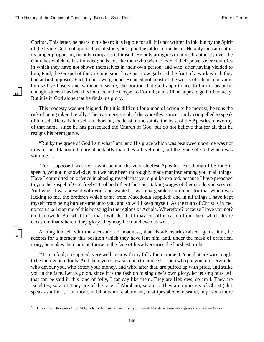Corinth. This letter, he bears in his heart; it is legible for all; it is not written in ink, but by the Spirit of the living God, not upon tables of stone, but upon the tables of the heart. He only measures it in its proper proportion, he only compares it himself. He only arrogates to himself authority over the Churches which he has founded; he is not like men who wish to extend their power over countries in which they have not shown themselves in their own person, and who, after having yielded to him, Paul, the Gospel of the Circumcision, have just now gathered the fruit of a work which they had at first opposed. Each to his own ground. He need not boast of the works of others, nor vaunt him-self verbosely and without measure; the portion that God apportioned to him is beautiful enough, since it has been his lot to bear the Gospel to Corinth; and still he hopes to go farther away. But it is in God alone that he finds his glory.

This modesty was not feigned. But it is difficult for a man of action to be modest; he runs the risk of being taken literally. The least egotistical of the Apostles is incessantly compelled to speak of himself. He calls himself an abortion, the least of the saints, the least of the Apostles, unworthy of that name, since he has persecuted the Church of God; but do not believe that for all that he resigns his prerogative.

"But by the grace of God I am what I am: and His grace which was bestowed upon me was not in vain; but I laboured more abundantly than they all: yet not I, but the grace of God which was with me. . . .

"For I suppose I was not a whit behind the very chiefest Apostles. But though I be rude in speech, yet not in knowledge; but we have been thoroughly made manifest among you in all things. Have I committed an offence in abasing myself that ye might be exalted, because I have preached to you the gospel of God freely? I robbed other Churches, taking wages of them to do you service. And when I was present with you, and wanted, I was chargeable to no man: for that which was lacking to me, the brethren which came from Macedonia supplied: and in all things I have kept myself from being burdensome unto you, and so will I keep myself. As the truth of Christ is in me, no man shall stop me of this boasting in the regions of Achaia. Wherefore? because I love you not? God knoweth. But what I do, that I will do, that I may cut off occasion from them which desire occasion; that wherein they glory, they may be found even as we. . . ."

235

234

Arming himself with the accusation of madness, that his adversaries raised against him, he accepts for a moment this position which they have lent him, and, under the mask of oratorical irony, he makes the madman throw in the face of his adversaries the harshest truths.

<sup>2"</sup>I am a fool, it is agreed; very well, bear with my folly for a moment. You that are wise, ought to be indulgent to fools. And then, you shew so much tolerance for men who put you into servitude, who devour you, who extort your money, and who, after that, are puffed up with pride, and strike you in the face. Let us go on, since it is the fashion to sing one's own glory, let us sing ours. All that can be said in this kind of folly, I can say like them. They are Hebrews; so am I. They are Israelites; so am I They are of the race of Abraham; so am I. They are ministers of Christ (ah I speak as a fool), I am more. In labours more abundant, in stripes above measure, in prisons more

<sup>2</sup> This is the latter part of the 2d Epistle to the Corinthians, freely rendered. No literal translation gives the sense.—TRANS.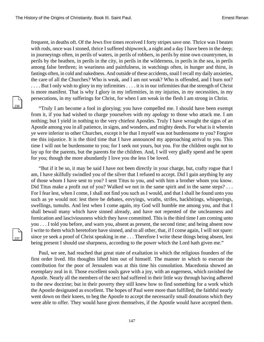237

frequent, in deaths oft. Of the Jews five times received I forty stripes save one. Thrice was I beaten with rods, once was I stoned, thrice I suffered shipwreck, a night and a day I have been in the deep; in journeyings often, in perils of waters, in perils of robbers, in perils by mine own countrymen, in perils by the heathen, in perils in the city, in perils in the wilderness, in perils in the sea, in perils among false brethren; in weariness and painfulness, in watchings often, in hunger and thirst, in fastings often, in cold and nakedness. And outside of these accidents, snail I recall my daily anxieties, the care of all the Churches? Who is weak, and I am not weak? Who is offended, and I burn not? . . . . But I only wish to glory in my infirmities . . . . it is in our infirmities that the strength of Christ is more manifest. That is why I glory in my infirmities, in my injuries, in my necessities, in my persecutions, in my sufferings for Christ, for when I am weak in the flesh I am strong in Christ.

"Truly I am become a fool in glorying; you have compelled me. I should have been exempt from it, if you had wished to charge yourselves with my apology to those who attack me. I am nothing; but I yield in nothing to the very chiefest Apostles. Truly I have wrought the signs of an Apostle among you in all patience, in signs, and wonders, and mighty deeds. For what is it wherein ye were inferior to other Churches, except it be that I myself was not burdensome to you? Forgive me this injustice. It is the third time that I have announced my approaching arrival to you. This time I will not be burdensome to you; for I seek not yours, but you. For the children ought not to lay up for the parents, but the parents for the children. And, I will very gladly spend and be spent for you; though the more abundantly I love you the less I be loved.

"But if it be so, it may be said I have not been directly in your charge, but, crafty rogue that I am, I have skilfully swindled you of the silver that I refused to accept. Did I gain anything by any of those whom I have sent to you? I sent Titus to you, and with him a brother whom you know. Did Titus make a profit out of you? Walked we not in the same spirit and in the same steps? . . . For I fear lest, when I come, I shall not find you such as I would, and that I shall be found unto you such as ye would not: lest there be debates, envyings, wraths, strifes, backbitings, whisperings, swellings, tumults. And lest when I come again, my God will humble me among you, and that I shall bewail many which have sinned already, and have not repented of the uncleanness and fornication and lasciviousness which they have committed. This is the third time I am coming unto you . . . I told you before, and warn you, absent as present, the second time; and being absent now I write to them which heretofore have sinned, and to all other, that, if I come again, I will not spare: since ye seek a proof of Christ speaking in me . . . Therefore I write these things being absent, lest being present I should use sharpness, according to the power which the Lord hath given me."

Paul, we see, had reached that great state of exaltation in which the religious founders of the first order lived. His thoughts lifted him out of himself. The manner in which to execute the contribution for the poor of Jerusalem was at this time his consolation. Macedonia showed an exemplary zeal in it. Those excellent souls gave with a joy, with an eagerness, which ravished the Apostle. Nearly all the members of the sect had suffered in their little way through having adhered to the new doctrine; but in their poverty they still knew how to find something for a work which the Apostle designated as excellent. The hopes of Paul were more than fulfilled; the faithful nearly went down on their knees, to beg the Apostle to accept the necessarily small donations which they were able to offer. They would have given themselves, if the Apostle would have accepted them.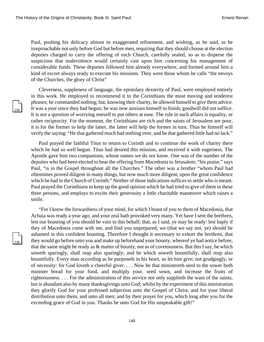Paul, pushing his delicacy almost to exaggerated refinement, and wishing, as he said, to be irreproachable not only before God but before men, requiring that they should choose at the election deputies charged to carry the offering of each Church, carefully sealed, so as to disperse the suspicions that malevolence would certainly cast upon him concerning his management of considerable funds. These deputies followed him already everywhere, and formed around him a kind of escort always ready to execute his missions. They were those whom he calls "the envoys of the Churches, the glory of Christ"

Cleverness, suppleness of language, the epistolary dexterity of Paul, were employed entirely in this work. He employed to recommend it to the Corinthians the most moving and tenderest phrases; he commanded nothing; but, knowing their charity, he allowed himself to give them advice. It was a year since they had begun; he was now anxious himself to finish; goodwill did not suffice. It is not a question of worrying oneself to put others at ease. The rule in such affairs is equality, or rather reciprocity. For the moment, the Corinthians are rich and the saints of Jerusalem are poor, it is for the former to help the latter, the latter will help the former in turn. Thus he himself will verify the saying: "He that gathered much had nothing over, and he that gathered little had no lack."

Paul prayed the faithful Titus to return to Corinth and to continue the work of charity there which he had so well begun. Titus had desired this mission, and received it with eagerness. The Apostle gave him two companions, whose names we do not know. One was of the number of the deputies who had been elected to bear the offering from Macedonia to Jerusalem; "his praise," says Paul, "is in the Gospel throughout all the Churches." The other was a brother "whom Paul had oftentimes proved diligent in many things, but now much more diligent, upon the great confidence which he had in the Church of Corinth." Neither of those indications suffices to settle who is meant. Paul prayed the Corinthians to keep up the good opinion which he had tried to give of them to these three persons, and employs to excite their generosity a little charitable manœuvre which raises a smile.

"For I know the forwardness of your mind, for which I boast of you to them of Macedonia, that Achaia was ready a year ago; and your zeal hath provoked very many. Yet have I sent the brethren, lest our boasting of you should be vain in this behalf; that, as I said, ye may be ready: lest haply if they of Macedonia come with me, and find you unprepared, we (that we say not, ye) should be ashamed in this confident boasting. Therefore I thought it necessary to exhort the brethren, that they would go before unto you and make up beforehand your bounty, whereof ye had notice before, that the same might be ready as  $\&$  matter of bounty, not as of covetousness. But this I say, he which soweth sparingly, shall reap also sparingly; and he which soweth bountifully, shall reap also bountifully. Every man according as he purposeth in his heart, so let him give; not grudgingly, or of necessity: for God loveth a cheerful giver. . . . Now he that ministereth seed to the sower both minister bread for your food, and multiply your. seed sown, and increase the fruits of righteousness. . . . For the administration of this service not only supplieth the want of the saints, but is abundant also by many thanksgivings unto God; whilst by the experiment of this ministration they glorify God for your professed subjection unto the Gospel of Christ, and for your liberal distribution unto them, and unto all men; and by their prayer for you, which long after you for the exceeding grace of God in you. Thanks be unto God for His unspeakable gift!"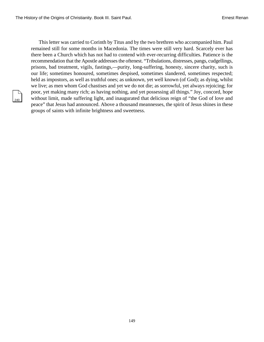This letter was carried to Corinth by Titus and by the two brethren who accompanied him. Paul remained still for some months in Macedonia. The times were still very hard. Scarcely ever has there been a Church which has not had to contend with ever-recurring difficulties. Patience is the recommendation that the Apostle addresses the oftenest. "Tribulations, distresses, pangs, cudgellings, prisons, bad treatment, vigils, fastings,—purity, long-suffering, honesty, sincere charity, such is our life; sometimes honoured, sometimes despised, sometimes slandered, sometimes respected; held as impostors, as well as truthful ones; as unknown, yet well known (of God); as dying, whilst we live; as men whom God chastises and yet we do not die; as sorrowful, yet always rejoicing; for poor, yet making many rich; as having nothing, and yet possessing all things." Joy, concord, hope without limit, made suffering light, and inaugurated that delicious reign of "the God of love and peace" that Jesus had announced. Above a thousand meannesses, the spirit of Jesus shines in these groups of saints with infinite brightness and sweetness.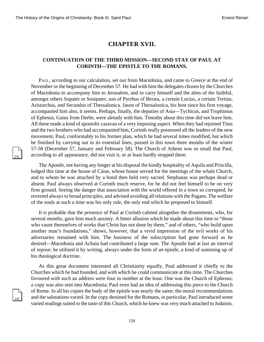# **CHAPTER XVII.**

### **CONTINUATION OF THE THIRD MISSION—SECOND STAY OF PAUL AT CORINTH—THE EPISTLE TO THE ROMANS.**

PAUL, according to our calculation, set out from Macedonia, and came to Greece at the end of November or the beginning of December 57. He had with him the delegates chosen by the Churches of Macedonia to accompany him to Jerusalem, and to carry himself and the alms of the faithful, amongst others Sopater or Sosipater, son of Pyrrhus of Beræa, a certain Lucius, a certain Tertius, Aristarchus, and Secundus of Thessalonica. Jason of Thessalonica, his host since his first voyage, accompanied him also, it seems. Perhaps, finally, the deputies of Asia—Tychicus, and Trophimus of Ephesus, Gaius from Derbe, were already with him. Timothy about this time did not leave him. All these made a kind of apostolic caravan of a very imposing aspect. When they had rejoined Titus and the two brothers who had accompanied him, Corinth really possessed all the leaders of the new movement. Paul, conformably to his former plan, which he had several times modified, but which he finished by carrying out in its essential lines, passed in this town three months of the winter 57-58 (December 57, January and February 58). The Church of Athens was so small that Paul, according to all appearance, did not visit it, or at least hardly stopped there.

The Apostle, not having any longer at his disposal the kindly hospitality of Aquila and Priscilla, lodged this time at the house of Caius, whose house served for the meetings of the whale Church, and to whom he was attached by a bond then held very sacred. Stephanas was perhaps dead or absent. Paul always observed at Corinth much reserve, for he did not feel himself to be on very firm ground. Seeing the danger that association with the world offered in a town so corrupted, he reverted always to broad principles, and advised avoiding all relations with the Pagans. The welfare of the souls at such a time was his only rule, the only end which he proposed to himself.

It is probable that the presence of Paul at Corinth calmed altogether the dissentients, who, for several months, gave him much anxiety. A bitter allusion which he made about this time to "those who vaunt themselves of works that Christ has not done by them," and of others, "who build upon another man's foundations," shows, however, that a vivid impression of the evil works of his adversaries remained with him. The business of the subscription had gone forward as he desired—Macedonia and Achaia had contributed a large sum. The Apostle had at last an interval of repose; he utilised it by writing, always under the form of an epistle, a kind of summing up of his theological doctrine.

As this great document interested all Christianity equally, Paul addressed it chiefly to the Churches which he had founded, and with which he could communicate at this time. The Churches favoured with such an address were four in number at the least. One was the Church of Ephesus; a copy was also sent into Macedonia; Paul even had an idea of addressing this piece to the Church of Rome. In all his copies the body of the epistle was nearly the same; the moral recommendations and the salutations varied. In the copy destined for the Romans, in particular, Paul introduced some varied readings suited to the taste of this Church, which he knew was very much attached to Judaism.

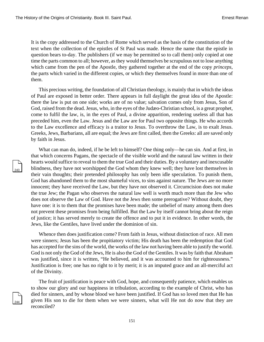It is the copy addressed to the Church of Rome which served as the basis of the constitution of the text when the collection of the epistles of St Paul was made. Hence the name that the epistle in question bears to-day. The publishers (if we may be permitted so to call them) only copied at one time the parts common to all; however, as they would themselves be scrupulous not to lose anything which came from the pen of the Apostle, they gathered together at the end of the copy *princeps*, the parts which varied in the different copies, or which they themselves found in more than one of them.

This precious writing, the foundation of all Christian theology, is mainly that in which the ideas of Paul are exposed in better order. There appears in full daylight the great idea of the Apostle: there the law is put on one side; works are of no value; salvation comes only from Jesus, Son of God, raised from the dead. Jesus, who, in the eyes of the Judæo-Christian school, is a great prophet, come to fulfil the law, is, in the eyes of Paul, a divine apparition, rendering useless all that has preceded him, even the Law. Jesus and the Law are for Paul two opposite things. He who accords to the Law excellence and efficacy is a traitor to Jesus. To overthrow the Law, is to exalt Jesus. Greeks, Jews, Barbarians, all are equal; the Jews are first called, then the Greeks: all are saved only by faith in Jesus.

What can man do, indeed, if he be left to himself? One thing only—he can sin. And at first, in that which concerns Pagans, the spectacle of the visible world and the natural law written in their hearts would suffice to reveal to them the true God and their duties. By a voluntary and inexcusable blindness, they have not worshipped the God whom they knew well; they have lost themselves in their vain thoughts; their pretended philosophy has only been idle speculation. To punish them, God has abandoned them to the most shameful vices, to sins against nature. The Jews are no more innocent; they have received the Law, but they have not observed it. Circumcision does not make the true Jew; the Pagan who observes the natural law well is worth much more than the Jew who does not observe the Law of God. Have not the Jews then some prerogative? Without doubt, they have one: it is to them that the promises have been made; the unbelief of many among them does not prevent these promises from being fulfilled. But the Law by itself cannot bring about the reign of justice; it has served merely to create the offence and to put it in evidence. In other words, the Jews, like the Gentiles, have lived under the dominion of sin.

Whence then does justification come? From faith in Jesus, without distinction of race. All men were sinners; Jesus has been the propitiatory victim; His death has been the redemption that God has accepted for the sins of the world, the works of the law not having been able to justify the world. God is not only the God of the Jews, He is also the God of the Gentiles. It was by faith that Abraham was justified, since it is written, "He believed, and it was accounted to him for righteousness." Justification is free; one has no right to it by merit; it is an imputed grace and an all-merciful act of the Divinity.

The fruit of justification is peace with God, hope, and consequently patience, which enables us to show our glory and our happiness in tribulation, according to the example of Christ, who has died for sinners, and by whose blood we have been justified. If God has so loved men that He has given His son to die for them when we were sinners, what will He not do now that they are reconciled?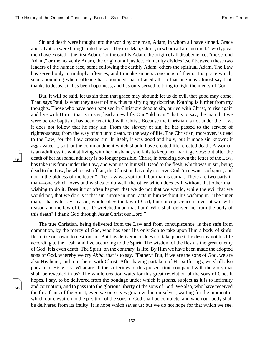246

Sin and death were brought into the world by one man, Adam, in whom all have sinned. Grace and salvation were brought into the world by one Man, Christ, in whom all are justified. Two typical men have existed, "the first Adam," or the earthly Adam, the origin of all disobedience; "the second Adam," or the heavenly Adam, the origin of all justice. Humanity divides itself between these two leaders of the human race, some following the earthly Adam, others the spiritual Adam. The Law has served only to multiply offences, and to make sinners conscious of them. It is grace which, superabounding where offence has abounded, has effaced all, so that one may almost say that, thanks to Jesus, sin has been happiness, and has only served to bring to light the mercy of God.

But, it will be said, let us sin then that grace may abound; let us do evil, that good may come. That, says Paul, is what they assert of me, thus falsifying my doctrine. Nothing is further from my thoughts. Those who have been baptised in Christ are dead to sin, buried with Christ, to rise again and live with Him—that is to say, lead a new life. Our "old man," that is to say, the man that we were before baptism, has been crucified with Christ. Because the Christian is not under the Law, it does not follow that he may sin. From the slavery of sin, he has passed to the service of righteousness; from the way of sin unto death, to the way of life. The Christian, moreover, is dead to the Law; for the Law created sin. In itself, it was good and holy, but it made sin known; it aggravated it, so that the commandment which should have created life, created death. A woman is an adultress if, whilst living with her husband, she fails to keep her marriage vow; but after the death of her husband, adultery is no longer possible. Christ, in breaking down the letter of the Law, has taken us from under the Law, and won us to himself. Dead to the flesh, which was in sin, being dead to the Law, he who cast off sin, the Christian has only to serve God "in newness of spirit, and not in the oldness of the letter." The Law was spiritual, but man is carnal. There are two parts in man—one which loves and wishes to do well, the other which does evil, without that other man wishing to do it. Does it not often happen that we do not that we would, while the evil that we would not, that we do? Is it that sin, innate in man, acts in him without his wishing it. "The inner man," that is to say, reason, would obey the law of God; but concupiscence is ever at war with reason and the law of God. "O wretched man that I am! Who shall deliver me from the body of this death? I thank God through Jesus Christ our Lord."

The true Christian, being delivered from the Law and from concupiscence, is then safe from damnation, by the mercy of God, who has sent His only Son to take upon Him a body of sinful flesh like our own, to destroy sin. But this deliverance does not take place if he destroy not his life according to the flesh, and live according to the Spirit. The wisdom of the flesh is the great enemy of God; it is even death. The Spirit, on the contrary, is life. By Him we have been made the adopted sons of God, whereby we cry *Abba*, that is to say, "Father." But, if we are the sons of God, we are also His heirs, and joint heirs with Christ. After having partaken of His sufferings, we shall also partake of His glory. What are all the sufferings of this present time compared with the glory that shall be revealed in us? The whole creation waits for this great revelation of the sons of God. It hopes, I say, to be delivered from the bondage under which it groans, subject as it is to infirmity and corruption, and to pass into the glorious liberty of the sons of God. We also, who have received the first-fruits of the Spirit, even we ourselves groan within ourselves, waiting for the moment in which our elevation to the position of the sons of God shall be complete, and when our body shall be delivered from its frailty. It is hope which saves us; but we do not hope for that which we see.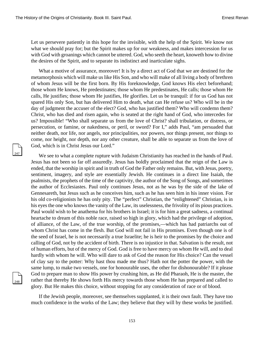248

Let us persevere patiently in this hope for the invisible, with the help of the Spirit. We know not what we should pray for; but the Spirit makes up for our weakness, and makes intercession for us with God with groanings which cannot be uttered. God, who seeth the heart, knoweth how to divine the desires of the Spirit, and to separate its indistinct and inarticulate sighs.

What a motive of assurance, moreover! It is by a direct act of God that we are destined for the metamorphosis which will make us like His Son, and who will make of all living a body of brethren of whom Jesus will be the first born. By His foreknowledge, God knows His elect beforehand; those whom He knows, He predestinates; those whom He predestinates, He calls; those whom He calls, He justifies; those whom He justifies, He glorifies. Let us be tranquil: if for us God has not spared His only Son, but has delivered Him to death, what can He refuse us? Who will be in the day of judgment the accuser of the elect? God, who has justified them? Who will condemn them? Christ, who has died and risen again, who is seated at the right hand of God, who intercedes for us? Impossible! "Who shall separate us from the love of Christ? shall tribulation, or distress, or persecution, or famine, or nakedness, or peril, or sword? For I," adds Paul, "am persuaded that neither death, nor life, nor angels, nor principalities, nor powers, nor things present, nor things to come, nor height, nor depth, nor any other creature, shall be able to separate us from the love of God, which is in Christ Jesus our Lord."

We see to what a complete rupture with Judaism Christianity has reached in the hands of Paul. Jesus has not been so far off assuredly. Jesus has boldly proclaimed that the reign of the Law is ended, that the worship in spirit and in truth of God the Father only remains. But, with Jesus, poetry, sentiment, imagery, and style are essentially Jewish. He continues in a direct line Isaiah, the psalmists, the prophets of the time of the captivity, the author of the Song of Songs, and sometimes the author of Ecclesiastes. Paul only continues Jesus, not as he was by the side of the lake of Gennesareth, but Jesus such as he conceives him, such as he has seen him in his inner vision. For his old co-religionists he has only pity. The "perfect" Christian, the "enlightened" Christian, is in his eyes the one who knows the vanity of the Law, its uselessness, the frivolity of its pious practices. Paul would wish to be anathema for his brothers in Israel; it is for him a great sadness, a continual heartache to dream of this noble race, raised so high in glory, which had the privilege of adoption, of alliance, of the Law, of the true worship, of the promises,—which has had patriarchs out of whom Christ has come in the flesh. But God will not fail in His promises. Even though one is of the seed of Israel, he is not necessarily a true Israelite; he is heir to the promises by the choice and calling of God, not by the accident of birth. There is no injustice in that. Salvation is the result, not of human efforts, but of the mercy of God. God is free to have mercy on whom He will, and to deal hardly with whom he will. Who will dare to ask of God the reason for His choice? Can the vessel of clay say to the potter: Why hast thou made me thus? Hath not the potter the power, with the same lump, to make two vessels, one for honourable uses, the other for dishonourable? If it please God to prepare man to show His power by crushing him, as He did Pharaoh, He is the master, the rather that thereby He shows forth His mercy towards those whom He has prepared and called to glory. But He makes this choice, without stopping for any consideration of race or of blood.

If the Jewish people, moreover, see themselves supplanted, it is their own fault. They have too much confidence in the works of the Law; they believe that they will by these works be justified.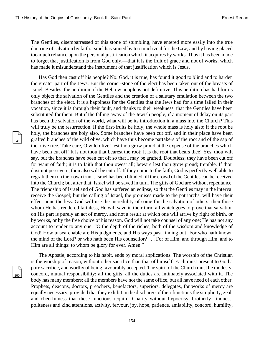The Gentiles, disembarrassed of this stone of stumbling, have entered more easily into the true doctrine of salvation by faith. Israel has sinned by too much zeal for the Law, and by having placed too much reliance upon the personal justification which it acquires by works. Thus it has been made to forget that justification is from God only,—that it is the fruit of grace and not of works; which has made it misunderstand the instrument of that justification which is Jesus.

Has God then cast off his people? No. God, it is true, has found it good to blind and to harden the greater part of the Jews. But the corner-stone of the elect has been taken out of the breasts of Israel. Besides, the perdition of the Hebrew people is not definitive. This perdition has had for its only object the salvation of the Gentiles and the creation of a salutary emulation between the two branches of the elect. It is a happiness for the Gentiles that the Jews had for a time failed in their vocation, since it is through their fault, and thanks to their weakness, that the Gentiles have been substituted for them. But if the falling away of the Jewish people, if a moment of delay on its part has been the salvation of the world, what will be its introduction in a mass into the Church? This will truly be the resurrection. If the first-fruits be holy, the whole mass is holy also; if the root be holy, the branches are holy also. Some branches have been cut off, and in their place have been grafted branches of the wild olive, which have thus become partakers of the root and of the sap of the olive tree. Take care, O wild olive! lest thou grow proud at the expense of the branches which have been cut off! It is not thou that bearest the root; it is the root that bears thee! Yes, thou wilt say, but the branches have been cut off so that I may be grafted. Doubtless; they have been cut off for want of faith; it is to faith that thou owest all; beware lest thou grow proud; tremble. If thou dost not persevere, thou also wilt be cut off. If they come to the faith, God is perfectly well able to regraft them on their own trunk. Israel has been blinded till the crowd of the Gentiles can be received into the Church; but after that, Israel will be saved in turn. The gifts of God are without repentance. The friendship of Israel and of God has suffered an eclipse, so that the Gentiles may in the interval receive the Gospel; but the calling of Israel, the promises made to the patriarchs, will have their effect none the less. God will use the incredulity of some for the salvation of others; then those whom He has rendered faithless, He will save in their turn; all which goes to prove that salvation on His part is purely an act of mercy, and not a result at which one will arrive by right of birth, or by works, or by the free choice of his reason. God will not take counsel of any one; He has not any account to render to any one. "O the depth of the riches, both of the wisdom and knowledge of God! How unsearchable are His judgments, and His ways past finding out! For who hath known the mind of the Lord? or who hath been His counsellor? . . . For of Him, and through Him, and to Him are all things: to whom be glory for ever. Amen."

249

The Apostle, according to his habit, ends by moral applications. The worship of the Christian is the worship of reason, without other sacrifice than that of himself. Each must present to God a pure sacrifice, and worthy of being favourably accepted. The spirit of the Church must be modesty, concord, mutual responsibility; all the gifts, all the duties are intimately associated with it. The body has many members; all the members have not the same office, but all have need of each other. Prophets, deacons, doctors, preachers, benefactors, superiors, delegates, for works of mercy are equally necessary, provided that they exhibit in the discharge of their functions the simplicity, zeal, and cheerfulness that these functions require. Charity without hypocrisy, brotherly kindness, politeness and kind attentions, activity, fervour, joy, hope, patience, amiability, concord, humility,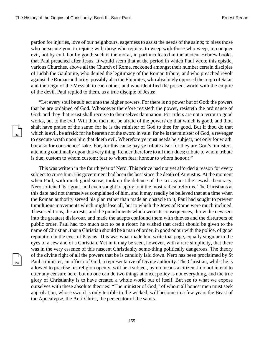pardon for injuries, love of our neighbours, eagerness to assist the needs of the saints; to bless those who persecute you, to rejoice with those who rejoice, to weep with those who weep, to conquer evil, not by evil, but by good: such is the moral, in part inculcated in the ancient Hebrew books, that Paul preached after Jesus. It would seem that at the period in which Paul wrote this epistle, various Churches, above all the Church of Rome, reckoned amongst their number certain disciples of Judah the Gaulonite, who denied the legitimacy of the Roman tribute, and who preached revolt against the Roman authority; possibly also the Ebionites, who absolutely opposed the reign of Satan and the reign of the Messiah to each other, and who identified the present world with the empire of the devil. Paul replied to them, as a true disciple of Jesus:

"Let every soul be subject unto the higher powers. For there is no power but of God: the powers that be are ordained of God. Whosoever therefore resisteth the power, resisteth the ordinance of God: and they that resist shall receive to themselves damnation. For rulers are not a terror to good works, but to the evil. Wilt thou then not be afraid of the power? do that which is good, and thou shalt have praise of the same: for he is the minister of God to thee for good. But if thou do that which is evil, be afraid: for he beareth not the sword in vain: for he is the minister of God, a revenger to execute wrath upon him that doeth evil. Wherefore ye must needs be subject, not only for wrath, but also for conscience' sake. For, for this cause pay ye tribute also: for they are God's ministers, attending continually upon this very thing. Render therefore to all their dues; tribute to whom tribute is due; custom to whom custom; fear to whom fear; honour to whom honour."

This was written in the fourth year of Nero. This prince had not yet afforded a reason for every subject to curse him. His government had been the best since the death of Augustus. At the moment when Paul, with much good sense, took up the defence of the tax against the Jewish theocracy, Nero softened its rigour, and even sought to apply to it the most radical reforms. The Christians at this date had not themselves complained of him, and it may readily be believed that at a time when the Roman authority served his plan rather than made an obstacle to it, Paul had sought to prevent tumultuous movements which might lose all, but to which the Jews of Rome were much inclined. These seditions, the arrests, and the punishments which were its consequences, threw the new sect into the greatest disfavour, and made the adepts confound them with thieves and the disturbers of public order. Paul had too much tact to be a rioter: he wished that credit should be given to the name of Christian, that a Christian should be a man of order, in good odour with the police, of good reputation in the eyes of Pagans. This was what made him write that page, equally singular in the eyes of a Jew and of a Christian. Yet in it may be seen, however, with a rare simplicity, that there was in the very essence of this nascent Christianity some-thing politically dangerous. The theory of the divine right of all the powers that be is candidly laid down. Nero has been proclaimed by St Paul a minister, an officer of God, a representative of Divine authority. The Christian, whilst he is allowed to practise his religion openly, will be a subject, by no means a citizen. I do not intend to utter any censure here; but no one can do two things at once; policy is not everything, and the true glory of Christianity is to have created a whole world out of itself. But see to what we expose ourselves with these absolute theories! "The minister of God," of whom all honest men must seek approbation, whose sword is only terrible to the wicked, will become in a few years the Beast of the Apocalypse, the Anti-Christ, the persecutor of the saints.

155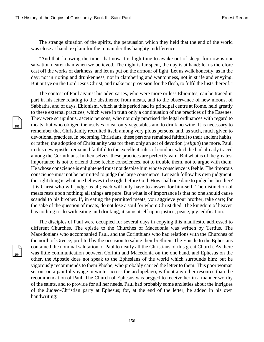The strange situation of the spirits, the persuasion which they held that the end of the world was close at hand, explain for the remainder this haughty indifference.

"And that, knowing the time, that now it is high time to awake out of sleep: for now is our salvation nearer than when we believed. The night is far spent, the day is at hand: let us therefore cast off the works of darkness, and let us put on the armour of light. Let us walk honestly, as in the day; not in rioting and drunkenness, not in clambering and wantonness, not in strife and envying. But put ye on the Lord Jesus Christ, and make not provision for the flesh, to fulfil the lusts thereof."

The contest of Paul against his adversaries, who were more or less Ebionites, can be traced in part in his letter relating to the abstinence from meats, and to the observance of new moons, of Sabbaths, and of days. Ebionism, which at this period had its principal centre at Rome, held greatly to these external practices, which were in truth only a continuation of the practices of the Essenes. They were scrupulous, ascetic persons, who not only practised the legal ordinances with regard to meats, but who obliged themselves to eat only vegetables and to drink no wine. It is necessary to remember that Christianity recruited itself among very pious persons, and, as such, much given to devotional practices. In becoming Christians, these persons remained faithful to their ancient habits; or rather, the adoption of Christianity was for them only an act of devotion (*religio*) the more. Paul, in this new epistle, remained faithful to the excellent rules of conduct which he had already traced among the Corinthians. In themselves, these practices are perfectly vain. But what is of the greatest importance, is not to offend these feeble consciences, not to trouble them, not to argue with them. He whose conscience is enlightened must not despise him whose conscience is feeble. The timorous conscience must not be permitted to judge the large conscience. Let each follow his own judgment, the right thing is what one believes to be right before God. How shall one dare to judge his brother? It is Christ who will judge us all; each will only have to answer for him-self. The distinction of meats rests upon nothing; all things are pure. But what is of importance is that no one should cause scandal to his brother. If, in eating the permitted meats, you aggrieve your brother, take care; for the sake of the question of meats, do not lose a soul for whom Christ died. The kingdom of heaven has nothing to do with eating and drinking; it sums itself up in justice, peace, joy, edification.

The disciples of Paul were occupied for several days in copying this manifesto, addressed to different Churches. The epistle to the Churches of Macedonia was written by Tertius. The Macedonians who accompanied Paul, and the Corinthians who had relations with the Churches of the north of Greece, profited by the occasion to salute their brethren. The Epistle to the Ephesians contained the nominal salutation of Paul to nearly all the Christians of this great Church. As there was little communication between Corinth and Macedonia on the one hand, and Ephesus on the other, the Apostle does not speak to the Ephesians of the world which surrounds him; but he vigorously recommends to them Phœbe, who probably carried the letter to them. This poor woman set out on a painful voyage in winter across the archipelago, without any other resource than the recommendation of Paul. The Church of Ephesus was begged to receive her in a manner worthy of the saints, and to provide for all her needs. Paul had probably some anxieties about the intrigues of the Judæo-Christian party at Ephesus; for, at the end of the letter, he added in his own handwriting:—

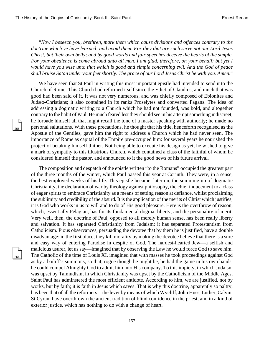256

"*Now I beseech you, brethren, mark them which cause divisions and offences contrary to the doctrine which ye have learned; and avoid them. For they that are such serve not our Lord Jesus Christ, but their own belly; and by good words and fair speeches deceive the hearts of the simple. For your obedience is come abroad unto all men. I am glad, therefore, on your behalf: but yet I would have you wise unto that which is good and simple concerning evil. And the God of peace shall bruise Satan under your feet shortly. The grace of our Lord Jesus Christ be with you. Amen.*"

We have seen that St Paul in writing this most important epistle had intended to send it to the Church of Rome. This Church had reformed itself since the Edict of Claudius, and much that was good had been said of it. It was not very numerous, and was chiefly composed of Ebionites and Judæo-Christians; it also contained in its ranks Proselytes and converted Pagans. The idea of addressing a dogmatic writing to a Church which he had not founded, was bold, and altogether contrary to the habit of Paul. He much feared lest they should see in his attempt something indiscreet; he forbade himself all that might recall the tone of a master speaking with authority; he made no personal salutations. With these precautions, he thought that his title, henceforth recognised as the Apostle of the Gentiles, gave him the right to address a Church which he had never seen. The importance of Rome as capital of the Empire pre-occupied him: for several years he nourished the project of betaking himself thither. Not being able to execute his design as yet, he wished to give a mark of sympathy to this illustrious Church, which contained a class of the faithful of whom he considered himself the pastor, and announced to it the good news of his future arrival.

The composition and despatch of the epistle written "to the Romans" occupied the greatest part of the three months of the winter, which Paul passed this year at Corinth. They were, in a sense, the best employed weeks of his life. This epistle became, later on, the summing up of dogmatic Christianity, the declaration of war by theology against philosophy, the chief inducement to a class of eager spirits to embrace Christianity as a means of setting reason at defiance, whilst proclaiming the sublimity and credibility of the absurd. It is the application of the merits of Christ which justifies; it is God who works in us to will and to do of His good pleasure. Here is the overthrow of reason, which, essentially Pelagian, has for its fundamental dogma, liberty, and the personality of merit. Very well, then, the doctrine of Paul, opposed to all merely human sense, has been really liberty and salvation. It has separated Christianity from Judaism; it has separated Protestantism from Catholicism. Pious observances, persuading the devotee that by them he is justified, have a double disadvantage: in the first place, they kill morality by making the devotee believe that there is a sure and easy way of entering Paradise in despite of God. The hardest-hearted Jew—a selfish and malicious usurer, let us say—imagined that by observing the Law he would force God to save him. The Catholic of the time of Louis XI. imagined that with masses he took proceedings against God as by a bailiff's summons, so that, rogue though he might be, he had the game in his own hands, he could compel Almighty God to admit him into His company. To this impiety, in which Judaism was upset by Talmudism, in which Christianity was upset by the Catholicism of the Middle Ages, Saint Paul has adminstered the most efficient antidote. According to him, we are justified, not by works, but by faith; it is faith in Jesus which saves. That is why this doctrine, apparently so paltry, has been that of all the reformers—the lever by means of which Wycliff, John Huss, Luther, Calvin, St Cyran, have overthrown the ancient tradition of blind confidence in the priest, and in a kind of exterior justice, which has nothing to do with a change of heart.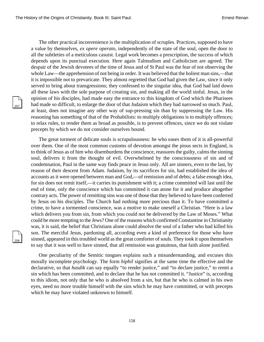258

The other practical inconvenience is the multiplication of scruples. Practices, supposed to have a value by themselves, *ex opere operato*, independently of the state of the soul, open the door to all the subtleties of a meticulous casuist. Legal work becomes a prescription, the success of which depends upon its punctual execution. Here again Talmudism and Catholicism are agreed. The despair of the Jewish devotees of the time of Jesus and of St Paul was the fear of not observing the whole Law—the apprehension of not being in order. It was believed that the holiest man sins,—that it is impossible not to prevaricate. They almost regretted that God had given the Law, since it only served to bring about transgressions; they confessed to the singular idea, that God had laid down all these laws with the sole purpose of creating sin, and making all the world sinful. Jesus, in the opinion of his disciples, had made easy the entrance to this kingdom of God which the Pharisees had made so difficult, to enlarge the door of that Judaism which they had narrowed so much. Paul, at least, does not imagine any other way of sup-pressing sin than by suppressing the Law. His reasoning has something of that of the Probabilists: to multiply obligations is to multiply offences; to relax rules, to render them as broad as possible, is to prevent offences, since we do not violate precepts by which we do not consider ourselves bound.

The great torment of delicate souls is scrupulousness: he who eases them of it is all-powerful over them. One of the most common customs of devotion amongst the pious sects in England, is to think of Jesus as of him who disemburdens the conscience, reassures the guilty, calms the sinning soul, delivers it from the thought of evil. Overwhelmed by the consciousness of sin and of condemnation, Paul in the same way finds peace in Jesus only. All are sinners, even to the last, by reason of their descent from Adam. Judaism, by its sacrifices for sin, had established the idea of accounts as it were opened between man and God,—of remission and of debts; a false enough idea, for sin does not remit itself,—it carries its punishment with it; a crime committed will last until the end of time, only the conscience which has committed it can atone for it and produce altogether contrary acts. The power of remitting sins was one of those that they believed to have been conferred by Jesus on his disciples. The Church had nothing more precious than it. To have committed a crime, to have a tormented conscience, was a motive to make oneself a Christian. "Here is a law which delivers you from sin, from which you could not be delivered by the Law of Moses." What could be more tempting to the Jews? One of the reasons which confirmed Constantine in Christianity was, it is said, the belief that Christians alone could absolve the soul of a father who had killed his son. The merciful Jesus, pardoning all, according even a kind of preference for those who have sinned, appeared in this troubled world as the great comforter of souls. They took it upon themselves to say that it was well to have sinned, that all remission was gratuitous, that faith alone justified.

One peculiarity of the Semitic tongues explains such a misunderstanding, and excuses this morally incomplete psychology. The form *hiphil* signifies at the same time the effective and the declarative, so that *hasdik* can say equally "to render justice," and "to declare justice," to remit a sin which has been committed, and to declare that he has not committed it. "Justice" is, according to this idiom, not only that he who is absolved from a sin, but that he who is calmed in his own eyes, need no more trouble himself with the sins which he may have committed, or with precepts which he may have violated unknown to himself.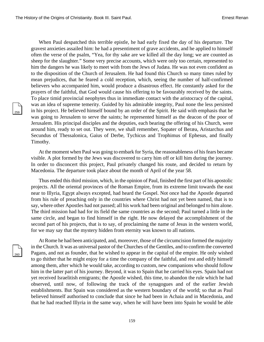When Paul despatched this terrible epistle, he had early fixed the day of his departure. The gravest anxieties assailed him: he had a presentiment of grave accidents, and he applied to himself often the verse of the psalm, "Yea, for thy sake are we killed all the day long; we are counted as sheep for the slaughter." Some very precise accounts, which were only too certain, represented to him the dangers he was likely to meet with from the Jews of Judæa. He was not even confident as to the disposition of the Church of Jerusalem. He had found this Church so many times ruled by mean prejudices, that he feared a cold reception, which, seeing the number of half-confirmed believers who accompanied him, would produce a disastrous effect. He constantly asked for the prayers of the faithful, that God would cause his offering to be favourably received by the saints. To place timid provincial neophytes thus in immediate contact with the aristocracy of the capital, was an idea of supreme temerity. Guided by his admirable integrity, Paul none the less persisted in his project. He believed himself bound by an order of the Spirit. He said with emphasis that he was going to Jerusalem to serve the saints; he represented himself as the deacon of the poor of Jerusalem. His principal disciples and the deputies, each bearing the offering of his Church, were around him, ready to set out. They were, we shall remember, Sopater of Beræa, Aristarchus and Secundus of Thessalonica, Gaius of Derbe, Tychicus and Trophimus of Ephesus, and finally Timothy.

At the moment when Paul was going to embark for Syria, the reasonableness of his fears became visible. A plot formed by the Jews was discovered to carry him off or kill him during the journey. In order to disconcert this project, Paul privately changed his route, and decided to return by Macedonia. The departure took place about the month of April of the year 58.

Thus ended this third mission, which, in the opinion of Paul, finished the first part of his apostolic projects. All the oriental provinces of the Roman Empire, from its extreme limit towards the east near to Illyria, Egypt always excepted, had heard the Gospel. Not once had the Apostle departed from his rule of preaching only in the countries where Christ had not yet been named, that is to say, where other Apostles had not passed; all his work had been original and belonged to him alone. The third mission had had for its field the same countries as the second; Paul turned a little in the same circle, and began to find himself in the right. He now delayed the accomplishment of the second part of his projects, that is to say, of proclaiming the name of Jesus in the western world, for we may say that the mystery hidden from eternity was known to all nations.

At Rome he had been anticipated, and, moreover, those of the circumcision formed the majority in the Church. It was as universal pastor of the Churches of the Gentiles, and to confirm the converted Pagans, and not as founder, that he wished to appear in the capital of the empire. He only wished to go thither that he might enjoy for a time the company of the faithful, and rest and edify himself among them, after which he would take, according to custom, new companions who should follow him in the latter part of his journey. Beyond, it was to Spain that he carried his eyes. Spain had not yet received Israelitish emigrants; the Apostle wished, this time, to abandon the rule which he had observed, until now, of following the track of the synagogues and of the earlier Jewish establishments. But Spain was considered as the western boundary of the world; so that as Paul believed himself authorised to conclude that since he had been in Achaia and in Macedonia, and that he had reached Illyria in the same way, when he will have been into Spain he would be able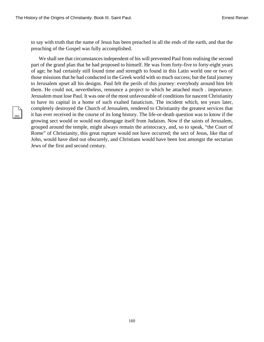to say with truth that the name of Jesus has been preached in all the ends of the earth, and that the preaching of the Gospel was fully accomplished.

We shall see that circumstances independent of his will prevented Paul from realising the second part of the grand plan that he had proposed to himself. He was from forty-five to forty-eight years of age; he had certainly still found time and strength to found in this Latin world one or two of those missions that he had conducted in the Greek world with so much success; but the fatal journey to Jerusalem upset all his designs. Paul felt the perils of this journey: everybody around him felt them. He could not, nevertheless, renounce a project to which he attached much . importance. Jerusalem must lose Paul. It was one of the most unfavourable of conditions for nascent Christianity to have its capital in a home of such exalted fanaticism. The incident which, ten years later, completely destroyed the Church of Jerusalem, rendered to Christianity the greatest services that it has ever received in the course of its long history. The life-or-death question was to know if the growing sect would or would not disengage itself from Judaism. Now if the saints of Jerusalem, grouped around the temple, might always remain the aristocracy, and, so to speak, "the Court of Rome" of Christianity, this great rupture would not have occurred; the sect of Jesus, like that of John, would have died out obscurely, and Christians would have been lost amongst the sectarian Jews of the first and second century.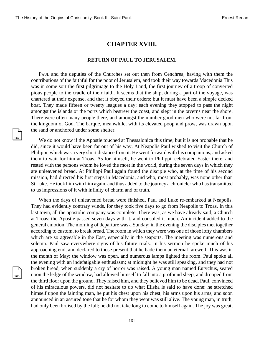263

## **CHAPTER XVIII.**

### **RETURN OF PAUL TO JERUSALEM.**

PAUL and the deputies of the Churches set out then from Cenchrea, having with them the contributions of the faithful for the poor of Jerusalem, and took their way towards Macedonia This was in some sort the first pilgrimage to the Holy Land, the first journey of a troop of converted pious people to the cradle of their faith. It seems that the ship, during a part of the voyage, was chartered at their expense, and that it obeyed their orders; but it must have been a simple decked boat. They made fifteen or twenty leagues a day; each evening they stopped to pass the night amongst the islands or the ports which bestrew the coast, and slept in the taverns near the shore. There were often many people there, and amongst the number good men who were not far from the kingdom of God. The barque, meanwhile, with its elevated poop and prow, was drawn upon the sand or anchored under some shelter.

We do not know if the Apostle touched at Thessalonica this time; but it is not probable that he did, since it would have been far out of his way. At Neapolis Paul wished to visit the Church of Philippi, which was a very short distance from it. He went forward with his companions, and asked them to wait for him at Troas. As for himself, he went to Philippi, celebrated Easter there, and rested with the persons whom he loved the most in the world, during the seven days in which they ate unleavened bread. At Philippi Paul again found the disciple who, at the time of his second mission, had directed his first steps in Macedonia, and who, most probably, was none other than St Luke. He took him with him again, and thus added to the journey a chronicler who has transmitted to us impressions of it with infinity of charm and of truth.

When the days of unleavened bread were finished, Paul and Luke re-embarked at Neapolis. They had evidently contrary winds, for they took five days to go from Neapolis to Troas. In this last town, all the apostolic company was complete. There was, as we have already said, a Church at Troas; the Apostle passed seven days with it, and consoled it much. An incident added to the general emotion. The morning of departure was a Sunday; in the evening the disciples met together according to custom, to break bread. The room in which they were was one of those lofty chambers which are so agreeable in the East, especially in the seaports. The meeting was numerous and solemn. Paul saw everywhere signs of his future trials. In his sermon he spoke much of his approaching end, and declared to those present that he bade them an eternal farewell. This was in the month of May; the window was open, and numerous lamps lighted the room. Paul spoke all the evening with an indefatigable enthusiasm; at midnight he was still speaking, and they had not broken bread, when suddenly a cry of horror was raised. A young man named Eutychus, seated upon the ledge of the window, had allowed himself to fall into a profound sleep, and dropped from the third floor upon the ground. They raised him, and they believed him to be dead. Paul, convinced of his miraculous powers, did not hesitate to do what Elisha is said to have done: he stretched himself upon the fainting man, he put his chest upon his chest, his arms upon his arms, and soon announced in an assured tone that he for whom they wept was still alive. The young man, in truth, had only been bruised by the fall; he did not take long to come to himself again. The joy was great,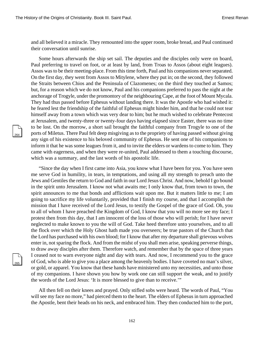265

and all believed it a miracle. They remounted into the upper room, broke bread, and Paul continued their conversation until sunrise.

Some hours afterwards the ship set sail. The deputies and the disciples only were on board, Paul preferring to travel on foot, or at least by land, from Troas to Assos (about eight leagues). Assos was to be their meeting-place. From this time forth, Paul and his companions never separated. On the first day, they went from Assos to Mitylene, where they put in; on the second, they followed the Straits between Chios and the Peninsula of Clazomenes; on the third they touched at Samos; but, for a reason which we do not know, Paul and his companions preferred to pass the night at the anchorage of Trogyle, under the promontory of the neighbouring Cape, at the foot of Mount Mycala. They had thus passed before Ephesus without landing there. It was the Apostle who had wished it: he feared lest the friendship of the faithful of Ephesus might hinder him, and that he could not tear himself away from a town which was very dear to him; but he much wished to celebrate Pentecost at Jerusalem, and twenty-three or twenty-four days having elapsed since Easter, there was no time to be lost. On the morrow, a short sail brought the faithful company from Trogyle to one of the ports of Miletus. There Paul felt deep misgiving as to the propriety of having passed without giving any sign of his existence to his beloved community of Ephesus. He sent one of his companions to inform it that he was some leagues from it, and to invite the elders or wardens to come to him. They came with eagerness, and when they were re-united, Paul addressed to them a touching discourse, which was a summary, and the last words of his apostolic life.

"Since the day when I first came into Asia, you know what I have been for you. You have seen me serve God in humility, in tears, in temptations, and using all my strength to preach unto the Jews and Gentiles the return to God and faith in our Lord Jesus Christ. And now, behold I go bound in the spirit unto Jerusalem. I know not what awaits me; I only know that, from town to town, the spirit announces to me that bonds and afflictions wait upon me. But it matters little to me; I am going to sacrifice my life voluntarily, provided that I finish my course, and that I accomplish the mission that I have received of the Lord Jesus, to testify the Gospel of the grace of God. Oh, you to all of whom I have preached the Kingdom of God, I know that you will no more see my face; I protest then from this day, that I am innocent of the loss of those who will perish; for I have never neglected to make known to you the will of God. Take heed therefore unto yourselves, and to all the flock over which the Holy Ghost hath made you overseers; be true pastors of the Church that the Lord has purchased with his own blood; for I know that after my departure shall grievous wolves enter in, not sparing the flock. And from the midst of you shall men arise, speaking perverse things, to draw away disciples after them. Therefore watch, and remember that by the space of three years I ceased not to warn everyone night and day with tears. And now, I recommend you to the grace of God, who is able to give you a place among the heavenly bodies. I have coveted no man's silver, or gold, or apparel. You know that these hands have ministered unto my necessities, and unto those of my companions. I have shown you how by work one can still support the weak, and to justify the words of the Lord Jesus: 'It is more blessed to give than to receive.'"

All then fell on their knees and prayed. Only stifled sobs were heard. The words of Paul, "You will see my face no more," had pierced them to the heart. The elders of Ephesus in turn approached the Apostle, bent their heads on his neck, and embraced him. They then conducted him to the port,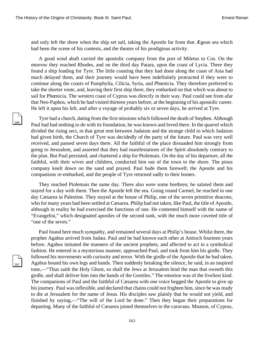267

and only left the shore when the ship set sail, taking the Apostle far from that Ægean sea which had been the scene of his contests, and the theatre of his prodigious activity.

A good wind abaft carried the apostolic company from the port of Miletus to Cos. On the morrow they reached Rhodes, and on the third day Patara, upon the coast of Lycia. There they found a ship loading for Tyre. The little coasting that they had done along the coast of Asia had much delayed them, and their journey would have been indefinitely protracted if they were to continue along the coasts of Pamphylia, Cilicia, Syria, and Phœnicia. They therefore preferred to take the shorter route, and, leaving their first ship there, they embarked on that which was about to sail for Phœnicia. The western coast of Cyprus was directly in their way. Paul could see from afar that Neo-Paphos, which he had visited thirteen years before, at the beginning of his apostolic career. He left it upon his left, and after a voyage of probably six or seven days, he arrived at Tyre.

Tyre had a church, dating from the first missions which followed the death of Stephen. Although Paul had had nothing to do with its foundation, he was known and loved there. In the quarrel which divided the rising sect, in that great rent between Judaism and the strange child to which Judaism had given birth, the Church of Tyre was decidedly of the party of the future. Paul was very well received, and passed seven days there. All the faithful of the place dissuaded him strongly from going to Jerusalem, and asserted that they had manifestations of the Spirit absolutely contrary to the plan. But Paul persisted, and chartered a ship for Ptolemais. On the day of his departure, all the faithful, with their wives and children, conducted him out of the town to the shore. The pious company knelt down on the sand and prayed. Paul bade them farewell; the Apostle and his companions re-embarked, and the people of Tyre returned sadly to their homes.

They reached Ptolemais the same day. There also were some brethren; he saluted them and stayed for a day with them. Then the Apostle left the sea. Going round Carmel, he reached in one day Cæsarea in Palestine. They stayed at the house of Philip, one of the seven primitive deacons, who for many years had been settled at Cæsarea. Philip had not taken, like Paul, the title of Apostle, although in reality he had exercised the functions of one. He contented himself with the name of "Evangelist," which designated apostles of the second rank, with the much more coveted title of "one of the seven."

Paul found here much sympathy, and remained several days at Philip's house. Whilst there, the prophet Agabus arrived from Judæa. Paul and he had known each other at Antioch fourteen years before. Agabus imitated the manners of the ancient prophets, and affected to act in a symbolical fashion. He entered in a mysterious manner, approached Paul, and took from him his girdle. They followed his movements with curiosity and terror. With the girdle of the Apostle that he had taken, Agabus bound his own legs and hands. Then suddenly breaking the silence, he said, in an inspired tone,—"Thus saith the Holy Ghost, so shall the Jews at Jerusalem bind the man that owneth this girdle, and shall deliver him into the hands of the Gentiles." The emotion was of the liveliest kind. The companions of Paul and the faithful of Cæsarea with one voice begged the Apostle to give up his journey. Paul was inflexible, and declared that chains could not frighten him, since he was ready to die at Jerusalem for the name of Jesus. His disciples saw plainly that he would not yield, and finished by saying,—"The will of the Lord be done." Then they began their preparations for departing. Many of the faithful of Cæsarea joined themselves to the caravans. Mnason, of Cyprus,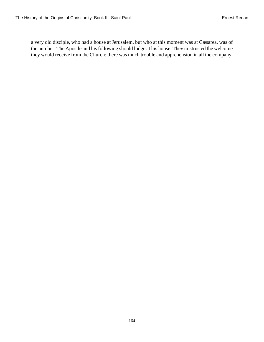a very old disciple, who had a house at Jerusalem, but who at this moment was at Cæsarea, was of the number. The Apostle and his following should lodge at his house. They mistrusted the welcome they would receive from the Church: there was much trouble and apprehension in all the company.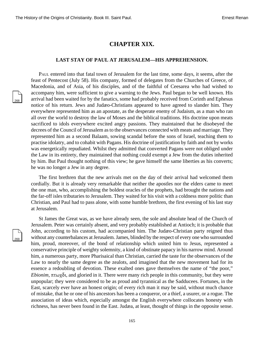### **CHAPTER XIX.**

#### **LAST STAY OF PAUL AT JERUSALEM—HIS APPREHENSION.**

PAUL entered into that fatal town of Jerusalem for the last time, some days, it seems, after the feast of Pentecost (July 58). His company, formed of delegates from the Churches of Greece, of Macedonia, and of Asia, of his disciples, and of the faithful of Ceesarea who had wished to accompany him, were sufficient to give a warning to the Jews. Paul began to be well known. His arrival had been waited for by the fanatics, some had probably received from Corinth and Ephesus notice of his return. Jews and Judæo-Christians appeared to have agreed to slander him. They everywhere represented him as an apostate, as the desperate enemy of Judaism, as a man who ran all over the world to destroy the law of Moses and the biblical traditions. His doctrine upon meats sacrificed to idols everywhere excited angry passions. They maintained that he disobeyed the decrees of the Council of Jerusalem as to the observances connected with meats and marriage. They represented him as a second Balaam, sowing scandal before the sons of Israel, teaching them to practise idolatry, and to cohabit with Pagans. His doctrine of justification by faith and not by works was energetically repudiated. Whilst they admitted that converted Pagans were not obliged under the Law in its entirety, they maintained that nothing could exempt a Jew from the duties inherited by him. But Paul thought nothing of this view; he gave himself the same liberties as his converts; he was no longer a Jew in any degree.

The first brethren that the new arrivals met on the day of their arrival had welcomed them cordially. But it is already very remarkable that neither the apostles nor the elders came to meet the one man, who, accomplishing the boldest oracles of the prophets, had brought the nations and the far-off isles tributaries to Jerusalem. They waited for his visit with a coldness more politic than Christian, and Paul had to pass alone, with some humble brethren, the first evening of his last stay at Jerusalem.

St James the Great was, as we have already seen, the sole and absolute head of the Church of Jerusalem. Peter was certainly absent, and very probably established at Antioch; it is probable that John, according to his custom, had accompanied him. The Judæo-Christian party reigned thus without any counterbalances at Jerusalem. James, blinded by the respect of every one who surrounded him, proud, moreover, of the bond of relationship which united him to Jesus, represented a conservative principle of weighty solemnity, a kind of obstinate papacy in his narrow mind. Around him, a numerous party, more Pharisaical than Christian, carried the taste for the observances of the Law to nearly the same degree as the zealots, and imagined that the new movement had for its essence a redoubling of devotion. These exalted ones gave themselves the name of "the poor," *Ebionim,* πτωχδι, and gloried in it. There were many rich people in this community, but they were unpopular; they were considered to be as proud and tyrannical as the Sadducees. Fortunes, in the East, scarcely ever have an honest origin; of every rich man it may be said, without much chance of mistake, that he or one of his ancestors has been a conqueror, or a thief, a usurer, or a rogue. The association of ideas which, especially amongst the English everywhere collocates honesty with richness, has never been found in the East. Judæa, at least, thought of things in the opposite sense.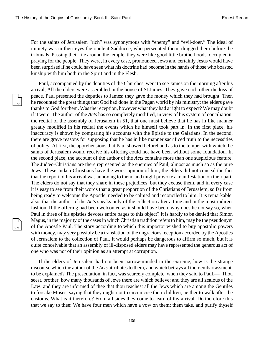271

For the saints of Jerusalem "rich" was synonymous with "enemy" and "evil-doer." The ideal of impiety was in their eyes the opulent Sadducee, who persecuted them, dragged them before the tribunals. Passing their life around the temple, they were like good little brotherhoods, occupied in praying for the people. They were, in every case, pronounced Jews and certainly Jesus would have been surprised if he could have seen what his doctrine had become in the hands of those who boasted kinship with him both in the Spirit and in the Flesh.

Paul, accompanied by the deputies of the Churches, went to see James on the morning after his arrival, All the elders were assembled in the house of St James. They gave each other the kiss of peace. Paul presented the deputies to James: they gave the money which they had brought. Then he recounted the great things that God had done in the Pagan world by his ministry; the elders gave thanks to God for them. Was the reception, however what they had a right to expect? We may doubt if it were. The author of the *Acts* has so completely modified, in view of his system of conciliation, the recital of the assembly of Jerusalem in 51, that one must believe that he has in like manner greatly modified in his recital the events which he himself took part in. In the first place, his inaccuracy is shown by comparing his accounts with the Epistle to the Galatians. In the second, there are grave reasons for supposing that he has in like manner sacrificed truth to the necessities of policy. At first, the apprehensions that Paul showed beforehand as to the temper with which the saints of Jerusalem would receive his offering could not have been without some foundation. In the second place, the account of the author of the *Acts* contains more than one suspicious feature. The Judæo-Christians are there represented as the enemies of Paul, almost as much so as the pure Jews. These Judæo-Christians have the worst opinion of him; the elders did not conceal the fact that the report of his arrival was annoying to them, and might provoke a manifestation on their part. The elders do not say that they share in these prejudices; but they excuse them, and in every case it is easy to see from their words that a great proportion of the Christians of Jerusalem, so far from being ready to welcome the Apostle, needed to be calmed and reconciled to him. It is remarkable, also, that the author of the *Acts* speaks only of the collection after a time and in the most indirect fashion. If the offering had been welcomed as it should have been, why does he not say so, when Paul in three of his epistles devotes entire pages to this object? It is hardly to be denied that Simon Magus, in the majority of the cases in which Christian tradition refers to him, may be the pseudonym of the Apostle Paul. The story according to which this impostor wished to buy apostolic powers with money, may very possibly be a translation of the ungracions reception accorded by the Apostles of Jerusalem to the collection of Paul. It would perhaps be dangerous to affirm so much, but it is quite conceivable that an assembly of ill-disposed elders may have represented the generous act of one who was not of their opinion as an attempt at corruption.

If the elders of Jerusalem had not been narrow-minded in the extreme, how is the strange discourse which the author of the *Acts* attributes to them, and which betrays all their embarrassment, to be explained? The presentation, in fact, was scarcely complete, when they said to Paul,—"Thou seest, brother, how many thousands of Jews there are which believe; and they are all zealous of the Law: and they are informed of thee that thou teachest all the Jews which are among the Gentiles to forsake Moses, saying that they ought not to circumcise their children, neither to walk after the customs. What is it therefore? From all sides they come to learn of thy arrival. Do therefore this that we say to thee: We have four men which have a vow on them; them take, and purify thyself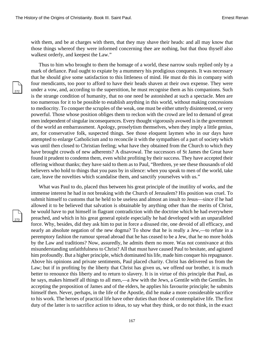with them, and be at charges with them, that they may shave their heads: and all may know that those things whereof they were informed concerning thee are nothing, but that thou thyself also walkest orderly, and keepest the Law."

Thus to him who brought to them the homage of a world, these narrow souls replied only by a mark of defiance. Paul ought to expiate by a mummery his prodigious conquests. It was necessary that he should give some satisfaction to this littleness of mind. He must do this in company with four mendicants, too poor to afford to have their heads shaven at their own expense. They were under a vow, and, according to the superstition, he must recognise them as his companions. Such is the strange condition of humanity, that no one need be astonished at such a spectacle. Men are too numerous for it to be possible to establish anything in this world, without making concessions to mediocrity. To conquer the scruples of the weak, one must be either utterly disinterested, or very powerful. Those whose position obliges them to reckon with the crowd are led to demand of great men independent of singular inconsequences. Every thought vigorously avowed is in the government of the world an embarrassment. Apology, proselytism themselves, when they imply a little genius, are, for conservative folk, suspected things. See those eloquent laymen who in our days have attempted to enlarge Catholicism and to reconcile it with the sympathies of a part of society which was until then closed to Christian feeling; what have they obtained from the Church to which they have brought crowds of new adherents? A disavowal. The successors of St James the Great have found it prudent to condemn them, even whilst profiting by their success. They have accepted their offering without thanks; they have said to them as to Paul, "Brethren, ye see these thousands of old believers who hold to things that you pass by in silence: when you speak to men of the world, take care, leave the novelties which scandalise them, and sanctify yourselves with us."

What was Paul to do, placed thus between his great principle of the inutility of works, and the immense interest he had in not breaking with the Church of Jerusalem? His position was cruel. To submit himself to customs that he held to be useless and almost an insult to Jesus—since if he had allowed it to be believed that salvation is obtainable by anything other than the merits of Christ, he would have to put himself in flagrant contradiction with the doctrine which he had everywhere preached, and which in his great general epistle especially he had developed with an unparalleled force. Why, besides, did they ask him to put in force a disused rite, one devoid of all efficacy, and nearly an absolute negation of the new dogma? To show that he is really a Jew,—to refute in a peremptory fashion the rumour spread abroad that he has ceased to be a Jew, that he no more holds by the Law and traditions? Now, assuredly, he admits them no more. Was not connivance at this misunderstanding unfaithfulness to Christ? All that must have caused Paul to hesitate, and agitated him profoundly. But a higher principle, which dominated his life, made him conquer his repugnance. Above his opinions and private sentiments, Paul placed charity. Christ has delivered us from the Law; but if in profiting by the liberty that Christ has given us, we offend our brother, it is much better to renounce this liberty and to return to slavery. It is in virtue of this principle that Paul, as he says, makes himself all things to all men,—a Jew with the Jews, a Gentile with the Gentiles. In accepting the proposition of James and of the elders, he applies his favourite principle; he submits himself then. Never, perhaps, in the life of the Apostle, did he make a more considerable sacrifice to his work. The heroes of practical life have other duties than those of contemplative life. The first duty of the latter is to sacrifice action to ideas, to say what they think, or do not think, in the exact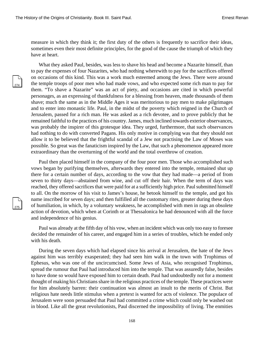275

measure in which they think it; the first duty of the others is frequently to sacrifice their ideas, sometimes even their most definite principles, for the good of the cause the triumph of which they have at heart.

What they asked Paul, besides, was less to shave his head and become a Nazarite himself, than to pay the expenses of four Nazarites, who had nothing wherewith to pay for the sacrifices offered on occasions of this kind. This was a work much esteemed among the Jews. There were around the temple troops of poor men who had made vows, and who expected some rich man to pay for them. "To shave a Nazarite" was an act of piety, and occasions are cited in which powerful personages, as an expressing of thankfulness for a blessing from heaven, made thousands of them shave; much the same as in the Middle Ages it was meritorious to pay men to make pilgrimages and to enter into monastic life. Paul, in the midst of the poverty which reigned in the Church of Jerusalem, passed for a rich man. He was asked as a rich devotee, and to prove publicly that he remained faithful to the practices of his country. James, much inclined towards exterior observances, was probably the inspirer of this grotesque idea. They urged, furthermore, that such observances had nothing to do with converted Pagans. His only motive in complying was that they should not allow it to be believed that the frightful scandal of a Jew not practising the Law of Moses was possible. So great was the fanaticism inspired by the Law, that such a phenomenon appeared more extraordinary than the overturning of the world and the total overthrow of creation.

Paul then placed himself in the company of the four poor men. Those who accomplished such vows began by purifying themselves, afterwards they entered into the temple, remained shut up there for a certain number of days, according to the vow that they had made—a period of from seven to thirty days—abstained from wine, and cut off their hair. When the term of days was reached, they offered sacrifices that were paid for at a sufficiently high price. Paul submitted himself to all. On the morrow of his visit to James's house, he betook himself to the temple, and got his name inscribed for seven days; and then fulfilled all the customary rites, greater during these days of humiliation, in which, by a voluntary weakness, he accomplished with men in rags an obsolete action of devotion, which when at Corinth or at Thessalonica he had denounced with all the force and independence of his genius.

Paul was already at the fifth day of his vow, when an incident which was only too easy to foresee decided the remainder of his career, and engaged him in a series of troubles, which he ended only with his death.

During the seven days which had elapsed since his arrival at Jerusalem, the hate of the Jews against him was terribly exasperated; they had seen him walk in the town with Trophimus of Ephesus, who was one of the uncircumcised. Some Jews of Asia, who recognised Trophimus, spread the rumour that Paul had introduced him into the temple. That was assuredly false, besides to have done so would have exposed him to certain death. Paul had undoubtedly not for a moment thought of making his Christians share in the religious practices of the temple. These practices were for him absolutely barren: their continuation was almost an insult to the merits of Christ. But religious hate needs little stimulus when a pretext is wanted for acts of violence. The populace of Jerusalem were soon persuaded that Paul had committed a crime which could only be washed out in blood. Like all the great revolutionists, Paul discerned the impossibility of living. The enmities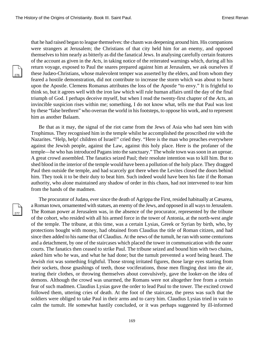that he had raised began to league themselves: the chasm was deepening around him. His companions were strangers at Jerusalem; the Christians of that city held him for an enemy, and opposed themselves to him nearly as bitterly as did the fanatical Jews. In analysing carefully certain features of the account as given in the *Acts*, in taking notice of the reiterated warnings which, during all his return voyage, exposed to Paul the snares prepared against him at Jerusalem, we ask ourselves if these Judæo-Christians, whose malevolent temper was asserted by the elders, and from whom they feared a hostile demonstration, did not contribute to increase the storm which was about to burst upon the Apostle. Clemens Romanus attributes the loss of the Apostle "to envy." It is frightful to think so, but it agrees well with the iron law which will rule human affairs until the day of the final triumph of God. I perhaps deceive myself, but when I read the twenty-first chapter of the *Acts*, an invincible suspicion rises within me; something, I do not know what, tells me that Paul was lost by these "false brethren" who overran the world in his footsteps, to oppose his work, and to represent him as another Balaam.

Be that as it may, the signal of the riot came from the Jews of Asia who had seen him with Trophimus. They recognised him in the temple whilst he accomplished the proscribed rite with the Nazarites. "Help, help! children of Israel!" cried they. "Here is the man who preaches everywhere against the Jewish people, against the Law, against this holy place. Here is the profaner of the temple—he who has introduced Pagans into the sanctuary." The whole town was soon in an uproar. A great crowd assembled. The fanatics seized Paul; their resolute intention was to kill him. But to shed blood in the interior of the temple would have been a pollution of the holy place. They dragged Paul then outside the temple, and had scarcely got there when the Levites closed the doors behind him. They took it to be their duty to beat him. Such indeed would have been his fate if the Roman authority, who alone maintained any shadow of order in this chaos, had not intervened to tear him from the hands of the madmen.

The procurator of Judæa, ever since the death of Agrippa the First, resided habitually at Cæsarea, a Roman town, ornamented with statues, an enemy of the Jews, and opposed in all ways to Jerusalem. The Roman power at Jerusalem was, in the absence of the procurator, represented by the tribune of the cohort, who resided with all his armed force in the tower of Antonia, at the north-west angle of the temple. The tribune, at this time, was a certain Lysias, Greek or Syrian by birth, who, by protections bought with money, had obtained from Claudius the title of Roman citizen, and had since then added to his name that of Claudius. At the news of the tumult, he ran with some centurions and a detachment, by one of the staircases which placed the tower in communication with the outer courts. The fanatics then ceased to strike Paul. The tribune seized and bound him with two chains, asked him who he was, and what he had done; but the tumult prevented a word being heard. The Jewish riot was something frightful. Those strong irritated figures, those large eyes starting from their sockets, those gnashings of teeth, those vociferations, those men flinging dust into the air, tearing their clothes, or throwing themselves about convulsively, gave the looker-on the idea of demons. Although the crowd was unarmed, the Romans were not altogether free from a certain fear of such madmen. Claudius Lysias gave the order to lead Paul to the tower. The excited crowd followed them, uttering cries of death. At the foot of the staircase, the press was such that the soldiers were obliged to take Paul in their arms and to carry him. Claudius Lysias tried in vain to calm the tumult. He somewhat hastily concluded, or it was perhaps suggested by ill-informed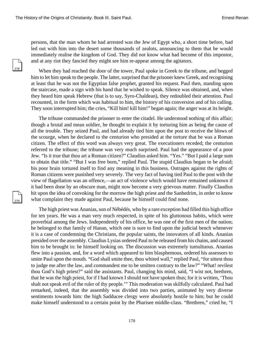persons, that the man whom he had arrested was the Jew of Egypt who, a short time before, had led out with him into the desert some thousands of zealots, announcing to them that he would immediately realise the kingdom of God. They did not know what had become of this impostor, and at any riot they fancied they might see him re-appear among the agitators.

When they had reached the door of the tower, Paul spoke in Greek to the tribune, and begged him to let him speak to the people. The latter, surprised that the prisoner knew Greek, and recognising at least that he was not the Egyptian false prophet, granted his request. Paul then, standing upon the staircase, made a sign with his hand that he wished to speak. Silence was obtained, and, when they heard him speak Hebrew (that is to say, Syro-Chaldean), they redoubled their attention. Paul recounted, in the form which was habitual to him, the history of his conversion and of his calling. They soon interrupted him; the cries, "Kill him! kill him!" began again; the anger was at its height.

The tribune commanded the prisoner to enter the citadel. He understood nothing of this affair; though a brutal and mean soldier, he thought to explain it by torturing him as being the cause of all the trouble. They seized Paul, and had already tied him upon the post to receive the blows of the scourge, when he declared to the centurion who presided at the torture that he was a Roman citizen. The effect of this word was always very great. The executioners receded; the centurion referred to the tribune; the tribune was very much surprised. Paul had the appearance of a poor Jew. "Is it true that thou art a Roman citizen?" Claudius asked him. "Yes." "But I paid a large sum to obtain that title." "But I was free born," replied Paul. The stupid Claudius began to be afraid; his poor brain tortured itself to find any meaning in this business. Outrages against the rights of Roman citizens were punished very severely. The very fact of having tied Paul to the post with the view of flagellation was an offence,—an act of violence which would have remained unknown if it had been done by an obscure man, might now become a very grievous matter. Finally Claudius hit upon the idea of convoking for the morrow the high priest and the Sanhedrim, in order to know what complaint they made against Paul, because he himself could find none.

The high priest was Ananias, son of Nébédés, who by a rare exception had filled this high office for ten years. He was a man very much respected, in spite of his gluttonous habits, which were proverbial among the Jews. Independently of his office, he was one of the first men of the nation; he belonged to that family of Hanan, which one is sure to find upon the judicial bench whenever it is a case of condemning the Christians, the popular saints, the innovators of all kinds. Ananias presided over the assembly. Claudius Lysias ordered Paul to be released from his chains, and caused him to be brought in: he himself looking on. The discussion was extremely tumultuous. Ananias flew into a passion, and, for a word which appeared to him blasphemous, ordered his assessors to smite Paul upon the mouth. "God shall smite thee, thou whited wall," replied Paul, "for sittest thou to judge me after the law, and commandest me to be smitten contrary to the law?" "What! revilest thou God's high priest?" said the assistants. Paul, changing his mind, said, "I wist not, brethren, that he was the high priest, for if I had known I should not have spoken thus; for it is written, 'Thou shalt not speak evil of the ruler of thy people.'" This moderation was skilfully calculated. Paul had remarked, indeed, that the assembly was divided into two parties, animated by very diverse sentiments towards him: the high Sadducee clergy were absolutely hostile to him; but he could make himself understood to a certain point by the Pharisee middle-class. "Brethren," cried he, "I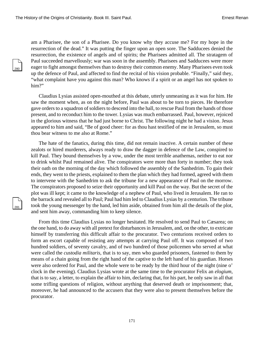am a Pharisee, the son of a Pharisee. Do you know why they accuse me? For my hope in the resurrection of the dead." It was putting the finger upon an open sore. The Sadducees denied the resurrection, the existence of angels and of spirits; the Pharisees admitted all. The stratagem of Paul succeeded marvellously; war was soon in the assembly. Pharisees and Sadducees were more eager to fight amongst themselves than to destroy their common enemy. Many Pharisees even took up the defence of Paul, and affected to find the recital of his vision probable. "Finally," said they, "what complaint have you against this man? Who knows if a spirit or an angel has not spoken to him?"

Claudius Lysias assisted open-mouthed at this debate, utterly unmeaning as it was for him. He saw the moment when, as on the night before, Paul was about to be torn to pieces. He therefore gave orders to a squadron of soldiers to descend into the hall, to rescue Paul from the hands of those present, and to reconduct him to the tower. Lysias was much embarrassed. Paul, however, rejoiced in the glorious witness that he had just borne to Christ. The following night he had a vision. Jesus appeared to him and said, "Be of good cheer: for as thou hast testified of me in Jerusalem, so must thou bear witness to me also at Rome."

The hate of the fanatics, during this time, did not remain inactive. A certain number of these zealots or hired murderers, always ready to draw the dagger in defence of the Law, conspired to kill Paul. They bound themselves by a vow, under the most terrible anathemas, neither to eat nor to drink whilst Paul remained alive. The conspirators were more than forty in number; they took their oath on the morning of the day which followed the assembly of the Sanhedrim. To gain their ends, they went to the priests, explained to them the plan which they had formed, agreed with them to intervene with the Sanhedrim to ask the tribune for a new appearance of Paul on the morrow. The conspirators proposed to seize their opportunity and kill Paul on the way. But the secret of the plot was ill kept; it came to the knowledge of a nephew of Paul, who lived in Jerusalem. He ran to the barrack and revealed all to Paul; Paul had him led to Claudius Lysias by a centurion. The tribune took the young messenger by the hand, led him aside, obtained from him all the details of the plot, and sent him away, commanding him to keep silence.

From this time Claudius Lysias no longer hesitated. He resolved to send Paul to Cæsarea; on the one hand, to do away with all pretext for disturbances in Jerusalem, and, on the other, to extricate himself by transferring this difficult affair to the procurator. Two centurions received orders to form an escort capable of resisting any attempts at carrying Paul off. It was composed of two hundred soldiers, of seventy cavalry, and of two hundred of those policemen who served at what were called the *custodia militaris*, that is to say, men who guarded prisoners, fastened to them by means of a chain going from the right hand of the captive to the left hand of his guardian. Horses were also ordered for Paul, and the whole were to be ready by the third hour of the night (nine o' clock in the evening). Claudius Lysias wrote at the same time to the procurator Felix an *elogium*, that is to say, a letter, to explain the affair to him, declaring that, for his part, he only saw in all that some trifling questions of religion, without anything that deserved death or imprisonment; that, moreover, he had announced to the accusers that they were also to present themselves before the procurator.

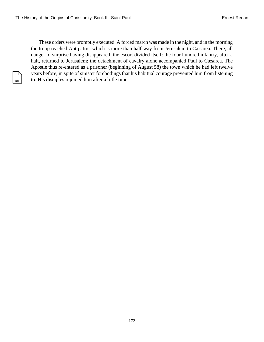These orders were promptly executed. A forced march was made in the night, and in the morning the troop reached Antipatris, which is more than half-way from Jerusalem to Cæsarea. There, all danger of surprise having disappeared, the escort divided itself: the four hundred infantry, after a halt, returned to Jerusalem; the detachment of cavalry alone accompanied Paul to Cæsarea. The Apostle thus re-entered as a prisoner (beginning of August 58) the town which he had left twelve years before, in spite of sinister forebodings that his habitual courage prevented him from listening to. His disciples rejoined him after a little time.

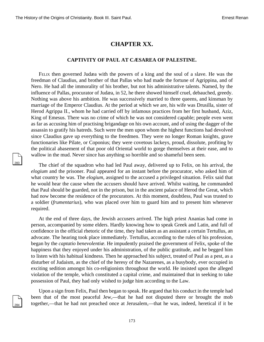## **CHAPTER XX.**

### **CAPTIVITY OF PAUL AT CÆSAREA OF PALESTINE.**

FELIX then governed Judæa with the powers of a king and the soul of a slave. He was the freedman of Claudius, and brother of that Pallas who had made the fortune of Agrippina, and of Nero. He had all the immorality of his brother, but not his administrative talents. Named, by the influence of Pallas, procurator of Judæa, in 52, he there showed himself cruel, debauched, greedy. Nothing was above his ambition. He was successively married to three queens, and kinsman by marriage of the Emperor Claudius. At the period at which we are, his wife was Drusilla, sister of Herod Agrippa II., whom he had carried off by infamous practices from her first husband, Aziz, King of Emesus. There was no crime of which he was not considered capable; people even went as far as accusing him of practising brigandage on his own account, and of using the dagger of the assassin to gratify his hatreds. Such were the men upon whom the highest functions had devolved since Claudius gave up everything to the freedmen. They were no longer Roman knights, grave functionaries like Pilate, or Coponius; they were covetous lackeys, proud, dissolute, profiting by the political abasement of that poor old Oriental world to gorge themselves at their ease, and to wallow in the mud. Never since has anything so horrible and so shameful been seen.

The chief of the squadron who had led Paul away, delivered up to Felix, on his arrival, the *elogium* and the prisoner. Paul appeared for an instant before the procurator, who asked him of what country he was. The *elogium*, assigned to the accused a privileged situation. Felix said that he would hear the cause when the accusers should have arrived. Whilst waiting, he commanded that Paul should be guarded, not in the prison, but in the ancient palace of Herod the Great, which had now become the residence of the procurators. At this moment, doubtless, Paul was trusted to a soldier (*frumentarius*), who was placed over him to guard him and to present him whenever required.

At the end of three days, the Jewish accusers arrived. The high priest Ananias had come in person, accompanied by some elders. Hardly knowing how to speak Greek and Latin, and full of confidence in the official rhetoric of the time, they had taken as an assistant a certain Tertullus, an advocate. The hearing took place immediately. Tertullus, according to the rules of his profession, began by the *captatio benevolentiæ*. He impudently praised the government of Felix, spoke of the happiness that they enjoyed under his administration, of the public gratitude, and he begged him to listen with his habitual kindness. Then he approached his subject, treated of Paul as a pest, as a disturber of Judaism, as the chief of the heresy of the Nazarenes, as a busybody, ever occupied in exciting sedition amongst his co-religionists throughout the world. He insisted upon the alleged violation of the temple, which constituted a capital crime, and maintained that in seeking to take possession of Paul, they had only wished to judge him according to the Law.

Upon a sign from Felix, Paul then began to speak. He argued that his conduct in the temple had been that of the most peaceful Jew,—that he had not disputed there or brought the mob together,—that he had not preached once at Jerusalem,—that he was, indeed, heretical if it be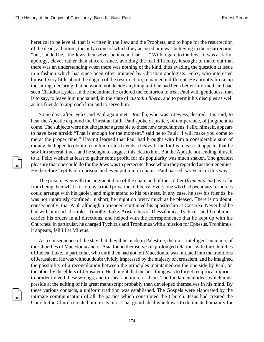286

heretical to believe all that is written in the Law and the Prophets, and to hope for the resurrection of the dead; at bottom, the only crime of which they accused him was believing in the resurrection; "but," added he, "the Jews themselves believe in that. . . ." With regard to the Jews, it was a skilful apology, clever rather than sincere, since, avoiding the real difficulty, it sought to make out that there was an understanding when there was nothing of the kind, thus evading the question at issue in a fashion which has since been often imitated by Christian apologists. Felix, who interested himself very little about the dogma of the resurrection, remained indifferent. He abruptly broke up the sitting, declaring that he would not decide anything until he had been better informed, and had seen Claudius Lysias. In the meantime, he ordered the centurion to treat Paul with gentleness, that is to say, to leave him unchained, in the state of *custodia libera*, and to permit his disciples as well as his friends to approach him and to serve him.

Some days after, Felix and Paul again met. Drusilla, who was a Jewess, desired, it is said, to hear the Apostle expound the Christian faith. Paul spoke of justice, of temperance, of judgment to come. The subjects were not altogether agreeable to these new catechumens. Felix, himself, appears to have been afraid: "That is enough for the moment," said he to Paul; "I will make you come to me at the proper time." Having learned that Paul had brought with him a considerable sum of money, he hoped to obtain from him or his friends a heavy bribe for his release. It appears that he saw him several times, and he sought to suggest this idea to him. But the Apostle not lending himself to it, Felix wished at least to gather some profit, for his popularity was much shaken. The greatest pleasure that one could do for the Jews was to persecute those whom they regarded as their enemies. He therefore kept Paul in prison, and even put him in chains. Paul passed two years in this way.

The prison, even with the augmentation of the chain and of the soldier (*frumentarius*), was far from being then what it is to-day, a total privation of liberty. Every one who had pecuniary resources could arrange with his gaoler, and might attend to his business. In any case, he saw his friends, he was not rigorously confined; in short, he might do pretty much as he pleased. There is no doubt, consequently, that Paul, although a prisoner, continued his apostleship at Cæsarea. Never had he had with him such disciples. Timothy, Luke, Aristarchus of Thessalonica, Tychicus, and Trophimus, carried his orders in all directions, and helped with the correspondence that he kept up with his Churches. In particular, he charged Tychicus and Trophimus with a mission for Ephesus. Trophimus, it appears, fell ill at Miletus.

As a consequence of the stay that they thus made in Palestine, the most intelligent members of the Churches of Macedonia and of Asia found themselves in prolonged relations with the Churches of Judæa. Luke, in particular, who until then had not left Macedonia, was initiated into the traditions of Jerusalem. He was without doubt vividly impressed by the majesty of Jerusalem, and he imagined the possibility of a reconciliation between the principles maintained on the one side by Paul, on the other by the elders of Jerusalem. He thought that the best thing was to forget reciprocal injuries, to prudently veil these wrongs, and to speak no more of them. The fundamental ideas which must preside at the editing of his great manuscript probably then developed themselves in his mind. By these various contacts, a uniform tradition was established. The Gospels were elaborated by the intimate communication of all the parties which constituted the Church. Jesus had created the Church; the Church created him in its turn. That grand ideal which was to dominate humanity for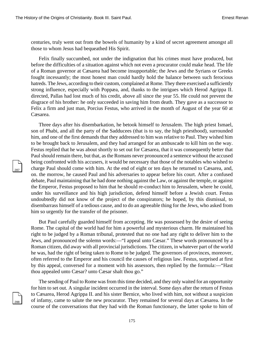centuries, truly went out from the bowels of humanity by a kind of secret agreement amongst all those to whom Jesus had bequeathed His Spirit.

Felix finally succumbed, not under the indignation that his crimes must have produced, but before the difficulties of a situation against which not even a procurator could make head. The life of a Roman governor at Cæsarea had become insupportable; the Jews and the Syrians or Greeks fought incessantly; the most honest man could hardly hold the balance between such ferocious hatreds. The Jews, according to their custom, complained at Rome. They there exercised a sufficiently strong influence, especially with Poppæa, and, thanks to the intrigues which Herod Agrippa II. directed, Pallas had lost much of his credit, above all since the year 55. He could not prevent the disgrace of his brother: he only succeeded in saving him from death. They gave as a successor to Felix a firm and just man, Porcius Festus, who arrived in the month of August of the year 60 at Cæsarea.

Three days after his disembarkation, he betook himself to Jerusalem. The high priest Ismael, son of Phabi, and all the party of the Sadducees (that is to say, the high priesthood), surrounded him, and one of the first demands that they addressed to him was relative to Paul. They wished him to be brought back to Jerusalem, and they had arranged for an ambuscade to kill him on the way. Festus replied that he was about shortly to set out for Cæsarea, that it was consequently better that Paul should remain there, but that, as the Romans never pronounced a sentence without the accused being confronted with his accusers, it would be necessary that those of the notables who wished to charge Paul should come with him. At the end of eight or ten days he returned to Cæsarea, and, on. the morrow, he caused Paul and his adversaries to appear before his court. After a confused debate, Paul maintaining that he had done nothing against the Law, or against the temple, or against the Emperor, Festus proposed to him that he should re-conduct him to Jerusalem, where he could, under his surveillance and his high jurisdiction, defend himself before a Jewish court. Festus undoubtedly did not know of the project of the conspirators; he hoped, by this dismissal, to disembarrass himself of a tedious cause, and to do an agreeable thing for the Jews, who asked from him so urgently for the transfer of the prisoner.

But Paul carefully guarded himself from accepting. He was possessed by the desire of seeing Rome. The capital of the world had for him a powerful and mysterious charm. He maintained his right to be judged by a Roman tribunal, protested that no one had any right to deliver him to the Jews, and pronounced the solemn words:—"I appeal unto Cæsar." These words pronounced by a Roman citizen, did away with all provincial jurisdictions. The citizen, in whatever part of the world he was, had the right of being taken to Rome to be judged. The governors of provinces, moreover, often referred to the Emperor and his council the causes of religious law. Festus, surprised at first by this appeal, conversed for a moment with his assessors, then replied by the formula:—"Hast thou appealed unto Cæsar? unto Cæsar shalt thou go."

The sending of Paul to Rome was from this time decided, and they only waited for an opportunity for him to set out. A singular incident occurred in the interval. Some days after the return of Festus to Cæsarea, Herod Agrippa II. and his sister Bernice, who lived with him, not without a suspicion of infamy, came to salute the new procurator. They remained for several days at Cæsarea. In the course of the conversations that they had with the Roman functionary, the latter spoke to him of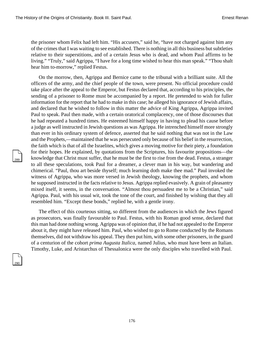the prisoner whom Felix had left him. "His accusers," said he, "have not charged against him any of the crimes that I was waiting to see established. There is nothing in all this business but subtleties relative to their superstitions, and of a certain Jesus who is dead, and whom Paul affirms to be living." "Truly," said Agrippa, "I have for a long time wished to hear this man speak." "Thou shalt hear him to-morrow," replied Festus.

On the morrow, then, Agrippa and Bernice came to the tribunal with a brilliant suite. All the officers of the army, and the chief people of the town, were present. No official procedure could take place after the appeal to the Emperor, but Festus declared that, according to his principles, the sending of a prisoner to Rome must be accompanied by a report. He pretended to wish for fuller information for the report that he had to make in this case; he alleged his ignorance of Jewish affairs, and declared that he wished to follow in this matter the advice of King Agrippa, Agrippa invited Paul to speak. Paul then made, with a certain oratorical complacency, one of those discourses that he had repeated a hundred times. He esteemed himself happy in having to plead his cause before a judge as well instructed in Jewish questions as was Agrippa. He intrenched himself more strongly than ever in his ordinary system of defence, asserted that he said nothing that was not in the Law and the Prophets,—maintained that he was persecuted only because of his belief in the resurrection, the faith which is that of all the Israelites, which gives a moving motive for their piety, a foundation for their hopes. He explained, by quotations from the Scriptures, his favourite propositions—the knowledge that Christ must suffer, that he must be the first to rise from the dead. Festus, a stranger to all these speculations, took Paul for a dreamer, a clever man in his way, but wandering and chimerical. "Paul, thou art beside thyself; much learning doth make thee mad." Paul invoked the witness of Agrippa, who was more versed in Jewish theology, knowing the prophets, and whom he supposed instructed in the facts relative to Jesus. Agrippa replied evasively. A grain of pleasantry mixed itself, it seems, in the conversation. "Almost thou persuadest me to be a Christian," said Agrippa. Paul, with his usual wit, took the tone of the court, and finished by wishing that they all resembled him. "Except these bonds," replied he, with a gentle irony.

The effect of this courteous sitting, so different from the audiences in which the Jews figured as prosecutors, was finally favourable to Paul. Festus, with his Roman good sense, declared that this man had done nothing wrong. Agrippa was of opinion that, if he had not appealed to the Emperor about it, they might have released him. Paul, who wished to go to Rome conducted by the Romans themselves, did not withdraw his appeal. They then put him, with some other prisoners, in the guard of a centurion of the cohort *prima Augusta Italica*, named Julius, who must have been an Italian. Timothy, Luke, and Aristarchus of Thessalonica were the only disciples who travelled with Paul.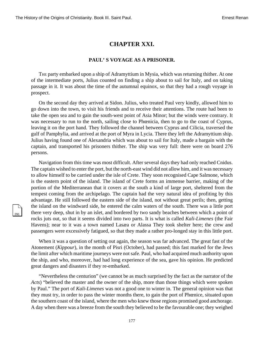291

## **CHAPTER XXI.**

#### **PAUL' S VOYAGE AS A PRISONER.**

THE party embarked upon a ship of Adramyttium in Mysia, which was returning thither. At one of the intermediate ports, Julius counted on finding a ship about to sail for Italy, and on taking passage in it. It was about the time of the autumnal equinox, so that they had a rough voyage in prospect.

On the second day they arrived at Sidon. Julius, who treated Paul very kindly, allowed him to go down into the town, to visit his friends and to receive their attentions. The route had been to take the open sea and to gain the south-west point of Asia Minor; but the winds were contrary. It was necessary to run to the north, sailing close to Phœnicia, then to go to the coast of Cyprus, leaving it on the port hand. They followed the channel between Cyprus and Cilicia, traversed the gulf of Pamphylia, and arrived at the port of Myra in Lycia. There they left the Adramyttium ship. Julius having found one of Alexandria which was about to sail for Italy, made a bargain with the captain, and transported his prisoners thither. The ship was very full: there were on board 276 persons.

<span id="page-180-0"></span>Navigation from this time was most difficult. After several days they had only reached Cnidus. The captain wished to enter the port, but the north-east wind did not allow him, and it was necessary to allow himself to be carried under the isle of Crete. They soon recognised Cape Salmone, which is the eastern point of the island. The island of Crete forms an immense barrier, making of the portion of the Mediterranean that it covers at the south a kind of large port, sheltered from the tempest coming from the archipelago. The captain had the very natural idea of profiting by this advantage. He still followed the eastern side of the island, not without great perils; then, getting the island on the windward side, he entered the calm waters of the south. There was a little port there very deep, shut in by an islet, and bordered by two sandy beaches between which a point of rocks juts out, so that it seems divided into two parts. It is what is called *Kali-Limenes* (the Fair Havens); near to it was a town named Lasæa or Alassa They took shelter here; the crew and passengers were excessively fatigued, so that they made a rather pro-longed stay in this little port.

When it was a question of setting out again, the season was far advanced. The great fast of the Atonement (*Kippour*), in the month of Pisri (October), had passed; this fast marked for the Jews the limit after which maritime journeys were not safe. Paul, who had acquired much authority upon the ship, and who, moreover, had had long experience of the sea, gave his opinion. He predicted great dangers and disasters if they re-embarked.

"Nevertheless the centurion" (we cannot be as much surprised by the fact as the narrator of the *Acts*) "believed the master and the owner of the ship, more than those things which were spoken by Paul." The port of *Kali-Limenes* was not a good one to winter in. The general opinion was that they must try, in order to pass the winter months there, to gain the port of Phœnice, situated upon the southern coast of the island, where the men who knew those regions promised good anchorage. A day when there was a breeze from the south they believed to be the favourable one; they weighed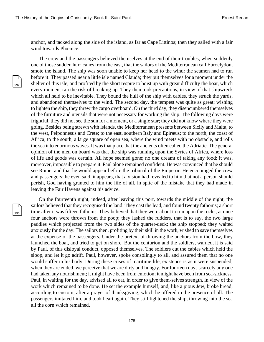anchor, and tacked along the side of the island, as far as Cape Littinos; then they sailed with a fair wind towards Phœnice.

<span id="page-181-0"></span>The crew and the passengers believed themselves at the end of their troubles, when suddenly one of those sudden hurricanes from the east, that the sailors of the Mediterranean call Euroclydon, smote the island. The ship was soon unable to keep her head to the wind: the seamen had to run before it. They passed near a little isle named Clauda; they put themselves for a moment under the shelter of this isle, and profited by the short respite to hoist up with great difficulty the boat, which every moment ran the risk of breaking up. They then took precautions, in view of that shipwreck which all held to be inevitable. They bound the hull of the ship with cables, they struck the yards, and abandoned themselves to the wind. The second day, the tempest was quite as great; wishing to lighten the ship, they threw the cargo overboard. On the third day, they disencumbered themselves of the furniture and utensils that were not necessary for working the ship. The following days were frightful, they did not see the sun for a moment, or a single star; they did not know where they were going. Besides being strewn with islands, the Mediterranean presents between Sicily and Malta, to the west, Pelponnesus and Crete; to the east, southern Italy and Epiræus; to the north, the coast of Africa; to the south, a large square of open sea, where the wind meets with no obstacle, and rolls the sea into enormous waves. It was that place that the ancients often called the Adriatic. The general opinion of the men on board was that the ship was running upon the Syrtes of Africa, where loss of life and goods was certain. All hope seemed gone; no one dreamt of taking any food; it was, moreover, impossible to prepare it. Paul alone remained confident. He was convinced that he should see Rome, and that he would appear before the tribunal of the Emperor. He encouraged the crew and passengers; he even said, it appears, that a vision had revealed to him that not a person should perish, God having granted to him the life of all, in spite of the mistake that they had made in leaving the Fair Havens against his advice.

293

292

<span id="page-181-1"></span>On the fourteenth night, indeed, after leaving this port, towards the middle of the night, the sailors believed that they recognised the land. They cast the lead, and found twenty fathoms; a short time after it was fifteen fathoms. They believed that they were about to run upon the rocks; at once four anchors were thrown from the poop; they lashed the rudders, that is to say, the two large paddles which projected from the two sides of the quarter-deck; the ship stopped; they waited anxiously for the day. The sailors then, profiting by their skill in the work, wished to save themselves at the expense of the passengers. Under the pretext of throwing the anchors from the bow, they launched the boat, and tried to get on shore. But the centurion and the soldiers, warned, it is said by Paul, of this disloyal conduct, opposed themselves. The soldiers cut the cables which held the sloop, and let it go adrift. Paul, however, spoke consolingly to all, and assured them that no one would suffer in his body. During these crises of maritime life, existence is as it were suspended; when they are ended, we perceive that we are dirty and hungry. For fourteen days scarcely any one had taken any nourishment; it might have been from emotion; it might have been from sea-sickness. Paul, in waiting for the day, advised all to eat, in order to give them-selves strength, in view of the work which remained to be done. He set the example himself, and, like a pious Jew, broke bread, according to custom, after a prayer of thanksgiving, which he offered in the presence of all. The passengers imitated him, and took heart again. They still lightened the ship, throwing into the sea all the corn which remained.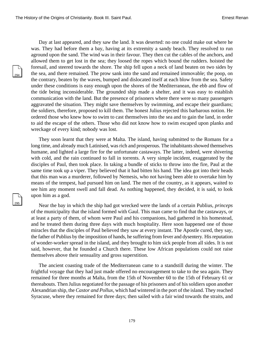<span id="page-182-1"></span>Day at last appeared, and they saw the land. It was deserted: no one could make out where he was. They had before them a bay, having at its extremity a sandy beach. They resolved to run aground upon the sand. The wind was in their favour. They then cut the cables of the anchors, and allowed them to get lost in the sea; they loosed the ropes which bound the rudders. hoisted the foresail, and steered towards the shore. The ship fell upon a neck of land beaten on two sides by the sea, and there remained. The prow sank into the sand and remained immovable; the poop, on the contrary, beaten by the waves, bumped and dislocated itself at each blow from the sea. Safety under these conditions is easy enough upon the shores of the Mediterranean, the ebb and flow of the tide being inconsiderable. The grounded ship made a shelter, and it was easy to establish communication with the land. But the presence of prisoners where there were so many passengers aggravated the situation. They might save themselves by swimming, and escape their guardians; the soldiers, therefore, proposed to kill them. The honest Julius rejected this barbarous notion. He ordered those who knew how to swim to cast themselves into the sea and to gain the land, in order to aid the escape of the others. Those who did not know how to swim escaped upon planks and wreckage of every kind; nobody was lost.

They soon learnt that they were at Malta. The island, having submitted to the Romans for a long time, and already much Latinised, was rich and prosperous. The inhabitants showed themselves humane, and lighted a large fire for the unfortunate castaways. The latter, indeed, were shivering with cold, and the rain continued to fall in torrents. A very simple incident, exaggerated by the disciples of Paul, then took place. In taking a bundle of sticks to throw into the fire, Paul at the same time took up a viper. They believed that it had bitten his hand. The idea got into their heads that this man was a murderer, followed by Nemesis, who not having been able to overtake him by means of the tempest, had pursued him on land. The men of the country, as it appears, waited to see him any moment swell and fall dead. As nothing happened, they decided, it is said, to look upon him as a god.

<span id="page-182-0"></span>Near the bay in which the ship had got wrecked were the lands of a certain Publius, *princeps* of the municipality that the island formed with Gaul. This man came to find that the castaways, or at least a party of them, of whom were Paul and his companions, had gathered in his homestead, and he treated them during three days with much hospitality. Here soon happened one of those miracles that the disciples of Paul believed they saw at every instant. The Apostle cured, they say, the father of Publius by the imposition of hands, he suffering from fever and dysentery. His reputation of wonder-worker spread in the island, and they brought to him sick people from all sides. It is not said, however, that he founded a Church there. These low African populations could not raise themselves above their sensuality and gross superstition.

The ancient coasting trade of the Mediterranean came to a standstill during the winter. The frightful voyage that they had just made offered no encouragement to take to the sea again. They remained for three months at Malta, from the 15th of November 60 to the 15th of February 61 or thereabouts. Then Julius negotiated for the passage of his prisoners and of his soldiers upon another Alexandrian ship, the *Castor and Pollux*, which had wintered in the port of the island. They reached Syracuse, where they remained for three days; then sailed with a fair wind towards the straits, and

<span id="page-182-2"></span>295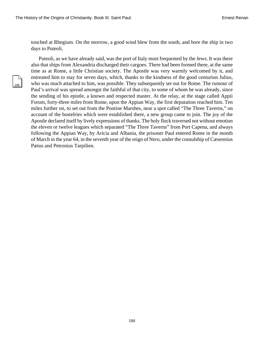touched at Rhegium. On the morrow, a good wind blew from the south, and bore the ship in two days to Puteoli.

296

<span id="page-183-0"></span>Puteoli, as we have already said, was the port of Italy most frequented by the Jews. It was there also that ships from Alexandria discharged their cargoes. There had been formed there, at the same time as at Rome, a little Christian society. The Apostle was very warmly welcomed by it, and entreated him to stay for seven days, which, thanks to the kindness of the good centurion Julius, who was much attached to him, was possible. They subsequently set out for Rome. The rumour of Paul's arrival was spread amongst the faithful of that city, to some of whom he was already, since the sending of his epistle, a known and respected master. At the relay, at the stage called Appii Forum, forty-three miles from Rome, upon the Appian Way, the first deputation reached him. Ten miles further on, to set out from the Pontine Marshes, near a spot called "The Three Taverns," on account of the hostelries which were established there, a new group came to join. The joy of the Apostle declared itself by lively expressions of thanks. The holy flock traversed not without emotion the eleven or twelve leagues which separated "The Three Taverns" from Port Capena, and always following the Appian Way, by Aricia and Albania, the prisoner Paul entered Rome in the month of March in the year 64, in the seventh year of the reign of Nero, under the consulship of Cæsennius Pætus and Petronius Tarpilien.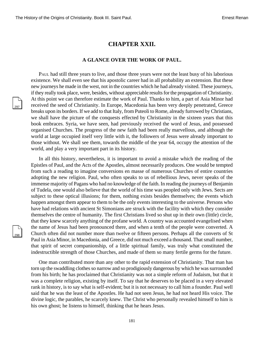207

<span id="page-184-1"></span>298

### **CHAPTER XXII.**

#### **A GLANCE OVER THE WORK OF PAUL.**

<span id="page-184-0"></span>PAUL had still three years to live, and those three years were not the least busy of his laborious existence. We shall even see that his apostolic career had in all probability an extension. But these new journeys he made in the west, not in the countries which he had already visited. These journeys, if they really took place, were, besides, without appreciable results for the propagation of Christianity. At this point we can therefore estimate the work of Paul. Thanks to him, a part of Asia Minor had received the seed of Christianity. In Europe, Macedonia has been very deeply penetrated, Greece breaks upon its borders. If we add to that Italy, from Puteoli to Rome, already furrowed by Christians, we shall have the picture of the conquests effected by Christianity in the sixteen years that this book embraces. Syria, we have seen, had previously received the word of Jesus, and possessed organised Churches. The progress of the new faith had been really marvellous, and although the world at large occupied itself very little with it, the followers of Jesus were already important to those without. We shall see them, towards the middle of the year 64, occupy the attention of the world, and play a very important part in its history.

In all this history, nevertheless, it is important to avoid a mistake which the reading of the Epistles of Paul, and the Acts of the Apostles, almost necessarily produces. One would be tempted from such a reading to imagine conversions en masse of numerous Churches of entire countries adopting the new religion. Paul, who often speaks to us of rebellious Jews, never speaks of the immense majority of Pagans who had no knowledge of the faith. In reading the journeys of Benjamin of Tudela, one would also believe that the world of his time was peopled only with Jews. Sects are subject to these optical illusions; for them, nothing exists besides themselves; the events which happen amongst them appear to them to be the only events interesting to the universe. Persons who have had relations with ancient St Simonians are struck with the facility with which they consider themselves the centre of humanity. The first Christians lived so shut up in their own (little) circle, that they knew scarcely anything of the profane world. A country was accounted evangelised when the name of Jesus had been pronounced there, and when a tenth of the people were converted. A Church often did not number more than twelve or fifteen persons. Perhaps all the converts of St Paul in Asia Minor, in Macedonia, and Greece, did not much exceed a thousand. That small number, that spirit of secret companionship, of a little spiritual family, was truly what constituted the indestructible strength of those Churches, and made of them so many fertile germs for the future.

One man contributed more than any other to the rapid extension of Christianity. That man has torn up the swaddling clothes so narrow and so prodigiously dangerous by which he was surrounded from his birth; he has proclaimed that Christianity was not a simple reform of Judaism, but that it was a complete religion, existing by itself. To say that he deserves to be placed in a very elevated rank in history, is to say what is self-evident; but it is not necessary to call him a founder. Paul well said that he was the least of the Apostles. He had not seen Jesus, he had not heard His voice. The divine logic, the parables, he scarcely knew. The Christ who personally revealed himself to him is his own ghost; he listens to himself, thinking that he hears Jesus.

181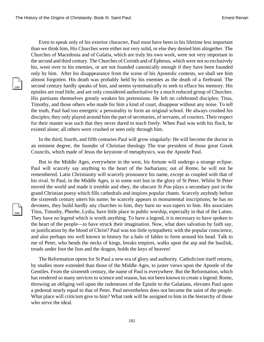<span id="page-185-0"></span>299

300

Even to speak only of his exterior character, Paul must have been in his lifetime less important than we think him. His Churches were either not very solid, or else they denied him altogether. The Churches of Macedonia and of Galatia, which are truly his own work, were not very important in the second and third century. The Churches of Corinth and of Ephesus, which were not so exclusively his, went over to his enemies, or are not founded canonically enough if they have been founded only by him. After his disappearance from the scene of his Apostolic contests, we shall see him almost forgotten. His death was probably held by his enemies as the death of a firebrand. The second century hardly speaks of him, and seems systematically to seek to efface his memory. His epistles are read little, and are only considered authoritative by a much reduced group of Churches. His partisans themselves greatly weaken his pretensions. He left no celebrated disciples; Titus, Timothy, and those others who made for him a kind of court, disappear without any noise. To tell the truth, Paul had too energetic a personality to form an original school. He always crushed his disciples; they only played around him the part of secretaries, of servants, of couriers. Their respect for their master was such that they never dared to teach freely. When Paul was with his flock, he existed alone; all others were crushed or seen only through him.

In the third, fourth, and fifth centuries Paul will grow singularly: He will become the doctor in an eminent degree, the founder of Christian theology The true president of those great Greek Councils, which made of Jesus the keystone of metaphysics, was the Apostle Paul.

<span id="page-185-1"></span>But in the Middle Ages, everywhere in the west, his fortune will undergo a strange eclipse. Paul will scarcely say anything to the heart of the barbarians; out of Rome, he will not be remembered. Latin Christianity will scarcely pronounce his name, except as coupled with that of his rival. St Paul, in the Middle Ages, is in some sort lost in the glory of St Peter. Whilst St Peter moved the world and made it tremble and obey, the obscure *St Pou* plays a secondary part in the grand Christian poesy which fills cathedrals and inspires popular chants. Scarcely anybody before the sixteenth century utters his name; he scarcely appears in monumental inscriptions; he has no devotees, they build hardly any churches to him, they burn no wax-tapers to him. His associates Titus, Timothy, Pheebe, Lydia, have little place in public worship, especially in that of the Latins. They have no legend which is worth anything. To have a legend, it is necessary to have spoken to the heart of the people—to have struck their imagination. Now, what does salvation by faith say, or justification by the blood of Christ? Paul was too little sympathetic with the popular conscience, and also perhaps too well known in history for a halo of fables to form around his head. Talk to me of Peter, who bends the necks of kings, breaks empires, walks upon the asp and the basilisk, treads under foot the lion and the dragon, holds the keys of heaven!

The Reformation opens for St Paul a new era of glory and authority. Catholicism itself returns, by studies more extended than those of the Middle Ages, to juster views upon the Apostle of the Gentiles. From the sixteenth century, the name of Paul is everywhere. But the Reformation, which has rendered so many services to science and reason, has not been known to create a legend. Rome, throwing an obliging veil upon the rudenesses of the Epistle to the Galatians, elevates Paul upon a pedestal nearly equal to that of Peter. Paul nevertheless does not become the saint of the people. What place will criticism give to him? What rank will be assigned to him in the hierarchy of those who serve the ideal.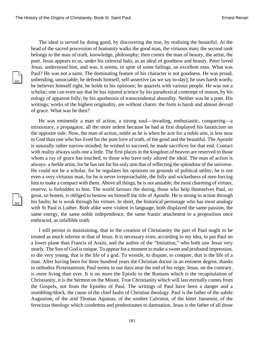<span id="page-186-0"></span>The ideal is served by doing good, by discovering the true, by realising the beautiful. At the head of the sacred procession of humanity walks the good man, the virtuous man; the second rank belongs to the man of truth, knowledge, philosophy; then comes the man of beauty, the artist, the poet. Jesus appears to us, under his celestial halo, as an ideal of goodness and beauty. Peter loved Jesus, understood him, and was, it seems, in spite of some failings, an excellent man. What was Paul? He was not a saint. The dominating feature of his character is not goodness. He was proud, unbending, unsociable; he defends himself; self-assertive (as we say to-day); he uses harsh words; he believes himself right; he holds to his opinions; he quarrels with various people. He was not a scholar; one can even say that he has injured science by his paradoxical contempt of reason, by his eulogy of apparent folly, by his apotheosis of transcendental absurdity. Neither was he a poet. His writings; works of the highest originality, are without charm: the form is harsh and almost devoid of grace. What was he then?

He was eminently a man of action, a strong soul—invading, enthusiastic, conquering—a missionary, a propagator, all the more ardent because he had at first displayed his fanaticism on the opposite side. Now, the man of action, noble as he is when he acts for a noble aim, is less near to God than one who has lived for the pure love of truth, of the good and the beautiful. The Apostle is naturally rather narrow-minded; he wished to succeed, he made sacrifices for that end. Contact with reality always soils one a little. The first places in the kingdom of heaven are reserved to those whom a ray of grace has touched, to those who have only adored the ideal. The man of action is always- a feeble artist, for he has not for his only aim that of reflecting the splendour of the universe. He could not be a scholar, for he regulates his opinions on grounds of political utility; he is not even a very virtuous man, for he is never irreproachable, the folly and wickedness of men forcing him to make a compact with them. Above all things, he is not amiable; the most charming of virtues, reserve, is forbidden to him. The world favours the daring, those who help themselves Paul, so great, so honest, is obliged to bestow on himself the title of Apostle. He is strong in action through his faults; he is weak through his virtues. In short, the historical personage who has most analogy with St Paul is Luther. Both alike were violent in language, both displayed the same passion, the same energy, the same noble independence, the same frantic attachment to a proposition once embraced, as infallible truth.

I still persist in maintaining, that in the creation of Christianity the part of Paul ought to be treated as much inferior to that of Jesus. It is necessary even, according to my idea, to put Paul on a lower plane than Francis of Assisi, and the author of the "Imitation," who both saw Jesus very nearly. The Son of God is unique. To appear for a moment to make a sweet and profound impression, to die very young, that is the life of a god. To wrestle, to dispute, to conquer, that is the life of a man. After having been for three hundred years the Christian doctor in an eminent degree, thanks to orthodox Protestantism, Paul seems in our days near the end of his reign: Jesus, on the contrary, is more living than ever. It is no more the Epistle to the Romans which is the recapitulation of Christianity, it is the Sermon on the Mount. True Christianity which will last eternally comes from the Gospels, not from the Epistles of Paul. The writings of Paul have been a danger and a stumbling-block, the cause of the chief faults of Christian theology. Paul is the father of the subtle Augustine, of the arid Thomas Aquinas, of the sombre Calvinist, of the bitter Jansenist, of the ferocious theology which condemns and predestinates to damnation. Jesus is the father of all those

<span id="page-186-1"></span>302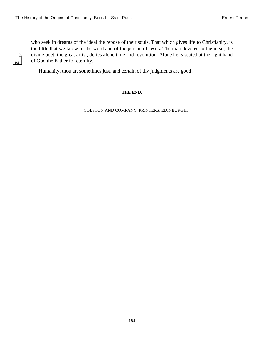

<span id="page-187-0"></span>who seek in dreams of the ideal the repose of their souls. That which gives life to Christianity, is the little that we know of the word and of the person of Jesus. The man devoted to the ideal, the divine poet, the great artist, defies alone time and revolution. Alone he is seated at the right hand of God the Father for eternity.

Humanity, thou art sometimes just, and certain of thy judgments are good!

#### **THE END.**

COLSTON AND COMPANY, PRINTERS, EDINBURGH.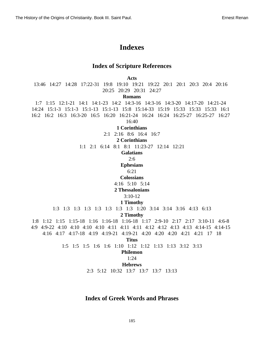## **Indexes**

#### **Index of Scripture References**

**Acts**

[13:46](#page-38-0)  [14:27](#page-43-0)  [14:28](#page-43-0) [17:22-31](#page-80-0)  [19:8](#page-18-0)  [19:10](#page-18-0) [19:21](#page-14-0)  [19:22](#page-14-1) [20:1](#page-14-2) [20:1](#page-14-0)  [20:3](#page-14-0) [20:4](#page-16-0) [20:16](#page-14-0)  [20:25](#page-19-0) [20:29](#page-16-1)  [20:31](#page-18-0)  [24:27](#page-16-2)

**Romans**

[1:7](#page-27-0) [1:15](#page-27-0) [12:1-21](#page-24-0)  [14:1](#page-26-0) [14:1-23](#page-24-1) [14:2](#page-26-0)  [14:3-16](#page-25-0) [14:3-16](#page-26-1) [14:3-20](#page-26-0)  [14:17-20](#page-25-1) [14:21-24](#page-26-2) [14:24](#page-26-3)  [15:1-3](#page-27-1) [15:1-3](#page-24-2)  [15:1-13](#page-27-2)  [15:1-13](#page-24-3) [15:8](#page-24-4) [15:14-33](#page-24-5)  [15:19](#page-18-1) [15:33](#page-24-6)  [15:33](#page-26-4)  [15:33](#page-26-5) [16:1](#page-24-7) [16:2](#page-24-7)  [16:2](#page-26-6) [16:3](#page-24-8) [16:3-20](#page-26-1)  [16:5](#page-25-2) [16:20](#page-26-4)  [16:21-24](#page-26-7)  [16:24](#page-26-5) [16:24](#page-26-8) [16:25-27](#page-24-9)  [16:25-27](#page-26-9) [16:27](#page-26-5) 

[16:40](#page-26-5)

**1 Corinthians**

[2:1](#page-14-0)  [2:16](#page-14-0) [8:6](#page-102-0)  [16:4](#page-14-0) [16:7](#page-18-2)

**2 Corinthians**

[1:1](#page-14-3)  [2:1](#page-18-2)  [6:14](#page-24-10) [8:1](#page-18-2) [8:1](#page-24-10)  [11:23-27](#page-30-0) [12:14](#page-18-2)  [12:21](#page-18-2)

**Galatians**

[2:6](#page-49-0)

**Ephesians**

[6:21](#page-11-0)

**Colossians**

[4:16](#page-12-0) [5:10](#page-16-3)  [5:14](#page-16-3)

**2 Thessalonians**

[3:10-12](#page-30-1)

**1 Timothy**

[1:3](#page-14-4)  [1:3](#page-14-5)  [1:3](#page-14-6) [1:3](#page-14-7) [1:3](#page-15-0)  [1:3](#page-18-3) [1:3](#page-18-4)  [1:3](#page-18-5)  [1:20](#page-14-8) [3:14](#page-14-9) [3:14](#page-14-10)  [3:16](#page-14-9) [4:13](#page-14-10)  [6:13](#page-14-9)

**2 Timothy**

[1:8](#page-15-1)  [1:12](#page-15-1) [1:15](#page-15-2) [1:15-18](#page-20-0)  [1:16](#page-15-1) [1:16-18](#page-15-1) [1:16-18](#page-15-3)  [1:17](#page-15-1) [2:9-10](#page-15-1) [2:17](#page-15-1)  [2:17](#page-15-4) [3:10-11](#page-16-4) [4:6-8](#page-15-5)  [4:9](#page-15-6)  [4:9-22](#page-19-1)  [4:10](#page-15-7)  [4:10](#page-15-7)  [4:10](#page-15-7)  [4:10](#page-16-1)  [4:11](#page-15-8)  [4:11](#page-15-9)  [4:11](#page-16-1)  [4:12](#page-15-8)  [4:12](#page-16-5)  [4:13](#page-15-10)  [4:13](#page-15-11)  [4:14-15](#page-15-1)  [4:14-15](#page-15-12) [4:16](#page-15-13)  [4:17](#page-15-13) [4:17-18](#page-19-2)  [4:19](#page-15-1)  [4:19-21](#page-20-0) [4:19-21](#page-20-1)  [4:20](#page-15-10)  [4:20](#page-15-14) [4:20](#page-19-3)  [4:21](#page-15-6) [4:21](#page-15-15) [17](#page-20-0) [18](#page-20-0)

**Titus**

[1:5](#page-16-6)  [1:5](#page-17-0) [1:5](#page-17-1)  [1:6](#page-16-7)  [1:6](#page-17-0) [1:10](#page-17-2) [1:12](#page-16-8)  [1:12](#page-17-3) [1:13](#page-16-8)  [1:13](#page-17-3)  [3:12](#page-16-9) [3:13](#page-16-10)

**Philemon**

[1:24](#page-16-3)

**Hebrews**

[2:3](#page-23-0)  [5:12](#page-23-1)  [10:32](#page-23-2) [13:7](#page-23-1)  [13:7](#page-23-2) [13:7](#page-23-3) [13:13](#page-23-4)

#### **Index of Greek Words and Phrases**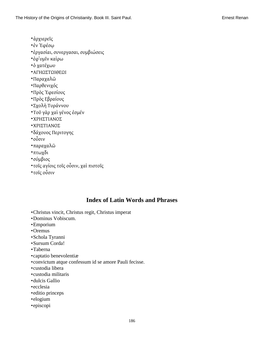- •[ἀρχιερεῖς](#page-36-0)
- •έν Ἐφέσω
- •[ἐργασίαι, συνεργασαι, συμβιώσεις](#page-124-0)
- •[ἐφ᾽υμῖν καὶρω](#page-25-3)
- •[ὁ χατέχωυ](#page-97-0)
- •[ΑΓΗΩΣΤΩΙΘΕΩΙ](#page-74-0)
- •[Παραχαλῶ](#page-24-11)
- •[Παρθενιχός](#page-94-0)
- •[Πρὸς Ἐφεσίους](#page-11-2)
- •[Πρὸς Εβραίους](#page-21-0)
- •[Σχολὴ Τυράννου](#page-122-0)
- •[Τοῦ γὰρ χαὶ γένος ἐσμέν](#page-75-0)
- •[ΧΡΗΣΤΙΑΝΟΣ](#page-125-0)
- •[ΧΡΙΣΤΙΑΝΟΣ](#page-125-0)
- •[δάχουος Περιτογης](#page-24-4)
- •[οὖσιν](#page-11-3)
- •[παραχαλῶ](#page-25-4)
- •[πτωχδι](#page-168-0)
- •[σύμβιος](#page-94-0)
- •[τοῖς αγίοις τοῖς οὖσιν, χαὶ πιστοῖς](#page-11-4)
- •[τοῖς οὖσιν](#page-10-0)

# **Index of Latin Words and Phrases**

- •[Christus vincit, Christus regit, Christus imperat](#page-58-0)
- •[Dominus Vobiscum.](#page-98-0)
- •[Emporium](#page-56-0)
- •[Oremus](#page-98-1)
- •[Schola Tyranni](#page-122-1)
- •[Sursum Corda!](#page-98-1)
- •[Taberna](#page-56-1)
- •[captatio benevolentiæ](#page-176-0)
- •[convictum atque confessum id se amore Pauli fecisse.](#page-20-2)
- •[custodia libera](#page-177-0)
- •[custodia militaris](#page-174-0)
- •[dulcis Gallio](#page-87-0)
- •[ecclesia](#page-32-0)
- •[editio princeps](#page-22-0)
- •[elogium](#page-176-1)
- •[episcopi](#page-16-7)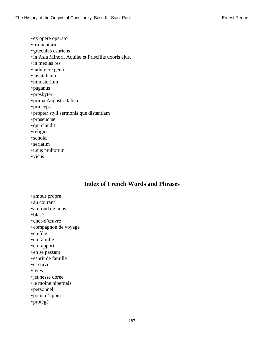- •[ex opere operato](#page-161-0)
- •[frumentarius](#page-177-1)
- •[græculus esuriens](#page-83-0)
- •[in Asia Minori, Aquilæ et Priscillæ uxoris ejus.](#page-25-5)
- •[in medias res](#page-7-0)
- •[indulgere genio](#page-82-0)
- •[jus italicum](#page-65-0)
- •[ministerium](#page-99-0)
- •[paganus](#page-32-1)
- •[presbyteri](#page-16-7)
- •[prima Augusta Italica](#page-179-0)
- •[princeps](#page-182-0)
- •[propter styli sermonis que distantiam](#page-23-5)
- •[proseuchæ](#page-66-0)
- •[qui claudit](#page-97-0)
- •[religio](#page-159-0)
- •[scholæ](#page-122-2)
- •[seriatim](#page-7-1)
- •[unus multorum](#page-56-2)
- •[vicus](#page-31-0)

# **Index of French Words and Phrases**

- •[amour propre](#page-59-0)
- •[au courant](#page-88-0)
- •[au fond de nous](#page-83-1)
- •[blasé](#page-79-0)
- •[chef-d'œuvre](#page-74-1)
- •[compagnon de voyage](#page-32-2)
- •[en fête](#page-43-1)
- •[en famille](#page-25-6)
- •[en rapport](#page-92-0)
- •[en se passant](#page-83-2)
- •[esprit de famille](#page-59-1)
- •[et suivi](#page-17-2)
- •[fêtes](#page-123-0)
- •[jeunesse dorée](#page-78-0)
- •[le moine hibernais](#page-63-0)
- •[personnel](#page-20-3)
- •[point d'appui](#page-78-1)
- •[protégé](#page-76-0)